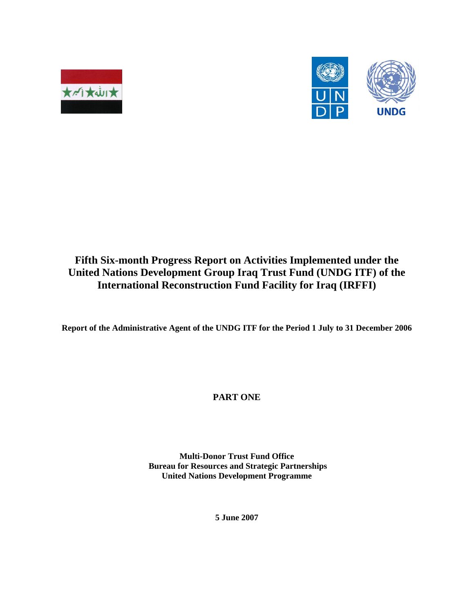



## **Fifth Six-month Progress Report on Activities Implemented under the United Nations Development Group Iraq Trust Fund (UNDG ITF) of the International Reconstruction Fund Facility for Iraq (IRFFI)**

**Report of the Administrative Agent of the UNDG ITF for the Period 1 July to 31 December 2006** 

**PART ONE** 

**Multi-Donor Trust Fund Office Bureau for Resources and Strategic Partnerships United Nations Development Programme** 

**5 June 2007**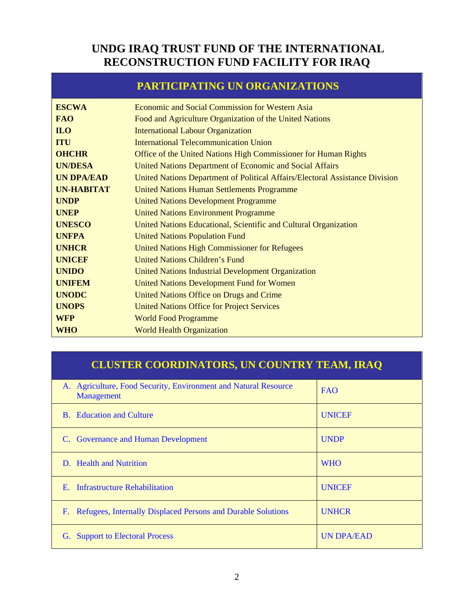## **UNDG IRAQ TRUST FUND OF THE INTERNATIONAL RECONSTRUCTION FUND FACILITY FOR IRAQ**

## **PARTICIPATING UN ORGANIZATIONS**

| <b>ESCWA</b>      | <b>Economic and Social Commission for Western Asia</b>                       |
|-------------------|------------------------------------------------------------------------------|
| <b>FAO</b>        | Food and Agriculture Organization of the United Nations                      |
| <b>ILO</b>        | <b>International Labour Organization</b>                                     |
| <b>ITU</b>        | <b>International Telecommunication Union</b>                                 |
| <b>OHCHR</b>      | Office of the United Nations High Commissioner for Human Rights              |
| <b>UN/DESA</b>    | United Nations Department of Economic and Social Affairs                     |
| <b>UN DPA/EAD</b> | United Nations Department of Political Affairs/Electoral Assistance Division |
| <b>UN-HABITAT</b> | <b>United Nations Human Settlements Programme</b>                            |
| <b>UNDP</b>       | <b>United Nations Development Programme</b>                                  |
| <b>UNEP</b>       | <b>United Nations Environment Programme</b>                                  |
| <b>UNESCO</b>     | United Nations Educational, Scientific and Cultural Organization             |
| <b>UNFPA</b>      | <b>United Nations Population Fund</b>                                        |
| <b>UNHCR</b>      | <b>United Nations High Commissioner for Refugees</b>                         |
| <b>UNICEF</b>     | <b>United Nations Children's Fund</b>                                        |
| <b>UNIDO</b>      | <b>United Nations Industrial Development Organization</b>                    |
| <b>UNIFEM</b>     | <b>United Nations Development Fund for Women</b>                             |
| <b>UNODC</b>      | United Nations Office on Drugs and Crime                                     |
| <b>UNOPS</b>      | <b>United Nations Office for Project Services</b>                            |
| <b>WFP</b>        | <b>World Food Programme</b>                                                  |
| <b>WHO</b>        | <b>World Health Organization</b>                                             |

## **CLUSTER COORDINATORS, UN COUNTRY TEAM, IRAQ**

| Agriculture, Food Security, Environment and Natural Resource<br>A.<br>Management | <b>FAO</b>        |
|----------------------------------------------------------------------------------|-------------------|
| <b>B.</b> Education and Culture                                                  | <b>UNICEF</b>     |
| C. Governance and Human Development                                              | <b>UNDP</b>       |
| D. Health and Nutrition                                                          | <b>WHO</b>        |
| E. Infrastructure Rehabilitation                                                 | <b>UNICEF</b>     |
| Refugees, Internally Displaced Persons and Durable Solutions<br>F.               | <b>UNHCR</b>      |
| G. Support to Electoral Process                                                  | <b>UN DPA/EAD</b> |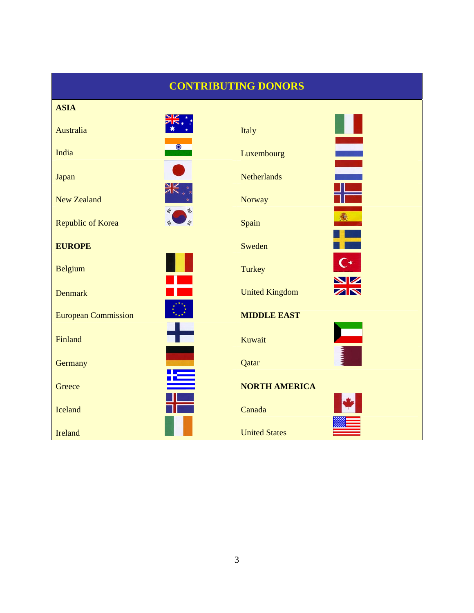## **CONTRIBUTING DONORS**

| <b>ASIA</b>                |                                          |
|----------------------------|------------------------------------------|
| Australia                  | Italy                                    |
| $\bullet$<br>India         | Ē<br>Luxembourg                          |
| Japan                      | <b>Netherlands</b>                       |
| <b>New Zealand</b>         | <b>Norway</b>                            |
| <b>Republic of Korea</b>   | 靏<br>Spain                               |
| <b>EUROPE</b>              | Sweden                                   |
| <b>Belgium</b>             | ົ∗<br>Turkey                             |
| <b>Denmark</b>             | <u>NZ</u><br>ZN<br><b>United Kingdom</b> |
| <b>European Commission</b> | <b>MIDDLE EAST</b>                       |
| Finland                    | Kuwait                                   |
| Germany                    | Qatar                                    |
| Greece                     | <b>NORTH AMERICA</b>                     |
| Iceland                    | Canada                                   |
| Ireland                    | <b>United States</b>                     |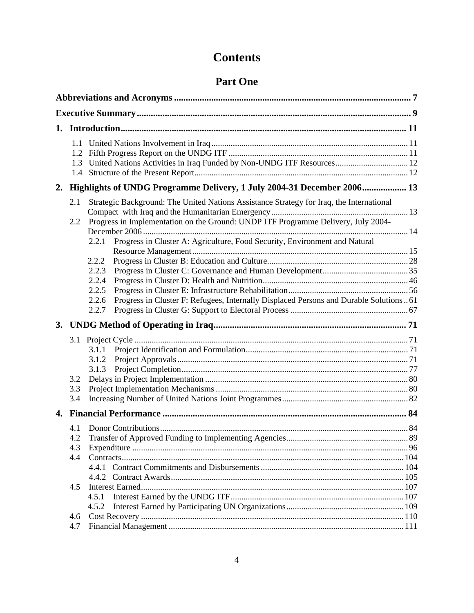## **Contents**

## **Part One**

| 2. |                          | Highlights of UNDG Programme Delivery, 1 July 2004-31 December 2006 13                                                                                                                                                                                                                                                                                                                                              |  |
|----|--------------------------|---------------------------------------------------------------------------------------------------------------------------------------------------------------------------------------------------------------------------------------------------------------------------------------------------------------------------------------------------------------------------------------------------------------------|--|
|    | 2.1<br>2.2               | Strategic Background: The United Nations Assistance Strategy for Iraq, the International<br>Progress in Implementation on the Ground: UNDP ITF Programme Delivery, July 2004-<br>Progress in Cluster A: Agriculture, Food Security, Environment and Natural<br>2.2.1<br>2.2.2<br>2.2.3<br>2.2.4<br>2.2.5<br>2.2.6<br>Progress in Cluster F: Refugees, Internally Displaced Persons and Durable Solutions61<br>2.2.7 |  |
|    |                          |                                                                                                                                                                                                                                                                                                                                                                                                                     |  |
|    | 3.1<br>3.2<br>3.3<br>3.4 | 3.1.1<br>3.1.2<br>3.1.3                                                                                                                                                                                                                                                                                                                                                                                             |  |
|    |                          |                                                                                                                                                                                                                                                                                                                                                                                                                     |  |
|    | 4.1<br>4.2<br>4.3<br>4.4 |                                                                                                                                                                                                                                                                                                                                                                                                                     |  |
|    | 4.5                      | 4.5.1<br>4.5.2                                                                                                                                                                                                                                                                                                                                                                                                      |  |
|    | 4.6<br>4.7               |                                                                                                                                                                                                                                                                                                                                                                                                                     |  |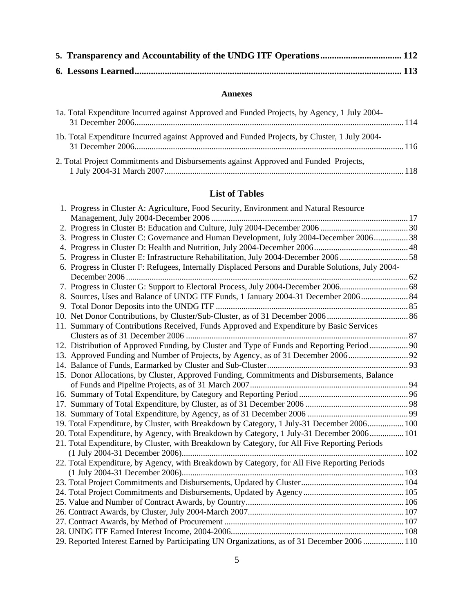#### **Annexes**

| 1a. Total Expenditure Incurred against Approved and Funded Projects, by Agency, 1 July 2004-  |  |
|-----------------------------------------------------------------------------------------------|--|
| 1b. Total Expenditure Incurred against Approved and Funded Projects, by Cluster, 1 July 2004- |  |
| 2. Total Project Commitments and Disbursements against Approved and Funded Projects,          |  |

## **List of Tables**

| 1. Progress in Cluster A: Agriculture, Food Security, Environment and Natural Resource             |  |
|----------------------------------------------------------------------------------------------------|--|
|                                                                                                    |  |
|                                                                                                    |  |
| 3. Progress in Cluster C: Governance and Human Development, July 2004-December 2006 38             |  |
|                                                                                                    |  |
| 58. Progress in Cluster E: Infrastructure Rehabilitation, July 2004-December 200658                |  |
| 6. Progress in Cluster F: Refugees, Internally Displaced Persons and Durable Solutions, July 2004- |  |
|                                                                                                    |  |
|                                                                                                    |  |
| 8. Sources, Uses and Balance of UNDG ITF Funds, 1 January 2004-31 December 2006 84                 |  |
|                                                                                                    |  |
|                                                                                                    |  |
| 11. Summary of Contributions Received, Funds Approved and Expenditure by Basic Services            |  |
|                                                                                                    |  |
| 12. Distribution of Approved Funding, by Cluster and Type of Funds and Reporting Period            |  |
|                                                                                                    |  |
|                                                                                                    |  |
| 15. Donor Allocations, by Cluster, Approved Funding, Commitments and Disbursements, Balance        |  |
|                                                                                                    |  |
|                                                                                                    |  |
|                                                                                                    |  |
|                                                                                                    |  |
| 19. Total Expenditure, by Cluster, with Breakdown by Category, 1 July-31 December 2006 100         |  |
| 20. Total Expenditure, by Agency, with Breakdown by Category, 1 July-31 December 2006 101          |  |
| 21. Total Expenditure, by Cluster, with Breakdown by Category, for All Five Reporting Periods      |  |
|                                                                                                    |  |
| 22. Total Expenditure, by Agency, with Breakdown by Category, for All Five Reporting Periods       |  |
|                                                                                                    |  |
|                                                                                                    |  |
|                                                                                                    |  |
|                                                                                                    |  |
|                                                                                                    |  |
|                                                                                                    |  |
|                                                                                                    |  |
| 29. Reported Interest Earned by Participating UN Organizations, as of 31 December 2006  110        |  |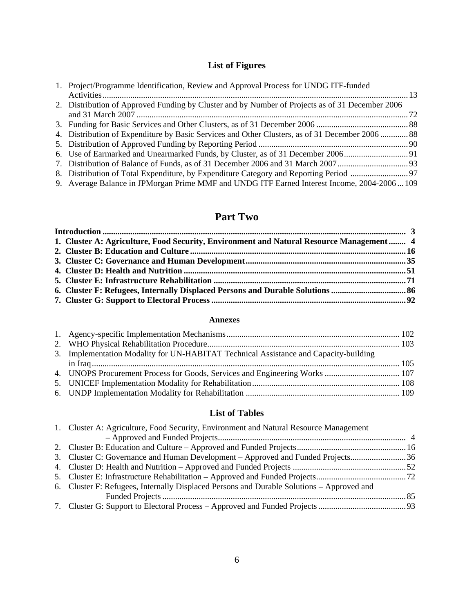## **List of Figures**

| 1. Project/Programme Identification, Review and Approval Process for UNDG ITF-funded            |  |
|-------------------------------------------------------------------------------------------------|--|
|                                                                                                 |  |
| 2. Distribution of Approved Funding by Cluster and by Number of Projects as of 31 December 2006 |  |
|                                                                                                 |  |
|                                                                                                 |  |
| 4. Distribution of Expenditure by Basic Services and Other Clusters, as of 31 December 2006  88 |  |
|                                                                                                 |  |
| 6. Use of Earmarked and Unearmarked Funds, by Cluster, as of 31 December 2006                   |  |
|                                                                                                 |  |
|                                                                                                 |  |
| 9. Average Balance in JPMorgan Prime MMF and UNDG ITF Earned Interest Income, 2004-2006109      |  |

## **Part Two**

| 1. Cluster A: Agriculture, Food Security, Environment and Natural Resource Management 4 |  |
|-----------------------------------------------------------------------------------------|--|
|                                                                                         |  |
|                                                                                         |  |
|                                                                                         |  |
|                                                                                         |  |
|                                                                                         |  |
|                                                                                         |  |

#### **Annexes**

| 3. Implementation Modality for UN-HABITAT Technical Assistance and Capacity-building |  |
|--------------------------------------------------------------------------------------|--|
|                                                                                      |  |
| 4. UNOPS Procurement Process for Goods, Services and Engineering Works  107          |  |
|                                                                                      |  |
|                                                                                      |  |

## **List of Tables**

| 1. Cluster A: Agriculture, Food Security, Environment and Natural Resource Management     |  |
|-------------------------------------------------------------------------------------------|--|
|                                                                                           |  |
|                                                                                           |  |
| 36 Cluster C: Governance and Human Development – Approved and Funded Projects             |  |
|                                                                                           |  |
|                                                                                           |  |
| 6. Cluster F: Refugees, Internally Displaced Persons and Durable Solutions – Approved and |  |
|                                                                                           |  |
|                                                                                           |  |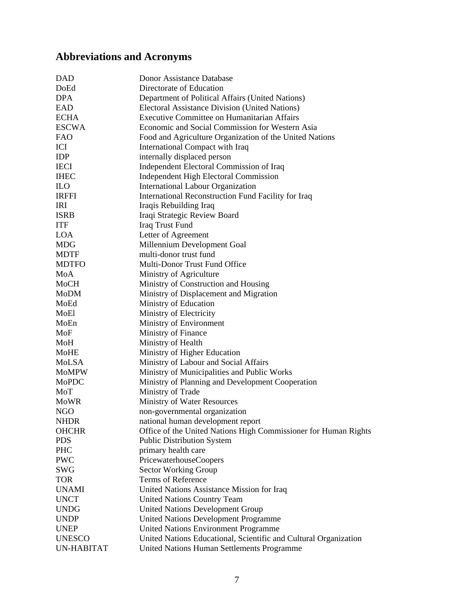# **Abbreviations and Acronyms**

| <b>DAD</b>    | Donor Assistance Database                                        |
|---------------|------------------------------------------------------------------|
| DoEd          | Directorate of Education                                         |
| <b>DPA</b>    | Department of Political Affairs (United Nations)                 |
| EAD           | Electoral Assistance Division (United Nations)                   |
| <b>ECHA</b>   | Executive Committee on Humanitarian Affairs                      |
| <b>ESCWA</b>  | Economic and Social Commission for Western Asia                  |
| <b>FAO</b>    | Food and Agriculture Organization of the United Nations          |
| ICI           | International Compact with Iraq                                  |
| IDP           | internally displaced person                                      |
| <b>IECI</b>   | Independent Electoral Commission of Iraq                         |
| <b>IHEC</b>   | Independent High Electoral Commission                            |
| <b>ILO</b>    | <b>International Labour Organization</b>                         |
| <b>IRFFI</b>  | International Reconstruction Fund Facility for Iraq              |
| IRI           | Iraqis Rebuilding Iraq                                           |
| <b>ISRB</b>   | Iraqi Strategic Review Board                                     |
| <b>ITF</b>    | Iraq Trust Fund                                                  |
| <b>LOA</b>    | Letter of Agreement                                              |
| <b>MDG</b>    | Millennium Development Goal                                      |
| <b>MDTF</b>   | multi-donor trust fund                                           |
| <b>MDTFO</b>  | Multi-Donor Trust Fund Office                                    |
| MoA           | Ministry of Agriculture                                          |
| MoCH          | Ministry of Construction and Housing                             |
| MoDM          | Ministry of Displacement and Migration                           |
| MoEd          | Ministry of Education                                            |
| MoEl          | Ministry of Electricity                                          |
| MoEn          | Ministry of Environment                                          |
| MoF           | Ministry of Finance                                              |
| MoH           | Ministry of Health                                               |
| <b>MoHE</b>   | Ministry of Higher Education                                     |
| MoLSA         | Ministry of Labour and Social Affairs                            |
| MoMPW         | Ministry of Municipalities and Public Works                      |
| MoPDC         | Ministry of Planning and Development Cooperation                 |
| MoT           | Ministry of Trade                                                |
| <b>MoWR</b>   | Ministry of Water Resources                                      |
| NGO           | non-governmental organization                                    |
| <b>NHDR</b>   | national human development report                                |
| <b>OHCHR</b>  | Office of the United Nations High Commissioner for Human Rights  |
| <b>PDS</b>    | <b>Public Distribution System</b>                                |
| PHC           | primary health care                                              |
| <b>PWC</b>    | PricewaterhouseCoopers                                           |
| <b>SWG</b>    | Sector Working Group                                             |
| <b>TOR</b>    | <b>Terms of Reference</b>                                        |
| <b>UNAMI</b>  | United Nations Assistance Mission for Iraq                       |
| <b>UNCT</b>   | <b>United Nations Country Team</b>                               |
| <b>UNDG</b>   | <b>United Nations Development Group</b>                          |
| <b>UNDP</b>   | <b>United Nations Development Programme</b>                      |
| <b>UNEP</b>   | <b>United Nations Environment Programme</b>                      |
| <b>UNESCO</b> | United Nations Educational, Scientific and Cultural Organization |
| UN-HABITAT    | <b>United Nations Human Settlements Programme</b>                |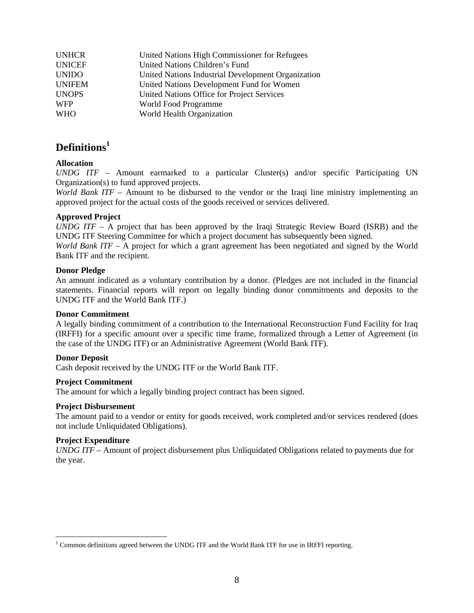| <b>UNHCR</b>  | United Nations High Commissioner for Refugees      |
|---------------|----------------------------------------------------|
| <b>UNICEF</b> | United Nations Children's Fund                     |
| <b>UNIDO</b>  | United Nations Industrial Development Organization |
| <b>UNIFEM</b> | United Nations Development Fund for Women          |
| <b>UNOPS</b>  | United Nations Office for Project Services         |
| <b>WFP</b>    | World Food Programme                               |
| <b>WHO</b>    | World Health Organization                          |

## **Definitions<sup>1</sup>**

#### **Allocation**

*UNDG ITF* – Amount earmarked to a particular Cluster(s) and/or specific Participating UN Organization(s) to fund approved projects.

*World Bank ITF* – Amount to be disbursed to the vendor or the Iraqi line ministry implementing an approved project for the actual costs of the goods received or services delivered.

#### **Approved Project**

*UNDG ITF* – A project that has been approved by the Iraqi Strategic Review Board (ISRB) and the UNDG ITF Steering Committee for which a project document has subsequently been signed.

*World Bank ITF* – A project for which a grant agreement has been negotiated and signed by the World Bank ITF and the recipient.

#### **Donor Pledge**

An amount indicated as a voluntary contribution by a donor. (Pledges are not included in the financial statements. Financial reports will report on legally binding donor commitments and deposits to the UNDG ITF and the World Bank ITF.)

#### **Donor Commitment**

A legally binding commitment of a contribution to the International Reconstruction Fund Facility for Iraq (IRFFI) for a specific amount over a specific time frame, formalized through a Letter of Agreement (in the case of the UNDG ITF) or an Administrative Agreement (World Bank ITF).

#### **Donor Deposit**

Cash deposit received by the UNDG ITF or the World Bank ITF.

#### **Project Commitment**

The amount for which a legally binding project contract has been signed.

#### **Project Disbursement**

The amount paid to a vendor or entity for goods received, work completed and/or services rendered (does not include Unliquidated Obligations).

#### **Project Expenditure**

*UNDG ITF* – Amount of project disbursement plus Unliquidated Obligations related to payments due for the year.

<sup>&</sup>lt;sup>1</sup> Common definitions agreed between the UNDG ITF and the World Bank ITF for use in IRFFI reporting.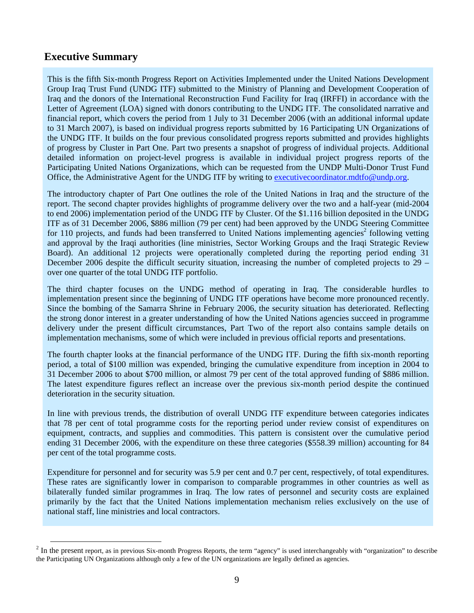## **Executive Summary**

This is the fifth Six-month Progress Report on Activities Implemented under the United Nations Development Group Iraq Trust Fund (UNDG ITF) submitted to the Ministry of Planning and Development Cooperation of Iraq and the donors of the International Reconstruction Fund Facility for Iraq (IRFFI) in accordance with the Letter of Agreement (LOA) signed with donors contributing to the UNDG ITF. The consolidated narrative and financial report, which covers the period from 1 July to 31 December 2006 (with an additional informal update to 31 March 2007), is based on individual progress reports submitted by 16 Participating UN Organizations of the UNDG ITF. It builds on the four previous consolidated progress reports submitted and provides highlights of progress by Cluster in Part One. Part two presents a snapshot of progress of individual projects. Additional detailed information on project-level progress is available in individual project progress reports of the Participating United Nations Organizations, which can be requested from the UNDP Multi-Donor Trust Fund Office, the Administrative Agent for the UNDG ITF by writing to executivecoordinator.mdtfo@undp.org.

The introductory chapter of Part One outlines the role of the United Nations in Iraq and the structure of the report. The second chapter provides highlights of programme delivery over the two and a half-year (mid-2004 to end 2006) implementation period of the UNDG ITF by Cluster. Of the \$1.116 billion deposited in the UNDG ITF as of 31 December 2006, \$886 million (79 per cent) had been approved by the UNDG Steering Committee for 110 projects, and funds had been transferred to United Nations implementing agencies<sup>2</sup> following vetting and approval by the Iraqi authorities (line ministries, Sector Working Groups and the Iraqi Strategic Review Board). An additional 12 projects were operationally completed during the reporting period ending 31 December 2006 despite the difficult security situation, increasing the number of completed projects to 29 – over one quarter of the total UNDG ITF portfolio.

The third chapter focuses on the UNDG method of operating in Iraq. The considerable hurdles to implementation present since the beginning of UNDG ITF operations have become more pronounced recently. Since the bombing of the Samarra Shrine in February 2006, the security situation has deteriorated. Reflecting the strong donor interest in a greater understanding of how the United Nations agencies succeed in programme delivery under the present difficult circumstances, Part Two of the report also contains sample details on implementation mechanisms, some of which were included in previous official reports and presentations.

The fourth chapter looks at the financial performance of the UNDG ITF. During the fifth six-month reporting period, a total of \$100 million was expended, bringing the cumulative expenditure from inception in 2004 to 31 December 2006 to about \$700 million, or almost 79 per cent of the total approved funding of \$886 million. The latest expenditure figures reflect an increase over the previous six-month period despite the continued deterioration in the security situation.

In line with previous trends, the distribution of overall UNDG ITF expenditure between categories indicates that 78 per cent of total programme costs for the reporting period under review consist of expenditures on equipment, contracts, and supplies and commodities. This pattern is consistent over the cumulative period ending 31 December 2006, with the expenditure on these three categories (\$558.39 million) accounting for 84 per cent of the total programme costs.

Expenditure for personnel and for security was 5.9 per cent and 0.7 per cent, respectively, of total expenditures. These rates are significantly lower in comparison to comparable programmes in other countries as well as bilaterally funded similar programmes in Iraq. The low rates of personnel and security costs are explained primarily by the fact that the United Nations implementation mechanism relies exclusively on the use of national staff, line ministries and local contractors.

<sup>&</sup>lt;sup>2</sup> In the present report, as in previous Six-month Progress Reports, the term "agency" is used interchangeably with "organization" to describe the Participating UN Organizations although only a few of the UN organizations are legally defined as agencies.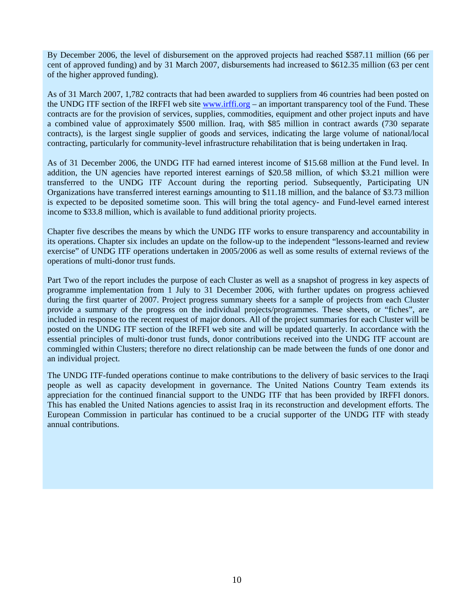By December 2006, the level of disbursement on the approved projects had reached \$587.11 million (66 per cent of approved funding) and by 31 March 2007, disbursements had increased to \$612.35 million (63 per cent of the higher approved funding).

As of 31 March 2007, 1,782 contracts that had been awarded to suppliers from 46 countries had been posted on the UNDG ITF section of the IRFFI web site www.irffi.org – an important transparency tool of the Fund. These contracts are for the provision of services, supplies, commodities, equipment and other project inputs and have a combined value of approximately \$500 million. Iraq, with \$85 million in contract awards (730 separate contracts), is the largest single supplier of goods and services, indicating the large volume of national/local contracting, particularly for community-level infrastructure rehabilitation that is being undertaken in Iraq.

As of 31 December 2006, the UNDG ITF had earned interest income of \$15.68 million at the Fund level. In addition, the UN agencies have reported interest earnings of \$20.58 million, of which \$3.21 million were transferred to the UNDG ITF Account during the reporting period. Subsequently, Participating UN Organizations have transferred interest earnings amounting to \$11.18 million, and the balance of \$3.73 million is expected to be deposited sometime soon. This will bring the total agency- and Fund-level earned interest income to \$33.8 million, which is available to fund additional priority projects.

Chapter five describes the means by which the UNDG ITF works to ensure transparency and accountability in its operations. Chapter six includes an update on the follow-up to the independent "lessons-learned and review exercise" of UNDG ITF operations undertaken in 2005/2006 as well as some results of external reviews of the operations of multi-donor trust funds.

Part Two of the report includes the purpose of each Cluster as well as a snapshot of progress in key aspects of programme implementation from 1 July to 31 December 2006, with further updates on progress achieved during the first quarter of 2007. Project progress summary sheets for a sample of projects from each Cluster provide a summary of the progress on the individual projects/programmes. These sheets, or "fiches", are included in response to the recent request of major donors. All of the project summaries for each Cluster will be posted on the UNDG ITF section of the IRFFI web site and will be updated quarterly. In accordance with the essential principles of multi-donor trust funds, donor contributions received into the UNDG ITF account are commingled within Clusters; therefore no direct relationship can be made between the funds of one donor and an individual project.

The UNDG ITF-funded operations continue to make contributions to the delivery of basic services to the Iraqi people as well as capacity development in governance. The United Nations Country Team extends its appreciation for the continued financial support to the UNDG ITF that has been provided by IRFFI donors. This has enabled the United Nations agencies to assist Iraq in its reconstruction and development efforts. The European Commission in particular has continued to be a crucial supporter of the UNDG ITF with steady annual contributions.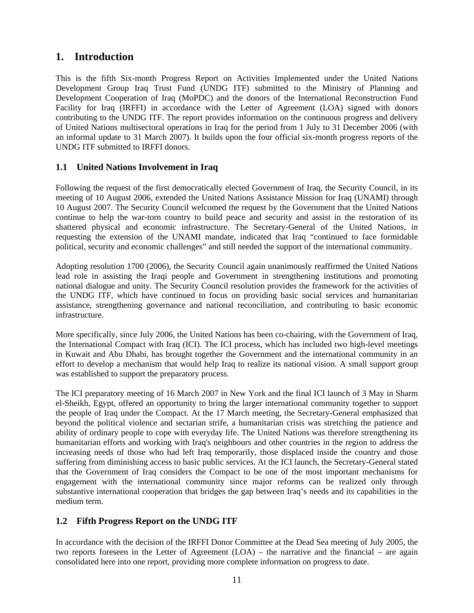## **1. Introduction**

This is the fifth Six-month Progress Report on Activities Implemented under the United Nations Development Group Iraq Trust Fund (UNDG ITF) submitted to the Ministry of Planning and Development Cooperation of Iraq (MoPDC) and the donors of the International Reconstruction Fund Facility for Iraq (IRFFI) in accordance with the Letter of Agreement (LOA) signed with donors contributing to the UNDG ITF. The report provides information on the continuous progress and delivery of United Nations multisectoral operations in Iraq for the period from 1 July to 31 December 2006 (with an informal update to 31 March 2007). It builds upon the four official six-month progress reports of the UNDG ITF submitted to IRFFI donors.

### **1.1 United Nations Involvement in Iraq**

Following the request of the first democratically elected Government of Iraq, the Security Council, in its meeting of 10 August 2006, extended the United Nations Assistance Mission for Iraq (UNAMI) through 10 August 2007. The Security Council welcomed the request by the Government that the United Nations continue to help the war-torn country to build peace and security and assist in the restoration of its shattered physical and economic infrastructure. The Secretary-General of the United Nations, in requesting the extension of the UNAMI mandate, indicated that Iraq "continued to face formidable political, security and economic challenges" and still needed the support of the international community.

Adopting resolution 1700 (2006), the Security Council again unanimously reaffirmed the United Nations lead role in assisting the Iraqi people and Government in strengthening institutions and promoting national dialogue and unity. The Security Council resolution provides the framework for the activities of the UNDG ITF, which have continued to focus on providing basic social services and humanitarian assistance, strengthening governance and national reconciliation, and contributing to basic economic infrastructure.

More specifically, since July 2006, the United Nations has been co-chairing, with the Government of Iraq, the International Compact with Iraq (ICI). The ICI process, which has included two high-level meetings in Kuwait and Abu Dhabi, has brought together the Government and the international community in an effort to develop a mechanism that would help Iraq to realize its national vision. A small support group was established to support the preparatory process.

The ICI preparatory meeting of 16 March 2007 in New York and the final ICI launch of 3 May in Sharm el-Sheikh, Egypt, offered an opportunity to bring the larger international community together to support the people of Iraq under the Compact. At the 17 March meeting, the Secretary-General emphasized that beyond the political violence and sectarian strife, a humanitarian crisis was stretching the patience and ability of ordinary people to cope with everyday life. The United Nations was therefore strengthening its humanitarian efforts and working with Iraq's neighbours and other countries in the region to address the increasing needs of those who had left Iraq temporarily, those displaced inside the country and those suffering from diminishing access to basic public services. At the ICI launch, the Secretary-General stated that the Government of Iraq considers the Compact to be one of the most important mechanisms for engagement with the international community since major reforms can be realized only through substantive international cooperation that bridges the gap between Iraq's needs and its capabilities in the medium term.

## **1.2 Fifth Progress Report on the UNDG ITF**

In accordance with the decision of the IRFFI Donor Committee at the Dead Sea meeting of July 2005, the two reports foreseen in the Letter of Agreement (LOA) – the narrative and the financial – are again consolidated here into one report, providing more complete information on progress to date.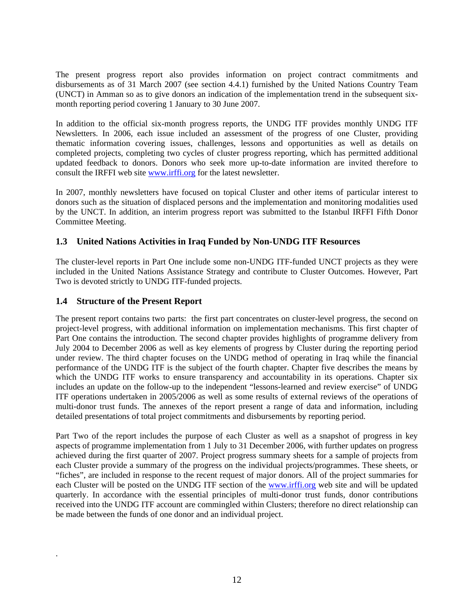The present progress report also provides information on project contract commitments and disbursements as of 31 March 2007 (see section 4.4.1) furnished by the United Nations Country Team (UNCT) in Amman so as to give donors an indication of the implementation trend in the subsequent sixmonth reporting period covering 1 January to 30 June 2007.

In addition to the official six-month progress reports, the UNDG ITF provides monthly UNDG ITF Newsletters. In 2006, each issue included an assessment of the progress of one Cluster, providing thematic information covering issues, challenges, lessons and opportunities as well as details on completed projects, completing two cycles of cluster progress reporting, which has permitted additional updated feedback to donors. Donors who seek more up-to-date information are invited therefore to consult the IRFFI web site www.irffi.org for the latest newsletter.

In 2007, monthly newsletters have focused on topical Cluster and other items of particular interest to donors such as the situation of displaced persons and the implementation and monitoring modalities used by the UNCT. In addition, an interim progress report was submitted to the Istanbul IRFFI Fifth Donor Committee Meeting.

### **1.3 United Nations Activities in Iraq Funded by Non-UNDG ITF Resources**

The cluster-level reports in Part One include some non-UNDG ITF-funded UNCT projects as they were included in the United Nations Assistance Strategy and contribute to Cluster Outcomes. However, Part Two is devoted strictly to UNDG ITF-funded projects.

### **1.4 Structure of the Present Report**

.

The present report contains two parts: the first part concentrates on cluster-level progress, the second on project-level progress, with additional information on implementation mechanisms. This first chapter of Part One contains the introduction. The second chapter provides highlights of programme delivery from July 2004 to December 2006 as well as key elements of progress by Cluster during the reporting period under review. The third chapter focuses on the UNDG method of operating in Iraq while the financial performance of the UNDG ITF is the subject of the fourth chapter. Chapter five describes the means by which the UNDG ITF works to ensure transparency and accountability in its operations. Chapter six includes an update on the follow-up to the independent "lessons-learned and review exercise" of UNDG ITF operations undertaken in 2005/2006 as well as some results of external reviews of the operations of multi-donor trust funds. The annexes of the report present a range of data and information, including detailed presentations of total project commitments and disbursements by reporting period.

Part Two of the report includes the purpose of each Cluster as well as a snapshot of progress in key aspects of programme implementation from 1 July to 31 December 2006, with further updates on progress achieved during the first quarter of 2007. Project progress summary sheets for a sample of projects from each Cluster provide a summary of the progress on the individual projects/programmes. These sheets, or "fiches", are included in response to the recent request of major donors. All of the project summaries for each Cluster will be posted on the UNDG ITF section of the www.irffi.org web site and will be updated quarterly. In accordance with the essential principles of multi-donor trust funds, donor contributions received into the UNDG ITF account are commingled within Clusters; therefore no direct relationship can be made between the funds of one donor and an individual project.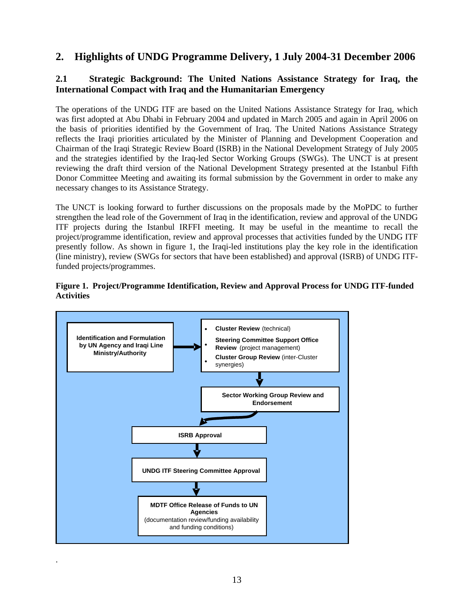## **2. Highlights of UNDG Programme Delivery, 1 July 2004-31 December 2006**

## **2.1 Strategic Background: The United Nations Assistance Strategy for Iraq, the International Compact with Iraq and the Humanitarian Emergency**

The operations of the UNDG ITF are based on the United Nations Assistance Strategy for Iraq, which was first adopted at Abu Dhabi in February 2004 and updated in March 2005 and again in April 2006 on the basis of priorities identified by the Government of Iraq. The United Nations Assistance Strategy reflects the Iraqi priorities articulated by the Minister of Planning and Development Cooperation and Chairman of the Iraqi Strategic Review Board (ISRB) in the National Development Strategy of July 2005 and the strategies identified by the Iraq-led Sector Working Groups (SWGs). The UNCT is at present reviewing the draft third version of the National Development Strategy presented at the Istanbul Fifth Donor Committee Meeting and awaiting its formal submission by the Government in order to make any necessary changes to its Assistance Strategy.

The UNCT is looking forward to further discussions on the proposals made by the MoPDC to further strengthen the lead role of the Government of Iraq in the identification, review and approval of the UNDG ITF projects during the Istanbul IRFFI meeting. It may be useful in the meantime to recall the project/programme identification, review and approval processes that activities funded by the UNDG ITF presently follow. As shown in figure 1, the Iraqi-led institutions play the key role in the identification (line ministry), review (SWGs for sectors that have been established) and approval (ISRB) of UNDG ITFfunded projects/programmes.





.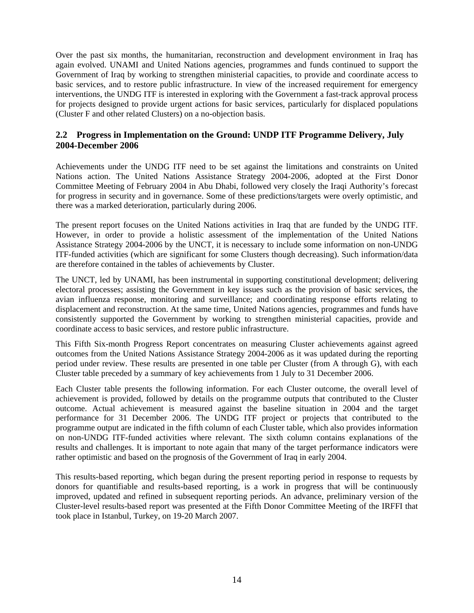Over the past six months, the humanitarian, reconstruction and development environment in Iraq has again evolved. UNAMI and United Nations agencies, programmes and funds continued to support the Government of Iraq by working to strengthen ministerial capacities, to provide and coordinate access to basic services, and to restore public infrastructure. In view of the increased requirement for emergency interventions, the UNDG ITF is interested in exploring with the Government a fast-track approval process for projects designed to provide urgent actions for basic services, particularly for displaced populations (Cluster F and other related Clusters) on a no-objection basis.

### **2.2 Progress in Implementation on the Ground: UNDP ITF Programme Delivery, July 2004-December 2006**

Achievements under the UNDG ITF need to be set against the limitations and constraints on United Nations action. The United Nations Assistance Strategy 2004-2006, adopted at the First Donor Committee Meeting of February 2004 in Abu Dhabi, followed very closely the Iraqi Authority's forecast for progress in security and in governance. Some of these predictions/targets were overly optimistic, and there was a marked deterioration, particularly during 2006.

The present report focuses on the United Nations activities in Iraq that are funded by the UNDG ITF. However, in order to provide a holistic assessment of the implementation of the United Nations Assistance Strategy 2004-2006 by the UNCT, it is necessary to include some information on non-UNDG ITF-funded activities (which are significant for some Clusters though decreasing). Such information/data are therefore contained in the tables of achievements by Cluster.

The UNCT, led by UNAMI, has been instrumental in supporting constitutional development; delivering electoral processes; assisting the Government in key issues such as the provision of basic services, the avian influenza response, monitoring and surveillance; and coordinating response efforts relating to displacement and reconstruction. At the same time, United Nations agencies, programmes and funds have consistently supported the Government by working to strengthen ministerial capacities, provide and coordinate access to basic services, and restore public infrastructure.

This Fifth Six-month Progress Report concentrates on measuring Cluster achievements against agreed outcomes from the United Nations Assistance Strategy 2004-2006 as it was updated during the reporting period under review. These results are presented in one table per Cluster (from A through G), with each Cluster table preceded by a summary of key achievements from 1 July to 31 December 2006.

Each Cluster table presents the following information. For each Cluster outcome, the overall level of achievement is provided, followed by details on the programme outputs that contributed to the Cluster outcome. Actual achievement is measured against the baseline situation in 2004 and the target performance for 31 December 2006. The UNDG ITF project or projects that contributed to the programme output are indicated in the fifth column of each Cluster table, which also provides information on non-UNDG ITF-funded activities where relevant. The sixth column contains explanations of the results and challenges. It is important to note again that many of the target performance indicators were rather optimistic and based on the prognosis of the Government of Iraq in early 2004.

This results-based reporting, which began during the present reporting period in response to requests by donors for quantifiable and results-based reporting, is a work in progress that will be continuously improved, updated and refined in subsequent reporting periods. An advance, preliminary version of the Cluster-level results-based report was presented at the Fifth Donor Committee Meeting of the IRFFI that took place in Istanbul, Turkey, on 19-20 March 2007.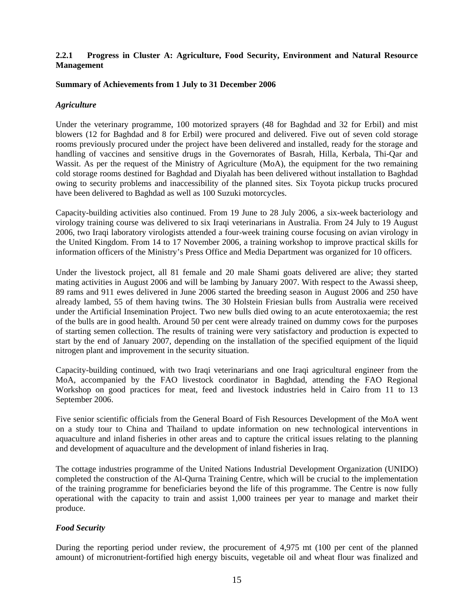#### **2.2.1 Progress in Cluster A: Agriculture, Food Security, Environment and Natural Resource Management**

#### **Summary of Achievements from 1 July to 31 December 2006**

#### *Agriculture*

Under the veterinary programme, 100 motorized sprayers (48 for Baghdad and 32 for Erbil) and mist blowers (12 for Baghdad and 8 for Erbil) were procured and delivered. Five out of seven cold storage rooms previously procured under the project have been delivered and installed, ready for the storage and handling of vaccines and sensitive drugs in the Governorates of Basrah, Hilla, Kerbala, Thi-Qar and Wassit. As per the request of the Ministry of Agriculture (MoA), the equipment for the two remaining cold storage rooms destined for Baghdad and Diyalah has been delivered without installation to Baghdad owing to security problems and inaccessibility of the planned sites. Six Toyota pickup trucks procured have been delivered to Baghdad as well as 100 Suzuki motorcycles.

Capacity-building activities also continued. From 19 June to 28 July 2006, a six-week bacteriology and virology training course was delivered to six Iraqi veterinarians in Australia. From 24 July to 19 August 2006, two Iraqi laboratory virologists attended a four-week training course focusing on avian virology in the United Kingdom. From 14 to 17 November 2006, a training workshop to improve practical skills for information officers of the Ministry's Press Office and Media Department was organized for 10 officers.

Under the livestock project, all 81 female and 20 male Shami goats delivered are alive; they started mating activities in August 2006 and will be lambing by January 2007. With respect to the Awassi sheep, 89 rams and 911 ewes delivered in June 2006 started the breeding season in August 2006 and 250 have already lambed, 55 of them having twins. The 30 Holstein Friesian bulls from Australia were received under the Artificial Insemination Project. Two new bulls died owing to an acute enterotoxaemia; the rest of the bulls are in good health. Around 50 per cent were already trained on dummy cows for the purposes of starting semen collection. The results of training were very satisfactory and production is expected to start by the end of January 2007, depending on the installation of the specified equipment of the liquid nitrogen plant and improvement in the security situation.

Capacity-building continued, with two Iraqi veterinarians and one Iraqi agricultural engineer from the MoA, accompanied by the FAO livestock coordinator in Baghdad, attending the FAO Regional Workshop on good practices for meat, feed and livestock industries held in Cairo from 11 to 13 September 2006.

Five senior scientific officials from the General Board of Fish Resources Development of the MoA went on a study tour to China and Thailand to update information on new technological interventions in aquaculture and inland fisheries in other areas and to capture the critical issues relating to the planning and development of aquaculture and the development of inland fisheries in Iraq.

The cottage industries programme of the United Nations Industrial Development Organization (UNIDO) completed the construction of the Al-Qurna Training Centre, which will be crucial to the implementation of the training programme for beneficiaries beyond the life of this programme. The Centre is now fully operational with the capacity to train and assist 1,000 trainees per year to manage and market their produce.

#### *Food Security*

During the reporting period under review, the procurement of 4,975 mt (100 per cent of the planned amount) of micronutrient-fortified high energy biscuits, vegetable oil and wheat flour was finalized and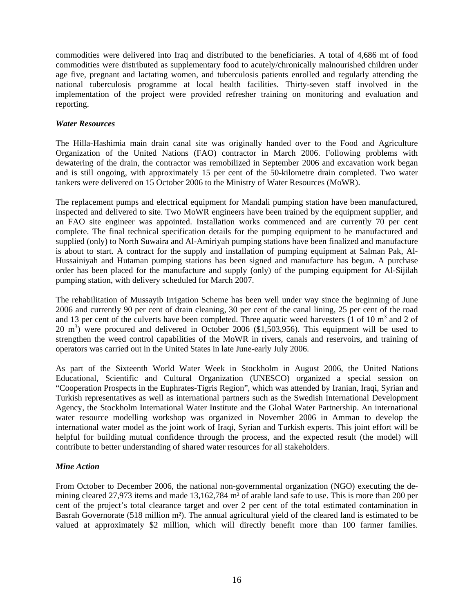commodities were delivered into Iraq and distributed to the beneficiaries. A total of 4,686 mt of food commodities were distributed as supplementary food to acutely/chronically malnourished children under age five, pregnant and lactating women, and tuberculosis patients enrolled and regularly attending the national tuberculosis programme at local health facilities. Thirty-seven staff involved in the implementation of the project were provided refresher training on monitoring and evaluation and reporting.

#### *Water Resources*

The Hilla-Hashimia main drain canal site was originally handed over to the Food and Agriculture Organization of the United Nations (FAO) contractor in March 2006. Following problems with dewatering of the drain, the contractor was remobilized in September 2006 and excavation work began and is still ongoing, with approximately 15 per cent of the 50-kilometre drain completed. Two water tankers were delivered on 15 October 2006 to the Ministry of Water Resources (MoWR).

The replacement pumps and electrical equipment for Mandali pumping station have been manufactured, inspected and delivered to site. Two MoWR engineers have been trained by the equipment supplier, and an FAO site engineer was appointed. Installation works commenced and are currently 70 per cent complete. The final technical specification details for the pumping equipment to be manufactured and supplied (only) to North Suwaira and Al-Amiriyah pumping stations have been finalized and manufacture is about to start. A contract for the supply and installation of pumping equipment at Salman Pak, Al-Hussainiyah and Hutaman pumping stations has been signed and manufacture has begun. A purchase order has been placed for the manufacture and supply (only) of the pumping equipment for Al-Sijilah pumping station, with delivery scheduled for March 2007.

The rehabilitation of Mussayib Irrigation Scheme has been well under way since the beginning of June 2006 and currently 90 per cent of drain cleaning, 30 per cent of the canal lining, 25 per cent of the road and 13 per cent of the culverts have been completed. Three aquatic weed harvesters  $(1 \text{ of } 10 \text{ m}^3 \text{ and } 2 \text{ of } 10 \text{ m}^3 \text{ and } 2 \text{ of } 10 \text{ m}^3 \text{ and } 2 \text{ of } 10 \text{ m}^3 \text{ and } 2 \text{ of } 10 \text{ m}^3 \text{ and } 2 \text{ of } 10 \text{ m}^3 \text{ and } 2 \text{$  $20 \text{ m}^3$ ) were procured and delivered in October 2006 (\$1,503,956). This equipment will be used to strengthen the weed control capabilities of the MoWR in rivers, canals and reservoirs, and training of operators was carried out in the United States in late June-early July 2006.

As part of the Sixteenth World Water Week in Stockholm in August 2006, the United Nations Educational, Scientific and Cultural Organization (UNESCO) organized a special session on "Cooperation Prospects in the Euphrates-Tigris Region", which was attended by Iranian, Iraqi, Syrian and Turkish representatives as well as international partners such as the Swedish International Development Agency, the Stockholm International Water Institute and the Global Water Partnership. An international water resource modelling workshop was organized in November 2006 in Amman to develop the international water model as the joint work of Iraqi, Syrian and Turkish experts. This joint effort will be helpful for building mutual confidence through the process, and the expected result (the model) will contribute to better understanding of shared water resources for all stakeholders.

#### *Mine Action*

From October to December 2006, the national non-governmental organization (NGO) executing the demining cleared 27,973 items and made 13,162,784 m² of arable land safe to use. This is more than 200 per cent of the project's total clearance target and over 2 per cent of the total estimated contamination in Basrah Governorate (518 million m²). The annual agricultural yield of the cleared land is estimated to be valued at approximately \$2 million, which will directly benefit more than 100 farmer families.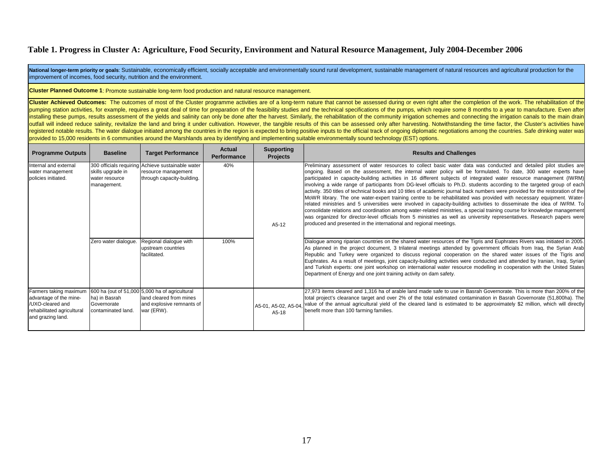National longer-term priority or goals: Sustainable, economically efficient, socially acceptable and environmentally sound rural development, sustainable management of natural resources and agricultural production for the improvement of incomes, food security, nutrition and the environment.

**Cluster Planned Outcome 1**: Promote sustainable long-term food production and natural resource management.

Cluster Achieved Outcomes: The outcomes of most of the Cluster programme activities are of a long-term nature that cannot be assessed during or even right after the completion of the work. The rehabilitation of the pumping station activities, for example, requires a great deal of time for preparation of the feasibility studies and the technical specifications of the pumps, which require some 8 months to a year to manufacture. Even af installing these pumps, results assessment of the yields and salinity can only be done after the harvest. Similarly, the rehabilitation of the community irrigation schemes and connecting the irrigation canals to the main d outfall will indeed reduce salinity, revitalize the land and bring it under cultivation. However, the tangible results of this can be assessed only after harvesting. Notwithstanding the time factor, the Cluster's activitie registered notable results. The water dialogue initiated among the countries in the region is expected to bring positive inputs to the official track of ongoing diplomatic negotiations among the countries. Safe drinking wa provided to 15,000 residents in 6 communities around the Marshlands area by identifying and implementing suitable environmentally sound technology (EST) options.

| <b>Programme Outputs</b>                                                                                                | <b>Baseline</b>                                    | <b>Target Performance</b>                                                                                            | Actual<br><b>Performance</b> | <b>Supporting</b><br><b>Projects</b> | <b>Results and Challenges</b>                                                                                                                                                                                                                                                                                                                                                                                                                                                                                                                                                                                                                                                                                                                                                                                                                                                                                                                                                                                                                                                                                                                                                                                  |
|-------------------------------------------------------------------------------------------------------------------------|----------------------------------------------------|----------------------------------------------------------------------------------------------------------------------|------------------------------|--------------------------------------|----------------------------------------------------------------------------------------------------------------------------------------------------------------------------------------------------------------------------------------------------------------------------------------------------------------------------------------------------------------------------------------------------------------------------------------------------------------------------------------------------------------------------------------------------------------------------------------------------------------------------------------------------------------------------------------------------------------------------------------------------------------------------------------------------------------------------------------------------------------------------------------------------------------------------------------------------------------------------------------------------------------------------------------------------------------------------------------------------------------------------------------------------------------------------------------------------------------|
| Internal and external<br>water management<br>policies initiated.                                                        | skills upgrade in<br>water resource<br>management. | 300 officials requiring Achieve sustainable water<br>resource management<br>through capacity-building.               | 40%                          | $A5-12$                              | Preliminary assessment of water resources to collect basic water data was conducted and detailed pilot studies are<br>ongoing. Based on the assessment, the internal water policy will be formulated. To date, 300 water experts have<br>participated in capacity-building activities in 16 different subjects of integrated water resource management (IWRM)<br>involving a wide range of participants from DG-level officials to Ph.D. students according to the targeted group of each<br>activity. 350 titles of technical books and 10 titles of academic journal back numbers were provided for the restoration of the<br>MoWR library. The one water-expert training centre to be rehabilitated was provided with necessary equipment. Water-<br>related ministries and 5 universities were involved in capacity-building activities to disseminate the idea of IWRM. To<br>consolidate relations and coordination among water-related ministries, a special training course for knowledge management<br>was organized for director-level officials from 5 ministries as well as university representatives. Research papers were<br>produced and presented in the international and regional meetings. |
|                                                                                                                         | Zero water dialogue.                               | Regional dialogue with<br>upstream countries<br>facilitated.                                                         | 100%                         |                                      | Dialogue among riparian countries on the shared water resources of the Tigris and Euphrates Rivers was initiated in 2005.<br>As planned in the project document, 3 trilateral meetings attended by government officials from Iraq, the Syrian Arab<br>Republic and Turkey were organized to discuss regional cooperation on the shared water issues of the Tigris and<br>Euphrates. As a result of meetings, joint capacity-building activities were conducted and attended by Iranian, Iraqi, Syrian<br>and Turkish experts: one joint workshop on international water resource modelling in cooperation with the United States<br>Department of Energy and one joint training activity on dam safety.                                                                                                                                                                                                                                                                                                                                                                                                                                                                                                        |
| Farmers taking maximum<br>advantage of the mine-<br>/UXO-cleared and<br>rehabilitated agricultural<br>and grazing land. | ha) in Basrah<br>Governorate<br>contaminated land. | 600 ha (out of 51,000 5,000 ha of agricultural<br>land cleared from mines<br>and explosive remnants of<br>war (ERW). |                              | A5-01, A5-02, A5-04,<br>A5-18        | 27,973 items cleared and 1,316 ha of arable land made safe to use in Basrah Governorate. This is more than 200% of the<br>total project's clearance target and over 2% of the total estimated contamination in Basrah Governorate (51,800ha). The<br>value of the annual agricultural yield of the cleared land is estimated to be approximately \$2 million, which will directly<br>benefit more than 100 farming families.                                                                                                                                                                                                                                                                                                                                                                                                                                                                                                                                                                                                                                                                                                                                                                                   |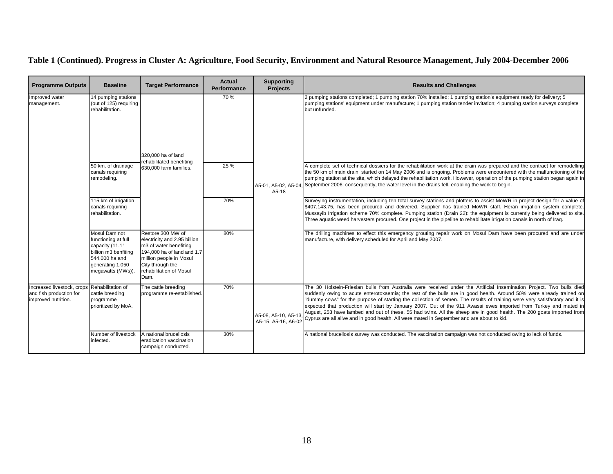| <b>Programme Outputs</b>                                                                       | <b>Baseline</b>                                                                                                                                                                          | <b>Target Performance</b>                                                                                                                                                                   | <b>Actual</b><br>Performance | <b>Supporting</b><br><b>Projects</b>        | <b>Results and Challenges</b>                                                                                                                                                                                                                                                                                                                                                                                                                                                                                                                                                                                                                                                                                                                                                                                                                                                                                                                                                                                                                                                                                                                                                                                                                                       |
|------------------------------------------------------------------------------------------------|------------------------------------------------------------------------------------------------------------------------------------------------------------------------------------------|---------------------------------------------------------------------------------------------------------------------------------------------------------------------------------------------|------------------------------|---------------------------------------------|---------------------------------------------------------------------------------------------------------------------------------------------------------------------------------------------------------------------------------------------------------------------------------------------------------------------------------------------------------------------------------------------------------------------------------------------------------------------------------------------------------------------------------------------------------------------------------------------------------------------------------------------------------------------------------------------------------------------------------------------------------------------------------------------------------------------------------------------------------------------------------------------------------------------------------------------------------------------------------------------------------------------------------------------------------------------------------------------------------------------------------------------------------------------------------------------------------------------------------------------------------------------|
| Improved water<br>management.                                                                  | 14 pumping stations<br>(out of 125) requiring<br>rehabilitation.<br>50 km. of drainage<br>canals requiring<br>remodeling.<br>115 km of irrigation<br>canals requiring<br>rehabilitation. | 320,000 ha of land<br>rehabilitated benefiting<br>630,000 farm families.                                                                                                                    | 70 %<br>25 %<br>70%          | A5-01. A5-02. A5-04.<br>A5-18               | 2 pumping stations completed; 1 pumping station 70% installed; 1 pumping station's equipment ready for delivery; 5<br>pumping stations' equipment under manufacture; 1 pumping station tender invitation; 4 pumping station surveys complete<br>but unfunded.<br>A complete set of technical dossiers for the rehabilitation work at the drain was prepared and the contract for remodelling<br>the 50 km of main drain started on 14 May 2006 and is ongoing. Problems were encountered with the malfunctioning of the<br>pumping station at the site, which delayed the rehabilitation work. However, operation of the pumping station began again in<br>September 2006; consequently, the water level in the drains fell, enabling the work to begin.<br>Surveying instrumentation, including ten total survey stations and plotters to assist MoWR in project design for a value of<br>\$407,143.75, has been procured and delivered. Supplier has trained MoWR staff. Heran irrigation system complete.<br>Mussayib Irrigation scheme 70% complete. Pumping station (Drain 22): the equipment is currently being delivered to site.<br>Three aquatic weed harvesters procured. One project in the pipeline to rehabilitate irrigation canals in north of Iraq. |
|                                                                                                | Mosul Dam not<br>functioning at full<br>capacity (11.11<br>billion m3 benfiting<br>544,000 ha and<br>generating 1,050<br>megawatts (MWs)).                                               | Restore 300 MW of<br>electricity and 2.95 billion<br>m3 of water benefiting<br>194,000 ha of land and 1.7<br>million people in Mosul<br>City through the<br>rehabilitation of Mosul<br>Dam. | 80%                          |                                             | The drilling machines to effect this emergency grouting repair work on Mosul Dam have been procured and are under<br>manufacture, with delivery scheduled for April and May 2007.                                                                                                                                                                                                                                                                                                                                                                                                                                                                                                                                                                                                                                                                                                                                                                                                                                                                                                                                                                                                                                                                                   |
| Increased livestock, crops Rehabilitation of<br>and fish production for<br>improved nutrition. | cattle breeding<br>programme<br>prioritized by MoA.                                                                                                                                      | The cattle breeding<br>programme re-established.                                                                                                                                            | 70%                          | A5-08, A5-10, A5-13,<br>A5-15, A5-16, A6-02 | The 30 Holstein-Friesian bulls from Australia were received under the Artificial Insemination Project. Two bulls died<br>suddenly owing to acute enterotoxaemia; the rest of the bulls are in good health. Around 50% were already trained on<br>"dummy cows" for the purpose of starting the collection of semen. The results of training were very satisfactory and it is<br>expected that production will start by January 2007. Out of the 911 Awassi ewes imported from Turkey and mated in<br>August, 253 have lambed and out of these, 55 had twins. All the sheep are in good health. The 200 goats imported from<br>Cyprus are all alive and in good health. All were mated in September and are about to kid.                                                                                                                                                                                                                                                                                                                                                                                                                                                                                                                                             |
|                                                                                                | Number of livestock<br>infected.                                                                                                                                                         | A national brucellosis<br>eradication vaccination<br>campaign conducted.                                                                                                                    | 30%                          |                                             | A national brucellosis survey was conducted. The vaccination campaign was not conducted owing to lack of funds.                                                                                                                                                                                                                                                                                                                                                                                                                                                                                                                                                                                                                                                                                                                                                                                                                                                                                                                                                                                                                                                                                                                                                     |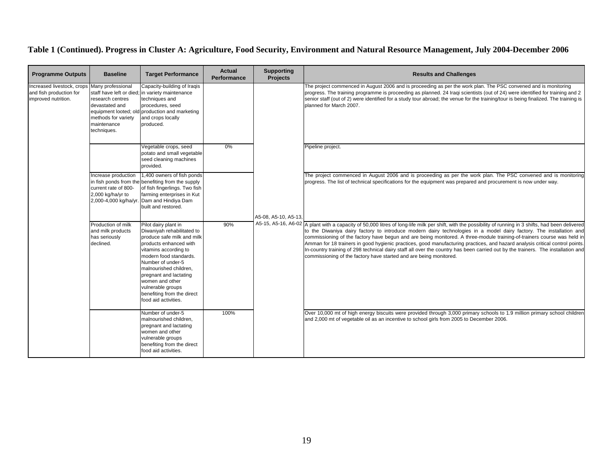| <b>Programme Outputs</b>                                                                       | <b>Baseline</b>                                                                         | <b>Target Performance</b>                                                                                                                                                                                                                                                                                                            | <b>Actual</b><br><b>Performance</b> | <b>Supporting</b><br><b>Projects</b> | <b>Results and Challenges</b>                                                                                                                                                                                          |                                                                                                                                                                                                                                                                                                                                                                                                                                                                                                                                                                                                                                                                                                                                                       |  |                                                                                                                                                                                                                                                                                                                                                                                                                     |
|------------------------------------------------------------------------------------------------|-----------------------------------------------------------------------------------------|--------------------------------------------------------------------------------------------------------------------------------------------------------------------------------------------------------------------------------------------------------------------------------------------------------------------------------------|-------------------------------------|--------------------------------------|------------------------------------------------------------------------------------------------------------------------------------------------------------------------------------------------------------------------|-------------------------------------------------------------------------------------------------------------------------------------------------------------------------------------------------------------------------------------------------------------------------------------------------------------------------------------------------------------------------------------------------------------------------------------------------------------------------------------------------------------------------------------------------------------------------------------------------------------------------------------------------------------------------------------------------------------------------------------------------------|--|---------------------------------------------------------------------------------------------------------------------------------------------------------------------------------------------------------------------------------------------------------------------------------------------------------------------------------------------------------------------------------------------------------------------|
| Increased livestock, crops Many professional<br>and fish production for<br>improved nutrition. | research centres<br>devastated and<br>methods for variety<br>maintenance<br>techniques. | Capacity-building of Iraqis<br>staff have left or died; in variety maintenance<br>techniques and<br>procedures, seed<br>equipment looted; old production and marketing<br>and crops locally<br>produced.                                                                                                                             |                                     | A5-08, A5-10, A5-13,                 |                                                                                                                                                                                                                        |                                                                                                                                                                                                                                                                                                                                                                                                                                                                                                                                                                                                                                                                                                                                                       |  | The project commenced in August 2006 and is proceeding as per the work plan. The PSC convened and is monitoring<br>progress. The training programme is proceeding as planned. 24 Iraqi scientists (out of 24) were identified for training and 2<br>senior staff (out of 2) were identified for a study tour abroad; the venue for the training/tour is being finalized. The training is<br>planned for March 2007. |
|                                                                                                |                                                                                         | Vegetable crops, seed<br>potato and small vegetable<br>seed cleaning machines<br>provided.                                                                                                                                                                                                                                           | 0%                                  |                                      | Pipeline project.                                                                                                                                                                                                      |                                                                                                                                                                                                                                                                                                                                                                                                                                                                                                                                                                                                                                                                                                                                                       |  |                                                                                                                                                                                                                                                                                                                                                                                                                     |
|                                                                                                | Increase production<br>current rate of 800-<br>2,000 kg/ha/yr to                        | 1,400 owners of fish ponds<br>in fish ponds from the benefiting from the supply<br>of fish fingerlings. Two fish<br>farming enterprises in Kut<br>2,000-4,000 kg/ha/yr. Dam and Hindiya Dam<br>built and restored.                                                                                                                   |                                     |                                      |                                                                                                                                                                                                                        | The project commenced in August 2006 and is proceeding as per the work plan. The PSC convened and is monitoring<br>progress. The list of technical specifications for the equipment was prepared and procurement is now under way.                                                                                                                                                                                                                                                                                                                                                                                                                                                                                                                    |  |                                                                                                                                                                                                                                                                                                                                                                                                                     |
|                                                                                                | Production of milk<br>and milk products<br>has seriously<br>declined.                   | Pilot dairy plant in<br>Diwaniyah rehabilitated to<br>produce safe milk and milk<br>products enhanced with<br>vitamins according to<br>modern food standards.<br>Number of under-5<br>malnourished children,<br>pregnant and lactating<br>women and other<br>vulnerable groups<br>benefiting from the direct<br>food aid activities. | 90%                                 |                                      |                                                                                                                                                                                                                        | A5-15, A5-16, A6-02 A plant with a capacity of 50,000 litres of long-life milk per shift, with the possibility of running in 3 shifts, had been delivered<br>to the Diwaniya dairy factory to introduce modern dairy technologies in a model dairy factory. The installation and<br>commissioning of the factory have begun and are being monitored. A three-module training-of-trainers course was held in<br>Amman for 18 trainers in good hygienic practices, good manufacturing practices, and hazard analysis critical control points.<br>In-country training of 298 technical dairy staff all over the country has been carried out by the trainers. The installation and<br>commissioning of the factory have started and are being monitored. |  |                                                                                                                                                                                                                                                                                                                                                                                                                     |
|                                                                                                |                                                                                         | Number of under-5<br>malnourished children,<br>pregnant and lactating<br>women and other<br>vulnerable groups<br>benefiting from the direct<br>food aid activities.                                                                                                                                                                  | 100%                                |                                      | Over 10,000 mt of high energy biscuits were provided through 3,000 primary schools to 1.9 million primary school children<br>and 2,000 mt of vegetable oil as an incentive to school girls from 2005 to December 2006. |                                                                                                                                                                                                                                                                                                                                                                                                                                                                                                                                                                                                                                                                                                                                                       |  |                                                                                                                                                                                                                                                                                                                                                                                                                     |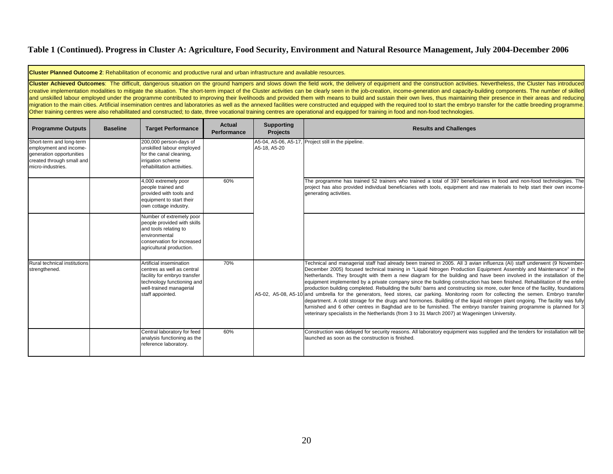**Cluster Planned Outcome 2**: Rehabilitation of economic and productive rural and urban infrastructure and available resources.

Cluster Achieved Outcomes: The difficult, dangerous situation on the ground hampers and slows down the field work, the delivery of equipment and the construction activities. Nevertheless, the Cluster has introduced creative implementation modalities to mitigate the situation. The short-term impact of the Cluster activities can be clearly seen in the job-creation, income-generation and capacity-building components. The number of skill and unskilled labour employed under the programme contributed to improving their livelihoods and provided them with means to build and sustain their own lives, thus maintaining their presence in their areas and reducing migration to the main cities. Artificial insemination centres and laboratories as well as the annexed facilities were constructed and equipped with the required tool to start the embryo transfer for the cattle breeding pro Other training centres were also rehabilitated and constructed; to date, three vocational training centres are operational and equipped for training in food and non-food technologies.

| <b>Programme Outputs</b>                                                                                                         | <b>Baseline</b> | <b>Target Performance</b>                                                                                                                                          | Actual<br><b>Performance</b> | <b>Supporting</b><br><b>Projects</b> | <b>Results and Challenges</b>                                                                                                                                                                                                                                                                                                                                                                                                                                                                                                                                                                                                                                                                                                                                                                                                                                                                                                                                                                                                                                                                                                                 |
|----------------------------------------------------------------------------------------------------------------------------------|-----------------|--------------------------------------------------------------------------------------------------------------------------------------------------------------------|------------------------------|--------------------------------------|-----------------------------------------------------------------------------------------------------------------------------------------------------------------------------------------------------------------------------------------------------------------------------------------------------------------------------------------------------------------------------------------------------------------------------------------------------------------------------------------------------------------------------------------------------------------------------------------------------------------------------------------------------------------------------------------------------------------------------------------------------------------------------------------------------------------------------------------------------------------------------------------------------------------------------------------------------------------------------------------------------------------------------------------------------------------------------------------------------------------------------------------------|
| Short-term and long-term<br>employment and income-<br>generation opportunities<br>created through small and<br>micro-industries. |                 | 200,000 person-days of<br>unskilled labour employed<br>for the canal cleaning,<br>irrigation scheme<br>rehabilitation activities.                                  |                              | A5-18, A5-20                         | A5-04, A5-06, A5-17, Project still in the pipeline.                                                                                                                                                                                                                                                                                                                                                                                                                                                                                                                                                                                                                                                                                                                                                                                                                                                                                                                                                                                                                                                                                           |
|                                                                                                                                  |                 | 4,000 extremely poor<br>people trained and<br>provided with tools and<br>equipment to start their<br>own cottage industry.                                         | 60%                          |                                      | The programme has trained 52 trainers who trained a total of 397 beneficiaries in food and non-food technologies. The<br>project has also provided individual beneficiaries with tools, equipment and raw materials to help start their own income-<br>generating activities.                                                                                                                                                                                                                                                                                                                                                                                                                                                                                                                                                                                                                                                                                                                                                                                                                                                                 |
|                                                                                                                                  |                 | Number of extremely poor<br>people provided with skills<br>and tools relating to<br>environmental<br>conservation for increased<br>agricultural production.        |                              |                                      |                                                                                                                                                                                                                                                                                                                                                                                                                                                                                                                                                                                                                                                                                                                                                                                                                                                                                                                                                                                                                                                                                                                                               |
| Rural technical institutions<br>strengthened.                                                                                    |                 | Artificial insemination<br>centres as well as central<br>facility for embryo transfer<br>technology functioning and<br>well-trained managerial<br>staff appointed. | 70%                          |                                      | Technical and managerial staff had already been trained in 2005. All 3 avian influenza (AI) staff underwent (9 November-<br>December 2005) focused technical training in "Liquid Nitrogen Production Equipment Assembly and Maintenance" in the<br>Netherlands. They brought with them a new diagram for the building and have been involved in the installation of the<br>equipment implemented by a private company since the building construction has been finished. Rehabilitation of the entire<br>production building completed. Rebuilding the bulls' barns and constructing six more, outer fence of the facility, foundations<br>A5-02, A5-08, A5-10 and umbrella for the generators, feed stores, car parking. Monitoring room for collecting the semen. Embryo transfer<br>department. A cold storage for the drugs and hormones. Building of the liquid nitrogen plant ongoing. The facility was fully<br>furnished and 6 other centres in Baghdad are to be furnished. The embryo transfer training programme is planned for 3<br>veterinary specialists in the Netherlands (from 3 to 31 March 2007) at Wageningen University. |
|                                                                                                                                  |                 | Central laboratory for feed<br>analysis functioning as the<br>reference laboratory.                                                                                | 60%                          |                                      | Construction was delayed for security reasons. All laboratory equipment was supplied and the tenders for installation will be<br>llaunched as soon as the construction is finished.                                                                                                                                                                                                                                                                                                                                                                                                                                                                                                                                                                                                                                                                                                                                                                                                                                                                                                                                                           |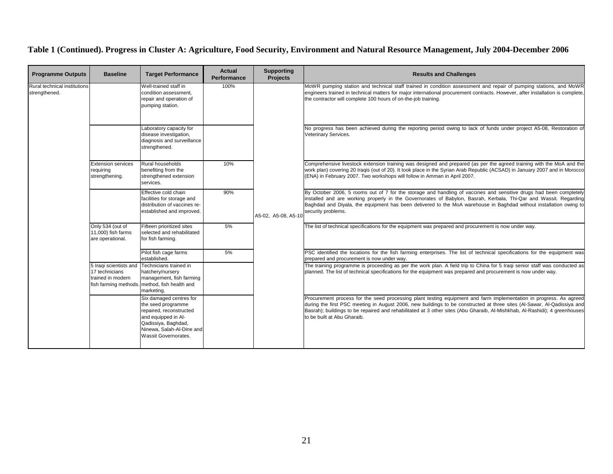| <b>Programme Outputs</b>                      | <b>Baseline</b>                                            | <b>Target Performance</b>                                                                                                                                                          | <b>Actual</b><br>Performance | <b>Supporting</b><br><b>Projects</b> | <b>Results and Challenges</b>                                                                                                                                                                                                                                                                                                                                                                              |                                                                                                                                                                                                                                              |
|-----------------------------------------------|------------------------------------------------------------|------------------------------------------------------------------------------------------------------------------------------------------------------------------------------------|------------------------------|--------------------------------------|------------------------------------------------------------------------------------------------------------------------------------------------------------------------------------------------------------------------------------------------------------------------------------------------------------------------------------------------------------------------------------------------------------|----------------------------------------------------------------------------------------------------------------------------------------------------------------------------------------------------------------------------------------------|
| Rural technical institutions<br>strengthened. |                                                            | Well-trained staff in<br>condition assessment,<br>repair and operation of<br>pumping station.                                                                                      | 100%                         |                                      | MoWR pumping station and technical staff trained in condition assessment and repair of pumping stations, and MoWR<br>engineers trained in technical matters for major international procurement contracts. However, after installation is complete,<br>the contractor will complete 100 hours of on-the-job training.                                                                                      |                                                                                                                                                                                                                                              |
|                                               |                                                            | Laboratory capacity for<br>disease investigation,<br>diagnosis and surveillance<br>strengthened.                                                                                   |                              | A5-02, A5-08, A5-10                  | No progress has been achieved during the reporting period owing to lack of funds under project A5-08, Restoration of<br>Veterinary Services.                                                                                                                                                                                                                                                               |                                                                                                                                                                                                                                              |
|                                               | <b>Extension services</b><br>requiring<br>strengthening.   | Rural households<br>benefiting from the<br>strengthened extension<br>services.                                                                                                     | 10%                          |                                      | Comprehensive livestock extension training was designed and prepared (as per the agreed training with the MoA and the<br>work plan) covering 20 Iraqis (out of 20). It took place in the Syrian Arab Republic (ACSAD) in January 2007 and in Morocco<br>(ENA) in February 2007. Two workshops will follow in Amman in April 2007.                                                                          |                                                                                                                                                                                                                                              |
|                                               |                                                            | Effective cold chain<br>facilities for storage and<br>distribution of vaccines re-<br>established and improved.                                                                    | 90%                          |                                      | By October 2006, 5 rooms out of 7 for the storage and handling of vaccines and sensitive drugs had been completely<br>installed and are working properly in the Governorates of Babylon, Basrah, Kerbala, Thi-Qar and Wassit. Regarding<br>Baghdad and Diyala, the equipment has been delivered to the MoA warehouse in Baghdad without installation owing to<br>security problems.                        |                                                                                                                                                                                                                                              |
|                                               | Only 534 (out of<br>11,000) fish farms<br>are operational. | Fifteen prioritized sites<br>selected and rehabilitated<br>for fish farming.                                                                                                       | 5%                           |                                      | The list of technical specifications for the equipment was prepared and procurement is now under way.                                                                                                                                                                                                                                                                                                      |                                                                                                                                                                                                                                              |
|                                               |                                                            | Pilot fish cage farms<br>established.                                                                                                                                              | 5%                           |                                      | PSC identified the locations for the fish farming enterprises. The list of technical specifications for the equipment was<br>prepared and procurement is now under way.                                                                                                                                                                                                                                    |                                                                                                                                                                                                                                              |
|                                               | 17 technicians<br>rained in modern                         | 5 Iraqi scientists and Technicians trained in<br>hatchery/nursery<br>management, fish farming<br>fish farming methods. method, fish health and<br>marketing.                       |                              |                                      |                                                                                                                                                                                                                                                                                                                                                                                                            | The training programme is proceeding as per the work plan. A field trip to China for 5 Iraqi senior staff was conducted as<br>planned. The list of technical specifications for the equipment was prepared and procurement is now under way. |
|                                               |                                                            | Six damaged centres for<br>the seed programme<br>repaired, reconstructed<br>and equipped in Al-<br>Qadissiya, Baghdad,<br>Ninewa, Salah-Al-Dine and<br><b>Wassit Governorates.</b> |                              |                                      | Procurement process for the seed processing plant testing equipment and farm implementation in progress. As agreed<br>during the first PSC meeting in August 2006, new buildings to be constructed at three sites (Al-Sawar, Al-Qadissiya and<br>Basrah); buildings to be repaired and rehabilitated at 3 other sites (Abu Gharaib, Al-Mishkhab, Al-Rashidi); 4 greenhouses<br>to be built at Abu Gharaib. |                                                                                                                                                                                                                                              |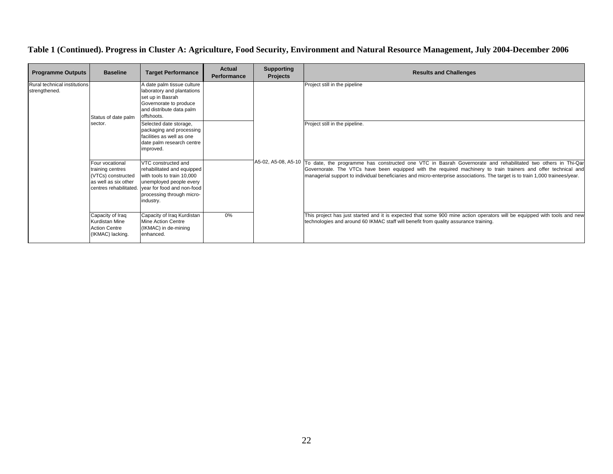| <b>Programme Outputs</b>                      | <b>Baseline</b>                                                                                             | <b>Target Performance</b>                                                                                                                                                          | <b>Actual</b><br><b>Performance</b> | <b>Supporting</b><br><b>Projects</b> | <b>Results and Challenges</b>                                                                                                                                                                                                                                                                                                                                                       |                               |
|-----------------------------------------------|-------------------------------------------------------------------------------------------------------------|------------------------------------------------------------------------------------------------------------------------------------------------------------------------------------|-------------------------------------|--------------------------------------|-------------------------------------------------------------------------------------------------------------------------------------------------------------------------------------------------------------------------------------------------------------------------------------------------------------------------------------------------------------------------------------|-------------------------------|
| Rural technical institutions<br>strengthened. | Status of date palm                                                                                         | A date palm tissue culture<br>laboratory and plantations<br>set up in Basrah<br>Governorate to produce<br>and distribute data palm<br>offshoots.                                   |                                     |                                      |                                                                                                                                                                                                                                                                                                                                                                                     | Project still in the pipeline |
|                                               | sector.                                                                                                     | Selected date storage,<br>packaging and processing<br>facilities as well as one<br>date palm research centre<br>improved.                                                          |                                     |                                      | Project still in the pipeline.                                                                                                                                                                                                                                                                                                                                                      |                               |
|                                               | Four vocational<br>training centres<br>(VTCs) constructed<br>as well as six other<br>centres rehabilitated. | VTC constructed and<br>rehabilitated and equipped<br>with tools to train 10,000<br>unemployed people every<br>year for food and non-food<br>processing through micro-<br>industry. |                                     |                                      | A5-02, A5-08, A5-10 To date, the programme has constructed one VTC in Basrah Governorate and rehabilitated two others in Thi-Qar<br>Governorate. The VTCs have been equipped with the required machinery to train trainers and offer technical and<br>managerial support to individual beneficiaries and micro-enterprise associations. The target is to train 1,000 trainees/year. |                               |
|                                               | Capacity of Iraq<br>Kurdistan Mine<br><b>Action Centre</b><br>(IKMAC) lacking.                              | Capacity of Iraq Kurdistan<br>Mine Action Centre<br>(IKMAC) in de-mining<br>enhanced.                                                                                              | 0%                                  |                                      | This project has just started and it is expected that some 900 mine action operators will be equipped with tools and new<br>technologies and around 60 IKMAC staff will benefit from quality assurance training.                                                                                                                                                                    |                               |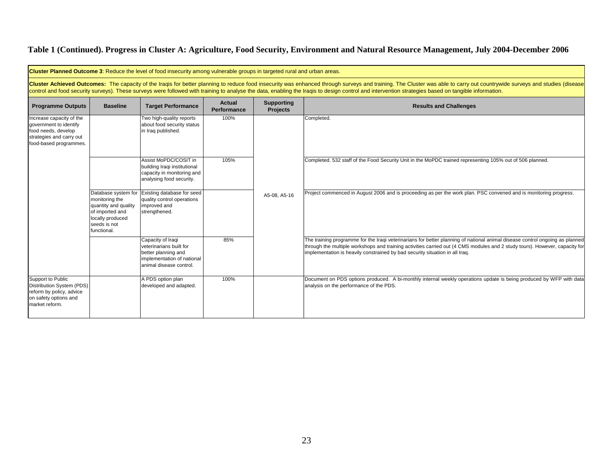|                                                                                                                                                                                                                                                                                                                                                                                                                                  |                                                                                                                                     | Cluster Planned Outcome 3: Reduce the level of food insecurity among vulnerable groups in targeted rural and urban areas.    |                              |                                      |                                                                                                                                                                                                                                                                                                                                             |  |  |  |  |                                                                                                           |
|----------------------------------------------------------------------------------------------------------------------------------------------------------------------------------------------------------------------------------------------------------------------------------------------------------------------------------------------------------------------------------------------------------------------------------|-------------------------------------------------------------------------------------------------------------------------------------|------------------------------------------------------------------------------------------------------------------------------|------------------------------|--------------------------------------|---------------------------------------------------------------------------------------------------------------------------------------------------------------------------------------------------------------------------------------------------------------------------------------------------------------------------------------------|--|--|--|--|-----------------------------------------------------------------------------------------------------------|
| Cluster Achieved Outcomes: The capacity of the Iraqis for better planning to reduce food insecurity was enhanced through surveys and training. The Cluster was able to carry out countrywide surveys and studies (disease<br>control and food security surveys). These surveys were followed with training to analyse the data, enabling the Iragis to design control and intervention strategies based on tangible information. |                                                                                                                                     |                                                                                                                              |                              |                                      |                                                                                                                                                                                                                                                                                                                                             |  |  |  |  |                                                                                                           |
| <b>Programme Outputs</b>                                                                                                                                                                                                                                                                                                                                                                                                         | <b>Baseline</b>                                                                                                                     | <b>Target Performance</b>                                                                                                    | <b>Actual</b><br>Performance | <b>Supporting</b><br><b>Projects</b> | <b>Results and Challenges</b>                                                                                                                                                                                                                                                                                                               |  |  |  |  |                                                                                                           |
| Increase capacity of the<br>government to identify<br>food needs, develop<br>strategies and carry out<br>food-based programmes.                                                                                                                                                                                                                                                                                                  |                                                                                                                                     | Two high-quality reports<br>about food security status<br>in Iraq published.                                                 | 100%                         |                                      | Completed.                                                                                                                                                                                                                                                                                                                                  |  |  |  |  |                                                                                                           |
|                                                                                                                                                                                                                                                                                                                                                                                                                                  |                                                                                                                                     | Assist MoPDC/COSIT in<br>building Iraqi institutional<br>capacity in monitoring and<br>analysing food security.              | 105%                         |                                      |                                                                                                                                                                                                                                                                                                                                             |  |  |  |  | Completed. 532 staff of the Food Security Unit in the MoPDC trained representing 105% out of 506 planned. |
|                                                                                                                                                                                                                                                                                                                                                                                                                                  | Database system for<br>monitoring the<br>quantity and quality<br>of imported and<br>locally produced<br>seeds is not<br>functional. | Existing database for seed<br>quality control operations<br>improved and<br>strengthened.                                    |                              | A5-08, A5-16                         | Project commenced in August 2006 and is proceeding as per the work plan. PSC convened and is monitoring progress.                                                                                                                                                                                                                           |  |  |  |  |                                                                                                           |
|                                                                                                                                                                                                                                                                                                                                                                                                                                  |                                                                                                                                     | Capacity of Iraqi<br>veterinarians built for<br>better planning and<br>implementation of national<br>animal disease control. | 85%                          |                                      | The training programme for the Iraqi veterinarians for better planning of national animal disease control ongoing as planned<br>through the multiple workshops and training activities carried out (4 CMS modules and 2 study tours). However, capacity for<br>implementation is heavily constrained by bad security situation in all Iraq. |  |  |  |  |                                                                                                           |
| Support to Public<br>Distribution System (PDS)<br>reform by policy, advice<br>on safety options and<br>market reform.                                                                                                                                                                                                                                                                                                            |                                                                                                                                     | A PDS option plan<br>developed and adapted.                                                                                  | 100%                         |                                      | Document on PDS options produced. A bi-monthly internal weekly operations update is being produced by WFP with data<br>analysis on the performance of the PDS.                                                                                                                                                                              |  |  |  |  |                                                                                                           |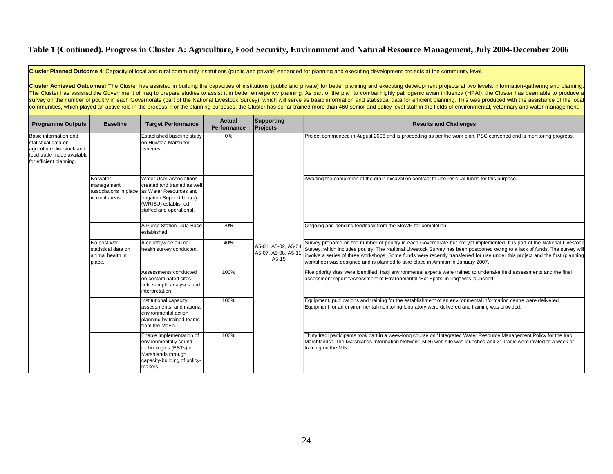**Cluster Planned Outcome 4**: Capacity of local and rural community institutions (public and private) enhanced for planning and executing development projects at the community level.

Cluster Achieved Outcomes: The Cluster has assisted in building the capacities of institutions (public and private) for better planning and executing development projects at two levels: information-gathering and planning. The Cluster has assisted the Government of Iraq to prepare studies to assist it in better emergency planning. As part of the plan to combat highly pathogenic avian influenza (HPAI), the Cluster has been able to produce a survey on the number of poultry in each Governorate (part of the National Livestock Survey), which will serve as basic information and statistical data for efficient planning. This was produced with the assistance of the l communities, which played an active role in the process. For the planning purposes, the Cluster has so far trained more than 460 senior and policy-level staff in the fields of environmental, veterinary and water management.

| <b>Programme Outputs</b>                                                                                                           | <b>Baseline</b>                                                  | <b>Target Performance</b>                                                                                                                                                                       | Actual<br>Performance | <b>Supporting</b><br>Projects                        | <b>Results and Challenges</b>                                                                                                                                                                                                                                                                                                                                                                                                                                             |
|------------------------------------------------------------------------------------------------------------------------------------|------------------------------------------------------------------|-------------------------------------------------------------------------------------------------------------------------------------------------------------------------------------------------|-----------------------|------------------------------------------------------|---------------------------------------------------------------------------------------------------------------------------------------------------------------------------------------------------------------------------------------------------------------------------------------------------------------------------------------------------------------------------------------------------------------------------------------------------------------------------|
| Basic information and<br>statistical data on<br>agriculture, livestock and<br>food trade made available<br>for efficient planning. |                                                                  | Established baseline study<br>on Huweza Marsh for<br>fisheries.                                                                                                                                 | 0%                    | A5-01, A5-02, A5-04,<br>A5-07, A5-08, A5-11<br>A5-15 | Project commenced in August 2006 and is proceeding as per the work plan. PSC convened and is monitoring progress.                                                                                                                                                                                                                                                                                                                                                         |
|                                                                                                                                    | No water<br>management<br>in rural areas.                        | <b>Water User Associations</b><br>created and trained as well<br>associations in place as Water Resources and<br>Irrigation Support Unit(s)<br>(WRISU) established,<br>staffed and operational. |                       |                                                      | Awaiting the completion of the drain excavation contract to use residual funds for this purpose.                                                                                                                                                                                                                                                                                                                                                                          |
|                                                                                                                                    |                                                                  | A Pump Station Data Base<br>established.                                                                                                                                                        | 20%                   |                                                      | Ongoing and pending feedback from the MoWR for completion.                                                                                                                                                                                                                                                                                                                                                                                                                |
|                                                                                                                                    | No post-war<br>statistical data on<br>animal health in<br>place. | A countrywide animal<br>health survey conducted.                                                                                                                                                | 40%                   |                                                      | Survey prepared on the number of poultry in each Governorate but not yet implemented. It is part of the National Livestock<br>Survey, which includes poultry. The National Livestock Survey has been postponed owing to a lack of funds. The survey will<br>involve a series of three workshops. Some funds were recently transferred for use under this project and the first (planning<br>workshop) was designed and is planned to take place in Amman in January 2007. |
|                                                                                                                                    |                                                                  | Assessments conducted<br>on contaminated sites,<br>field sample analyses and<br>interpretation.                                                                                                 | 100%                  |                                                      | Five priority sites were identified. Iraqi environmental experts were trained to undertake field assessments and the final<br>assessment report "Assessment of Environmental 'Hot Spots' in Iraq" was launched.                                                                                                                                                                                                                                                           |
|                                                                                                                                    |                                                                  | Institutional capacity<br>assessments, and national<br>environmental action<br>planning by trained teams<br>from the MoEn.                                                                      | 100%                  |                                                      | Equipment, publications and training for the establishment of an environmental information centre were delivered.<br>Equipment for an environmental monitoring laboratory were delivered and training was provided.                                                                                                                                                                                                                                                       |
|                                                                                                                                    |                                                                  | Enable implementation of<br>environmentally sound<br>technologies (ESTs) in<br>Marshlands through<br>capacity-building of policy-<br>makers.                                                    | 100%                  |                                                      | Thirty Iraqi participants took part in a week-long course on "Integrated Water Resource Management Policy for the Iraqi<br>Marshlands". The Marshlands Information Network (MIN) web site was launched and 31 Iraqis were invited to a week of<br>training on the MIN.                                                                                                                                                                                                    |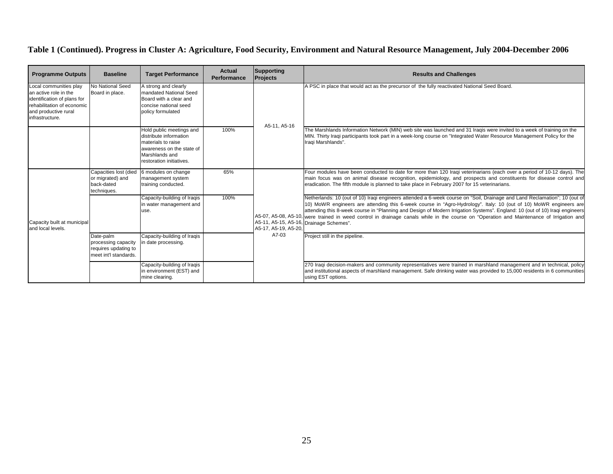| <b>Programme Outputs</b>                                                                                                                                | <b>Baseline</b>                                                                   | <b>Target Performance</b>                                                                                                                           | Actual<br><b>Performance</b> | Supporting<br>Projects        | <b>Results and Challenges</b>                                                                                                                                                                                                                                                                                                                                                                                                                                                                                                                                        |
|---------------------------------------------------------------------------------------------------------------------------------------------------------|-----------------------------------------------------------------------------------|-----------------------------------------------------------------------------------------------------------------------------------------------------|------------------------------|-------------------------------|----------------------------------------------------------------------------------------------------------------------------------------------------------------------------------------------------------------------------------------------------------------------------------------------------------------------------------------------------------------------------------------------------------------------------------------------------------------------------------------------------------------------------------------------------------------------|
| Local communities play<br>an active role in the<br>identification of plans for<br>rehabilitation of economic<br>and productive rural<br>infrastructure. | No National Seed<br>Board in place.                                               | A strong and clearly<br>mandated National Seed<br>Board with a clear and<br>concise national seed<br>policy formulated                              |                              | A5-11, A5-16                  | A PSC in place that would act as the precursor of the fully reactivated National Seed Board.                                                                                                                                                                                                                                                                                                                                                                                                                                                                         |
|                                                                                                                                                         |                                                                                   | Hold public meetings and<br>distribute information<br>materials to raise<br>awareness on the state of<br>Marshlands and<br>restoration initiatives. | 100%                         |                               | The Marshlands Information Network (MIN) web site was launched and 31 Iraqis were invited to a week of training on the<br>MIN. Thirty Iragi participants took part in a week-long course on "Integrated Water Resource Management Policy for the<br>Iragi Marshlands".                                                                                                                                                                                                                                                                                               |
| Capacity built at municipal<br>and local levels.                                                                                                        | Capacities lost (died<br>or migrated) and<br>back-dated<br>techniques.            | 6 modules on change<br>management system<br>training conducted.                                                                                     | 65%                          | A5-17, A5-19, A5-20.<br>A7-03 | Four modules have been conducted to date for more than 120 Iraqi veterinarians (each over a period of 10-12 days). The<br>main focus was on animal disease recognition, epidemiology, and prospects and constituents for disease control and<br>eradication. The fifth module is planned to take place in February 2007 for 15 veterinarians.                                                                                                                                                                                                                        |
|                                                                                                                                                         |                                                                                   | Capacity-building of Iraqis<br>in water management and<br>use.                                                                                      | 100%                         |                               | Netherlands: 10 (out of 10) Iraqi engineers attended a 6-week course on "Soil, Drainage and Land Reclamation"; 10 (out of<br>10) MoWR engineers are attending this 6-week course in "Agro-Hydrology". Italy: 10 (out of 10) MoWR engineers are<br>attending this 8-week course in "Planning and Design of Modern Irrigation Systems". England: 10 (out of 10) Iraqi engineers<br>A5-07, A5-08, A5-10, were trained in weed control in drainage canals while in the course on "Operation and Maintenance of Irrigation and<br>A5-11, A5-15, A5-16, Drainage Schemes". |
|                                                                                                                                                         | Date-palm<br>processing capacity<br>requires updating to<br>meet int'l standards. | Capacity-building of Iraqis<br>n date processing.                                                                                                   |                              |                               | Project still in the pipeline.                                                                                                                                                                                                                                                                                                                                                                                                                                                                                                                                       |
|                                                                                                                                                         |                                                                                   | Capacity-building of Iraqis<br>n environment (EST) and<br>mine clearing.                                                                            |                              |                               | 270 Iraqi decision-makers and community representatives were trained in marshland management and in technical, policy<br>and institutional aspects of marshland management. Safe drinking water was provided to 15,000 residents in 6 communities<br>using EST options.                                                                                                                                                                                                                                                                                              |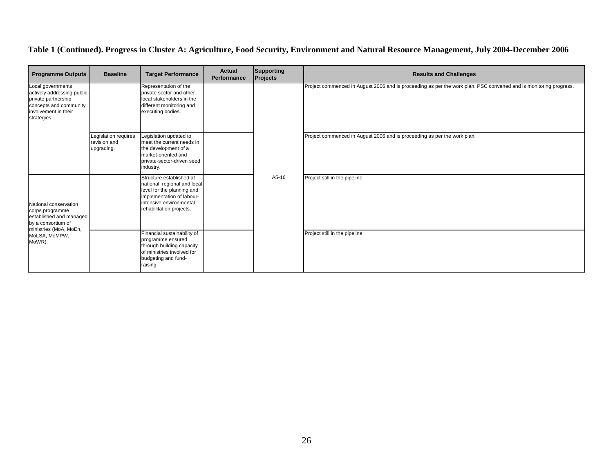| <b>Programme Outputs</b>                                                                                                                       | <b>Baseline</b>                                    | <b>Target Performance</b>                                                                                                                                                  | Actual<br>Performance | Supporting<br><b>Projects</b> | <b>Results and Challenges</b>                                                                                     |
|------------------------------------------------------------------------------------------------------------------------------------------------|----------------------------------------------------|----------------------------------------------------------------------------------------------------------------------------------------------------------------------------|-----------------------|-------------------------------|-------------------------------------------------------------------------------------------------------------------|
| Local governments<br>actively addressing public-<br>private partnership<br>concepts and community<br>involvement in their<br>strategies.       |                                                    | Representation of the<br>private sector and other<br>local stakeholders in the<br>different monitoring and<br>executing bodies.                                            |                       | A5-16                         | Project commenced in August 2006 and is proceeding as per the work plan. PSC convened and is monitoring progress. |
|                                                                                                                                                | Legislation requires<br>revision and<br>upgrading. | Legislation updated to<br>meet the current needs in<br>the development of a<br>market-oriented and<br>private-sector-driven seed<br>industry.                              |                       |                               | Project commenced in August 2006 and is proceeding as per the work plan.                                          |
| National conservation<br>corps programme<br>established and managed<br>by a consortium of<br>ministries (MoA, MoEn,<br>MoLSA, MoMPW,<br>MoWR). |                                                    | Structure established at<br>national, regional and local<br>level for the planning and<br>implementation of labour-<br>intensive environmental<br>rehabilitation projects. |                       |                               | Project still in the pipeline.                                                                                    |
|                                                                                                                                                |                                                    | Financial sustainability of<br>programme ensured<br>through building capacity<br>of ministries involved for<br>budgeting and fund-<br>raising.                             |                       |                               | Project still in the pipeline.                                                                                    |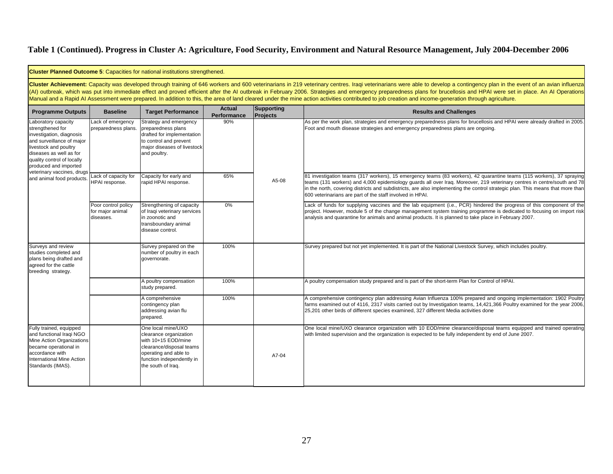|                                                                                                                                                                                                             |                                                                                                                              | <b>Cluster Planned Outcome 5: Capacities for national institutions strengthened.</b>                                                                                        |                                                                                                                                                                                                                                                                                                                                                                                                                                                  |                        |                                                                                                                                                                                                                                                                                                                                                                                                                                                                                                                                                                                                                                                                  |
|-------------------------------------------------------------------------------------------------------------------------------------------------------------------------------------------------------------|------------------------------------------------------------------------------------------------------------------------------|-----------------------------------------------------------------------------------------------------------------------------------------------------------------------------|--------------------------------------------------------------------------------------------------------------------------------------------------------------------------------------------------------------------------------------------------------------------------------------------------------------------------------------------------------------------------------------------------------------------------------------------------|------------------------|------------------------------------------------------------------------------------------------------------------------------------------------------------------------------------------------------------------------------------------------------------------------------------------------------------------------------------------------------------------------------------------------------------------------------------------------------------------------------------------------------------------------------------------------------------------------------------------------------------------------------------------------------------------|
|                                                                                                                                                                                                             |                                                                                                                              |                                                                                                                                                                             |                                                                                                                                                                                                                                                                                                                                                                                                                                                  |                        | Cluster Achievement: Capacity was developed through training of 646 workers and 600 veterinarians in 219 veterinary centres. Iragi veterinarians were able to develop a contingency plan in the event of an avian influenza<br>(AI) outbreak, which was put into immediate effect and proved efficient after the AI outbreak in February 2006. Strategies and emergency preparedness plans for brucellosis and HPAI were set in place. An AI Operations<br>Manual and a Rapid AI Assessment were prepared. In addition to this, the area of land cleared under the mine action activities contributed to job creation and income-generation through agriculture. |
| <b>Programme Outputs</b>                                                                                                                                                                                    | <b>Baseline</b>                                                                                                              | <b>Target Performance</b>                                                                                                                                                   | Actual<br>Performance                                                                                                                                                                                                                                                                                                                                                                                                                            | Supporting<br>Projects | <b>Results and Challenges</b>                                                                                                                                                                                                                                                                                                                                                                                                                                                                                                                                                                                                                                    |
| Laboratory capacity<br>strengthened for<br>investigation, diagnosis<br>and surveillance of major<br>livestock and poultry<br>diseases as well as for<br>quality control of locally<br>produced and imported | Lack of emergency<br>preparedness plans.                                                                                     | Strategy and emergency<br>preparedness plans<br>drafted for implementation<br>to control and prevent<br>major diseases of livestock<br>and poultry.                         | 90%                                                                                                                                                                                                                                                                                                                                                                                                                                              |                        | As per the work plan, strategies and emergency preparedness plans for brucellosis and HPAI were already drafted in 2005<br>Foot and mouth disease strategies and emergency preparedness plans are ongoing.                                                                                                                                                                                                                                                                                                                                                                                                                                                       |
| and animal food products.                                                                                                                                                                                   | veterinary vaccines, drugs<br>Lack of capacity for<br>65%<br>Capacity for early and<br>HPAI response.<br>apid HPAI response. | A5-08                                                                                                                                                                       | 81 investigation teams (317 workers), 15 emergency teams (83 workers), 42 quarantine teams (115 workers), 37 spraying<br>teams (131 workers) and 4,000 epidemiology guards all over Iraq. Moreover, 219 veterinary centres in centre/south and 78<br>in the north, covering districts and subdistricts, are also implementing the control strategic plan. This means that more than<br>600 veterinarians are part of the staff involved in HPAI. |                        |                                                                                                                                                                                                                                                                                                                                                                                                                                                                                                                                                                                                                                                                  |
|                                                                                                                                                                                                             | Poor control policy<br>for major animal<br>diseases.                                                                         | Strengthening of capacity<br>of Iraqi veterinary services<br>in zoonotic and<br>transboundary animal<br>disease control.                                                    | 0%                                                                                                                                                                                                                                                                                                                                                                                                                                               |                        | Lack of funds for supplying vaccines and the lab equipment (i.e., PCR) hindered the progress of this component of the<br>project. However, module 5 of the change management system training programme is dedicated to focusing on import risk<br>analysis and quarantine for animals and animal products. It is planned to take place in February 2007.                                                                                                                                                                                                                                                                                                         |
| Surveys and review<br>studies completed and<br>plans being drafted and<br>agreed for the cattle<br>breeding strategy.                                                                                       |                                                                                                                              | Survey prepared on the<br>number of poultry in each<br>governorate.                                                                                                         | 100%                                                                                                                                                                                                                                                                                                                                                                                                                                             |                        | Survey prepared but not yet implemented. It is part of the National Livestock Survey, which includes poultry.                                                                                                                                                                                                                                                                                                                                                                                                                                                                                                                                                    |
|                                                                                                                                                                                                             |                                                                                                                              | A poultry compensation<br>study prepared.                                                                                                                                   | 100%                                                                                                                                                                                                                                                                                                                                                                                                                                             |                        | A poultry compensation study prepared and is part of the short-term Plan for Control of HPAI.                                                                                                                                                                                                                                                                                                                                                                                                                                                                                                                                                                    |
|                                                                                                                                                                                                             |                                                                                                                              | A comprehensive<br>contingency plan<br>addressing avian flu<br>prepared.                                                                                                    | 100%                                                                                                                                                                                                                                                                                                                                                                                                                                             |                        | A comprehensive contingency plan addressing Avian Influenza 100% prepared and ongoing implementation: 1902 Poultry<br>farms examined out of 4116, 2317 visits carried out by Investigation teams, 14,421,366 Poultry examined for the year 2006,<br>25,201 other birds of different species examined, 327 different Media activities done                                                                                                                                                                                                                                                                                                                        |
| Fully trained, equipped<br>and functional Iraqi NGO<br>Mine Action Organizations<br>became operational in<br>accordance with<br>International Mine Action<br>Standards (IMAS).                              |                                                                                                                              | One local mine/UXO<br>clearance organization<br>with 10+15 EOD/mine<br>clearance/disposal teams<br>operating and able to<br>function independently in<br>the south of Iraq. |                                                                                                                                                                                                                                                                                                                                                                                                                                                  | A7-04                  | One local mine/UXO clearance organization with 10 EOD/mine clearance/disposal teams equipped and trained operating<br>with limited supervision and the organization is expected to be fully independent by end of June 2007.                                                                                                                                                                                                                                                                                                                                                                                                                                     |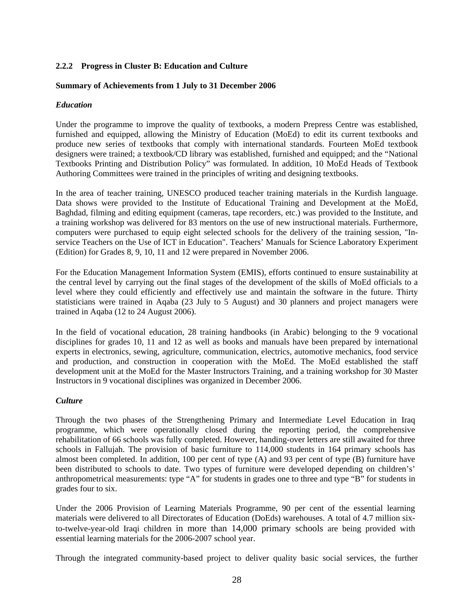#### **2.2.2 Progress in Cluster B: Education and Culture**

#### **Summary of Achievements from 1 July to 31 December 2006**

#### *Education*

Under the programme to improve the quality of textbooks, a modern Prepress Centre was established, furnished and equipped, allowing the Ministry of Education (MoEd) to edit its current textbooks and produce new series of textbooks that comply with international standards. Fourteen MoEd textbook designers were trained; a textbook/CD library was established, furnished and equipped; and the "National Textbooks Printing and Distribution Policy" was formulated. In addition, 10 MoEd Heads of Textbook Authoring Committees were trained in the principles of writing and designing textbooks.

In the area of teacher training, UNESCO produced teacher training materials in the Kurdish language. Data shows were provided to the Institute of Educational Training and Development at the MoEd, Baghdad, filming and editing equipment (cameras, tape recorders, etc.) was provided to the Institute, and a training workshop was delivered for 83 mentors on the use of new instructional materials. Furthermore, computers were purchased to equip eight selected schools for the delivery of the training session, "Inservice Teachers on the Use of ICT in Education". Teachers' Manuals for Science Laboratory Experiment (Edition) for Grades 8, 9, 10, 11 and 12 were prepared in November 2006.

For the Education Management Information System (EMIS), efforts continued to ensure sustainability at the central level by carrying out the final stages of the development of the skills of MoEd officials to a level where they could efficiently and effectively use and maintain the software in the future. Thirty statisticians were trained in Aqaba (23 July to 5 August) and 30 planners and project managers were trained in Aqaba (12 to 24 August 2006).

In the field of vocational education, 28 training handbooks (in Arabic) belonging to the 9 vocational disciplines for grades 10, 11 and 12 as well as books and manuals have been prepared by international experts in electronics, sewing, agriculture, communication, electrics, automotive mechanics, food service and production, and construction in cooperation with the MoEd. The MoEd established the staff development unit at the MoEd for the Master Instructors Training, and a training workshop for 30 Master Instructors in 9 vocational disciplines was organized in December 2006.

#### *Culture*

Through the two phases of the Strengthening Primary and Intermediate Level Education in Iraq programme, which were operationally closed during the reporting period, the comprehensive rehabilitation of 66 schools was fully completed. However, handing-over letters are still awaited for three schools in Fallujah. The provision of basic furniture to 114,000 students in 164 primary schools has almost been completed. In addition, 100 per cent of type (A) and 93 per cent of type (B) furniture have been distributed to schools to date. Two types of furniture were developed depending on children's' anthropometrical measurements: type "A" for students in grades one to three and type "B" for students in grades four to six.

Under the 2006 Provision of Learning Materials Programme, 90 per cent of the essential learning materials were delivered to all Directorates of Education (DoEds) warehouses. A total of 4.7 million sixto-twelve-year-old Iraqi children in more than 14,000 primary schools are being provided with essential learning materials for the 2006-2007 school year.

Through the integrated community-based project to deliver quality basic social services, the further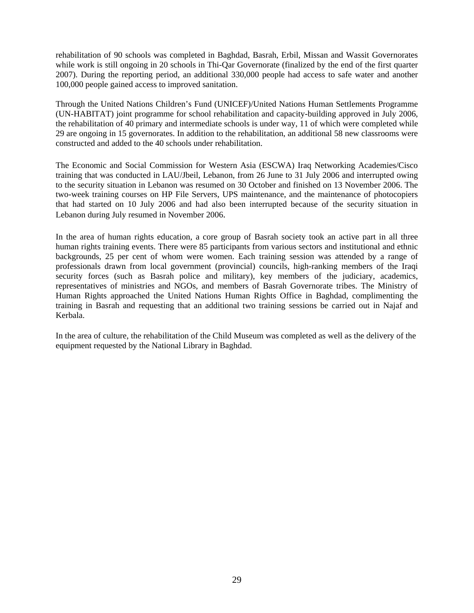rehabilitation of 90 schools was completed in Baghdad, Basrah, Erbil, Missan and Wassit Governorates while work is still ongoing in 20 schools in Thi-Oar Governorate (finalized by the end of the first quarter 2007). During the reporting period, an additional 330,000 people had access to safe water and another 100,000 people gained access to improved sanitation.

Through the United Nations Children's Fund (UNICEF)/United Nations Human Settlements Programme (UN-HABITAT) joint programme for school rehabilitation and capacity-building approved in July 2006, the rehabilitation of 40 primary and intermediate schools is under way, 11 of which were completed while 29 are ongoing in 15 governorates. In addition to the rehabilitation, an additional 58 new classrooms were constructed and added to the 40 schools under rehabilitation.

The Economic and Social Commission for Western Asia (ESCWA) Iraq Networking Academies/Cisco training that was conducted in LAU/Jbeil, Lebanon, from 26 June to 31 July 2006 and interrupted owing to the security situation in Lebanon was resumed on 30 October and finished on 13 November 2006. The two-week training courses on HP File Servers, UPS maintenance, and the maintenance of photocopiers that had started on 10 July 2006 and had also been interrupted because of the security situation in Lebanon during July resumed in November 2006.

In the area of human rights education, a core group of Basrah society took an active part in all three human rights training events. There were 85 participants from various sectors and institutional and ethnic backgrounds, 25 per cent of whom were women. Each training session was attended by a range of professionals drawn from local government (provincial) councils, high-ranking members of the Iraqi security forces (such as Basrah police and military), key members of the judiciary, academics, representatives of ministries and NGOs, and members of Basrah Governorate tribes. The Ministry of Human Rights approached the United Nations Human Rights Office in Baghdad, complimenting the training in Basrah and requesting that an additional two training sessions be carried out in Najaf and Kerbala.

In the area of culture, the rehabilitation of the Child Museum was completed as well as the delivery of the equipment requested by the National Library in Baghdad.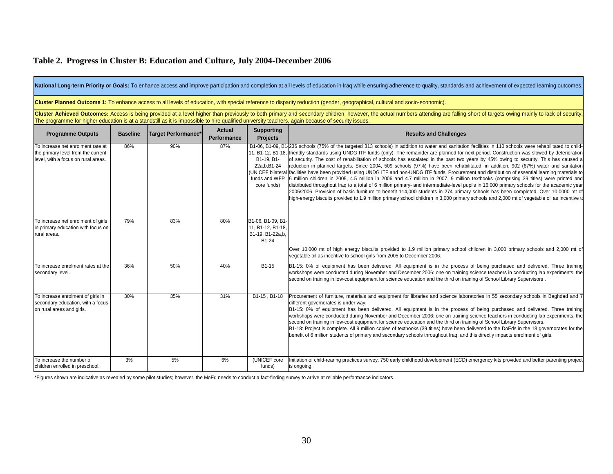#### Programme Outputs Baseline Target Performance\* Actual Supporting **Results and Challenges** Results and Challenges To increase net enrolment rate at the primary level from the current level, with a focus on rural areas. 86% 90% 187% B1-06, B1-09, B1236 schools (75% of the targeted 313 schools) in addition to water and sanitation facilities in 110 schools were rehabilitated to child-11, B1-12, B1-18, friendly standards using UNDG ITF funds (only). The remainder are planned for next period. Construction was slowed by deterioration B1-19, B1- 22a,b,B1-24 (UNICEF bilateral facilities have been provided using UNDG ITF and non-UNDG ITF funds. Procurement and distribution of essential learning materials to funds and WFP 6 million children in 2005, 4.5 million in 2006 and 4.7 million in 2007. 9 million textbooks (comprising 39 titles) were printed and core funds) To increase net enrolment of girls in primary education with focus on rural areas. Over 10,000 mt of high energy biscuits provided to 1.9 million primary school children in 3,000 primary schools and 2,000 mt of vegetable oil as incentive to school girls from 2005 to December 2006. To increase enrolment rates at the secondary level. 36% 50% 40% B1-15 B1-15: 0% of equipment has been delivered. All equipment is in the process of being purchased and delivered. Three training workshops were conducted during November and December 2006: one on training science teachers in conducting lab experiments, the second on training in low-cost equipment for science education and the third on training of School Library Supervisors . To increase enrolment of girls in secondary education, with a focus on rural areas and girls. 30% 35% 31% B1-15, B1-18 Procurement of furniture, materials and equipment for libraries and science laboratories in 55 secondary schools in Baghdad and 7 different governorates is under way. B1-15: 0% of equipment has been delivered. All equipment is in the process of being purchased and delivered. Three training workshops were conducted during November and December 2006: one on training science teachers in conducting lab experiments, the second on training in low-cost equipment for science education and the third on training of School Library Supervisors. B1-18: Project is complete. All 9 million copies of textbooks (39 titles) have been delivered to the DoEds in the 18 governorates for the benefit of 6 million students of primary and secondary schools throughout Iraq, and this directly impacts enrolment of girls. To increase the number of children enrolled in preschool. 3% 5% 6% (UNICEF core funds) Initiation of child-rearing practices survey, 750 early childhood development (ECD) emergency kits provided and better parenting project is ongoing. National Long-term Priority or Goals: To enhance access and improve participation and completion at all levels of education in Iraq while ensuring adherence to quality, standards and achievement of expected learning outcom Cluster Achieved Outcomes: Access is being provided at a level higher than previously to both primary and secondary children; however, the actual numbers attending are falling short of targets owing mainly to lack of secur The programme for higher education is at a standstill as it is impossible to hire qualified university teachers, again because of security issues. **Cluster Planned Outcome 1:** To enhance access to all levels of education, with special reference to disparity reduction (gender, geographical, cultural and socio-economic). of security. The cost of rehabilitation of schools has escalated in the past two years by 45% owing to security. This has caused <sup>a</sup> reduction in planned targets. Since 2004, 509 schools (97%) have been rehabilitated; in addition, 902 (67%) water and sanitation distributed throughout Iraq to a total of 6 million primary- and intermediate-level pupils in 16,000 primary schools for the academic year 2005/2006. Provision of basic furniture to benefit 114,000 students in 274 primary schools has been completed. Over 10,0000 mt of high-energy biscuits provided to 1.9 million primary school children in 3,000 primary schools and 2,000 mt of vegetable oil as incentive to 79% 83% 83% B1-06, B1-09, B1 11, B1-12, B1-18, B1-19, B1-22a,b, B1-24

\*Figures shown are indicative as revealed by some pilot studies; however, the MoEd needs to conduct a fact-finding survey to arrive at reliable performance indicators.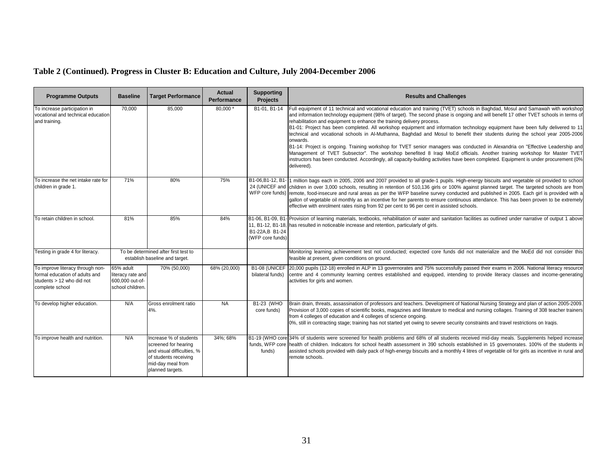| <b>Programme Outputs</b>                                                                                           | <b>Baseline</b>                                                       | <b>Target Performance</b>                                                                                                                      | <b>Actual</b><br>Performance | <b>Supporting</b><br><b>Projects</b>                    | <b>Results and Challenges</b>                                                                                                                                                                                                                                                                                                                                                                                                                                                                                                                                                                                                                                                                                                                                                                                                                                                                                                                                                                                                                          |
|--------------------------------------------------------------------------------------------------------------------|-----------------------------------------------------------------------|------------------------------------------------------------------------------------------------------------------------------------------------|------------------------------|---------------------------------------------------------|--------------------------------------------------------------------------------------------------------------------------------------------------------------------------------------------------------------------------------------------------------------------------------------------------------------------------------------------------------------------------------------------------------------------------------------------------------------------------------------------------------------------------------------------------------------------------------------------------------------------------------------------------------------------------------------------------------------------------------------------------------------------------------------------------------------------------------------------------------------------------------------------------------------------------------------------------------------------------------------------------------------------------------------------------------|
| To increase participation in<br>vocational and technical education<br>and training.                                | 70,000                                                                | 85,000                                                                                                                                         | $80,000*$                    | B1-01, B1-14                                            | Full equipment of 11 technical and vocational education and training (TVET) schools in Baghdad, Mosul and Samawah with workshop<br>and information technology equipment (98% of target). The second phase is ongoing and will benefit 17 other TVET schools in terms of<br>rehabilitation and equipment to enhance the training delivery process.<br>B1-01: Project has been completed. All workshop equipment and information technology equipment have been fully delivered to 11<br>technical and vocational schools in Al-Muthanna, Baghdad and Mosul to benefit their students during the school year 2005-2006<br>onwards.<br>B1-14: Project is ongoing. Training workshop for TVET senior managers was conducted in Alexandria on "Effective Leadership and<br>Management of TVET Subsector". The workshop benefited 8 Iraqi MoEd officials. Another training workshop for Master TVET<br>instructors has been conducted. Accordingly, all capacity-building activities have been completed. Equipment is under procurement (0%)<br>delivered). |
| To increase the net intake rate for<br>children in grade 1.                                                        | 71%                                                                   | 80%                                                                                                                                            | 75%                          |                                                         | B1-06,B1-12, B1-11 million bags each in 2005, 2006 and 2007 provided to all grade-1 pupils. High-energy biscuits and vegetable oil provided to school<br>24 (UNICEF and children in over 3,000 schools, resulting in retention of 510,136 girls or 100% against planned target. The targeted schools are from<br>WFP core funds) remote, food-insecure and rural areas as per the WFP baseline survey conducted and published in 2005. Each girl is provided with a<br>gallon of vegetable oil monthly as an incentive for her parents to ensure continuous attendance. This has been proven to be extremely<br>effective with enrolment rates rising from 92 per cent to 96 per cent in assisted schools.                                                                                                                                                                                                                                                                                                                                             |
| To retain children in school.                                                                                      | 81%                                                                   | 85%                                                                                                                                            | 84%                          | B1-06, B1-09, B1-<br>B1-22A.B B1-24<br>(WFP core funds) | - Provision of learning materials, textbooks, rehabilitation of water and sanitation facilities as outlined under narrative of output 1 above<br>11, B1-12, B1-18, has resulted in noticeable increase and retention, particularly of girls.                                                                                                                                                                                                                                                                                                                                                                                                                                                                                                                                                                                                                                                                                                                                                                                                           |
| Testing in grade 4 for literacy.                                                                                   |                                                                       | To be determined after first test to<br>establish baseline and target.                                                                         |                              |                                                         | Monitoring learning achievement test not conducted; expected core funds did not materialize and the MoEd did not consider this<br>feasible at present, given conditions on ground.                                                                                                                                                                                                                                                                                                                                                                                                                                                                                                                                                                                                                                                                                                                                                                                                                                                                     |
| To improve literacy through non-<br>formal education of adults and<br>students > 12 who did not<br>complete school | 65% adult<br>literacy rate and<br>600,000 out-of-<br>school children. | 70% (50,000)                                                                                                                                   | 68% (20,000)                 | B1-08 (UNICEF<br>bilateral funds)                       | 20,000 pupils (12-18) enrolled in ALP in 13 governorates and 75% successfully passed their exams in 2006. National literacy resource<br>centre and 4 community learning centres established and equipped, intending to provide literacy classes and income-generating<br>activities for girls and women.                                                                                                                                                                                                                                                                                                                                                                                                                                                                                                                                                                                                                                                                                                                                               |
| To develop higher education.                                                                                       | N/A                                                                   | Gross enrolment ratio<br>4%.                                                                                                                   | <b>NA</b>                    | B1-23 (WHO<br>core funds)                               | Brain drain, threats, assassination of professors and teachers. Development of National Nursing Strategy and plan of action 2005-2009.<br>Provision of 3,000 copies of scientific books, magazines and literature to medical and nursing collages. Training of 308 teacher trainers<br>from 4 colleges of education and 4 colleges of science ongoing.<br>0%, still in contracting stage; training has not started yet owing to severe security constraints and travel restrictions on Iragis.                                                                                                                                                                                                                                                                                                                                                                                                                                                                                                                                                         |
| To improve health and nutrition.                                                                                   | N/A                                                                   | Increase % of students<br>screened for hearing<br>and visual difficulties, %<br>of students receiving<br>mid-day meal from<br>planned targets. | 34%; 68%                     | funds)                                                  | B1-19 (WHO core 34% of students were screened for health problems and 68% of all students received mid-day meals. Supplements helped increase<br>funds, WFP core health of children. Indicators for school health assessment in 390 schools established in 15 governorates. 100% of the students in<br>assisted schools provided with daily pack of high-energy biscuits and a monthly 4 litres of vegetable oil for girls as incentive in rural and<br>remote schools.                                                                                                                                                                                                                                                                                                                                                                                                                                                                                                                                                                                |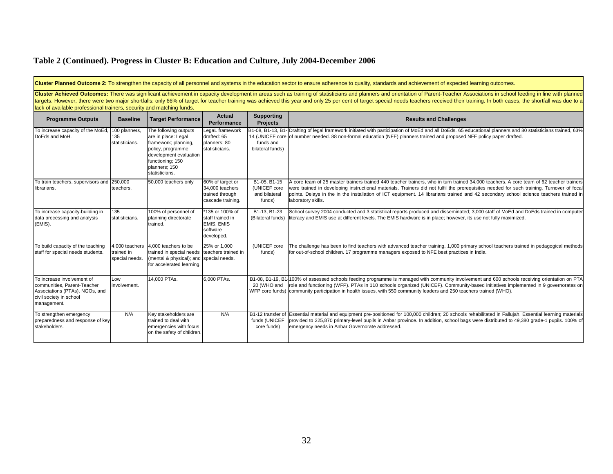| Cluster Planned Outcome 2: To strengthen the capacity of all personnel and systems in the education sector to ensure adherence to quality, standards and achievement of expected learning outcomes.                                                                                                                                                                                                                                                                                                                                      |                                                |                                                                                                                                                                            |                                                                                    |                                                             |                                                                                                                                                                                                                                                                                                                                                                                                                                                     |  |  |  |
|------------------------------------------------------------------------------------------------------------------------------------------------------------------------------------------------------------------------------------------------------------------------------------------------------------------------------------------------------------------------------------------------------------------------------------------------------------------------------------------------------------------------------------------|------------------------------------------------|----------------------------------------------------------------------------------------------------------------------------------------------------------------------------|------------------------------------------------------------------------------------|-------------------------------------------------------------|-----------------------------------------------------------------------------------------------------------------------------------------------------------------------------------------------------------------------------------------------------------------------------------------------------------------------------------------------------------------------------------------------------------------------------------------------------|--|--|--|
| Cluster Achieved Outcomes: There was significant achievement in capacity development in areas such as training of statisticians and planners and orientation of Parent-Teacher Associations in school feeding in line with pla<br>targets. However, there were two major shortfalls: only 66% of target for teacher training was achieved this year and only 25 per cent of target special needs teachers received their training. In both cases, the shortfall<br>lack of available professional trainers, security and matching funds. |                                                |                                                                                                                                                                            |                                                                                    |                                                             |                                                                                                                                                                                                                                                                                                                                                                                                                                                     |  |  |  |
| <b>Programme Outputs</b>                                                                                                                                                                                                                                                                                                                                                                                                                                                                                                                 | <b>Baseline</b>                                | <b>Target Performance</b>                                                                                                                                                  | <b>Actual</b><br>Performance                                                       | <b>Supporting</b><br><b>Projects</b>                        | <b>Results and Challenges</b>                                                                                                                                                                                                                                                                                                                                                                                                                       |  |  |  |
| To increase capacity of the MoEd<br>DoEds and MoH.                                                                                                                                                                                                                                                                                                                                                                                                                                                                                       | 100 planners,<br>135<br>statisticians.         | The following outputs<br>are in place: Legal<br>framework; planning,<br>policy, programme<br>development evaluation<br>functioning; 150<br>planners; 150<br>statisticians. | LegaL framework<br>drafted: 65<br>planners; 80<br>statisticians.                   | funds and<br>bilateral funds)                               | B1-08, B1-13, B1- Drafting of legal framework initiated with participation of MoEd and all DoEds. 65 educational planners and 80 statisticians trained, 63%<br>14 (UNICEF core of number needed. 88 non-formal education (NFE) planners trained and proposed NFE policy paper drafted.                                                                                                                                                              |  |  |  |
| To train teachers, supervisors and 250,000<br>librarians.                                                                                                                                                                                                                                                                                                                                                                                                                                                                                | teachers.                                      | 50,000 teachers only                                                                                                                                                       | 60% of target or<br>34,000 teachers<br>trained through<br>cascade training.        | B1-05, B1-15<br>(UNICEF core<br>and bilateral<br>funds)     | A core team of 25 master trainers trained 440 teacher trainers, who in turn trained 34,000 teachers. A core team of 62 teacher trainers<br>were trained in developing instructional materials. Trainers did not fulfil the prerequisites needed for such training. Turnover of focal<br>points. Delays in the in the installation of ICT equipment. 14 librarians trained and 42 secondary school science teachers trained in<br>laboratory skills. |  |  |  |
| To increase capacity-building in<br>data processing and analysis<br>(EMIS).                                                                                                                                                                                                                                                                                                                                                                                                                                                              | 135<br>statisticians.                          | 100% of personnel of<br>planning directorate<br>trained.                                                                                                                   | *135 or 100% of<br>staff trained in<br><b>EMIS. EMIS</b><br>software<br>developed. | B <sub>1</sub> -13, B <sub>1</sub> -23<br>(Bilateral funds) | School survey 2004 conducted and 3 statistical reports produced and disseminated; 3,000 staff of MoEd and DoEds trained in computer<br>literacy and EMIS use at different levels. The EMIS hardware is in place; however, its use not fully maximized.                                                                                                                                                                                              |  |  |  |
| To build capacity of the teaching<br>staff for special needs students.                                                                                                                                                                                                                                                                                                                                                                                                                                                                   | 4,000 teachers<br>trained in<br>special needs. | 4.000 teachers to be<br>trained in special needs teachers trained in<br>(mental & physical); and special needs.<br>for accelerated learning.                               | 25% or 1.000                                                                       | (UNICEF core<br>funds)                                      | The challenge has been to find teachers with advanced teacher training. 1,000 primary school teachers trained in pedagogical methods<br>for out-of-school children. 17 programme managers exposed to NFE best practices in India.                                                                                                                                                                                                                   |  |  |  |
| To increase involvement of<br>communities, Parent-Teacher<br>Associations (PTAs), NGOs, and<br>civil society in school<br>management.                                                                                                                                                                                                                                                                                                                                                                                                    | Low<br>involvement.                            | 14.000 PTAs.                                                                                                                                                               | 6,000 PTAs.                                                                        | 20 (WHO and                                                 | B1-08, B1-19, B1-100% of assessed schools feeding programme is managed with community involvement and 600 schools receiving orientation on PTA<br>role and functioning (WFP). PTAs in 110 schools organized (UNICEF). Community-based initiatives implemented in 9 governorates on<br>WFP core funds) community participation in health issues, with 550 community leaders and 250 teachers trained (WHO).                                          |  |  |  |
| To strengthen emergency<br>preparedness and response of key<br>stakeholders.                                                                                                                                                                                                                                                                                                                                                                                                                                                             | N/A                                            | Key stakeholders are<br>trained to deal with<br>emergencies with focus<br>on the safety of children.                                                                       | N/A                                                                                | funds (UNICEF<br>core funds)                                | B1-12 transfer of Essential material and equipment pre-positioned for 100,000 children; 20 schools rehabilitated in Fallujah. Essential learning materials<br>provided to 225,870 primary-level pupils in Anbar province. In addition, school bags were distributed to 49,380 grade-1 pupils. 100% of<br>emergency needs in Anbar Governorate addressed.                                                                                            |  |  |  |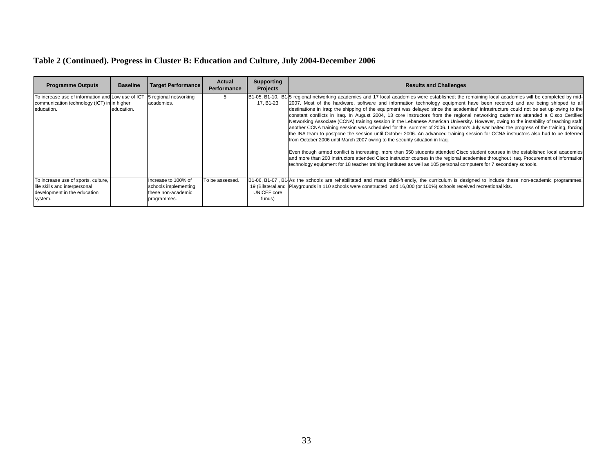| <b>Programme Outputs</b>                                                                                                             | <b>Baseline</b> | <b>Target Performance</b>                                                        | Actual<br>Performance | <b>Supporting</b><br><b>Projects</b> | <b>Results and Challenges</b>                                                                                                                                                                                                                                                                                                                                                                                                                                                                                                                                                                                                                                                                                                                                                                                                                                                                                                                                                                                                                                                                                                                                                                                                                                                                                                                                                                                                                                                       |
|--------------------------------------------------------------------------------------------------------------------------------------|-----------------|----------------------------------------------------------------------------------|-----------------------|--------------------------------------|-------------------------------------------------------------------------------------------------------------------------------------------------------------------------------------------------------------------------------------------------------------------------------------------------------------------------------------------------------------------------------------------------------------------------------------------------------------------------------------------------------------------------------------------------------------------------------------------------------------------------------------------------------------------------------------------------------------------------------------------------------------------------------------------------------------------------------------------------------------------------------------------------------------------------------------------------------------------------------------------------------------------------------------------------------------------------------------------------------------------------------------------------------------------------------------------------------------------------------------------------------------------------------------------------------------------------------------------------------------------------------------------------------------------------------------------------------------------------------------|
| To increase use of information and Low use of ICT 5 regional networking<br>communication technology (ICT) in in higher<br>education. | education.      | academies.                                                                       |                       | 17. B1-23                            | B1-05, B1-10, B1 <sup>1</sup> 5 regional networking academies and 17 local academies were established; the remaining local academies will be completed by mid-<br>[2007. Most of the hardware, software and information technology equipment have been received and are being shipped to all<br>destinations in Iraq; the shipping of the equipment was delayed since the academies' infrastructure could not be set up owing to the<br>constant conflicts in Iraq. In August 2004, 13 core instructors from the regional networking cademies attended a Cisco Certified<br>Networking Associate (CCNA) training session in the Lebanese American University. However, owing to the instability of teaching staff,<br>another CCNA training session was scheduled for the summer of 2006. Lebanon's July war halted the progress of the training, forcing<br>the INA team to postpone the session until October 2006. An advanced training session for CCNA instructors also had to be deferred<br>from October 2006 until March 2007 owing to the security situation in Iraq.<br>Even though armed conflict is increasing, more than 650 students attended Cisco student courses in the established local academies<br>and more than 200 instructors attended Cisco instructor courses in the regional academies throughout Irag. Procurement of information<br>technology equipment for 18 teacher training institutes as well as 105 personal computers for 7 secondary schools. |
| To increase use of sports, culture,<br>life skills and interpersonal<br>development in the education<br>system.                      |                 | Increase to 100% of<br>schools implementing<br>these non-academic<br>programmes. | To be assessed.       | UNICEF core<br>funds)                | B1-06, B1-07, B1 As the schools are rehabilitated and made child-friendly, the curriculum is designed to include these non-academic programmes.<br>19 (Bilateral and Playgrounds in 110 schools were constructed, and 16,000 (or 100%) schools received recreational kits.                                                                                                                                                                                                                                                                                                                                                                                                                                                                                                                                                                                                                                                                                                                                                                                                                                                                                                                                                                                                                                                                                                                                                                                                          |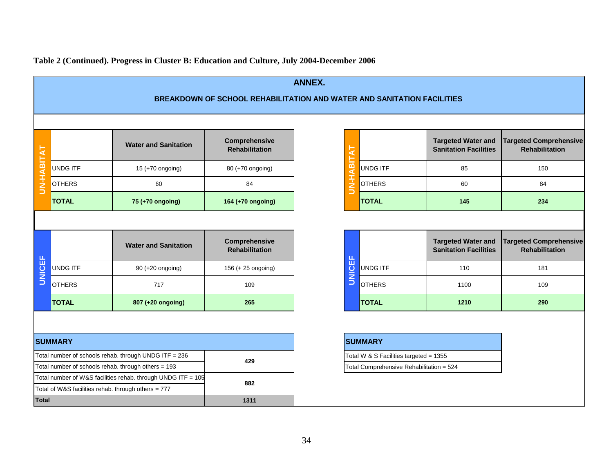| <b>ANNEX.</b>                                                          |                 |                                                                                                                     |                                               |                                        |                                          |                                                           |                                                        |  |  |
|------------------------------------------------------------------------|-----------------|---------------------------------------------------------------------------------------------------------------------|-----------------------------------------------|----------------------------------------|------------------------------------------|-----------------------------------------------------------|--------------------------------------------------------|--|--|
| BREAKDOWN OF SCHOOL REHABILITATION AND WATER AND SANITATION FACILITIES |                 |                                                                                                                     |                                               |                                        |                                          |                                                           |                                                        |  |  |
|                                                                        |                 |                                                                                                                     |                                               |                                        |                                          |                                                           |                                                        |  |  |
| UN-HABITAT                                                             |                 | <b>Water and Sanitation</b>                                                                                         | <b>Comprehensive</b><br>Rehabilitation        | ৱ                                      |                                          | <b>Targeted Water and</b><br><b>Sanitation Facilities</b> | <b>Targeted Comprehensive</b><br><b>Rehabilitation</b> |  |  |
|                                                                        | <b>UNDG ITF</b> | 15 (+70 ongoing)                                                                                                    | 80 (+70 ongoing)                              | $\overline{m}$                         | <b>UNDG ITF</b>                          | 85                                                        | 150                                                    |  |  |
|                                                                        | <b>OTHERS</b>   | 60                                                                                                                  | 84                                            | <b>H-HV</b>                            | <b>OTHERS</b>                            | 60                                                        | 84                                                     |  |  |
|                                                                        | <b>TOTAL</b>    | 75 (+70 ongoing)                                                                                                    | 164 (+70 ongoing)                             |                                        | <b>TOTAL</b>                             | 145                                                       | 234                                                    |  |  |
|                                                                        |                 |                                                                                                                     |                                               |                                        |                                          |                                                           |                                                        |  |  |
| <b>UNICEF</b>                                                          |                 | <b>Water and Sanitation</b>                                                                                         | <b>Comprehensive</b><br><b>Rehabilitation</b> |                                        |                                          | <b>Targeted Water and</b><br><b>Sanitation Facilities</b> | <b>Targeted Comprehensive</b><br><b>Rehabilitation</b> |  |  |
|                                                                        | <b>UNDG ITF</b> | 90 (+20 ongoing)                                                                                                    | 156 (+ 25 ongoing)                            | <b>UNICEF</b>                          | <b>UNDG ITF</b>                          | 110                                                       | 181                                                    |  |  |
|                                                                        | <b>OTHERS</b>   | 717                                                                                                                 | 109                                           |                                        | <b>OTHERS</b>                            | 1100                                                      | 109                                                    |  |  |
|                                                                        | <b>TOTAL</b>    | 807 (+20 ongoing)                                                                                                   | 265                                           |                                        | <b>TOTAL</b>                             | 1210                                                      | 290                                                    |  |  |
|                                                                        |                 |                                                                                                                     |                                               |                                        |                                          |                                                           |                                                        |  |  |
|                                                                        | <b>SUMMARY</b>  |                                                                                                                     |                                               | <b>SUMMARY</b>                         |                                          |                                                           |                                                        |  |  |
| Total number of schools rehab. through UNDG ITF = 236                  |                 |                                                                                                                     | 429                                           | Total W & S Facilities targeted = 1355 |                                          |                                                           |                                                        |  |  |
|                                                                        |                 | Total number of schools rehab. through others = 193<br>Total number of W&S facilities rehab. through UNDG ITF = 105 |                                               |                                        | Total Comprehensive Rehabilitation = 524 |                                                           |                                                        |  |  |
| Total of W&S facilities rehab. through others = 777                    |                 |                                                                                                                     | 882                                           |                                        |                                          |                                                           |                                                        |  |  |
| <b>Total</b>                                                           |                 |                                                                                                                     | 1311                                          |                                        |                                          |                                                           |                                                        |  |  |

34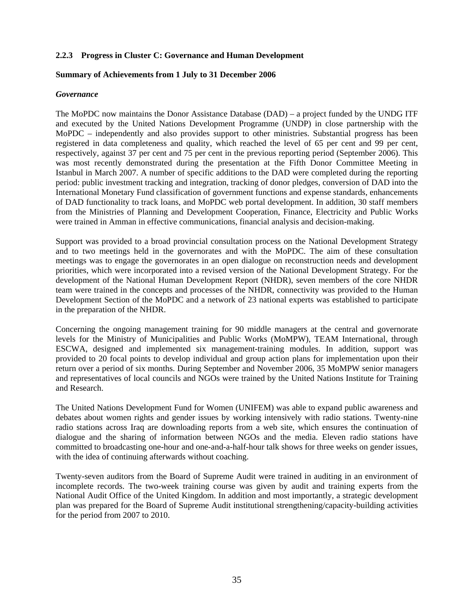#### **2.2.3 Progress in Cluster C: Governance and Human Development**

#### **Summary of Achievements from 1 July to 31 December 2006**

#### *Governance*

The MoPDC now maintains the Donor Assistance Database (DAD) – a project funded by the UNDG ITF and executed by the United Nations Development Programme (UNDP) in close partnership with the MoPDC – independently and also provides support to other ministries. Substantial progress has been registered in data completeness and quality, which reached the level of 65 per cent and 99 per cent, respectively, against 37 per cent and 75 per cent in the previous reporting period (September 2006). This was most recently demonstrated during the presentation at the Fifth Donor Committee Meeting in Istanbul in March 2007. A number of specific additions to the DAD were completed during the reporting period: public investment tracking and integration, tracking of donor pledges, conversion of DAD into the International Monetary Fund classification of government functions and expense standards, enhancements of DAD functionality to track loans, and MoPDC web portal development. In addition, 30 staff members from the Ministries of Planning and Development Cooperation, Finance, Electricity and Public Works were trained in Amman in effective communications, financial analysis and decision-making.

Support was provided to a broad provincial consultation process on the National Development Strategy and to two meetings held in the governorates and with the MoPDC. The aim of these consultation meetings was to engage the governorates in an open dialogue on reconstruction needs and development priorities, which were incorporated into a revised version of the National Development Strategy. For the development of the National Human Development Report (NHDR), seven members of the core NHDR team were trained in the concepts and processes of the NHDR, connectivity was provided to the Human Development Section of the MoPDC and a network of 23 national experts was established to participate in the preparation of the NHDR.

Concerning the ongoing management training for 90 middle managers at the central and governorate levels for the Ministry of Municipalities and Public Works (MoMPW), TEAM International, through ESCWA, designed and implemented six management-training modules. In addition, support was provided to 20 focal points to develop individual and group action plans for implementation upon their return over a period of six months. During September and November 2006, 35 MoMPW senior managers and representatives of local councils and NGOs were trained by the United Nations Institute for Training and Research.

The United Nations Development Fund for Women (UNIFEM) was able to expand public awareness and debates about women rights and gender issues by working intensively with radio stations. Twenty-nine radio stations across Iraq are downloading reports from a web site, which ensures the continuation of dialogue and the sharing of information between NGOs and the media. Eleven radio stations have committed to broadcasting one-hour and one-and-a-half-hour talk shows for three weeks on gender issues, with the idea of continuing afterwards without coaching.

Twenty-seven auditors from the Board of Supreme Audit were trained in auditing in an environment of incomplete records. The two-week training course was given by audit and training experts from the National Audit Office of the United Kingdom. In addition and most importantly, a strategic development plan was prepared for the Board of Supreme Audit institutional strengthening/capacity-building activities for the period from 2007 to 2010.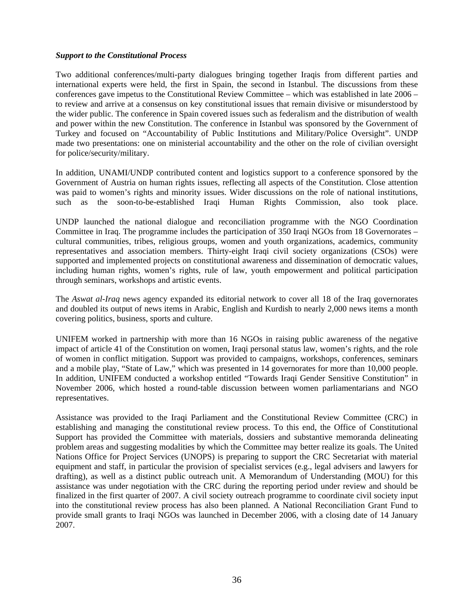#### *Support to the Constitutional Process*

Two additional conferences/multi-party dialogues bringing together Iraqis from different parties and international experts were held, the first in Spain, the second in Istanbul. The discussions from these conferences gave impetus to the Constitutional Review Committee – which was established in late 2006 – to review and arrive at a consensus on key constitutional issues that remain divisive or misunderstood by the wider public. The conference in Spain covered issues such as federalism and the distribution of wealth and power within the new Constitution. The conference in Istanbul was sponsored by the Government of Turkey and focused on "Accountability of Public Institutions and Military/Police Oversight". UNDP made two presentations: one on ministerial accountability and the other on the role of civilian oversight for police/security/military.

In addition, UNAMI/UNDP contributed content and logistics support to a conference sponsored by the Government of Austria on human rights issues, reflecting all aspects of the Constitution. Close attention was paid to women's rights and minority issues. Wider discussions on the role of national institutions, such as the soon-to-be-established Iraqi Human Rights Commission, also took place.

UNDP launched the national dialogue and reconciliation programme with the NGO Coordination Committee in Iraq. The programme includes the participation of 350 Iraqi NGOs from 18 Governorates – cultural communities, tribes, religious groups, women and youth organizations, academics, community representatives and association members. Thirty-eight Iraqi civil society organizations (CSOs) were supported and implemented projects on constitutional awareness and dissemination of democratic values, including human rights, women's rights, rule of law, youth empowerment and political participation through seminars, workshops and artistic events.

The *Aswat al-Iraq* news agency expanded its editorial network to cover all 18 of the Iraq governorates and doubled its output of news items in Arabic, English and Kurdish to nearly 2,000 news items a month covering politics, business, sports and culture.

UNIFEM worked in partnership with more than 16 NGOs in raising public awareness of the negative impact of article 41 of the Constitution on women, Iraqi personal status law, women's rights, and the role of women in conflict mitigation. Support was provided to campaigns, workshops, conferences, seminars and a mobile play, "State of Law," which was presented in 14 governorates for more than 10,000 people. In addition, UNIFEM conducted a workshop entitled "Towards Iraqi Gender Sensitive Constitution" in November 2006, which hosted a round-table discussion between women parliamentarians and NGO representatives.

Assistance was provided to the Iraqi Parliament and the Constitutional Review Committee (CRC) in establishing and managing the constitutional review process. To this end, the Office of Constitutional Support has provided the Committee with materials, dossiers and substantive memoranda delineating problem areas and suggesting modalities by which the Committee may better realize its goals. The United Nations Office for Project Services (UNOPS) is preparing to support the CRC Secretariat with material equipment and staff, in particular the provision of specialist services (e.g., legal advisers and lawyers for drafting), as well as a distinct public outreach unit. A Memorandum of Understanding (MOU) for this assistance was under negotiation with the CRC during the reporting period under review and should be finalized in the first quarter of 2007. A civil society outreach programme to coordinate civil society input into the constitutional review process has also been planned. A National Reconciliation Grant Fund to provide small grants to Iraqi NGOs was launched in December 2006, with a closing date of 14 January 2007.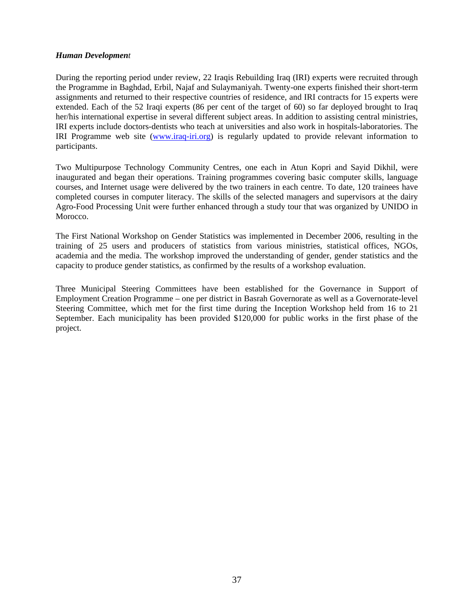#### *Human Development*

During the reporting period under review, 22 Iraqis Rebuilding Iraq (IRI) experts were recruited through the Programme in Baghdad, Erbil, Najaf and Sulaymaniyah. Twenty-one experts finished their short-term assignments and returned to their respective countries of residence, and IRI contracts for 15 experts were extended. Each of the 52 Iraqi experts (86 per cent of the target of 60) so far deployed brought to Iraq her/his international expertise in several different subject areas. In addition to assisting central ministries, IRI experts include doctors-dentists who teach at universities and also work in hospitals-laboratories. The IRI Programme web site (www.iraq-iri.org) is regularly updated to provide relevant information to participants.

Two Multipurpose Technology Community Centres, one each in Atun Kopri and Sayid Dikhil, were inaugurated and began their operations. Training programmes covering basic computer skills, language courses, and Internet usage were delivered by the two trainers in each centre. To date, 120 trainees have completed courses in computer literacy. The skills of the selected managers and supervisors at the dairy Agro-Food Processing Unit were further enhanced through a study tour that was organized by UNIDO in Morocco.

The First National Workshop on Gender Statistics was implemented in December 2006, resulting in the training of 25 users and producers of statistics from various ministries, statistical offices, NGOs, academia and the media. The workshop improved the understanding of gender, gender statistics and the capacity to produce gender statistics, as confirmed by the results of a workshop evaluation.

Three Municipal Steering Committees have been established for the Governance in Support of Employment Creation Programme – one per district in Basrah Governorate as well as a Governorate-level Steering Committee, which met for the first time during the Inception Workshop held from 16 to 21 September. Each municipality has been provided \$120,000 for public works in the first phase of the project.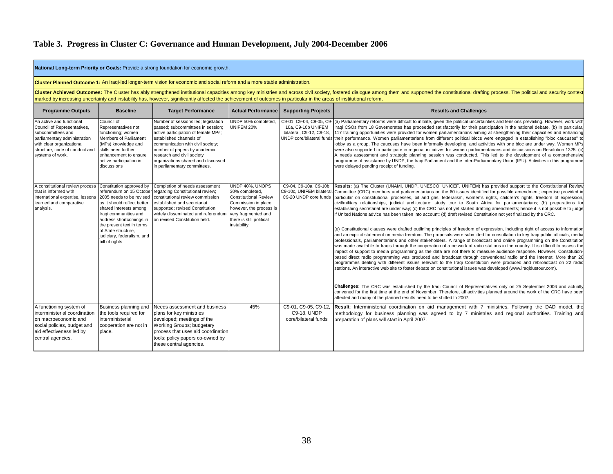|                                                                                                                                                                                                 | National Long-term Priority or Goals: Provide a strong foundation for economic growth.                                                                                                                                                                                                                                                                                                                  |                                                                                                                                                                                                                                                                                                                      |                                                                                                                                                                                         |                                                                    |                                                                                                                                                                                                                                                                                                                                                                                                                                                                                                                                                                                                                                                                                                                                                                                                                                                                                                                                                                                                                                                                                                                                                                                                                                                                                                                                                                                                                                                                                                                                                                                                                                                                                                                                                                                                                                                   |  |  |  |  |  |
|-------------------------------------------------------------------------------------------------------------------------------------------------------------------------------------------------|---------------------------------------------------------------------------------------------------------------------------------------------------------------------------------------------------------------------------------------------------------------------------------------------------------------------------------------------------------------------------------------------------------|----------------------------------------------------------------------------------------------------------------------------------------------------------------------------------------------------------------------------------------------------------------------------------------------------------------------|-----------------------------------------------------------------------------------------------------------------------------------------------------------------------------------------|--------------------------------------------------------------------|---------------------------------------------------------------------------------------------------------------------------------------------------------------------------------------------------------------------------------------------------------------------------------------------------------------------------------------------------------------------------------------------------------------------------------------------------------------------------------------------------------------------------------------------------------------------------------------------------------------------------------------------------------------------------------------------------------------------------------------------------------------------------------------------------------------------------------------------------------------------------------------------------------------------------------------------------------------------------------------------------------------------------------------------------------------------------------------------------------------------------------------------------------------------------------------------------------------------------------------------------------------------------------------------------------------------------------------------------------------------------------------------------------------------------------------------------------------------------------------------------------------------------------------------------------------------------------------------------------------------------------------------------------------------------------------------------------------------------------------------------------------------------------------------------------------------------------------------------|--|--|--|--|--|
|                                                                                                                                                                                                 |                                                                                                                                                                                                                                                                                                                                                                                                         | Cluster Planned Outcome 1: An Iraqi-led longer-term vision for economic and social reform and a more stable administration.                                                                                                                                                                                          |                                                                                                                                                                                         |                                                                    |                                                                                                                                                                                                                                                                                                                                                                                                                                                                                                                                                                                                                                                                                                                                                                                                                                                                                                                                                                                                                                                                                                                                                                                                                                                                                                                                                                                                                                                                                                                                                                                                                                                                                                                                                                                                                                                   |  |  |  |  |  |
|                                                                                                                                                                                                 | Cluster Achieved Outcomes: The Cluster has ably strengthened institutional capacities among key ministries and across civil society, fostered dialogue among them and supported the constitutional drafting process. The polit<br>marked by increasing uncertainty and instability has, however, significantly affected the achievement of outcomes in particular in the areas of institutional reform. |                                                                                                                                                                                                                                                                                                                      |                                                                                                                                                                                         |                                                                    |                                                                                                                                                                                                                                                                                                                                                                                                                                                                                                                                                                                                                                                                                                                                                                                                                                                                                                                                                                                                                                                                                                                                                                                                                                                                                                                                                                                                                                                                                                                                                                                                                                                                                                                                                                                                                                                   |  |  |  |  |  |
| <b>Programme Outputs</b>                                                                                                                                                                        | <b>Baseline</b>                                                                                                                                                                                                                                                                                                                                                                                         | <b>Target Performance</b>                                                                                                                                                                                                                                                                                            | <b>Actual Performance</b>                                                                                                                                                               | <b>Supporting Projects</b>                                         | <b>Results and Challenges</b>                                                                                                                                                                                                                                                                                                                                                                                                                                                                                                                                                                                                                                                                                                                                                                                                                                                                                                                                                                                                                                                                                                                                                                                                                                                                                                                                                                                                                                                                                                                                                                                                                                                                                                                                                                                                                     |  |  |  |  |  |
| An active and functional<br>Council of Representatives,<br>subcommittees and<br>parliamentary administration<br>with clear organizational<br>structure, code of conduct and<br>systems of work. | Council of<br>Representatives not<br>functioning; women<br>Members of Parliament'<br>(MPs) knowledge and<br>skills need further<br>enhancement to ensure<br>active participation in<br>discussions                                                                                                                                                                                                      | Number of sessions led; legislation<br>passed; subcommittees in session;<br>active participation of female MPs;<br>established channels of<br>communication with civil society;<br>number of papers by academia,<br>research and civil society<br>organizations shared and discussed<br>in parliamentary committees. | UNDP 50% completed,<br>UNIFEM 20%                                                                                                                                                       | 10a. C9-10b UNIFEM<br>bilateral, C9-12, C9-18,                     | C9-01, C9-04, C9-05, C9- (a) Parliamentary reforms were difficult to initiate, given the political uncertainties and tensions prevailing. However, work with<br>Iraqi CSOs from 18 Governorates has proceeded satisfactorily for their participation in the national debate. (b) In particular,<br>117 training opportunities were provided for women parliamentarians aiming at strengthening their capacities and enhancing<br>UNDP core/bilateral funds their performance. Women parliamentarians from different political blocs were engaged in establishing "bloc caucuses" to<br>lobby as a group. The caucuses have been informally developing, and activities with one bloc are under way. Women MPs<br>were also supported to participate in regional initiatives for women parliamentarians and discussions on Resolution 1325. (c)<br>A needs assessment and strategic planning session was conducted. This led to the development of a comprehensive<br>programme of assistance by UNDP, the Iraqi Parliament and the Inter-Parliamentary Union (IPU). Activities in this programme<br>were delayed pending receipt of funding.                                                                                                                                                                                                                                                                                                                                                                                                                                                                                                                                                                                                                                                                                                       |  |  |  |  |  |
| A constitutional review process<br>that is informed with<br>international expertise, lessons<br>learned and comparative<br>analysis.                                                            | Constitution approved by<br>referendum on 15 October<br>2005 needs to be revised<br>as it should reflect better<br>shared interests among<br>Iraqi communities and<br>address shortcomings in<br>the present text in terms<br>of State structure,<br>judiciary, federalism, and<br>bill of rights.                                                                                                      | Completion of needs assessment<br>regarding Constitutional review;<br>constitutional review commission<br>established and secretariat<br>supported; revised Constitution<br>widely disseminated and referendun<br>on revised Constitution held.                                                                      | UNDP 40%, UNOPS<br>30% completed,<br><b>Constitutional Review</b><br>Commission in place;<br>however, the process is<br>very fragmented and<br>there is still political<br>instability. | C9-04, C9-10a, C9-10b,                                             | Results: (a) The Cluster (UNAMI, UNDP, UNESCO, UNICEF, UNIFEM) has provided support to the Constitutional Review<br>C9-10c, UNIFEM bilateral, Committee (CRC) members and parliamentarians on the 60 issues identified for possible amendment; expertise provided in<br>C9-20 UNDP core funds particular on constitutional processes, oil and gas, federalism, women's rights, children's rights, freedom of expression,<br>civil/military relationships, judicial architecture; study tour to South Africa for parliamentarians; (b) preparations for<br>establishing secretariat are under way; (c) the CRC has not yet started drafting amendments; hence it is not possible to judge<br>if United Nations advice has been taken into account; (d) draft revised Constitution not yet finalized by the CRC.<br>(e) Constitutional clauses were drafted outlining principles of freedom of expression, including right of access to information<br>and an explicit statement on media freedom. The proposals were submitted for consultation to key Iraqi public officials, media<br>professionals, parliamentarians and other stakeholders. A range of broadcast and online programming on the Constitution<br>was made available to Iraqis through the cooperation of a network of radio stations in the country. It is difficult to assess the<br>impact of support to media programming as the data are not there to measure audience response. However, Constitution-<br>based direct radio programming was produced and broadcast through conventional radio and the Internet. More than 20<br>programmes dealing with different issues relevant to the Iragi Constitution were produced and rebroadcast on 22 radio<br>stations. An interactive web site to foster debate on constitutional issues was developed (www.iraqidustour.com). |  |  |  |  |  |
|                                                                                                                                                                                                 |                                                                                                                                                                                                                                                                                                                                                                                                         |                                                                                                                                                                                                                                                                                                                      |                                                                                                                                                                                         |                                                                    | Challenges: The CRC was established by the Iraqi Council of Representatives only on 25 September 2006 and actually<br>convened for the first time at the end of November. Therefore, all activities planned around the work of the CRC have been<br>affected and many of the planned results need to be shifted to 2007.                                                                                                                                                                                                                                                                                                                                                                                                                                                                                                                                                                                                                                                                                                                                                                                                                                                                                                                                                                                                                                                                                                                                                                                                                                                                                                                                                                                                                                                                                                                          |  |  |  |  |  |
| A functioning system of<br>interministerial coordination<br>on macroeconomic and<br>social policies, budget and<br>aid effectiveness led by<br>central agencies.                                | Business planning and<br>the tools required for<br>interministerial<br>cooperation are not in<br>place.                                                                                                                                                                                                                                                                                                 | Needs assessment and business<br>plans for key ministries<br>developed; meetings of the<br>Working Groups; budgetary<br>process that uses aid coordination<br>tools; policy papers co-owned by<br>these central agencies.                                                                                            | 45%                                                                                                                                                                                     | C9-01, C9-05, C9-12,<br><b>C9-18, UNDP</b><br>core/bilateral funds | Result: Interministerial coordination on aid management with 7 ministries. Following the DAD model, the<br>methodology for business planning was agreed to by 7 ministries and regional authorities. Training and<br>preparation of plans will start in April 2007.                                                                                                                                                                                                                                                                                                                                                                                                                                                                                                                                                                                                                                                                                                                                                                                                                                                                                                                                                                                                                                                                                                                                                                                                                                                                                                                                                                                                                                                                                                                                                                               |  |  |  |  |  |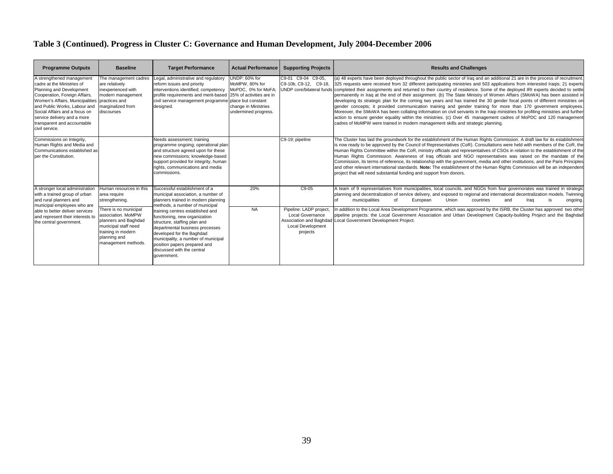| <b>Programme Outputs</b>                                                                                                                                                                                                                                                                                               | <b>Baseline</b>                                                                                                                                          | <b>Target Performance</b>                                                                                                                                                                                                                                                             | <b>Actual Performance</b>                                                                              | <b>Supporting Projects</b>                                                                 | <b>Results and Challenges</b>                                                                                                                                                                                                                                                                                                                                                                                                                                                                                                                                                                                                                                                                                                                                                                                                                                                                                                                                                                                                                                                                                                                       |
|------------------------------------------------------------------------------------------------------------------------------------------------------------------------------------------------------------------------------------------------------------------------------------------------------------------------|----------------------------------------------------------------------------------------------------------------------------------------------------------|---------------------------------------------------------------------------------------------------------------------------------------------------------------------------------------------------------------------------------------------------------------------------------------|--------------------------------------------------------------------------------------------------------|--------------------------------------------------------------------------------------------|-----------------------------------------------------------------------------------------------------------------------------------------------------------------------------------------------------------------------------------------------------------------------------------------------------------------------------------------------------------------------------------------------------------------------------------------------------------------------------------------------------------------------------------------------------------------------------------------------------------------------------------------------------------------------------------------------------------------------------------------------------------------------------------------------------------------------------------------------------------------------------------------------------------------------------------------------------------------------------------------------------------------------------------------------------------------------------------------------------------------------------------------------------|
| A strengthened management<br>cadre at the Ministries of<br>Planning and Development<br>Cooperation, Foreign Affairs,<br>Women's Affairs, Municipalities practices and<br>and Public Works, Labour and<br>Social Affairs and a focus on<br>service delivery and a more<br>transparent and accountable<br>civil service. | The management cadres<br>are relatively<br>inexperienced with<br>modern management<br>marginalized from<br>discourses                                    | Legal, administrative and regulatory<br>reform issues and priority<br>interventions identified; competency<br>profile requirements and merit-based 25% of activities are in<br>civil service management programme place but constant<br>designed.                                     | UNDP: 60% for<br>MoMPW, 80% for<br>MoPDC, 0% for MoFA;<br>change in Ministries<br>undermined progress. | C9-01 C9-04 C9-05.<br>C9-10b, C9-12, C9-18,                                                | (a) 48 experts have been deployed throughout the public sector of Iraq and an additional 21 are in the process of recruitment<br>325 requests were received from 32 different participating ministries and 503 applications from interested Iragis; 21 experts<br>UNDP core/bilateral funds completed their assignments and returned to their country of residence. Some of the deployed IRI experts decided to settle<br>permanently in Iraq at the end of their assignment. (b) The State Ministry of Women Affairs (SMoWA) has been assisted in<br>developing its strategic plan for the coming two years and has trained the 30 gender focal points of different ministries on<br>gender concepts; it provided communication training and gender training for more than 170 government employees.<br>Moreover, the SMoWA has been collating information on civil servants in the Iragi ministries for profiling ministries and further<br>action to ensure gender equality within the ministries. (c) Over 45 management cadres of MoPDC and 120 management<br>cadres of MoMPW were trained in modern management skills and strategic planning. |
| Commissions on Integrity,<br>Human Rights and Media and<br>Communications established as<br>per the Constitution.                                                                                                                                                                                                      |                                                                                                                                                          | Needs assessment; training<br>programme ongoing; operational plan<br>and structure agreed upon for these<br>new commissions; knowledge-based<br>support provided for integrity, human<br>rights, communications and media<br>commissions.                                             |                                                                                                        | C9-19; pipeline                                                                            | The Cluster has laid the groundwork for the establishment of the Human Rights Commission. A draft law for its establishment<br>is now ready to be approved by the Council of Representatives (CoR). Consultations were held with members of the CoR, the<br>Human Rights Committee within the CoR, ministry officials and representatives of CSOs in relation to the establishment of the<br>Human Rights Commission. Awareness of Iraq officials and NGO representatives was raised on the mandate of the<br>Commission, its terms of reference, its relationship with the government, media and other institutions, and the Paris Principles<br>and other relevant international standards. Note: The establishment of the Human Rights Commission will be an independent<br>project that will need substantial funding and support from donors.                                                                                                                                                                                                                                                                                                  |
| A stronger local administration<br>with a trained group of urban<br>and rural planners and<br>municipal employees who are                                                                                                                                                                                              | Human resources in this<br>area require<br>strengthening.                                                                                                | Successful establishment of a<br>municipal association, a number of<br>planners trained in modern planning<br>methods, a number of municipal                                                                                                                                          | 20%                                                                                                    | C9-05                                                                                      | A team of 9 representatives from municipalities, local councils, and NGOs from four governorates was trained in strategic<br>planning and decentralization of service delivery, and exposed to regional and international decentralization models. Twinning<br>municipalities<br>∩f<br>European<br>Union<br>countries<br>and<br>Iraq<br>ongoing.                                                                                                                                                                                                                                                                                                                                                                                                                                                                                                                                                                                                                                                                                                                                                                                                    |
| able to better deliver services<br>and represent their interests to<br>the central government.                                                                                                                                                                                                                         | There is no municipal<br>association. MoMPW<br>planners and Baghdad<br>municipal staff need<br>training in modern<br>planning and<br>management methods. | training centres established and<br>functioning, new organization<br>structure, staffing plan and<br>departmental business processes<br>developed for the Baghdad<br>municipality, a number of municipal<br>position papers prepared and<br>discussed with the central<br>government. | <b>NA</b>                                                                                              | Pipeline: LADP project.<br><b>Local Governance</b><br><b>Local Development</b><br>projects | In addition to the Local Area Development Programme, which was approved by the ISRB, the Cluster has approved two other<br>pipeline projects: the Local Government Association and Urban Development Capacity-building Project and the Baghdad<br>Association and Baghdad Local Government Development Project.                                                                                                                                                                                                                                                                                                                                                                                                                                                                                                                                                                                                                                                                                                                                                                                                                                     |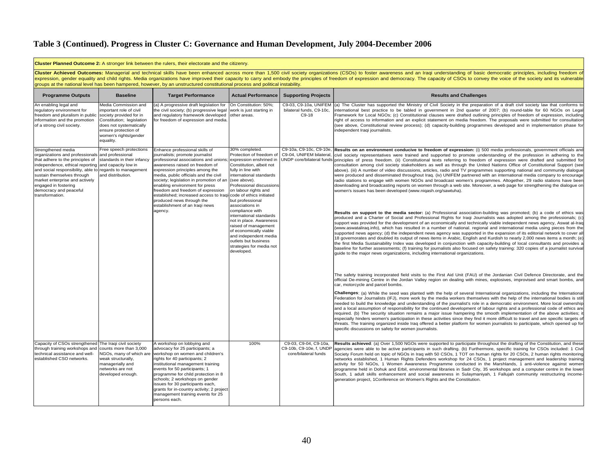|                                                                                                                                                                                                                                                                                                                             |                                                                                                                                                                                                  | <b>Cluster Planned Outcome 2:</b> A stronger link between the rulers, their electorate and the citizenry.                                                                                                                                                                                                                                                                                                                                                                              |                                                                                                                                                                                                                                                                                                                                                                                                                                                                                     |                                                                          |                                                                                                                                                                                                                                                                                                                                                                                                                                                                                                                                                                                                                                                                                                                                                                                                                                                                                                                                                                                                                                                                                                                                                                                                                                                                                                                                                                                                                                                                                                                                                                                                                                                                                                                                                                                                                                                                                                                                                                                                                                                                                                                                                                                                                                                                                                                                                                                                                                                                                                                                                                                                                                                                                                                                                                                                                                                                                                                                                                                                                                                                                                                                                                                                                                                                                                                                                                                                                                                                                                                                                                            |
|-----------------------------------------------------------------------------------------------------------------------------------------------------------------------------------------------------------------------------------------------------------------------------------------------------------------------------|--------------------------------------------------------------------------------------------------------------------------------------------------------------------------------------------------|----------------------------------------------------------------------------------------------------------------------------------------------------------------------------------------------------------------------------------------------------------------------------------------------------------------------------------------------------------------------------------------------------------------------------------------------------------------------------------------|-------------------------------------------------------------------------------------------------------------------------------------------------------------------------------------------------------------------------------------------------------------------------------------------------------------------------------------------------------------------------------------------------------------------------------------------------------------------------------------|--------------------------------------------------------------------------|----------------------------------------------------------------------------------------------------------------------------------------------------------------------------------------------------------------------------------------------------------------------------------------------------------------------------------------------------------------------------------------------------------------------------------------------------------------------------------------------------------------------------------------------------------------------------------------------------------------------------------------------------------------------------------------------------------------------------------------------------------------------------------------------------------------------------------------------------------------------------------------------------------------------------------------------------------------------------------------------------------------------------------------------------------------------------------------------------------------------------------------------------------------------------------------------------------------------------------------------------------------------------------------------------------------------------------------------------------------------------------------------------------------------------------------------------------------------------------------------------------------------------------------------------------------------------------------------------------------------------------------------------------------------------------------------------------------------------------------------------------------------------------------------------------------------------------------------------------------------------------------------------------------------------------------------------------------------------------------------------------------------------------------------------------------------------------------------------------------------------------------------------------------------------------------------------------------------------------------------------------------------------------------------------------------------------------------------------------------------------------------------------------------------------------------------------------------------------------------------------------------------------------------------------------------------------------------------------------------------------------------------------------------------------------------------------------------------------------------------------------------------------------------------------------------------------------------------------------------------------------------------------------------------------------------------------------------------------------------------------------------------------------------------------------------------------------------------------------------------------------------------------------------------------------------------------------------------------------------------------------------------------------------------------------------------------------------------------------------------------------------------------------------------------------------------------------------------------------------------------------------------------------------------------------------------------|
|                                                                                                                                                                                                                                                                                                                             |                                                                                                                                                                                                  | groups at the national level has been hampered, however, by an unstructured constitutional process and political instability.                                                                                                                                                                                                                                                                                                                                                          |                                                                                                                                                                                                                                                                                                                                                                                                                                                                                     |                                                                          | Cluster Achieved Outcomes: Managerial and technical skills have been enhanced across more than 1,500 civil society organizations (CSOs) to foster awareness and an Iraqi understanding of basic democratic principles, includi<br>expression, gender equality and child rights. Media organizations have improved their capacity to carry and embody the principles of freedom of expression and democracy. The capacity of CSOs to convey the voice of the soci                                                                                                                                                                                                                                                                                                                                                                                                                                                                                                                                                                                                                                                                                                                                                                                                                                                                                                                                                                                                                                                                                                                                                                                                                                                                                                                                                                                                                                                                                                                                                                                                                                                                                                                                                                                                                                                                                                                                                                                                                                                                                                                                                                                                                                                                                                                                                                                                                                                                                                                                                                                                                                                                                                                                                                                                                                                                                                                                                                                                                                                                                                           |
| <b>Programme Outputs</b>                                                                                                                                                                                                                                                                                                    | <b>Baseline</b>                                                                                                                                                                                  | <b>Target Performance</b>                                                                                                                                                                                                                                                                                                                                                                                                                                                              | <b>Actual Performance</b>                                                                                                                                                                                                                                                                                                                                                                                                                                                           | <b>Supporting Projects</b>                                               | <b>Results and Challenges</b>                                                                                                                                                                                                                                                                                                                                                                                                                                                                                                                                                                                                                                                                                                                                                                                                                                                                                                                                                                                                                                                                                                                                                                                                                                                                                                                                                                                                                                                                                                                                                                                                                                                                                                                                                                                                                                                                                                                                                                                                                                                                                                                                                                                                                                                                                                                                                                                                                                                                                                                                                                                                                                                                                                                                                                                                                                                                                                                                                                                                                                                                                                                                                                                                                                                                                                                                                                                                                                                                                                                                              |
| An enabling legal and<br>regulatory environment for<br>freedom and pluralism in public<br>information and the promotion<br>of a strong civil society.                                                                                                                                                                       | Media Commission and<br>important role of civil<br>society provided for in<br>Constitution; legislation<br>does not systematically<br>ensure protection of<br>women's rights/gender<br>equality. | (a) A progressive draft legislation for<br>the civil society; (b) progressive legal work is just starting in<br>and regulatory framework developed other areas.<br>for freedom of expression and media                                                                                                                                                                                                                                                                                 | On Constitution: 50%;                                                                                                                                                                                                                                                                                                                                                                                                                                                               | bilateral funds, C9-10c,<br>C9-18                                        | C9-03, C9-10a, UNIFEM (a) The Cluster has supported the Ministry of Civil Society in the preparation of a draft civil society law that conforms to<br>international best practice to be tabled in government in 2nd quarter of 2007; (b) round-table for 60 NGOs on Legal<br>Framework for Local NGOs; (c) Constitutional clauses were drafted outlining principles of freedom of expression, including<br>right of access to information and an explicit statement on media freedom. The proposals were submitted for consultation<br>(see above, Constitutional review process); (d) capacity-building programmes developed and in implementation phase for<br>independent Iraqi journalists.                                                                                                                                                                                                                                                                                                                                                                                                                                                                                                                                                                                                                                                                                                                                                                                                                                                                                                                                                                                                                                                                                                                                                                                                                                                                                                                                                                                                                                                                                                                                                                                                                                                                                                                                                                                                                                                                                                                                                                                                                                                                                                                                                                                                                                                                                                                                                                                                                                                                                                                                                                                                                                                                                                                                                                                                                                                                            |
| Strengthened media<br>organizations and professionals<br>that adhere to the principles of<br>independence, ethical reporting and capacity low in<br>and social responsibility, able to<br>sustain themselves through<br>market enterprise and actively<br>engaged in fostering<br>democracy and peaceful<br>transformation. | Free speech protections<br>and professional<br>standards in their infancy<br>regards to management<br>and distribution.                                                                          | Enhance professional skills of<br>journalists; promote journalist<br>professional associations and unions<br>awareness raised on freedom of<br>expression principles among the<br>media, public officials and the civil<br>society; legislation in promotion of an<br>enabling environment for press<br>freedom and freedom of expression<br>established; increased access to Iraqi code of ethics initiated<br>produced news through the<br>establishment of an Iraqi news<br>agency. | 30% completed.<br>Protection of freedom of<br>expression enshrined in<br>Constitution, albeit not<br>fully in line with<br>international standards<br>(see above).<br>Professional discussions<br>on labour rights and<br>but professional<br>associations in<br>compliance with<br>international standards<br>not in place. Awareness<br>raised of management<br>of economically viable<br>and independent media<br>outlets but business<br>strategies for media not<br>developed. | C9-10a, C9-10c, C9-10e,                                                  | Results on an environment conducive to freedom of expression: (i) 500 media professionals, government officials and<br>C9-04, UNIFEM bilateral, civil society representatives were trained and supported to promote understanding of the profession in adhering to the<br>UNDP core/bilateral funds principles of press freedom. (ii) Constitutional texts referring to freedom of expression were drafted and submitted for<br>consultation among civil society stakeholders as well as through the United Nations Office of Constitutional Support (see<br>above). (iii) A number of video discussions, articles, radio and TV programmes supporting national and community dialogue<br>were produced and disseminated throughout Iraq. (iv) UNIFEM partnered with an international media company to encourage<br>radio stations to engage with women NGOs and broadcast women's programmes. Altogether, 29 radio stations have been<br>downloading and broadcasting reports on women through a web site. Moreover, a web page for strengthening the dialogue on<br>women's issues has been developed (www.niqash.org/sawtuha).<br>Results on support to the media sector: (a) Professional association-building was promoted; (b) a code of ethics was<br>produced and a Charter of Social and Professional Rights for Iragi Journalists was adopted among the professionals; (c)<br>support was provided for the development of an economically and technically viable independent news agency, Aswat al-Iraq<br>(www.aswatalirag.info), which has resulted in a number of national, regional and international media using pieces from the<br>supported news agency; (d) the independent news agency was supported in the expansion of its editorial network to cover all<br>18 governorates and doubled its output of news items in Arabic, English and Kurdish to nearly 2,000 news items a month; (e)<br>the first Media Sustainability Index was developed in conjunction with capacity-building of local consultants and provides a<br>baseline for further assessments; (f) training for journalists also focused on safety training: 320 copies of a journalist survival<br>quide to the major news organizations, including international organizations.<br>The safety training incorporated field visits to the First Aid Unit (FAU) of the Jordanian Civil Defence Directorate, and the<br>official De-mining Centre in the Jordan Valley region on dealing with mines, explosives, improvised and smart bombs, and<br>car, motorcycle and parcel bombs.<br>Challenges: (a) While the seed was planted with the help of several International organizations, including the International<br>Federation for Journalists (IFJ), more work by the media workers themselves with the help of the international bodies is still<br>needed to build the knowledge and understanding of the iournalist's role in a democratic environment. More local ownership<br>and a local assumption of responsibility for the continued development of labour rights and a professional code of ethics are<br>required. (b) The security situation remains a major issue hampering the smooth implementation of the above activities; it<br>especially hinders women's participation in these activities since they find it more difficult to travel and are specific targets of<br>threats. The training organized inside Iraq offered a better platform for women journalists to participate, which opened up for<br>specific discussions on safety for women journalists. |
| Capacity of CSOs strengthened The Iraqi civil society<br>through training workshops and<br>technical assistance and well-<br>established CSO networks.                                                                                                                                                                      | counts more than 3,000<br>NGOs, many of which are<br>weak structurally,<br>managerially and<br>networks are not<br>developed enough.                                                             | A workshop on lobbying and<br>advocacy for 25 participants; a<br>workshop on women and children's<br>rights for 40 participants; 2<br>institutional management training<br>events for 50 participants; 1<br>programme for child protection in 8<br>schools; 2 workshops on gender<br>issues for 30 participants each,<br>grants for in-country activity; 2 project<br>management training events for 25<br>persons each.                                                               | 100%                                                                                                                                                                                                                                                                                                                                                                                                                                                                                | C9-03, C9-04, C9-10a,<br>C9-10b, C9-10e, f, UNDF<br>core/bilateral funds | Results achieved: (a) Over 1,500 NGOs were supported to participate throughout the drafting of the Constitution, and these<br>agencies were able to be active participants in such drafting. (b) Furthermore, specific training for CSOs included: 1 Civil<br>Society Forum held on topic of NGOs in Iraq with 50 CSOs, 1 TOT on human rights for 20 CSOs, 2 human rights monitoring<br>networks established, 1 Human Rights Defenders workshop for 24 CSOs, 1 project management and leadership training<br>activity for 50 NGOs, 1 Women Awareness Programme conducted in the Marshlands, 1 anti-violence against women<br>programme held in Dohuk and Erbil, environmental libraries in Sadr City, 35 workshops and a computer centre in the lower<br>South, 1 adult skills enhancement and social awareness in Sulaymaniyah, 1 Fallujah community restructuring income-<br>generation project, 1Conference on Women's Rights and the Constitution.                                                                                                                                                                                                                                                                                                                                                                                                                                                                                                                                                                                                                                                                                                                                                                                                                                                                                                                                                                                                                                                                                                                                                                                                                                                                                                                                                                                                                                                                                                                                                                                                                                                                                                                                                                                                                                                                                                                                                                                                                                                                                                                                                                                                                                                                                                                                                                                                                                                                                                                                                                                                                     |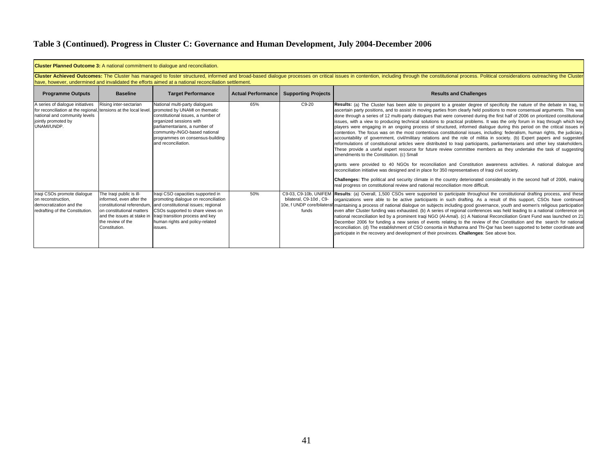|                                                                                                                                                                             | <b>Cluster Planned Outcome 3:</b> A national commitment to dialogue and reconciliation.                                                                                                                                                                                                                                               |                                                                                                                                                                                                                                                               |     |                                          |                                                                                                                                                                                                                                                                                                                                                                                                                                                                                                                                                                                                                                                                                                                                                                                                                                                                                                                                                                                                                                                                                                                                                                                                                                                                                                                                                                                                                                                                                                                                                                                                                                                                                 |  |  |  |  |  |
|-----------------------------------------------------------------------------------------------------------------------------------------------------------------------------|---------------------------------------------------------------------------------------------------------------------------------------------------------------------------------------------------------------------------------------------------------------------------------------------------------------------------------------|---------------------------------------------------------------------------------------------------------------------------------------------------------------------------------------------------------------------------------------------------------------|-----|------------------------------------------|---------------------------------------------------------------------------------------------------------------------------------------------------------------------------------------------------------------------------------------------------------------------------------------------------------------------------------------------------------------------------------------------------------------------------------------------------------------------------------------------------------------------------------------------------------------------------------------------------------------------------------------------------------------------------------------------------------------------------------------------------------------------------------------------------------------------------------------------------------------------------------------------------------------------------------------------------------------------------------------------------------------------------------------------------------------------------------------------------------------------------------------------------------------------------------------------------------------------------------------------------------------------------------------------------------------------------------------------------------------------------------------------------------------------------------------------------------------------------------------------------------------------------------------------------------------------------------------------------------------------------------------------------------------------------------|--|--|--|--|--|
|                                                                                                                                                                             | Cluster Achieved Outcomes: The Cluster has managed to foster structured, informed and broad-based dialogue processes on critical issues in contention, including through the constitutional process. Political considerations<br>have, however, undermined and invalidated the efforts aimed at a national reconciliation settlement. |                                                                                                                                                                                                                                                               |     |                                          |                                                                                                                                                                                                                                                                                                                                                                                                                                                                                                                                                                                                                                                                                                                                                                                                                                                                                                                                                                                                                                                                                                                                                                                                                                                                                                                                                                                                                                                                                                                                                                                                                                                                                 |  |  |  |  |  |
| <b>Programme Outputs</b>                                                                                                                                                    | <b>Baseline</b>                                                                                                                                                                                                                                                                                                                       | <b>Target Performance</b>                                                                                                                                                                                                                                     |     | Actual Performance   Supporting Projects | <b>Results and Challenges</b>                                                                                                                                                                                                                                                                                                                                                                                                                                                                                                                                                                                                                                                                                                                                                                                                                                                                                                                                                                                                                                                                                                                                                                                                                                                                                                                                                                                                                                                                                                                                                                                                                                                   |  |  |  |  |  |
| A series of dialogue initiatives<br>for reconciliation at the regional, tensions at the local level.<br>national and community levels<br>jointly promoted by<br>UNAMI/UNDP. | Rising inter-sectarian                                                                                                                                                                                                                                                                                                                | National multi-party dialogues<br>promoted by UNAMI on thematic<br>constitutional issues, a number of<br>organized sessions with<br>parliamentarians, a number of<br>community-/NGO-based national<br>programmes on consensus-building<br>and reconciliation. | 65% | C9-20                                    | Results: (a) The Cluster has been able to pinpoint to a greater degree of specificity the nature of the debate in Iraq, to<br>ascertain party positions, and to assist in moving parties from clearly held positions to more consensual arguments. This was<br>done through a series of 12 multi-party dialogues that were convened during the first half of 2006 on prioritized constitutional<br>issues, with a view to producing technical solutions to practical problems. It was the only forum in Iraq through which key<br>players were engaging in an ongoing process of structured, informed dialogue during this period on the critical issues in<br>contention. The focus was on the most contentious constitutional issues, including: federalism, human rights, the judiciary,<br>accountability of government, civil/military relations and the role of militia in society. (b) Expert papers and suggested<br>reformulations of constitutional articles were distributed to Iraqi participants, parliamentarians and other key stakeholders.<br>These provide a useful expert resource for future review committee members as they undertake the task of suggesting<br>amendments to the Constitution, (c) Small<br>grants were provided to 40 NGOs for reconciliation and Constitution awareness activities. A national dialogue and<br>reconciliation initiative was designed and in place for 350 representatives of Iraqi civil society.<br>Challenges: The political and security climate in the country deteriorated considerably in the second half of 2006, making<br>real progress on constitutional review and national reconciliation more difficult. |  |  |  |  |  |
| Iraqi CSOs promote dialoque<br>on reconstruction.<br>democratization and the<br>redrafting of the Constitution.                                                             | The Iraqi public is ill-<br>linformed, even after the<br>constitutional referendum,<br>on constitutional matters<br>and the issues at stake in<br>the review of the<br>Constitution.                                                                                                                                                  | Iraqi CSO capacities supported in<br>promoting dialogue on reconciliation<br>and constitutional issues; regional<br>CSOs supported to share views on<br>Iraqi transition process and key<br>human rights and policy-related<br>issues.                        | 50% | bilateral, C9-10d, C9-<br>funds          | C9-03, C9-10b, UNIFEM Results: (a) Overall, 1,500 CSOs were supported to participate throughout the constitutional drafting process, and these<br>organizations were able to be active participants in such drafting. As a result of this support, CSOs have continued<br>10e, f UNDP core/bilateral maintaining a process of national dialogue on subjects including good governance, youth and women's religious participation<br>even after Cluster funding was exhausted. (b) A series of regional conferences was held leading to a national conference on<br>national reconciliation led by a prominent Iraqi NGO (Al-Amal). (c) A National Reconciliation Grant Fund was launched on 21<br>December 2006 for funding a new series of events relating to the review of the Constitution and the search for national<br>reconciliation. (d) The establishment of CSO consortia in Muthanna and Thi-Qar has been supported to better coordinate and<br>participate in the recovery and development of their provinces. Challenges: See above box.                                                                                                                                                                                                                                                                                                                                                                                                                                                                                                                                                                                                                           |  |  |  |  |  |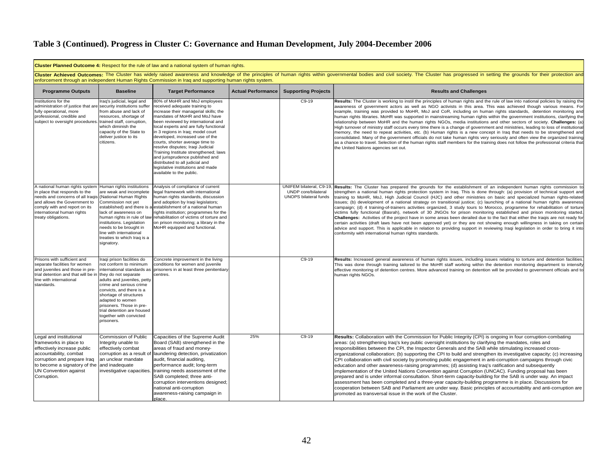|                                                                                                                                                                                                                                                  | Cluster Planned Outcome 4: Respect for the rule of law and a national system of human rights.                                                                                                                                                                                                                                            |                                                                                                                                                                                                                                                                                                                                                                                                                                                                                                                                                         |                           |                                                                                 |                                                                                                                                                                                                                                                                                                                                                                                                                                                                                                                                                                                                                                                                                                                                                                                                                                                                                                                                                                                                                                                                                                                                                                                                                                |  |  |  |  |
|--------------------------------------------------------------------------------------------------------------------------------------------------------------------------------------------------------------------------------------------------|------------------------------------------------------------------------------------------------------------------------------------------------------------------------------------------------------------------------------------------------------------------------------------------------------------------------------------------|---------------------------------------------------------------------------------------------------------------------------------------------------------------------------------------------------------------------------------------------------------------------------------------------------------------------------------------------------------------------------------------------------------------------------------------------------------------------------------------------------------------------------------------------------------|---------------------------|---------------------------------------------------------------------------------|--------------------------------------------------------------------------------------------------------------------------------------------------------------------------------------------------------------------------------------------------------------------------------------------------------------------------------------------------------------------------------------------------------------------------------------------------------------------------------------------------------------------------------------------------------------------------------------------------------------------------------------------------------------------------------------------------------------------------------------------------------------------------------------------------------------------------------------------------------------------------------------------------------------------------------------------------------------------------------------------------------------------------------------------------------------------------------------------------------------------------------------------------------------------------------------------------------------------------------|--|--|--|--|
|                                                                                                                                                                                                                                                  | Cluster Achieved Outcomes: The Cluster has widely raised awareness and knowledge of the principles of human rights within governmental bodies and civil society. The Cluster has progressed in setting the grounds for their p<br>enforcement through an independent Human Rights Commission in Iraq and supporting human rights system. |                                                                                                                                                                                                                                                                                                                                                                                                                                                                                                                                                         |                           |                                                                                 |                                                                                                                                                                                                                                                                                                                                                                                                                                                                                                                                                                                                                                                                                                                                                                                                                                                                                                                                                                                                                                                                                                                                                                                                                                |  |  |  |  |
| <b>Programme Outputs</b>                                                                                                                                                                                                                         | <b>Baseline</b>                                                                                                                                                                                                                                                                                                                          | <b>Target Performance</b>                                                                                                                                                                                                                                                                                                                                                                                                                                                                                                                               | <b>Actual Performance</b> | <b>Supporting Projects</b>                                                      | <b>Results and Challenges</b>                                                                                                                                                                                                                                                                                                                                                                                                                                                                                                                                                                                                                                                                                                                                                                                                                                                                                                                                                                                                                                                                                                                                                                                                  |  |  |  |  |
| Institutions for the<br>administration of justice that are<br>fully operational, more<br>professional, credible and<br>subject to oversight procedures. trained staff, corruption,                                                               | Iraq's judicial, legal and<br>security institutions suffer<br>from abuse and lack of<br>resources, shortage of<br>which diminish the<br>capacity of the State to<br>deliver justice to its<br>citizens.                                                                                                                                  | 80% of MoHR and MoJ employees<br>received adequate training to<br>increase their managerial skills; the<br>mandates of MoHR and MoJ have<br>been reviewed by international and<br>local experts and are fully functional<br>in 3 regions in Iraq; model court<br>developed, increased use of the<br>courts, shorter average time to<br>resolve disputes; Iraqi Judicial<br>Training Institute strengthened; laws<br>and jurisprudence published and<br>distributed to all judicial and<br>legislative institutions and made<br>available to the public. |                           | $C9-19$                                                                         | Results: The Cluster is working to instil the principles of human rights and the rule of law into national policies by raising the<br>awareness of government actors as well as NGO activists in this area. This was achieved though various means. For<br>example, training was provided to MoHR, MoJ and CoR, including on human rights standards, detention monitoring and<br>human rights libraries. MoHR was supported in mainstreaming human rights within the government institutions, clarifying the<br>relationship between MoHR and the human rights NGOs, media institutions and other sectors of society. Challenges: (a)<br>High turnover of ministry staff occurs every time there is a change of government and ministries, leading to loss of institutional<br>memory, the need to repeat activities, etc. (b) Human rights is a new concept in Iraq that needs to be strengthened and<br>consolidated. Many of the government officials do not take human rights very seriously and often view the organized training<br>as a chance to travel. Selection of the human rights staff members for the training does not follow the professional criteria that<br>the United Nations agencies set out.           |  |  |  |  |
| A national human rights system<br>in place that responds to the<br>needs and concerns of all Iraqis (National Human Rights<br>and allows the Government to<br>comply with and report on its<br>international human rights<br>treaty obligations. | Human rights institutions<br>are weak and incomplete<br>Commission not yet<br>established) and there is a<br>lack of awareness on<br>human rights in rule of law<br>institutions. Legislation<br>needs to be brought in<br>line with international<br>treaties to which Iraq is a<br>signatory.                                          | Analysis of compliance of current<br>legal framework with international<br>human rights standards, discussion<br>and adoption by Iraqi legislators;<br>establishment of a national human<br>rights institution; programmes for the<br>rehabilitation of victims of torture and<br>on prison monitoring; a library in the<br>MoHR equipped and functional.                                                                                                                                                                                               |                           | UNIFEM bilateral, C9-19,<br>UNDP core/bilateral<br><b>UNOPS bilateral funds</b> | Results: The Cluster has prepared the grounds for the establishment of an independent human rights commission to<br>strengthen a national human rights protection system in Iraq. This is done through: (a) provision of technical support and<br>training to MoHR, MoJ, High Judicial Council (HJC) and other ministries on basic and specialized human rights-related<br>issues; (b) development of a national strategy on transitional justice; (c) launching of a national human rights awareness<br>campaign; (d) 4 training-of-trainers activities organized, 3 study tours to Morocco, programme for rehabilitation of torture<br>victims fully functional (Basrah), network of 30 JNGOs for prison monitoring established and prison monitoring started.<br>Challenges: Activities of the project have in some areas been derailed due to the fact that either the Iragis are not ready for<br>certain activities (draft laws have not been approved yet) or they are not showing enough willingness in taking on certain<br>advice and support. This is applicable in relation to providing support in reviewing Iraqi legislation in order to bring it into<br>conformity with international human rights standards. |  |  |  |  |
| Prisons with sufficient and<br>separate facilities for women<br>and juveniles and those in pre-<br>trial detention and that will be in they do not separate<br>line with international<br>standards.                                             | Iraqi prison facilities do<br>not conform to minimum<br>international standards as<br>adults and juveniles, petty<br>crime and serious crime<br>convicts, and there is a<br>shortage of structures<br>adapted to women<br>prisoners. Those in pre-<br>trial detention are housed<br>together with convicted<br>prisoners.                | Concrete improvement in the living<br>conditions for women and juvenile<br>prisoners in at least three penitentiary<br>centres.                                                                                                                                                                                                                                                                                                                                                                                                                         |                           | $C9-19$                                                                         | Results: Increased general awareness of human rights issues, including issues relating to torture and detention facilities<br>This was done through training tailored to the MoHR staff working within the detention monitoring department to intensify<br>effective monitoring of detention centres. More advanced training on detention will be provided to government officials and to<br>human rights NGOs                                                                                                                                                                                                                                                                                                                                                                                                                                                                                                                                                                                                                                                                                                                                                                                                                 |  |  |  |  |
| Legal and institutional<br>frameworks in place to<br>effectively increase public<br>accountability, combat<br>corruption and prepare Iraq<br>to become a signatory of the<br>UN Convention against<br>Corruption.                                | Commission of Public<br>Integrity unable to<br>effectively combat<br>corruption as a result of<br>lan unclear mandate<br>and inadequate<br>investigative capacities.                                                                                                                                                                     | Capacities of the Supreme Audit<br>Board (SAB) strengthened in the<br>areas of fraud and money-<br>laundering detection, privatization<br>audit, financial auditing,<br>performance audit; long-term<br>training needs assessment of the<br>SAB completed; three anti-<br>corruption interventions designed;<br>national anti-corruption<br>awareness-raising campaign in<br>place.                                                                                                                                                                     | 25%                       | $C9-19$                                                                         | Results: Collaboration with the Commission for Public Integrity (CPI) is ongoing in four corruption-combating<br>areas: (a) strengthening Irag's key public oversight institutions by clarifying the mandates, roles and<br>responsibilities between the CPI, the Inspector Generals and the SAB while stimulating increased cross-<br>organizational collaboration; (b) supporting the CPI to build and strengthen its investigative capacity; (c) increasing<br>CPI collaboration with civil society by promoting public engagement in anti-corruption campaigns through civic<br>education and other awareness-raising programmes; (d) assisting Iraq's ratification and subsequently<br>implementation of the United Nations Convention against Corruption (UNCAC). Funding proposal has been<br>prepared and is under informal consultation. Short-term capacity-building for the SAB is under way. An impact<br>assessment has been completed and a three-year capacity-building programme is in place. Discussions for<br>cooperation between SAB and Parliament are under way. Basic principles of accountability and anti-corruption are<br>promoted as transversal issue in the work of the Cluster.                 |  |  |  |  |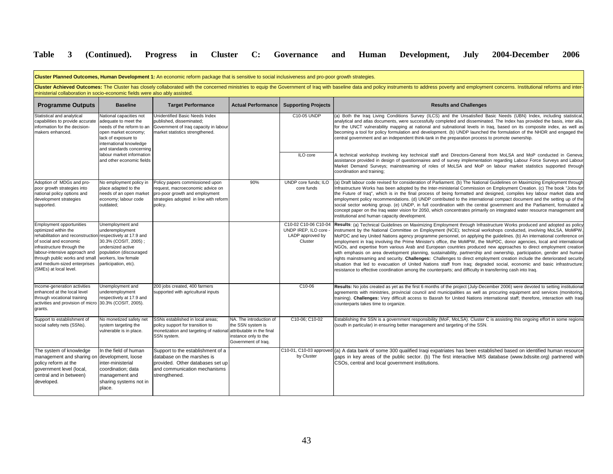| Cluster Planned Outcomes, Human Development 1: An economic reform package that is sensitive to social inclusiveness and pro-poor growth strategies.                                                                                                                               |                                                                                                                                                                                                                                                                                                               |                                                                                                                                                            |                                                                                                                          |                                                                            |                                                                                                                                                                                                                                                                                                                                                                                                                                                                                                                                                                                                                                                                                                                                                                                                                                                                                                                                                                                                                                                                                                                         |  |  |  |  |
|-----------------------------------------------------------------------------------------------------------------------------------------------------------------------------------------------------------------------------------------------------------------------------------|---------------------------------------------------------------------------------------------------------------------------------------------------------------------------------------------------------------------------------------------------------------------------------------------------------------|------------------------------------------------------------------------------------------------------------------------------------------------------------|--------------------------------------------------------------------------------------------------------------------------|----------------------------------------------------------------------------|-------------------------------------------------------------------------------------------------------------------------------------------------------------------------------------------------------------------------------------------------------------------------------------------------------------------------------------------------------------------------------------------------------------------------------------------------------------------------------------------------------------------------------------------------------------------------------------------------------------------------------------------------------------------------------------------------------------------------------------------------------------------------------------------------------------------------------------------------------------------------------------------------------------------------------------------------------------------------------------------------------------------------------------------------------------------------------------------------------------------------|--|--|--|--|
|                                                                                                                                                                                                                                                                                   | Cluster Achieved Outcomes: The Cluster has closely collaborated with the concerned ministries to equip the Government of Iraq with baseline data and policy instruments to address poverty and employment concerns. Institutio<br>ministerial collaboration in socio-economic fields were also ably assisted. |                                                                                                                                                            |                                                                                                                          |                                                                            |                                                                                                                                                                                                                                                                                                                                                                                                                                                                                                                                                                                                                                                                                                                                                                                                                                                                                                                                                                                                                                                                                                                         |  |  |  |  |
| <b>Programme Outputs</b>                                                                                                                                                                                                                                                          | <b>Baseline</b>                                                                                                                                                                                                                                                                                               | <b>Target Performance</b>                                                                                                                                  | <b>Actual Performance</b>                                                                                                | <b>Supporting Projects</b>                                                 | <b>Results and Challenges</b>                                                                                                                                                                                                                                                                                                                                                                                                                                                                                                                                                                                                                                                                                                                                                                                                                                                                                                                                                                                                                                                                                           |  |  |  |  |
| Statistical and analytical<br>capabilities to provide accurate<br>information for the decision-<br>makers enhanced.                                                                                                                                                               | National capacities not<br>adequate to meet the<br>needs of the reform to an<br>open market economy;<br>lack of exposure to<br>international knowledge<br>and standards concerning                                                                                                                            | Unidentified Basic Needs Index<br>published, disseminated:<br>Government of Iraq capacity in labour<br>market statistics strengthened.                     |                                                                                                                          | C10-05 UNDP                                                                | (a) Both the Iraq Living Conditions Survey (ILCS) and the Unsatisfied Basic Needs (UBN) Index, including statistical<br>analytical and atlas documents, were successfully completed and disseminated. The Index has provided the basis, inter alia,<br>for the UNCT vulnerability mapping at national and subnational levels in Iraq, based on its composite index, as well as<br>becoming a tool for policy formulation and development. (b) UNDP launched the formulation of the NHDR and engaged the<br>central government and an independent think-tank in the preparation process to promote ownership.                                                                                                                                                                                                                                                                                                                                                                                                                                                                                                            |  |  |  |  |
|                                                                                                                                                                                                                                                                                   | labour market information<br>and other economic fields                                                                                                                                                                                                                                                        |                                                                                                                                                            |                                                                                                                          | ILO core                                                                   | A technical workshop involving key technical staff and Directors-General from MoLSA and MoP conducted in Geneva;<br>assistance provided in design of questionnaires and of survey implementation regarding Labour Force Surveys and Labour<br>Market Demand Surveys; mainstreaming of roles of MoLSA and MoP on labour market statistics supported through<br>coordination and training;                                                                                                                                                                                                                                                                                                                                                                                                                                                                                                                                                                                                                                                                                                                                |  |  |  |  |
| Adoption of MDGs and pro-<br>poor growth strategies into<br>national policy options and<br>development strategies<br>supported.                                                                                                                                                   | No employment policy in<br>place adapted to the<br>needs of an open market<br>economy; labour code<br>outdated:                                                                                                                                                                                               | Policy papers commissioned upon<br>request, macroeconomic advice on<br>pro-poor growth and employment<br>strategies adopted in line with reform<br>policy. | 90%                                                                                                                      | UNDP core funds; ILO<br>core funds                                         | (a) Draft labour code revised for consideration of Parliament. (b) The National Guidelines on Maximizing Employment through<br>Infrastructure Works has been adopted by the Inter-ministerial Commission on Employment Creation. (c) The book "Jobs for<br>the Future of Iraq", which is in the final process of being formatted and designed, compiles key labour market data and<br>employment policy recommendations. (d) UNDP contributed to the international compact document and the setting up of the<br>social sector working group. (e) UNDP, in full coordination with the central government and the Parliament, formulated a<br>concept paper on the Iraq water vision for 2050, which concentrates primarily on integrated water resource management and<br>institutional and human capacity development.                                                                                                                                                                                                                                                                                                 |  |  |  |  |
| <b>Employment opportunities</b><br>optimized within the<br>rehabilitation and reconstruction<br>of social and economic<br>infrastructure through the<br>labour-intensive approach and<br>through public works and small<br>and medium-sized enterprises<br>(SMEs) at local level. | Unemployment and<br>underemployment<br>respectively at 17.9 and<br>30.3% (COSIT, 2005);<br>undersized active<br>population (discouraged<br>workers, low female<br>participation, etc).                                                                                                                        |                                                                                                                                                            |                                                                                                                          | C10-02 C10-06 C10-04<br>UNDP IREP. ILO core<br>LADP approved by<br>Cluster | Results: (a) Technical Guidelines on Maximizing Employment through Infrastructure Works produced and adopted as policy<br>instrument by the National Committee on Employment (NCE); technical workshops conducted, involving MoLSA, MoMPW,<br>MoPDC and key United Nations agency programme personnel, on applying the guidelines. (b) An international conference on<br>employment in Iraq involving the Prime Minister's office, the MoMPW, the MoPDC, donor agencies, local and international<br>NGOs, and expertise from various Arab and European countries produced new approaches to direct employment creation<br>with emphasis on area development planning, sustainability, partnership and ownership, participation, gender and human<br>rights mainstreaming and security. Challenges: Challenges to direct employment creation include the deteriorated security<br>situation that led to evacuation of United Nations staff from Iraq; degraded social, economic and basic infrastructure;<br>resistance to effective coordination among the counterparts; and difficulty in transferring cash into Iraq. |  |  |  |  |
| Income-generation activities<br>enhanced at the local level<br>through vocational training<br>activities and provision of micro 30.3% (COSIT, 2005).<br>grants.                                                                                                                   | Unemployment and<br>underemployment<br>respectively at 17.9 and                                                                                                                                                                                                                                               | 200 jobs created, 400 farmers<br>supported with agricultural inputs                                                                                        |                                                                                                                          | C10-06                                                                     | Results: No jobs created as yet as the first 6 months of the project (July-December 2006) were devoted to setting institutional<br>agreements with ministries, provincial council and municipalities as well as procuring equipment and services (monitoring,<br>training). Challenges: Very difficult access to Basrah for United Nations international staff; therefore, interaction with Iragi<br>counterparts takes time to organize.                                                                                                                                                                                                                                                                                                                                                                                                                                                                                                                                                                                                                                                                               |  |  |  |  |
| Support to establishment of<br>social safety nets (SSNs).                                                                                                                                                                                                                         | No monetized safety net<br>system targeting the<br>vulnerable is in place.                                                                                                                                                                                                                                    | SSNs established in local areas;<br>policy support for transition to<br>monetization and targeting of nationa<br>SSN system.                               | NA. The introduction of<br>the SSN system is<br>attributable in the final<br>instance only to the<br>Government of Irag. | C10-06; C10-02                                                             | Establishing the SSN is a government responsibility (MoF, MoLSA). Cluster C is assisting this ongoing effort in some regions<br>(south in particular) in ensuring better management and targeting of the SSN.                                                                                                                                                                                                                                                                                                                                                                                                                                                                                                                                                                                                                                                                                                                                                                                                                                                                                                           |  |  |  |  |
| The system of knowledge<br>management and sharing on development, loose<br>policy reform at the<br>government level (local,<br>central and in between)<br>developed.                                                                                                              | In the field of human<br>inter-ministerial<br>coordination; data<br>management and<br>sharing systems not in<br>place.                                                                                                                                                                                        | Support to the establishment of a<br>database on the marshes is<br>provided. Other databases set up<br>and communication mechanisms<br>strengthened.       |                                                                                                                          | by Cluster                                                                 | C10-01, C10-03 approved (a) A data bank of some 300 qualified Iraqi expatriates has been established based on identified human resource<br>gaps in key areas of the public sector. (b) The first interactive MIS database (www.bdssite.org) partnered with<br>CSOs, central and local government institutions.                                                                                                                                                                                                                                                                                                                                                                                                                                                                                                                                                                                                                                                                                                                                                                                                          |  |  |  |  |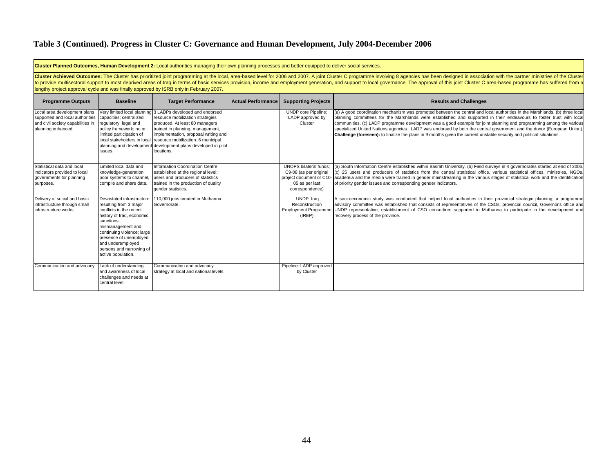| Cluster Planned Outcomes, Human Development 2: Local authorities managing their own planning processes and better equipped to deliver social services. |                                                                                                                                                                                                                                                                                                                                                                                                                                                                                                                                                           |                                                                                                                                                                                                                                                                                                                                   |                           |                                                                                              |                                                                                                                                                                                                                                                                                                                                                                                                                                                                                                                                                                                                                              |  |  |  |  |  |
|--------------------------------------------------------------------------------------------------------------------------------------------------------|-----------------------------------------------------------------------------------------------------------------------------------------------------------------------------------------------------------------------------------------------------------------------------------------------------------------------------------------------------------------------------------------------------------------------------------------------------------------------------------------------------------------------------------------------------------|-----------------------------------------------------------------------------------------------------------------------------------------------------------------------------------------------------------------------------------------------------------------------------------------------------------------------------------|---------------------------|----------------------------------------------------------------------------------------------|------------------------------------------------------------------------------------------------------------------------------------------------------------------------------------------------------------------------------------------------------------------------------------------------------------------------------------------------------------------------------------------------------------------------------------------------------------------------------------------------------------------------------------------------------------------------------------------------------------------------------|--|--|--|--|--|
|                                                                                                                                                        | Cluster Achieved Outcomes: The Cluster has prioritized joint programming at the local, area-based level for 2006 and 2007. A joint Cluster C programme involving 8 agencies has been designed in association with the partner<br>to provide multisectoral support to most deprived areas of Iraq in terms of basic services provision, income and employment generation, and support to local governance. The approval of this joint Cluster C area-based progr<br>lengthy project approval cycle and was finally approved by ISRB only in February 2007. |                                                                                                                                                                                                                                                                                                                                   |                           |                                                                                              |                                                                                                                                                                                                                                                                                                                                                                                                                                                                                                                                                                                                                              |  |  |  |  |  |
| <b>Programme Outputs</b>                                                                                                                               | <b>Baseline</b>                                                                                                                                                                                                                                                                                                                                                                                                                                                                                                                                           | <b>Target Performance</b>                                                                                                                                                                                                                                                                                                         | <b>Actual Performance</b> | <b>Supporting Projects</b>                                                                   | <b>Results and Challenges</b>                                                                                                                                                                                                                                                                                                                                                                                                                                                                                                                                                                                                |  |  |  |  |  |
| Local area development plans<br>supported and local authorities<br>and civil society capabilities in<br>planning enhanced.                             | capacities; centralized<br>regulatory, legal and<br>policy framework; no or<br>limited participation of<br>local stakeholders in local<br>issues.                                                                                                                                                                                                                                                                                                                                                                                                         | Very limited local planning 3 LADPs developed and endorsed<br>resource mobilization strategies<br>produced. At least 80 managers<br>trained in planning, management,<br>implementation, proposal writing and<br>resource mobilization. 6 municipal<br>planning and development development plans developed in pilot<br>locations. |                           | <b>UNDP</b> core Pipeline;<br>LADP approved by<br>Cluster                                    | (a) A good coordination mechanism was promoted between the central and local authorities in the Marshlands. (b) three local<br>planning committees for the Marshlands were established and supported in their endeavours to foster trust with local<br>communities. (c) LADP programme development was a good example for joint planning and programming among the various<br>specialized United Nations agencies. LADP was endorsed by both the central government and the donor (European Union).<br>Challenge (foreseen): to finalize the plans in 9 months given the current unstable security and political situations. |  |  |  |  |  |
| Statistical data and local<br>indicators provided to local<br>governments for planning<br>purposes.                                                    | Limited local data and<br>knowledge-generation;<br>poor systems to channel,<br>compile and share data.                                                                                                                                                                                                                                                                                                                                                                                                                                                    | Information Coordination Centre<br>established at the regional level;<br>users and producers of statistics<br>rained in the production of quality<br>gender statistics.                                                                                                                                                           |                           | <b>UNOPS</b> bilateral funds;<br>C9-08 (as per original<br>05 as per last<br>correspondence) | (a) South Information Centre established within Basrah University. (b) Field surveys in 4 governorates started at end of 2006.<br>(c) 25 users and producers of statistics from the central statistical office, various statistical offices, ministries, NGOs,<br>project document or C10- academia and the media were trained in gender mainstreaming in the various stages of statistical work and the identification<br>of priority gender issues and corresponding gender indicators.                                                                                                                                    |  |  |  |  |  |
| Delivery of social and basic<br>infrastructure through small<br>infrastructure works.                                                                  | Devastated infrastructure<br>resulting from 3 major<br>conflicts in the recent<br>history of Iraq, economic<br>sanctions,<br>mismanagement and<br>continuing violence; large<br>presence of unemployed<br>and underemployed<br>persons and narrowing of<br>active population.                                                                                                                                                                                                                                                                             | 110,000 jobs created in Muthanna<br>Governorate.                                                                                                                                                                                                                                                                                  |                           | UNDP Iraq<br>Reconstruction<br><b>Employment Programme</b><br>(IREP)                         | A socio-economic study was conducted that helped local authorities in their provincial strategic planning; a programme<br>advisory committee was established that consists of representatives of the CSOs, provincial council, Governor's office and<br>UNDP representative; establishment of CSO consortium supported in Muthanna to participate in the development and<br>recovery process of the province.                                                                                                                                                                                                                |  |  |  |  |  |
| Communication and advocacy.                                                                                                                            | Lack of understanding<br>and awareness of local<br>challenges and needs at<br>central level.                                                                                                                                                                                                                                                                                                                                                                                                                                                              | Communication and advocacy<br>strategy at local and national levels.                                                                                                                                                                                                                                                              |                           | Pipeline: LADP approved<br>by Cluster                                                        |                                                                                                                                                                                                                                                                                                                                                                                                                                                                                                                                                                                                                              |  |  |  |  |  |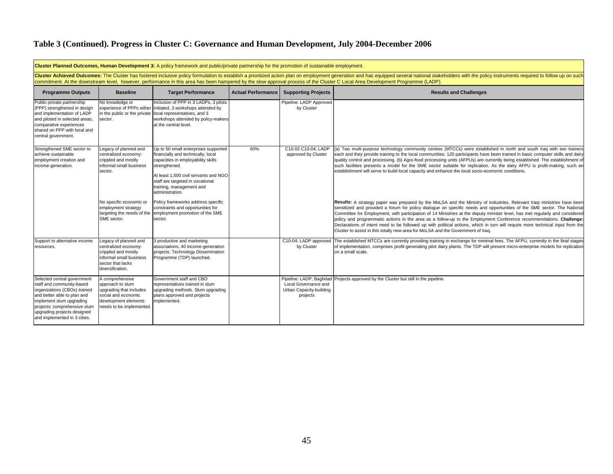| Cluster Planned Outcomes, Human Development 3: A policy framework and public/private partnership for the promotion of sustainable employment.                                                                                                      |                                                                                                                                                                                                                                                                                                                                                                                                                   |                                                                                                                                                                                                                                                               |                    |                                                             |                                                                                                                                                                                                                                                                                                                                                                                                                                                                                                                                                                                                                                                                                                                                 |  |  |  |  |
|----------------------------------------------------------------------------------------------------------------------------------------------------------------------------------------------------------------------------------------------------|-------------------------------------------------------------------------------------------------------------------------------------------------------------------------------------------------------------------------------------------------------------------------------------------------------------------------------------------------------------------------------------------------------------------|---------------------------------------------------------------------------------------------------------------------------------------------------------------------------------------------------------------------------------------------------------------|--------------------|-------------------------------------------------------------|---------------------------------------------------------------------------------------------------------------------------------------------------------------------------------------------------------------------------------------------------------------------------------------------------------------------------------------------------------------------------------------------------------------------------------------------------------------------------------------------------------------------------------------------------------------------------------------------------------------------------------------------------------------------------------------------------------------------------------|--|--|--|--|
|                                                                                                                                                                                                                                                    | Cluster Achieved Outcomes: The Cluster has fostered inclusive policy formulation to establish a prioritized action plan on employment generation and has equipped several national stakeholders with the policy instruments re<br>commitment. At the downstream level, however, performance in this area has been hampered by the slow approval process of the Cluster C Local Area Development Programme (LADP). |                                                                                                                                                                                                                                                               |                    |                                                             |                                                                                                                                                                                                                                                                                                                                                                                                                                                                                                                                                                                                                                                                                                                                 |  |  |  |  |
| <b>Programme Outputs</b>                                                                                                                                                                                                                           | <b>Baseline</b>                                                                                                                                                                                                                                                                                                                                                                                                   | <b>Target Performance</b>                                                                                                                                                                                                                                     | Actual Performance | <b>Supporting Projects</b>                                  | <b>Results and Challenges</b>                                                                                                                                                                                                                                                                                                                                                                                                                                                                                                                                                                                                                                                                                                   |  |  |  |  |
| Public-private partnership<br>(PPP) strengthened in design<br>and implementation of LADP<br>and piloted in selected areas;<br>comparative experiences<br>shared on PPP with local and<br>central government.                                       | No knowledge or<br>experience of PPPs either<br>in the public or the private<br>sector.                                                                                                                                                                                                                                                                                                                           | Inclusion of PPP in 3 LADPs, 3 pilots<br>initiated, 3 workshops attended by<br>local representatives, and 3<br>workshops attended by policy-makers<br>at the central level.                                                                                   |                    | Pipeline: LADP Approved<br>by Cluster                       |                                                                                                                                                                                                                                                                                                                                                                                                                                                                                                                                                                                                                                                                                                                                 |  |  |  |  |
| Strengthened SME sector to<br>achieve sustainable<br>employment creation and<br>income-generation.                                                                                                                                                 | Legacy of planned and<br>centralized economy:<br>crippled and mostly<br>informal small business<br>sector.                                                                                                                                                                                                                                                                                                        | Up to 50 small enterprises supported<br>financially and technically; local<br>capacities in employability skills<br>strengthened.<br>At least 1,500 civil servants and NGO<br>staff are targeted in vocational<br>training, management and<br>administration. | 60%                | C10-02 C10-04; LADP<br>approved by Cluster                  | (a) Two multi-purpose technology community centres (MTCCs) were established in north and south Iraq with two trainers<br>each and they provide training to the local communities: 120 participants have been trained in basic computer skills and dairy<br>quality control and processing. (b) Agro-food processing units (AFPUs) are currently being established. The establishment of<br>such facilities presents a model for the SME sector suitable for replication. As the dairy AFPU is profit-making, such an<br>establishment will serve to build local capacity and enhance the local socio-economic conditions.                                                                                                       |  |  |  |  |
|                                                                                                                                                                                                                                                    | No specific economic or<br>employment strategy<br>targeting the needs of the<br>SME sector.                                                                                                                                                                                                                                                                                                                       | Policy frameworks address specific<br>constraints and opportunities for<br>employment promotion of the SME<br>sector.                                                                                                                                         |                    |                                                             | Results: A strategy paper was prepared by the MoLSA and the Ministry of Industries. Relevant Iraqi ministries have been<br>sensitized and provided a forum for policy dialogue on specific needs and opportunities of the SME sector. The National<br>Committee for Employment, with participation of 14 Ministries at the deputy minister level, has met regularly and considered<br>policy and programmatic actions in the area as a follow-up to the Employment Conference recommendations. Challenge:<br>Declarations of intent need to be followed up with political actions, which in turn will require more technical input from the<br>Cluster to assist in this totally new area for MoLSA and the Government of Iraq. |  |  |  |  |
| Support to alternative income<br>resources.                                                                                                                                                                                                        | Legacy of planned and<br>centralized economy:<br>crippled and mostly<br>informal small business<br>sector that lacks<br>diversification.                                                                                                                                                                                                                                                                          | 3 productive and marketing<br>associations, 40 income-generation<br>projects; Technology Dissemination<br>Programme (TDP) launched.                                                                                                                           |                    | by Cluster                                                  | C10-04; LADP approved The established MTCCs are currently providing training in exchange for minimal fees. The AFPU, currently in the final stages<br>of implementation, comprises profit-generating pilot dairy plants. The TDP will present micro-enterprise models for replication<br>on a small scale.                                                                                                                                                                                                                                                                                                                                                                                                                      |  |  |  |  |
| Selected central government<br>staff and community-based<br>organizations (CBOs) trained<br>and better able to plan and<br>implement slum upgrading<br>projects; comprehensive slum<br>upgrading projects designed<br>and implemented in 3 cities. | A comprehensive<br>approach to slum<br>upgrading that includes<br>social and economic<br>development elements<br>needs to be implemented.                                                                                                                                                                                                                                                                         | Government staff and CBO<br>representatives trained in slum<br>upgrading methods. Slum upgrading<br>plans approved and projects<br>implemented.                                                                                                               |                    | Local Governance and<br>Urban Capacity-building<br>projects | Pipeline: LADP; Baghdad Projects approved by the Cluster but still in the pipeline.                                                                                                                                                                                                                                                                                                                                                                                                                                                                                                                                                                                                                                             |  |  |  |  |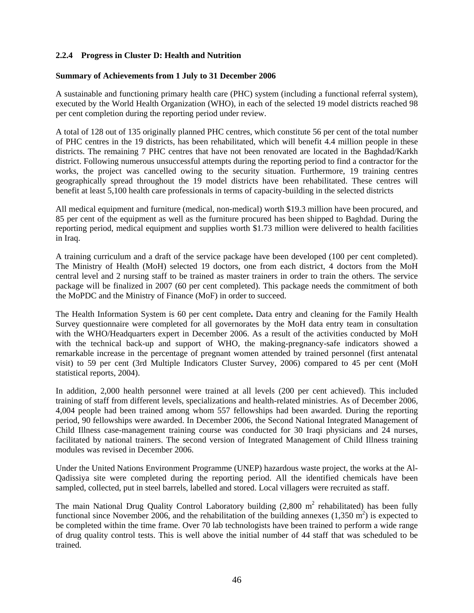### **2.2.4 Progress in Cluster D: Health and Nutrition**

#### **Summary of Achievements from 1 July to 31 December 2006**

A sustainable and functioning primary health care (PHC) system (including a functional referral system), executed by the World Health Organization (WHO), in each of the selected 19 model districts reached 98 per cent completion during the reporting period under review.

A total of 128 out of 135 originally planned PHC centres, which constitute 56 per cent of the total number of PHC centres in the 19 districts, has been rehabilitated, which will benefit 4.4 million people in these districts. The remaining 7 PHC centres that have not been renovated are located in the Baghdad/Karkh district. Following numerous unsuccessful attempts during the reporting period to find a contractor for the works, the project was cancelled owing to the security situation. Furthermore, 19 training centres geographically spread throughout the 19 model districts have been rehabilitated. These centres will benefit at least 5,100 health care professionals in terms of capacity-building in the selected districts

All medical equipment and furniture (medical, non-medical) worth \$19.3 million have been procured, and 85 per cent of the equipment as well as the furniture procured has been shipped to Baghdad. During the reporting period, medical equipment and supplies worth \$1.73 million were delivered to health facilities in Iraq.

A training curriculum and a draft of the service package have been developed (100 per cent completed). The Ministry of Health (MoH) selected 19 doctors, one from each district, 4 doctors from the MoH central level and 2 nursing staff to be trained as master trainers in order to train the others. The service package will be finalized in 2007 (60 per cent completed). This package needs the commitment of both the MoPDC and the Ministry of Finance (MoF) in order to succeed.

The Health Information System is 60 per cent complete**.** Data entry and cleaning for the Family Health Survey questionnaire were completed for all governorates by the MoH data entry team in consultation with the WHO/Headquarters expert in December 2006. As a result of the activities conducted by MoH with the technical back-up and support of WHO, the making-pregnancy-safe indicators showed a remarkable increase in the percentage of pregnant women attended by trained personnel (first antenatal visit) to 59 per cent (3rd Multiple Indicators Cluster Survey, 2006) compared to 45 per cent (MoH statistical reports, 2004).

In addition, 2,000 health personnel were trained at all levels (200 per cent achieved). This included training of staff from different levels, specializations and health-related ministries. As of December 2006, 4,004 people had been trained among whom 557 fellowships had been awarded. During the reporting period, 90 fellowships were awarded. In December 2006, the Second National Integrated Management of Child Illness case-management training course was conducted for 30 Iraqi physicians and 24 nurses, facilitated by national trainers. The second version of Integrated Management of Child Illness training modules was revised in December 2006.

Under the United Nations Environment Programme (UNEP) hazardous waste project, the works at the Al-Qadissiya site were completed during the reporting period. All the identified chemicals have been sampled, collected, put in steel barrels, labelled and stored. Local villagers were recruited as staff.

The main National Drug Quality Control Laboratory building  $(2,800 \text{ m}^2 \text{ rehabilitation})$  has been fully functional since November 2006, and the rehabilitation of the building annexes  $(1,350 \text{ m}^2)$  is expected to be completed within the time frame. Over 70 lab technologists have been trained to perform a wide range of drug quality control tests. This is well above the initial number of 44 staff that was scheduled to be trained.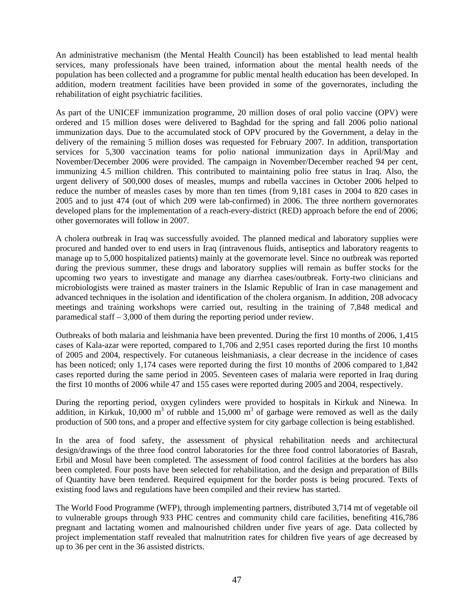An administrative mechanism (the Mental Health Council) has been established to lead mental health services, many professionals have been trained, information about the mental health needs of the population has been collected and a programme for public mental health education has been developed. In addition, modern treatment facilities have been provided in some of the governorates, including the rehabilitation of eight psychiatric facilities.

As part of the UNICEF immunization programme, 20 million doses of oral polio vaccine (OPV) were ordered and 15 million doses were delivered to Baghdad for the spring and fall 2006 polio national immunization days. Due to the accumulated stock of OPV procured by the Government, a delay in the delivery of the remaining 5 million doses was requested for February 2007. In addition, transportation services for 5,300 vaccination teams for polio national immunization days in April/May and November/December 2006 were provided. The campaign in November/December reached 94 per cent, immunizing 4.5 million children. This contributed to maintaining polio free status in Iraq. Also, the urgent delivery of 500,000 doses of measles, mumps and rubella vaccines in October 2006 helped to reduce the number of measles cases by more than ten times (from 9,181 cases in 2004 to 820 cases in 2005 and to just 474 (out of which 209 were lab-confirmed) in 2006. The three northern governorates developed plans for the implementation of a reach-every-district (RED) approach before the end of 2006; other governorates will follow in 2007.

A cholera outbreak in Iraq was successfully avoided. The planned medical and laboratory supplies were procured and handed over to end users in Iraq (intravenous fluids, antiseptics and laboratory reagents to manage up to 5,000 hospitalized patients) mainly at the governorate level. Since no outbreak was reported during the previous summer, these drugs and laboratory supplies will remain as buffer stocks for the upcoming two years to investigate and manage any diarrhea cases/outbreak. Forty-two clinicians and microbiologists were trained as master trainers in the Islamic Republic of Iran in case management and advanced techniques in the isolation and identification of the cholera organism. In addition, 208 advocacy meetings and training workshops were carried out, resulting in the training of 7,848 medical and paramedical staff – 3,000 of them during the reporting period under review.

Outbreaks of both malaria and leishmania have been prevented. During the first 10 months of 2006, 1,415 cases of Kala-azar were reported, compared to 1,706 and 2,951 cases reported during the first 10 months of 2005 and 2004, respectively. For cutaneous leishmaniasis, a clear decrease in the incidence of cases has been noticed; only 1,174 cases were reported during the first 10 months of 2006 compared to 1,842 cases reported during the same period in 2005. Seventeen cases of malaria were reported in Iraq during the first 10 months of 2006 while 47 and 155 cases were reported during 2005 and 2004, respectively.

During the reporting period, oxygen cylinders were provided to hospitals in Kirkuk and Ninewa. In addition, in Kirkuk, 10,000 m<sup>3</sup> of rubble and 15,000 m<sup>3</sup> of garbage were removed as well as the daily production of 500 tons, and a proper and effective system for city garbage collection is being established.

In the area of food safety, the assessment of physical rehabilitation needs and architectural design/drawings of the three food control laboratories for the three food control laboratories of Basrah, Erbil and Mosul have been completed. The assessment of food control facilities at the borders has also been completed. Four posts have been selected for rehabilitation, and the design and preparation of Bills of Quantity have been tendered. Required equipment for the border posts is being procured. Texts of existing food laws and regulations have been compiled and their review has started.

The World Food Programme (WFP), through implementing partners, distributed 3,714 mt of vegetable oil to vulnerable groups through 933 PHC centres and community child care facilities, benefiting 416,786 pregnant and lactating women and malnourished children under five years of age. Data collected by project implementation staff revealed that malnutrition rates for children five years of age decreased by up to 36 per cent in the 36 assisted districts.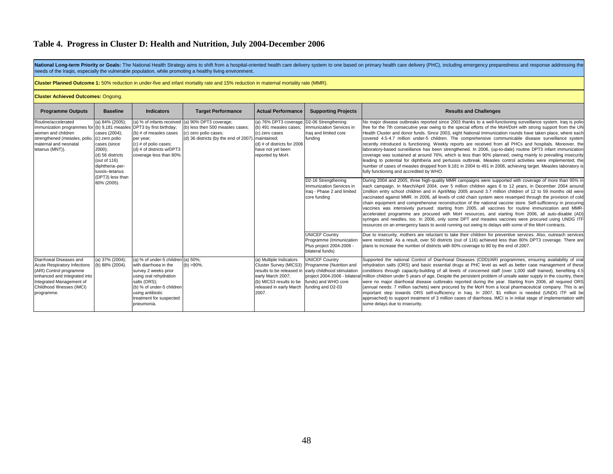National Long-term Priority or Goals: The National Health Strategy aims to shift from a hospital-oriented health care delivery system to one based on primary health care delivery (PHC), including emergency preparedness and needs of the Iraqis, especially the vulnerable population, while promoting a healthy living environment.

**Cluster Planned Outcome 1:** 50% reduction in under-five and infant mortality rate and 15% reduction in maternal mortality rate (MMR).

#### **Cluster Achieved Outcomes:** Ongoing.

| <b>Programme Outputs</b>                                                                                                                                                                          | <b>Baseline</b>                                                                                                                                                                | <b>Indicators</b>                                                                                                                                                                                              | <b>Target Performance</b>                                                                                                                 | <b>Actual Performance</b>                                                                                                                                          | <b>Supporting Projects</b>                                                                                                                                   | <b>Results and Challenges</b>                                                                                                                                                                                                                                                                                                                                                                                                                                                                                                                                                                                                                                                                                                                                                                                                                                                                                                                                                                                                                                                   |
|---------------------------------------------------------------------------------------------------------------------------------------------------------------------------------------------------|--------------------------------------------------------------------------------------------------------------------------------------------------------------------------------|----------------------------------------------------------------------------------------------------------------------------------------------------------------------------------------------------------------|-------------------------------------------------------------------------------------------------------------------------------------------|--------------------------------------------------------------------------------------------------------------------------------------------------------------------|--------------------------------------------------------------------------------------------------------------------------------------------------------------|---------------------------------------------------------------------------------------------------------------------------------------------------------------------------------------------------------------------------------------------------------------------------------------------------------------------------------------------------------------------------------------------------------------------------------------------------------------------------------------------------------------------------------------------------------------------------------------------------------------------------------------------------------------------------------------------------------------------------------------------------------------------------------------------------------------------------------------------------------------------------------------------------------------------------------------------------------------------------------------------------------------------------------------------------------------------------------|
| Routine/accelerated<br>immunization programmes for<br>women and children<br>strengthened (measles, polio,<br>maternal and neonatal<br>tetanus (MNT)).                                             | (a) $84\%$ (2005);<br>cases (2004);<br>(c) zero polio<br>cases (since<br>$2000$ :<br>(d) 56 districts<br>(out of 116)<br>diphtheria-per-<br>tussis-tetanus<br>(DPT3) less than | (a) % of infants received<br>(b) 9,181 measles DPT3 by first birthday;<br>(b) # of measles cases<br>per year:<br>(c) # of polio cases;<br>(d) # of districts w/DPT3<br>coverage less than 80%                  | (a) 90% DPT3 coverage;<br>(b) less then 500 measles cases;<br>(c) zero polio cases;<br>(d) 36 districts (by the end of 2007). maintained; | (a) 76% DPT3 coverage; D2-06 Strengthening<br>(b) 491 measles cases;<br>(c) zero cases<br>(d) # of districts for 2006<br>have not yet been<br>reported by MoH.     | Immunization Services in<br>Iraq and limited core<br>fundina                                                                                                 | No major disease outbreaks reported since 2003 thanks to a well-functioning surveillance system. Iraq is polio<br>free for the 7th consecutive year owing to the special efforts of the MoH/DoH with strong support from the UN<br>Health Cluster and donor funds. Since 2003, eight National Immunization rounds have taken place, where each<br>covered 4.5-4.7 million under-5 children. The comprehensive communicable disease surveillance system<br>recently introduced is functioning. Weekly reports are received from all PHCs and hospitals. Moreover, the<br>laboratory-based surveillance has been strengthened. In 2006, (up-to-date) routine DPT3 infant immunization<br>coverage was sustained at around 76%, which is less than 90% planned, owing mainly to prevailing insecurity<br>leading to potential for diphtheria and pertussis outbreak. Measles control activities were implemented; the<br>number of cases of measles dropped from 9,181 in 2004 to 491 in 2006, achieving target. Measles laboratory is<br>fully functioning and accredited by WHO. |
|                                                                                                                                                                                                   | 80% (2005).                                                                                                                                                                    |                                                                                                                                                                                                                |                                                                                                                                           |                                                                                                                                                                    | D2-16 Strengthening<br>Immunization Services in<br>Irag - Phase 2 and limited<br>core funding                                                                | During 2004 and 2005, three high-quality MMR campaigns were supported with coverage of more than 95% in<br>each campaign. In March/April 2004, over 5 million children ages 6 to 12 years, in December 2004 around<br>1 million entry school children and in April/May 2005 around 3.7 million children of 12 to 59 months old were<br>vaccinated against MMR. In 2006, all levels of cold chain system were revamped through the provision of cold<br>chain equipment and comprehensive reconstruction of the national vaccine store. Self-sufficiency in procuring<br>vaccines was intensively pursued: starting from 2005, all vaccines for routine immunization and MMR-<br>accelerated programme are procured with MoH resources, and starting from 2006, all auto-disable (AD)<br>syringes and needles, too. In 2006, only some DPT and measles vaccines were procured using UNDG ITF<br>resources on an emergency basis to avoid running out owing to delays with some of the MoH contracts.                                                                             |
|                                                                                                                                                                                                   |                                                                                                                                                                                |                                                                                                                                                                                                                |                                                                                                                                           |                                                                                                                                                                    | <b>UNICEF Country</b><br>Programme (Immunization<br>Plus project 2004-2006 -<br>bilateral funds)                                                             | Due to insecurity, mothers are reluctant to take their children for preventive services. Also, outreach services<br>were restricted. As a result, over 50 districts (out of 116) achieved less than 80% DPT3 coverage. There are<br>plans to increase the number of districts with 80% coverage to 80 by the end of 2007.                                                                                                                                                                                                                                                                                                                                                                                                                                                                                                                                                                                                                                                                                                                                                       |
| Diarrhoeal Diseases and<br><b>Acute Respiratory Infections</b><br>(ARI) Control programme<br>enhanced and integrated into<br>Integrated Management of<br>Childhood Illnesses (IMCI)<br>programme. | (a) 37% (2004);<br>(b) 88% (2004).                                                                                                                                             | (a) % of under-5 children<br>with diarrhoea in the<br>survey 2 weeks prior<br>using oral rehydration<br>salts (ORS);<br>(b) % of under-5 children<br>using antibiotic<br>treatment for suspected<br>pneumonia. | $(a) 50\%$<br>$(b) > 90\%$ .                                                                                                              | (a) Multiple Indicators<br>Cluster Survey (MICS3)<br>results to be released in<br>early March 2007;<br>(b) MICS3 results to be<br>released in early March<br>2007. | <b>UNICEF Country</b><br>Programme (Nutrition and<br>early childhood stimulation<br>project 2004-2006 - bilatera<br>funds) and WHO core<br>funding and D2-03 | Supported the national Control of Diarrhoeal Diseases (CDD)/ARI programmes, ensuring availability of oral<br>rehydration salts (ORS) and basic essential drugs at PHC level as well as better case management of these<br>conditions through capacity-building of all levels of concerned staff (over 1,000 staff trained), benefiting 4.5<br>million children under 5 years of age. Despite the persistent problem of unsafe water supply in the country, there<br>were no major diarrhoeal disease outbreaks reported during the year. Starting from 2006, all required ORS<br>(annual needs: 7 million sachets) were procured by the MoH from a local pharmaceutical company. This is an<br>important step towards ORS self-sufficiency in Iraq. In 2007, \$1 million is needed (UNDG ITF will be<br>approached) to support treatment of 3 million cases of diarrhoea. IMCI is in initial stage of implementation with<br>some delays due to insecurity.                                                                                                                     |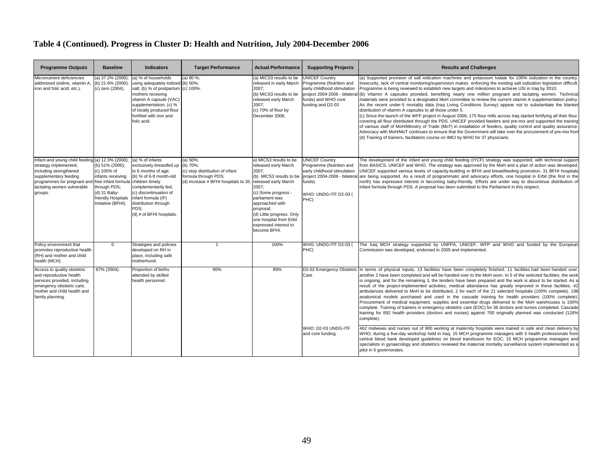| <b>Programme Outputs</b>                                                                                                                                                                             | <b>Baseline</b>                                                                                                                                      | <b>Indicators</b>                                                                                                                                                                                                                                     | <b>Target Performance</b>                                                                                                   | <b>Actual Performance</b>                                                                                                                                                                                                                                                                     | <b>Supporting Projects</b>                                                                                                                                   | <b>Results and Challenges</b>                                                                                                                                                                                                                                                                                                                                                                                                                                                                                                                                                                                                                                                                                                                                                                                                                                                                                                                                                                                                                                                                                                                                                                                                                                                                                           |
|------------------------------------------------------------------------------------------------------------------------------------------------------------------------------------------------------|------------------------------------------------------------------------------------------------------------------------------------------------------|-------------------------------------------------------------------------------------------------------------------------------------------------------------------------------------------------------------------------------------------------------|-----------------------------------------------------------------------------------------------------------------------------|-----------------------------------------------------------------------------------------------------------------------------------------------------------------------------------------------------------------------------------------------------------------------------------------------|--------------------------------------------------------------------------------------------------------------------------------------------------------------|-------------------------------------------------------------------------------------------------------------------------------------------------------------------------------------------------------------------------------------------------------------------------------------------------------------------------------------------------------------------------------------------------------------------------------------------------------------------------------------------------------------------------------------------------------------------------------------------------------------------------------------------------------------------------------------------------------------------------------------------------------------------------------------------------------------------------------------------------------------------------------------------------------------------------------------------------------------------------------------------------------------------------------------------------------------------------------------------------------------------------------------------------------------------------------------------------------------------------------------------------------------------------------------------------------------------------|
| Micronutrient deficiencies<br>addressed (iodine, vitamin A,<br>iron and folic acid, etc.).                                                                                                           | (a) 37.2% (2000)<br>(b) 21.6% (2000):<br>(c) zero (2004).                                                                                            | (a) % of households<br>using adequately iodized (b) 50%;<br>salt; (b) % of postpartum (c) 100%.<br>mothers receiving<br>vitamin A capsule (VAC)<br>supplementation; (c) %<br>of locally produced flour<br>fortified with iron and<br>folic acid.      | (a) 80 %;                                                                                                                   | (a) MICS3 results to be<br>released in early March<br>2007:<br>(b) MICS3 results to be<br>released early March<br>2007:<br>(c) 70% of flour by<br>December 2006.                                                                                                                              | <b>UNICEF Country</b><br>Programme (Nutrition and<br>early childhood stimulation<br>project 2004-2006 - bilatera<br>funds) and WHO core<br>funding and D2-03 | (a) Supported provision of salt iodization machines and potassium lodate for 100% iodization in the country.<br>Insecurity, lack of central monitoring/supervision makes enforcing the existing salt iodization legislation difficult.<br>Programme is being reviewed to establish new targets and milestones to achieve USI in Iraq by 2010;<br>(b) Vitamin A capsules provided, benefiting nearly one million pregnant and lactating women. Technical<br>materials were provided to a designated MoH committee to review the current vitamin A supplementation policy.<br>As the recent under-5 mortality data (Iraq Living Conditions Survey) appear not to substantiate the blanket<br>distribution of vitamin A capsules to all those under 5.<br>(c) Since the launch of the WFF project in August 2006, 175 flour mills across Iraq started fortifying all their flour<br>covering all flour distributed through the PDS. UNICEF provided feeders and pre-mix and supported the training<br>of various staff of MoH/Ministry of Trade (MoT) in installation of feeders, quality control and quality assurance<br>Advocacy with MoH/MoT continues to ensure that the Government will take over the procurement of pre-mix from<br>(d) Training of trainers, facilitators course on IMCI by WHO for 37 physicians. |
| Infant and young child feeding (a) 12.3% (2000);<br>strategy implemented,<br>including strengthened<br>supplementary feeding<br>programmes for pregnant and<br>lactating women vulnerable<br>groups. | (b) 51% (2000);<br>(c) 100% of<br>infants receiving<br>free infant formula<br>through PDS;<br>(d) 31 Baby-<br>friendly Hospitals<br>mitative (BFHI). | (a) % of infants<br>exclusively breastfed up<br>to 6 months of age;<br>(b) % of 6-9 month-old<br>children timely<br>complementarily fed;<br>(c) discontinuation of<br>infant formula (IF)<br>distribution through<br>PDS;<br>(d) # of BFHI hospitals. | (a) $50\%$ ;<br>(b) 70%;<br>(c) stop distribution of infant<br>formula through PDS:<br>(d) increase # BFHI hospitals to 35. | a) MICS3 results to be<br>released early March<br>2007;<br>(b) MICS3 results to be<br>released early March<br>2007;<br>(c) Some progress -<br>parliament was<br>approached with<br>proposal;<br>(d) Little progress. Only<br>one hospital from Erbil<br>expressed interest to<br>become BFHI. | <b>UNICEF Country</b><br>Programme (Nutrition and<br>early childhood stimulation<br>project 2004-2006 - bilatera<br>funds)<br>WHO: UNDG-ITF D2-03 (<br>PHC)  | The development of the infant and young child feeding (IYCF) strategy was supported, with technical suppor<br>from BASICS, UNICEF and WHO. The strategy was approved by the MoH and a plan of action was developed.<br>UNICEF supported various levels of capacity-building in BFHI and breastfeeding promotion. 31 BFHI hospitals<br>are being supported. As a result of programmatic and advocacy efforts, one hospital in Erbil (the first in the<br>north) has expressed interest in becoming baby-friendly. Efforts are under way to discontinue distribution of<br>infant formula through PDS. A proposal has been submitted to the Parliament in this respect.                                                                                                                                                                                                                                                                                                                                                                                                                                                                                                                                                                                                                                                   |
| Policy environment that<br>promotes reproductive health<br>(RH) and mother and child<br>health (MCH).                                                                                                | $\Omega$                                                                                                                                             | Strategies and policies<br>developed on RH in<br>place, including safe<br>motherhood.                                                                                                                                                                 | $\overline{1}$                                                                                                              | 100%                                                                                                                                                                                                                                                                                          | WHO: UNDG-ITF D2-03 (<br>PHC)                                                                                                                                | The Iraq MCH strategy supported by UNFPA, UNICEF, WFP and WHO and funded by the Europear<br>Commission was developed, endorsed in 2005 and implemented.                                                                                                                                                                                                                                                                                                                                                                                                                                                                                                                                                                                                                                                                                                                                                                                                                                                                                                                                                                                                                                                                                                                                                                 |
| Access to quality obstetric<br>and reproductive health<br>services provided, including<br>emergency obstetric care,<br>mother and child health and<br>family planning.                               | 67% (2004).                                                                                                                                          | Proportion of births<br>attended by skilled<br>health personnel.                                                                                                                                                                                      | 90%                                                                                                                         | 89%                                                                                                                                                                                                                                                                                           | D2-02 Emergency Obstetric<br>Care                                                                                                                            | In terms of physical inputs, 13 facilities have been completely finished. 11 facilities had been handed over:<br>another 2 have been completed and will be handed over to the MoH soon. In 5 of the selected facilities; the work<br>is ongoing, and for the remaining 3, the tenders have been prepared and the work is about to be started. As a<br>result of the project-implemented activities, medical attendance has greatly improved in these facilities. 42<br>ambulances delivered to MoH to be distributed, 2 for each of the 21 selected hospitals (100% complete). 198<br>anatomical models purchased and used in the cascade training for health providers (100% complete).<br>Procurement of medical equipment, supplies and essential drugs delivered to the MoH warehouses is 100%<br>complete. Training of trainers in emergency obstetric care (EOC) for 36 doctors and nurses completed. Cascade<br>training for 892 health providers (doctors and nurses) against 700 originally planned was conducted (128%<br>complete).                                                                                                                                                                                                                                                                          |
|                                                                                                                                                                                                      |                                                                                                                                                      |                                                                                                                                                                                                                                                       |                                                                                                                             |                                                                                                                                                                                                                                                                                               | WHO: D2-03 UNDG-ITF<br>and core funding                                                                                                                      | 462 midwives and nurses out of 900 working at maternity hospitals were trained in safe and clean delivery by<br>WHO; during a five-day workshop held in Iraq, 15 MCH programme managers with 5 health professionals from<br>central blood bank developed guidelines on blood transfusion for EOC; 15 MCH programme managers and<br>specialists in gynaecology and obstetrics reviewed the maternal mortality surveillance system implemented as a<br>pilot in 6 governorates.                                                                                                                                                                                                                                                                                                                                                                                                                                                                                                                                                                                                                                                                                                                                                                                                                                           |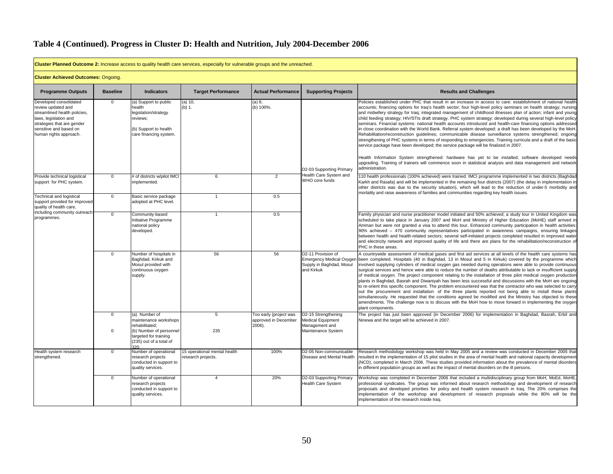**Cluster Planned Outcome 2:** Increase access to quality health care services, especially for vulnerable groups and the unreached.

| <b>Cluster Achieved Outcomes: Ongoing.</b>                                                                                                                                              |                             |                                                                                                                                                |                                                   |                                                          |                                                                                                 |                                                                                                                                                                                                                                                                                                                                                                                                                                                                                                                                                                                                                                                                                                                                                                                                                                                                                                                                                                                                                                                                                                                                                                                                                                                                       |  |  |
|-----------------------------------------------------------------------------------------------------------------------------------------------------------------------------------------|-----------------------------|------------------------------------------------------------------------------------------------------------------------------------------------|---------------------------------------------------|----------------------------------------------------------|-------------------------------------------------------------------------------------------------|-----------------------------------------------------------------------------------------------------------------------------------------------------------------------------------------------------------------------------------------------------------------------------------------------------------------------------------------------------------------------------------------------------------------------------------------------------------------------------------------------------------------------------------------------------------------------------------------------------------------------------------------------------------------------------------------------------------------------------------------------------------------------------------------------------------------------------------------------------------------------------------------------------------------------------------------------------------------------------------------------------------------------------------------------------------------------------------------------------------------------------------------------------------------------------------------------------------------------------------------------------------------------|--|--|
| <b>Programme Outputs</b>                                                                                                                                                                | <b>Baseline</b>             | <b>Indicators</b>                                                                                                                              | <b>Target Performance</b>                         | <b>Actual Performance</b>                                | <b>Supporting Projects</b>                                                                      | <b>Results and Challenges</b>                                                                                                                                                                                                                                                                                                                                                                                                                                                                                                                                                                                                                                                                                                                                                                                                                                                                                                                                                                                                                                                                                                                                                                                                                                         |  |  |
| Developed consolidated<br>review updated and<br>streamlined health policies,<br>laws, legislation and<br>strategies that are gender<br>sensitive and based on<br>human rights approach. | $\mathbf 0$                 | (a) Support to public<br>health<br>legislation/strategy<br>reviews;<br>(b) Support to health<br>care financing system.                         | (a) 10;<br>(b) 1.                                 | (a) 8;<br>(b) 100%.                                      | D2-03 Supporting Primary                                                                        | Policies established under PHC that result in an increase in access to care: establishment of national health<br>accounts; financing options for Irag's health sector; four high-level policy seminars on health strategy; nursing<br>and midwifery strategy for Irag; integrated management of childhood illnesses plan of action; infant and young<br>child feeding strategy; HIV/STIs draft strategy. PHC system strategy: developed during several high-level policy<br>seminars. Financial systems: national health accounts introduced and health-care financing options addressed<br>in close coordination with the World Bank. Referral system developed: a draft has been developed by the MoH<br>Rehabilitation/reconstruction guidelines; communicable disease surveillance systems strengthened; ongoing<br>strengthening of PHC systems in terms of responding to emergencies. Training curricula and a draft of the basic<br>service package have been developed; the service package will be finalized in 2007.<br>Health Information System strengthened: hardware has yet to be installed; software developed needs<br>upgrading. Training of trainers will commence soon in statistical analysis and data management and network<br>administration. |  |  |
| Provide technical logistical<br>support for PHC system.                                                                                                                                 | $\overline{0}$              | # of districts w/pilot IMCI<br>implemented.                                                                                                    | 6                                                 | $\overline{2}$                                           | Health Care System and<br>WHO core funds                                                        | 110 health professionals (100% achieved) were trained; IMCI programme implemented in two districts (Baghdad<br>Karkh and Rasafa) and will be implemented in the remaining four districts (2007) (the delay in implementation i<br>other districts was due to the security situation), which will lead to the reduction of under-5 morbidity and<br>mortality and raise awareness of families and communities regarding key health issues.                                                                                                                                                                                                                                                                                                                                                                                                                                                                                                                                                                                                                                                                                                                                                                                                                             |  |  |
| Technical and logistical<br>support provided for improved<br>quality of health care,                                                                                                    | $\mathbf{0}$                | Basic service package<br>adopted at PHC level.                                                                                                 | $\overline{1}$                                    | 0.5                                                      |                                                                                                 |                                                                                                                                                                                                                                                                                                                                                                                                                                                                                                                                                                                                                                                                                                                                                                                                                                                                                                                                                                                                                                                                                                                                                                                                                                                                       |  |  |
| including community outreach<br>programmes.                                                                                                                                             | $\overline{0}$              | Community-based<br>Initiative Programme<br>national policy<br>developed.                                                                       | 1                                                 | 0.5                                                      |                                                                                                 | Family physician and nurse practitioner model initiated and 50% achieved: a study tour in United Kingdom was<br>scheduled to take place in January 2007 and MoH and Ministry of Higher Education (MoHE) staff arrived ir<br>Amman but were not granted a visa to attend this tour. Enhanced community participation in health activities:<br>90% achieved - 470 community representatives participated in awareness campaigns, ensuring linkages<br>between health and health-related sectors; several self-initiated projects completed resulted in improved water<br>and electricity network and improved quality of life and there are plans for the rehabilitation/reconstruction of<br>PHC in these areas.                                                                                                                                                                                                                                                                                                                                                                                                                                                                                                                                                       |  |  |
|                                                                                                                                                                                         | $\Omega$                    | Number of hospitals in<br>Baghdad, Kirkuk and<br>Mosul provided with<br>continuous oxygen<br>supply.                                           | 56                                                | 56                                                       | D2-11 Provision of<br><b>Emergency Medical Oxyger</b><br>Supply in Baghdad, Mosul<br>and Kirkuk | A countrywide assessment of medical gases and first aid services at all levels of the health care systems has<br>been completed. Hospitals (40 in Baghdad, 13 in Mosul and 5 in Kirkuk) covered by the programme which<br>involved supplying cylinders of medical oxygen gas needed during operations were able to provide continuous<br>surgical services and hence were able to reduce the number of deaths attributable to lack or insufficient supply<br>of medical oxygen. The project component relating to the installation of three pilot medical oxygen production<br>plants in Baghdad, Basrah and Diwaniyah has been less successful and discussions with the MoH are ongoing<br>to re-orient this specific component. The problem encountered was that the contractor who was selected to carry<br>out the procurement and installation of the three plants reported not being able to install these plants<br>simultaneously. He requested that the conditions agreed be modified and the Ministry has objected to these<br>amendments. The challenge now is to discuss with the MoH how to move forward in implementing the oxyger<br>plant components.                                                                                                 |  |  |
|                                                                                                                                                                                         | $\mathbf{0}$<br>$\mathbf 0$ | (a) Number of<br>maintenance workshops<br>rehabilitated:<br>(b) Number of personnel<br>targeted for training<br>(235) out of a total of<br>320 | 5<br>235                                          | Too early (project was<br>approved in December<br>2006). | D2-15 Strengthening<br><b>Medical Equipment</b><br>Management and<br>Maintenance System         | The project has just been approved (in December 2006) for implementation in Baghdad, Basrah, Erbil and<br>Ninewa and the target will be achieved in 2007.                                                                                                                                                                                                                                                                                                                                                                                                                                                                                                                                                                                                                                                                                                                                                                                                                                                                                                                                                                                                                                                                                                             |  |  |
| Health system research<br>strengthened.                                                                                                                                                 | $\mathbf 0$                 | Number of operational<br>research projects<br>conducted in support to<br>quality services.                                                     | 15 operational mental health<br>esearch projects. | 100%                                                     | D2-05 Non-communicable<br>Disease and Mental Health                                             | Research methodology workshop was held in May 2005 and a review was conducted in December 2005 tha<br>resulted in the implementation of 15 pilot studies in the area of mental health and national capacity developmen<br>(NCD), completed in March 2006. These studies provided information about the prevalence of mental disorders<br>in different population groups as well as the impact of mental disorders on the ill persons.                                                                                                                                                                                                                                                                                                                                                                                                                                                                                                                                                                                                                                                                                                                                                                                                                                 |  |  |
|                                                                                                                                                                                         | $\mathbf{0}$                | Number of operational<br>research projects<br>conducted in support to<br>quality services.                                                     | 4                                                 | 20%                                                      | D2-03 Supporting Primary<br>Health Care System                                                  | Workshop was completed in December 2006 that included a multidisciplinary group from MoH, MoEd, MoHE,<br>professional syndicates. The group was informed about research methodology and development of research<br>proposals and developed priorities for policy and health system research in Iraq. The 20% comprises the<br>implementation of the workshop and development of research proposals while the 80% will be the<br>implementation of the research inside Iraq.                                                                                                                                                                                                                                                                                                                                                                                                                                                                                                                                                                                                                                                                                                                                                                                           |  |  |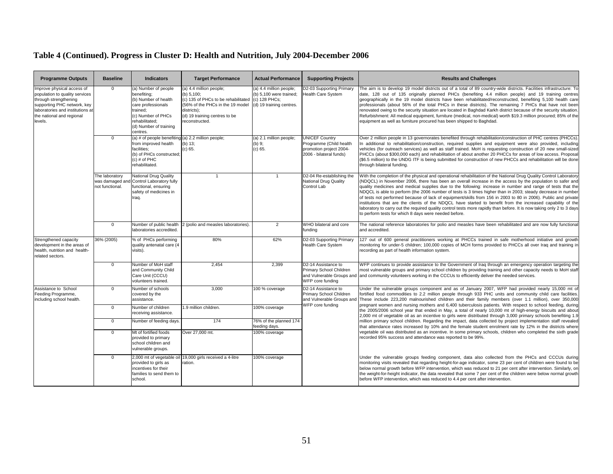| <b>Programme Outputs</b>                                                                                                                                                                         | <b>Baseline</b>                                      | <b>Indicators</b>                                                                                                                                                           | <b>Target Performance</b>                                                                                                                                                                        | <b>Actual Performance</b>                                                      | <b>Supporting Projects</b>                                                                             | <b>Results and Challenges</b>                                                                                                                                                                                                                                                                                                                                                                                                                                                                                                                                                                                                                                                                                                                                                                                                                                                      |
|--------------------------------------------------------------------------------------------------------------------------------------------------------------------------------------------------|------------------------------------------------------|-----------------------------------------------------------------------------------------------------------------------------------------------------------------------------|--------------------------------------------------------------------------------------------------------------------------------------------------------------------------------------------------|--------------------------------------------------------------------------------|--------------------------------------------------------------------------------------------------------|------------------------------------------------------------------------------------------------------------------------------------------------------------------------------------------------------------------------------------------------------------------------------------------------------------------------------------------------------------------------------------------------------------------------------------------------------------------------------------------------------------------------------------------------------------------------------------------------------------------------------------------------------------------------------------------------------------------------------------------------------------------------------------------------------------------------------------------------------------------------------------|
| Improve physical access of<br>population to quality services<br>through strengthening<br>supporting PHC network, key<br>laboratories and institutions at<br>the national and regional<br>levels. | $\mathbf{0}$                                         | (a) Number of people<br>benefiting:<br>(b) Number of health<br>care professionals<br>trained:<br>(c) Number of PHCs<br>rehabilitated;<br>(d) Number of training<br>centres. | (a) 4.4 million people;<br>(b) 5,100;<br>(c) 135 of PHCs to be rehabilitated (c) 128 PHCs:<br>(56% of the PHCs in the 19 model<br>districts):<br>(d) 19 training centres to be<br>reconstructed. | (a) 4.4 million people;<br>(b) 5,100 were trained;<br>(d) 19 training centres. | D2-03 Supporting Primary<br><b>Health Care System</b>                                                  | The aim is to develop 19 model districts out of a total of 89 country-wide districts. Facilities infrastructure: To<br>date, 128 out of 135 originally planned PHCs (benefiting 4.4 million people) and 19 training centres<br>geographically in the 19 model districts have been rehabilitated/reconstructed, benefiting 5,100 health care<br>professionals (about 56% of the total PHCs in these districts). The remaining 7 PHCs that have not beer<br>renovated owing to the security situation are located in Baghdad Karkh district because of the security situation<br>Refurbishment: All medical equipment, furniture (medical, non-medical) worth \$19.3 million procured; 85% of the<br>equipment as well as furniture procured has been shipped to Baghdad.                                                                                                            |
|                                                                                                                                                                                                  | $\Omega$                                             | (a) # of people benefiting (a) 2.2 million people;<br>from improved health<br>facilities;<br>(b) of PHCs constructed;<br>$(c)$ # of PHC<br>rehabilitated.                   | (b) 13;<br>(c) 65.                                                                                                                                                                               | (a) 2.1 million people;<br>$(b) 9$ ;<br>(c) 65.                                | <b>UNICEF Country</b><br>Programme (Child health<br>promotion project 2004-<br>2006 - bilateral funds) | Over 2 million people in 13 governorates benefited through rehabilitation/construction of PHC centres (PHCCs)<br>In additional to rehabilitation/construction, required supplies and equipment were also provided, including<br>vehicles (for outreach services) as well as staff trained. MoH is requesting construction of 20 new small-sized<br>PHCCs (about \$300,000 each) and rehabilitation of about another 20 PHCCs for areas of low access. Proposa<br>(\$6.5 million) to the UNDG ITF is being submitted for construction of new PHCCs and rehabilitation will be done<br>through bilateral funding.                                                                                                                                                                                                                                                                    |
|                                                                                                                                                                                                  | The laboratory<br>was damaged and<br>not functional. | National Drug Quality<br>Control Laboratory fully<br>functional, ensuring<br>safety of medicines in<br>Irag.                                                                | $\overline{1}$                                                                                                                                                                                   | $\overline{1}$                                                                 | D2-04 Re-establishing the<br><b>National Drug Quality</b><br>Control Lab                               | With the completion of the physical and operational rehabilitation of the National Drug Quality Control Laboratory<br>(NDQCL) in November 2006, there has been an overall increase in the access by the population to safer and<br>quality medicines and medical supplies due to the following: increase in number and range of tests that the<br>NDQCL is able to perform (the 2006 number of tests is 3 times higher than in 2003; steady decrease in number<br>of tests not performed because of lack of equipment/skills from 156 in 2003 to 80 in 2006). Public and private<br>institutions that are the clients of the NDQCL have started to benefit from the increased capability of the<br>laboratory to carry out the required quality control tests more rapidly than before. It is now taking only 2 to 3 days<br>to perform tests for which 8 days were needed before. |
|                                                                                                                                                                                                  | $\mathbf 0$                                          | Number of public health<br>laboratories accredited.                                                                                                                         | 2 (polio and measles laboratories)                                                                                                                                                               | $\overline{2}$                                                                 | WHO bilateral and core<br>funding                                                                      | The national reference laboratories for polio and measles have been rehabilitated and are now fully functiona<br>and accredited.                                                                                                                                                                                                                                                                                                                                                                                                                                                                                                                                                                                                                                                                                                                                                   |
| Strengthened capacity<br>development in the areas of<br>health, nutrition and health-<br>related sectors.                                                                                        | 36% (2005)                                           | % of PHCs performing<br>quality antenatal care (4<br>visits).                                                                                                               | 80%                                                                                                                                                                                              | 62%                                                                            | D2-03 Supporting Primary<br><b>Health Care System</b>                                                  | 127 out of 600 general practitioners working at PHCCs trained in safe motherhood initiative and growth<br>monitoring for under-5 children; 100,000 copies of MCH forms provided to PHCCs all over Iraq and training ir<br>recording as part of health information system.                                                                                                                                                                                                                                                                                                                                                                                                                                                                                                                                                                                                          |
|                                                                                                                                                                                                  | $\Omega$                                             | Number of MoH staff<br>and Community Child<br>Care Unit (CCCU)<br>volunteers trained.                                                                                       | 2.454                                                                                                                                                                                            | 2,399                                                                          | D2-14 Assistance to<br>Primary School Children<br>and Vulnerable Groups and<br>WFP core funding        | WFP continues to provide assistance to the Government of Iraq through an emergency operation targeting the<br>most vulnerable groups and primary school children by providing training and other capacity needs to MoH staff<br>and community volunteers working in the CCCUs to efficiently deliver the needed services.                                                                                                                                                                                                                                                                                                                                                                                                                                                                                                                                                          |
| Assistance to School<br>Feeding Programme,<br>including school health.                                                                                                                           | $\Omega$                                             | Number of schools<br>covered by the<br>assistance.                                                                                                                          | 3,000                                                                                                                                                                                            | 100 % coverage                                                                 | D2-14 Assistance to<br>Primary School Children<br>and Vulnerable Groups and                            | Under the vulnerable groups component and as of January 2007, WFP had provided nearly 15,000 mt of<br>fortified food commodities to 2.2 million people through 933 PHC units and community child care facilities<br>These include 223,200 malnourished children and their family members (over 1.1 million), over 350,000                                                                                                                                                                                                                                                                                                                                                                                                                                                                                                                                                          |
|                                                                                                                                                                                                  | $\overline{0}$                                       | Number of children<br>receiving assistance.                                                                                                                                 | 1.9 million children.                                                                                                                                                                            | 100% coverage                                                                  | WFP core funding                                                                                       | pregnant women and nursing mothers and 6,400 tuberculosis patients. With respect to school feeding, during<br>the 2005/2006 school year that ended in May, a total of nearly 10,000 mt of high-energy biscuits and about<br>2,000 mt of vegetable oil as an incentive to girls were distributed through 3,000 primary schools benefiting 1.9                                                                                                                                                                                                                                                                                                                                                                                                                                                                                                                                       |
|                                                                                                                                                                                                  | $\Omega$                                             | Number of feeding days                                                                                                                                                      | 174                                                                                                                                                                                              | 76% of the planned 174<br>feeding days.                                        |                                                                                                        | million primary school children. Regarding the impact, data collected by project implementation staff revealed<br>that attendance rates increased by 10% and the female student enrolment rate by 12% in the districts where                                                                                                                                                                                                                                                                                                                                                                                                                                                                                                                                                                                                                                                       |
|                                                                                                                                                                                                  | $\Omega$                                             | Mt of fortified foods<br>provided to primary<br>school children and<br>vulnerable groups.                                                                                   | Over 27,000 mt.                                                                                                                                                                                  | 100% coverage                                                                  |                                                                                                        | vegetable oil was distributed as an incentive. In some primary schools, children who completed the sixth grade<br>recorded 95% success and attendance was reported to be 99%.                                                                                                                                                                                                                                                                                                                                                                                                                                                                                                                                                                                                                                                                                                      |
|                                                                                                                                                                                                  | $\mathbf 0$                                          | 2,000 mt of vegetable oi<br>provided to girls as<br>incentives for their<br>families to send them to<br>school.                                                             | 19,000 girls received a 4-litre<br>ration.                                                                                                                                                       | 100% coverage                                                                  |                                                                                                        | Under the vulnerable groups feeding component, data also collected from the PHCs and CCCUs during<br>monitoring visits revealed that regarding height-for-age indicator, some 23 per cent of children were found to be<br>below normal growth before WFP intervention, which was reduced to 21 per cent after intervention. Similarly, or<br>the weight-for-height indicator, the data revealed that some 7 per cent of the children were below normal growth<br>before WFP intervention, which was reduced to 4.4 per cent after intervention.                                                                                                                                                                                                                                                                                                                                    |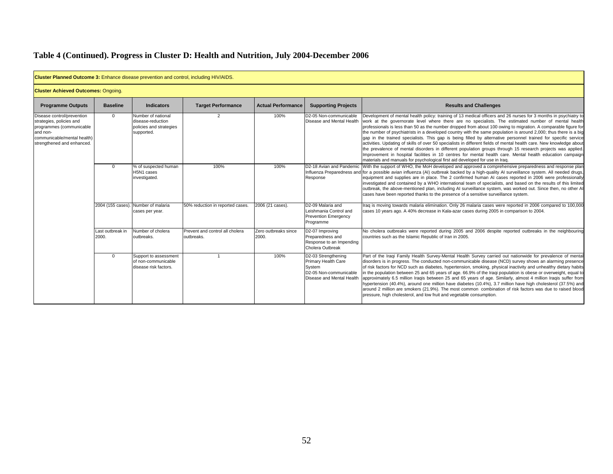| <b>Cluster Planned Outcome 3:</b> Enhance disease prevention and control, including HIV/AIDS.                                                              |                           |                                                                                  |                                               |                               |                                                                                                             |                                                                                                                                                                                                                                                                                                                                                                                                                                                                                                                                                                                                                                                                                                                                                                                                                                                                                                                                                                                                                     |
|------------------------------------------------------------------------------------------------------------------------------------------------------------|---------------------------|----------------------------------------------------------------------------------|-----------------------------------------------|-------------------------------|-------------------------------------------------------------------------------------------------------------|---------------------------------------------------------------------------------------------------------------------------------------------------------------------------------------------------------------------------------------------------------------------------------------------------------------------------------------------------------------------------------------------------------------------------------------------------------------------------------------------------------------------------------------------------------------------------------------------------------------------------------------------------------------------------------------------------------------------------------------------------------------------------------------------------------------------------------------------------------------------------------------------------------------------------------------------------------------------------------------------------------------------|
| <b>Cluster Achieved Outcomes: Ongoing.</b>                                                                                                                 |                           |                                                                                  |                                               |                               |                                                                                                             |                                                                                                                                                                                                                                                                                                                                                                                                                                                                                                                                                                                                                                                                                                                                                                                                                                                                                                                                                                                                                     |
| <b>Programme Outputs</b>                                                                                                                                   | <b>Baseline</b>           | <b>Indicators</b>                                                                | <b>Target Performance</b>                     | <b>Actual Performance</b>     | <b>Supporting Projects</b>                                                                                  | <b>Results and Challenges</b>                                                                                                                                                                                                                                                                                                                                                                                                                                                                                                                                                                                                                                                                                                                                                                                                                                                                                                                                                                                       |
| Disease control/prevention<br>strategies, policies and<br>programmes (communicable<br>and non-<br>communicable/mental health)<br>strengthened and enhanced | $\Omega$                  | Number of national<br>disease-reduction<br>policies and strategies<br>supported. | 2                                             | 100%                          | D2-05 Non-communicable<br>Disease and Mental Health                                                         | Development of mental health policy: training of 13 medical officers and 26 nurses for 3 months in psychiatry to<br>work at the governorate level where there are no specialists. The estimated number of mental health<br>professionals is less than 50 as the number dropped from about 100 owing to migration. A comparable figure for<br>the number of psychiatrists in a developed country with the same population is around 2,000; thus there is a big<br>gap in the trained specialists. This gap is being filled by alternative personnel trained for specific service<br>activities. Updating of skills of over 50 specialists in different fields of mental health care. New knowledge about<br>the prevalence of mental disorders in different population groups through 15 research projects was applied.<br>Improvement in hospital facilities in 10 centres for mental health care. Mental health education campaign<br>materials and manuals for psychological first aid developed for use in Iraq. |
|                                                                                                                                                            | $\Omega$                  | % of suspected human<br>H5N1 cases<br>investigated.                              | 100%                                          | 100%                          | D2-18 Avian and Pandemic<br>Response                                                                        | With the support of WHO, the MoH developed and approved a comprehensive preparedness and response plan<br>Influenza Preparedness and for a possible avian influenza (AI) outbreak backed by a high-quality AI surveillance system. All needed drugs,<br>equipment and supplies are in place. The 2 confirmed human AI cases reported in 2006 were professionally<br>investigated and contained by a WHO international team of specialists, and based on the results of this limited<br>outbreak, the above-mentioned plan, including AI surveillance system, was worked out. Since then, no other AI<br>cases have been reported thanks to the presence of a sensitive surveillance system.                                                                                                                                                                                                                                                                                                                         |
|                                                                                                                                                            | 2004 (155 cases).         | . Number of malaria<br>cases per year.                                           | 50% reduction in reported cases.              | 2006 (21 cases).              | D2-09 Malaria and<br>Leishmania Control and<br><b>Prevention Emergency</b><br>Programme                     | Iraq is moving towards malaria elimination. Only 26 malaria cases were reported in 2006 compared to 100,000<br>cases 10 years ago. A 40% decrease in Kala-azar cases during 2005 in comparison to 2004.                                                                                                                                                                                                                                                                                                                                                                                                                                                                                                                                                                                                                                                                                                                                                                                                             |
|                                                                                                                                                            | Last outbreak in<br>2000. | Number of cholera<br>outbreaks.                                                  | Prevent and control all cholera<br>outbreaks. | Zero outbreaks since<br>2000. | D2-07 Improving<br>Preparedness and<br>Response to an Impending<br>Cholera Outbreak                         | No cholera outbreaks were reported during 2005 and 2006 despite reported outbreaks in the neighbouring<br>countries such as the Islamic Republic of Iran in 2005.                                                                                                                                                                                                                                                                                                                                                                                                                                                                                                                                                                                                                                                                                                                                                                                                                                                   |
|                                                                                                                                                            | $\Omega$                  | Support to assessment<br>of non-communicable<br>disease risk factors.            |                                               | 100%                          | D2-03 Strengthening<br>Primary Health Care<br>System<br>D2-05 Non-communicable<br>Disease and Mental Health | Part of the Iraqi Family Health Survey-Mental Health Survey carried out nationwide for prevalence of mental<br>disorders is in progress. The conducted non-communicable disease (NCD) survey shows an alarming presence<br>of risk factors for NCD such as diabetes, hypertension, smoking, physical inactivity and unhealthy dietary habits<br>in the population between 25 and 65 years of age. 66.9% of the Iraqi population is obese or overweight, equal to<br>approximately 6.5 million Iraqis between 25 and 65 years of age. Similarly, almost 4 million Iraqis suffer from<br>hypertension (40.4%), around one million have diabetes (10.4%), 3.7 million have high cholesterol (37.5%) and<br>around 2 million are smokers (21.9%). The most common combination of risk factors was due to raised blood<br>pressure, high cholesterol, and low fruit and vegetable consumption.                                                                                                                           |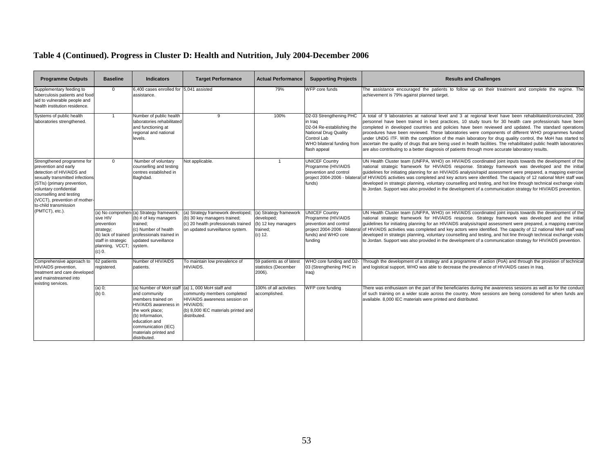| <b>Programme Outputs</b>                                                                                                                                                                                                                                         | <b>Baseline</b>                                                                                                                     | <b>Indicators</b>                                                                                                                                                                                               | <b>Target Performance</b>                                                                                                                                    | <b>Actual Performance</b>                                                          | <b>Supporting Projects</b>                                                                                                                            | <b>Results and Challenges</b>                                                                                                                                                                                                                                                                                                                                                                                                                                                                                                                                                                                                                                                                                                                                                          |
|------------------------------------------------------------------------------------------------------------------------------------------------------------------------------------------------------------------------------------------------------------------|-------------------------------------------------------------------------------------------------------------------------------------|-----------------------------------------------------------------------------------------------------------------------------------------------------------------------------------------------------------------|--------------------------------------------------------------------------------------------------------------------------------------------------------------|------------------------------------------------------------------------------------|-------------------------------------------------------------------------------------------------------------------------------------------------------|----------------------------------------------------------------------------------------------------------------------------------------------------------------------------------------------------------------------------------------------------------------------------------------------------------------------------------------------------------------------------------------------------------------------------------------------------------------------------------------------------------------------------------------------------------------------------------------------------------------------------------------------------------------------------------------------------------------------------------------------------------------------------------------|
| Supplementary feeding to<br>tuberculosis patients and food<br>aid to vulnerable people and<br>health institution residence.                                                                                                                                      | $\Omega$                                                                                                                            | 6,400 cases enrolled for 5,041 assisted<br>assistance.                                                                                                                                                          |                                                                                                                                                              | 79%                                                                                | WFP core funds                                                                                                                                        | The assistance encouraged the patients to follow up on their treatment and complete the regime. The<br>achievement is 79% against planned target                                                                                                                                                                                                                                                                                                                                                                                                                                                                                                                                                                                                                                       |
| Systems of public health<br>laboratories strengthened.                                                                                                                                                                                                           |                                                                                                                                     | Number of public health<br>laboratories rehabilitated<br>and functioning at<br>regional and national<br>levels.                                                                                                 | 9                                                                                                                                                            | 100%                                                                               | D2-03 Strengthening PHC<br>in Iraq<br>D2-04 Re-establishing the<br>National Drug Quality<br>Control Lab<br>WHO bilateral funding from<br>flash appeal | A total of 9 laboratories at national level and 3 at regional level have been rehabilitated/constructed, 200<br>personnel have been trained in best practices, 10 study tours for 30 health care professionals have been<br>completed in developed countries and policies have been reviewed and updated. The standard operations<br>procedures have been reviewed. These laboratories were components of different WHO programmes funded<br>under UNDG ITF. With the completion of the main laboratory for drug quality control, the MoH has started to<br>ascertain the quality of drugs that are being used in health facilities. The rehabilitated public health laboratories<br>are also contributing to a better diagnosis of patients through more accurate laboratory results. |
| Strengthened programme for<br>prevention and early<br>detection of HIV/AIDS and<br>sexually transmitted infections<br>(STIs) (primary prevention,<br>voluntary confidential<br>counselling and testing<br>(VCCT), prevention of mother-<br>to-child transmission | 0                                                                                                                                   | Number of voluntary<br>counselling and testing<br>centres established in<br>Baghdad.                                                                                                                            | Not applicable.                                                                                                                                              | $\mathbf{1}$                                                                       | <b>UNICEF Country</b><br>Programme (HIV/AIDS<br>prevention and control<br>funds)                                                                      | UN Health Cluster team (UNFPA, WHO) on HIV/AIDS coordinated joint inputs towards the development of the<br>national strategic framework for HIV/AIDS response. Strategy framework was developed and the initial<br>guidelines for initiating planning for an HIV/AIDS analysis/rapid assessment were prepared, a mapping exercise<br>project 2004-2006 - bilateral of HIV/AIDS activities was completed and key actors were identified. The capacity of 12 national MoH staff was<br>developed in strategic planning, voluntary counselling and testing, and hot line through technical exchange visits<br>to Jordan. Support was also provided in the development of a communication strategy for HIV/AIDS prevention.                                                                |
| (PMTCT), etc.).                                                                                                                                                                                                                                                  | (a) No comprehen<br>sive HIV<br>prevention<br>strategy;<br>(b) lack of trained<br>staff in strategic<br>planning, VCCT;<br>$(c)$ 0. | -(a) Strategy framework;<br>(b) # of key managers<br>trained:<br>(c) Number of health<br>professionals trained in<br>updated surveillance<br>system.                                                            | (a) Strategy framework developed;<br>(b) 30 key managers trained;<br>(c) 20 health professionals trained<br>on updated surveillance system.                  | (a) Strategy framework<br>developed;<br>(b) 12 key managers<br>trained;<br>(c) 12. | <b>UNICEF Country</b><br>Programme (HIV/AIDS<br>prevention and control<br>funds) and WHO core<br>funding                                              | UN Health Cluster team (UNFPA, WHO) on HIV/AIDS coordinated joint inputs towards the development of the<br>national strategic framework for HIV/AIDS response. Strategy framework was developed and the initial<br>quidelines for initiating planning for an HIV/AIDS analysis/rapid assessment were prepared, a mapping exercise<br>project 2004-2006 - bilateral of HIV/AIDS activities was completed and key actors were identified. The capacity of 12 national MoH staff was<br>developed in strategic planning, voluntary counselling and testing, and hot line through technical exchange visits<br>to Jordan. Support was also provided in the development of a communication strategy for HIV/AIDS prevention.                                                                |
| Comprehensive approach to<br>HIV/AIDS prevention,<br>treatment and care developed<br>and mainstreamed into<br>existing services.                                                                                                                                 | 62 patients<br>registered.                                                                                                          | Number of HIV/AIDS<br>patients.                                                                                                                                                                                 | To maintain low prevalence of<br>HIV/AIDS.                                                                                                                   | 59 patients as of latest<br>statistics (December<br>2006).                         | WHO core funding and D2<br>03 (Strengthening PHC in<br>Iraq)                                                                                          | Through the development of a strategy and a programme of action (PoA) and through the provision of technical<br>and logistical support, WHO was able to decrease the prevalence of HIV/AIDS cases in Iraq.                                                                                                                                                                                                                                                                                                                                                                                                                                                                                                                                                                             |
|                                                                                                                                                                                                                                                                  | $(a)$ 0;<br>$(b)$ 0.                                                                                                                | (a) Number of MoH staff<br>and community<br>members trained on<br>HIV/AIDS awareness in<br>the work place;<br>(b) Information,<br>education and<br>communication (IEC)<br>materials printed and<br>distributed. | (a) 1, 000 MoH staff and<br>community members completed<br>HIV/AIDS awareness session on<br>HIV/AIDS:<br>(b) 8,000 IEC materials printed and<br>distributed. | 100% of all activities<br>accomplished.                                            | WFP core funding                                                                                                                                      | There was enthusiasm on the part of the beneficiaries during the awareness sessions as well as for the conduct<br>of such training on a wider scale across the country. More sessions are being considered for when funds are<br>available. 8,000 IEC materials were printed and distributed.                                                                                                                                                                                                                                                                                                                                                                                                                                                                                          |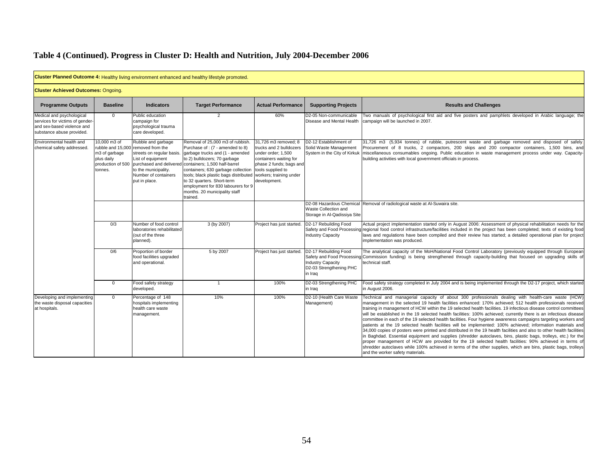|                                                                                                                         |                                                                             |                                                                                                                                                                             | Cluster Planned Outcome 4: Healthy living environment enhanced and healthy lifestyle promoted.                                                                                                                                                                                                                                                                                                  |                                                                                                                                                                                            |                                                                                                                      |                                                                                                                                                                                                                                                                                                                                                                                                                                                                                                                                                                                                                                                                                                                                                                                                                                                                                                                                                                                                                                                                                                                                                                                                     |
|-------------------------------------------------------------------------------------------------------------------------|-----------------------------------------------------------------------------|-----------------------------------------------------------------------------------------------------------------------------------------------------------------------------|-------------------------------------------------------------------------------------------------------------------------------------------------------------------------------------------------------------------------------------------------------------------------------------------------------------------------------------------------------------------------------------------------|--------------------------------------------------------------------------------------------------------------------------------------------------------------------------------------------|----------------------------------------------------------------------------------------------------------------------|-----------------------------------------------------------------------------------------------------------------------------------------------------------------------------------------------------------------------------------------------------------------------------------------------------------------------------------------------------------------------------------------------------------------------------------------------------------------------------------------------------------------------------------------------------------------------------------------------------------------------------------------------------------------------------------------------------------------------------------------------------------------------------------------------------------------------------------------------------------------------------------------------------------------------------------------------------------------------------------------------------------------------------------------------------------------------------------------------------------------------------------------------------------------------------------------------------|
| <b>Cluster Achieved Outcomes: Ongoing.</b>                                                                              |                                                                             |                                                                                                                                                                             |                                                                                                                                                                                                                                                                                                                                                                                                 |                                                                                                                                                                                            |                                                                                                                      |                                                                                                                                                                                                                                                                                                                                                                                                                                                                                                                                                                                                                                                                                                                                                                                                                                                                                                                                                                                                                                                                                                                                                                                                     |
| <b>Programme Outputs</b>                                                                                                | <b>Baseline</b>                                                             | <b>Indicators</b>                                                                                                                                                           | <b>Target Performance</b>                                                                                                                                                                                                                                                                                                                                                                       | <b>Actual Performance</b>                                                                                                                                                                  | <b>Supporting Projects</b>                                                                                           | <b>Results and Challenges</b>                                                                                                                                                                                                                                                                                                                                                                                                                                                                                                                                                                                                                                                                                                                                                                                                                                                                                                                                                                                                                                                                                                                                                                       |
| Medical and psychological<br>services for victims of gender-<br>and sex-based violence and<br>substance abuse provided. | $\mathbf 0$                                                                 | Public education<br>campaign for<br>psychological trauma<br>care developed.                                                                                                 | 2                                                                                                                                                                                                                                                                                                                                                                                               | 60%                                                                                                                                                                                        | D2-05 Non-communicable<br>Disease and Mental Health                                                                  | Two manuals of psychological first aid and five posters and pamphlets developed in Arabic language; the<br>campaign will be launched in 2007.                                                                                                                                                                                                                                                                                                                                                                                                                                                                                                                                                                                                                                                                                                                                                                                                                                                                                                                                                                                                                                                       |
| Environmental health and<br>chemical safety addressed.                                                                  | 10,000 m3 of<br>m3 of garbage<br>plus daily<br>production of 500<br>tonnes. | Rubble and garbage<br>rubble and 15,000 removed from the<br>streets on regular basis.<br>List of equipment<br>to the municipality.<br>Number of containers<br>put in place. | Removal of 25,000 m3 of rubbish.<br>Purchase of: (7 - amended to 8)<br>garbage trucks and (1 - amended<br>to 2) bulldozers; 70 garbage<br>purchased and delivered containers; 1,500 half-barrel<br>containers; 630 garbage collection<br>tools; black plastic bags distributed<br>to 32 quarters. Short-term<br>employment for 830 labourers for 9<br>months. 20 municipality staff<br>trained. | 31,726 m3 removed; 8<br>trucks and 2 bulldozers<br>under order; 1,500<br>containers waiting for<br>phase 2 funds; bags and<br>tools supplied to<br>workers; training under<br>development. | D2-12 Establishment of<br>Solid Waste Management<br>System in the City of Kirkuk                                     | 31,726 m3 (5,934 tonnes) of rubble, putrescent waste and garbage removed and disposed of safely.<br>Procurement of 8 trucks, 2 compactors, 200 skips and 200 compactor containers, 1,500 bins, and<br>miscellaneous consumables ongoing. Public education in waste management process under way. Capacity-<br>building activities with local government officials in process.                                                                                                                                                                                                                                                                                                                                                                                                                                                                                                                                                                                                                                                                                                                                                                                                                       |
|                                                                                                                         |                                                                             |                                                                                                                                                                             |                                                                                                                                                                                                                                                                                                                                                                                                 |                                                                                                                                                                                            | D2-08 Hazardous Chemical<br>Waste Collection and<br>Storage in Al-Qadissiya Site                                     | Removal of radiological waste at Al-Suwaira site.                                                                                                                                                                                                                                                                                                                                                                                                                                                                                                                                                                                                                                                                                                                                                                                                                                                                                                                                                                                                                                                                                                                                                   |
|                                                                                                                         | 0/3                                                                         | Number of food control<br>laboratories rehabilitated<br>(out of the three<br>planned).                                                                                      | 3 (by 2007)                                                                                                                                                                                                                                                                                                                                                                                     | Project has just started                                                                                                                                                                   | D2-17 Rebuilding Food<br>Safety and Food Processin<br><b>Industry Capacity</b>                                       | Actual project implementation started only in August 2006: Assessment of physical rehabilitation needs for the<br>regional food control infrastructure/facilities included in the project has been completed; texts of existing food<br>laws and regulations have been compiled and their review has started; a detailed operational plan for project<br>implementation was produced.                                                                                                                                                                                                                                                                                                                                                                                                                                                                                                                                                                                                                                                                                                                                                                                                               |
|                                                                                                                         | 0/6                                                                         | Proportion of border<br>food facilities upgraded<br>and operational.                                                                                                        | 5 by 2007                                                                                                                                                                                                                                                                                                                                                                                       | Project has just started                                                                                                                                                                   | D2-17 Rebuilding Food<br>Safety and Food Processin<br><b>Industry Capacity</b><br>D2-03 Strengthening PHC<br>in Iraq | The analytical capacity of the MoH/National Food Control Laboratory (previously equipped through European<br>Commission funding) is being strengthened through capacity-building that focused on upgrading skills of<br>technical staff.                                                                                                                                                                                                                                                                                                                                                                                                                                                                                                                                                                                                                                                                                                                                                                                                                                                                                                                                                            |
|                                                                                                                         | $\Omega$                                                                    | Food safety strategy<br>developed.                                                                                                                                          | $\overline{1}$                                                                                                                                                                                                                                                                                                                                                                                  | 100%                                                                                                                                                                                       | D2-03 Strengthening PHC<br>in Iraq                                                                                   | Food safety strategy completed in July 2004 and is being implemented through the D2-17 project, which started<br>in August 2006.                                                                                                                                                                                                                                                                                                                                                                                                                                                                                                                                                                                                                                                                                                                                                                                                                                                                                                                                                                                                                                                                    |
| Developing and implementing<br>the waste disposal capacities<br>at hospitals.                                           | $\Omega$                                                                    | Percentage of 148<br>hospitals implementing<br>health care waste<br>management.                                                                                             | 10%                                                                                                                                                                                                                                                                                                                                                                                             | 100%                                                                                                                                                                                       | D2-10 (Health Care Waste<br>Management)                                                                              | Technical and managerial capacity of about 300 professionals dealing with health-care waste (HCW)<br>management in the selected 19 health facilities enhanced: 170% achieved; 512 health professionals received<br>training in management of HCW within the 19 selected health facilities. 19 infectious disease control committees<br>will be established in the 19 selected health facilities: 100% achieved; currently there is an infectious disease<br>committee in each of the 19 selected health facilities. Four hygiene awareness campaigns targeting workers and<br>patients at the 19 selected health facilities will be implemented: 100% achieved; information materials and<br>34,000 copies of posters were printed and distributed in the 19 health facilities and also to other health facilities<br>in Baghdad. Essential equipment and supplies (shredder autoclaves, bins, plastic bags, trolleys, etc.) for the<br>proper management of HCW are provided for the 19 selected health facilities: 90% achieved in terms of<br>shredder autoclaves while 100% achieved in terms of the other supplies, which are bins, plastic bags, trolleys<br>and the worker safety materials. |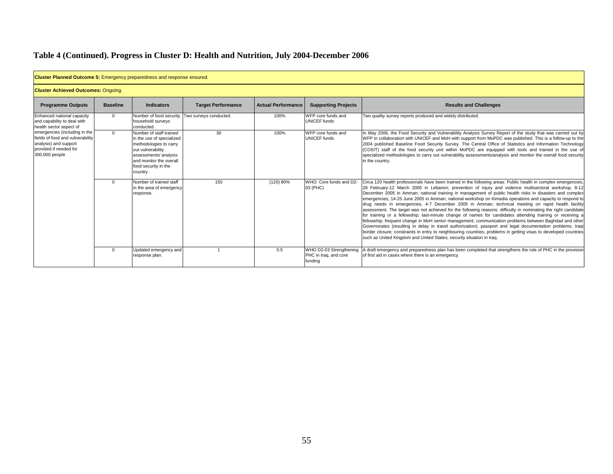| <b>Cluster Planned Outcome 5:</b> Emergency preparedness and response ensured.                                                         |                 |                                                                                                                                                                                             |                                                |                           |                                                             |                                                                                                                                                                                                                                                                                                                                                                                                                                                                                                                                                                                                                                                                                                                                                                                                                                                                                                                                                                                                                                                                                                                                                                                                            |
|----------------------------------------------------------------------------------------------------------------------------------------|-----------------|---------------------------------------------------------------------------------------------------------------------------------------------------------------------------------------------|------------------------------------------------|---------------------------|-------------------------------------------------------------|------------------------------------------------------------------------------------------------------------------------------------------------------------------------------------------------------------------------------------------------------------------------------------------------------------------------------------------------------------------------------------------------------------------------------------------------------------------------------------------------------------------------------------------------------------------------------------------------------------------------------------------------------------------------------------------------------------------------------------------------------------------------------------------------------------------------------------------------------------------------------------------------------------------------------------------------------------------------------------------------------------------------------------------------------------------------------------------------------------------------------------------------------------------------------------------------------------|
| <b>Cluster Achieved Outcomes: Ongoing.</b>                                                                                             |                 |                                                                                                                                                                                             |                                                |                           |                                                             |                                                                                                                                                                                                                                                                                                                                                                                                                                                                                                                                                                                                                                                                                                                                                                                                                                                                                                                                                                                                                                                                                                                                                                                                            |
| <b>Programme Outputs</b>                                                                                                               | <b>Baseline</b> | <b>Indicators</b>                                                                                                                                                                           | <b>Target Performance</b>                      | <b>Actual Performance</b> | <b>Supporting Projects</b>                                  | <b>Results and Challenges</b>                                                                                                                                                                                                                                                                                                                                                                                                                                                                                                                                                                                                                                                                                                                                                                                                                                                                                                                                                                                                                                                                                                                                                                              |
| Enhanced national capacity<br>and capability to deal with<br>health sector aspect of                                                   | $\Omega$        | household surveys<br>conducted.                                                                                                                                                             | Number of food security Two surveys conducted. | 100%                      | WFP core funds and<br><b>UNICEF</b> funds                   | Two quality survey reports produced and widely distributed.                                                                                                                                                                                                                                                                                                                                                                                                                                                                                                                                                                                                                                                                                                                                                                                                                                                                                                                                                                                                                                                                                                                                                |
| emergencies (including in the<br>fields of food and vulnerability<br>analysis) and support<br>provided if needed for<br>300,000 people | $\mathbf{0}$    | Number of staff trained<br>in the use of specialized<br>methodologies to carry<br>out vulnerability<br>assessments/ analysis<br>and monitor the overall<br>food security in the<br>country. | 30                                             | 100%                      | WFP core funds and<br><b>UNICEF</b> funds                   | In May 2006, the Food Security and Vulnerability Analysis Survey Report of the study that was carried out by<br>WFP in collaboration with UNICEF and MoH with support from MoPDC was published. This is a follow-up to the<br>2004 published Baseline Food Security Survey. The Central Office of Statistics and Information Technology<br>(COSIT) staff of the food security unit within MoPDC are equipped with tools and trained in the use of<br>specialized methodologies to carry out vulnerability assessments/analysis and monitor the overall food security<br>in the country.                                                                                                                                                                                                                                                                                                                                                                                                                                                                                                                                                                                                                    |
|                                                                                                                                        | $\Omega$        | Number of trained staff<br>in the area of emergency<br>response.                                                                                                                            | 150                                            | (120) 80%                 | WHO: Core funds and D2-<br>03 (PHC)                         | Circa 120 health professionals have been trained in the following areas: Public health in complex emergencies,<br>28 February-12 March 2005 in Lebanon; prevention of injury and violence multisectoral workshop, 8-12<br>December 2005 in Amman; national training in management of public health risks in disasters and complex<br>emergencies, 14-25 June 2005 in Amman; national workshop on Kimadia operations and capacity to respond to<br>drug needs in emergencies, 4-7 December 2005 in Amman; technical meeting on rapid health facility<br>assessment. The target was not achieved for the following reasons: difficulty in nominating the right candidate<br>for training or a fellowship; last-minute change of names for candidates attending training or receiving a<br>fellowship; frequent change in MoH senior management; communication problems between Baghdad and other<br>Governorates (resulting in delay in travel authorization); passport and legal documentation problems; Iragi<br>border closure; constraints in entry to neighbouring countries; problems in getting visas to developed countries<br>such as United Kingdom and United States: security situation in Irag. |
|                                                                                                                                        | 0               | Updated emergency and<br>response plan.                                                                                                                                                     |                                                | 0.5                       | WHO D2-03 Strengthening<br>PHC in Iraq, and core<br>funding | A draft emergency and preparedness plan has been completed that strengthens the role of PHC in the provision<br>of first aid in cases where there is an emergency.                                                                                                                                                                                                                                                                                                                                                                                                                                                                                                                                                                                                                                                                                                                                                                                                                                                                                                                                                                                                                                         |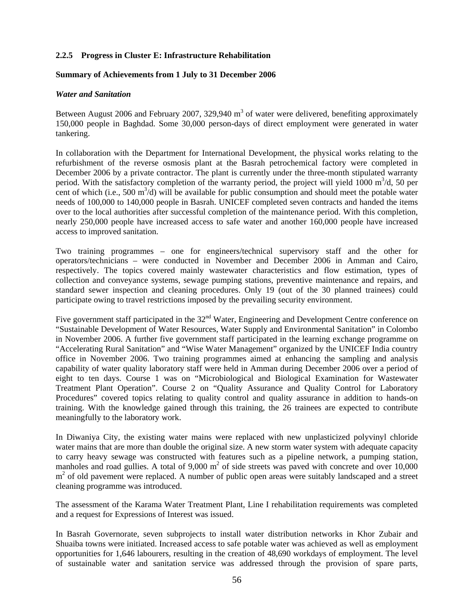### **2.2.5 Progress in Cluster E: Infrastructure Rehabilitation**

#### **Summary of Achievements from 1 July to 31 December 2006**

#### *Water and Sanitation*

Between August 2006 and February 2007, 329,940  $m<sup>3</sup>$  of water were delivered, benefiting approximately 150,000 people in Baghdad. Some 30,000 person-days of direct employment were generated in water tankering.

In collaboration with the Department for International Development, the physical works relating to the refurbishment of the reverse osmosis plant at the Basrah petrochemical factory were completed in December 2006 by a private contractor. The plant is currently under the three-month stipulated warranty period. With the satisfactory completion of the warranty period, the project will yield  $1000 \text{ m}^3/\text{d}$ , 50 per cent of which (i.e., 500  $m^3/d$ ) will be available for public consumption and should meet the potable water needs of 100,000 to 140,000 people in Basrah. UNICEF completed seven contracts and handed the items over to the local authorities after successful completion of the maintenance period. With this completion, nearly 250,000 people have increased access to safe water and another 160,000 people have increased access to improved sanitation.

Two training programmes – one for engineers/technical supervisory staff and the other for operators/technicians – were conducted in November and December 2006 in Amman and Cairo, respectively. The topics covered mainly wastewater characteristics and flow estimation, types of collection and conveyance systems, sewage pumping stations, preventive maintenance and repairs, and standard sewer inspection and cleaning procedures. Only 19 (out of the 30 planned trainees) could participate owing to travel restrictions imposed by the prevailing security environment.

Five government staff participated in the  $32<sup>nd</sup>$  Water, Engineering and Development Centre conference on "Sustainable Development of Water Resources, Water Supply and Environmental Sanitation" in Colombo in November 2006. A further five government staff participated in the learning exchange programme on "Accelerating Rural Sanitation" and "Wise Water Management" organized by the UNICEF India country office in November 2006. Two training programmes aimed at enhancing the sampling and analysis capability of water quality laboratory staff were held in Amman during December 2006 over a period of eight to ten days. Course 1 was on "Microbiological and Biological Examination for Wastewater Treatment Plant Operation". Course 2 on "Quality Assurance and Quality Control for Laboratory Procedures" covered topics relating to quality control and quality assurance in addition to hands-on training. With the knowledge gained through this training, the 26 trainees are expected to contribute meaningfully to the laboratory work.

In Diwaniya City, the existing water mains were replaced with new unplasticized polyvinyl chloride water mains that are more than double the original size. A new storm water system with adequate capacity to carry heavy sewage was constructed with features such as a pipeline network, a pumping station, manholes and road gullies. A total of  $9{,}000 \text{ m}^2$  of side streets was paved with concrete and over 10,000  $m<sup>2</sup>$  of old pavement were replaced. A number of public open areas were suitably landscaped and a street cleaning programme was introduced.

The assessment of the Karama Water Treatment Plant, Line I rehabilitation requirements was completed and a request for Expressions of Interest was issued.

In Basrah Governorate, seven subprojects to install water distribution networks in Khor Zubair and Shuaiba towns were initiated. Increased access to safe potable water was achieved as well as employment opportunities for 1,646 labourers, resulting in the creation of 48,690 workdays of employment. The level of sustainable water and sanitation service was addressed through the provision of spare parts,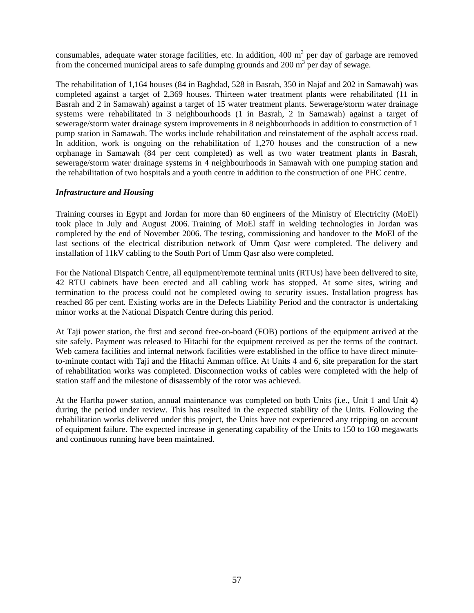consumables, adequate water storage facilities, etc. In addition,  $400 \text{ m}^3$  per day of garbage are removed from the concerned municipal areas to safe dumping grounds and  $200 \text{ m}^3$  per day of sewage.

The rehabilitation of 1,164 houses (84 in Baghdad, 528 in Basrah, 350 in Najaf and 202 in Samawah) was completed against a target of 2,369 houses. Thirteen water treatment plants were rehabilitated (11 in Basrah and 2 in Samawah) against a target of 15 water treatment plants. Sewerage/storm water drainage systems were rehabilitated in 3 neighbourhoods (1 in Basrah, 2 in Samawah) against a target of sewerage/storm water drainage system improvements in 8 neighbourhoods in addition to construction of 1 pump station in Samawah. The works include rehabilitation and reinstatement of the asphalt access road. In addition, work is ongoing on the rehabilitation of 1,270 houses and the construction of a new orphanage in Samawah (84 per cent completed) as well as two water treatment plants in Basrah, sewerage/storm water drainage systems in 4 neighbourhoods in Samawah with one pumping station and the rehabilitation of two hospitals and a youth centre in addition to the construction of one PHC centre.

#### *Infrastructure and Housing*

Training courses in Egypt and Jordan for more than 60 engineers of the Ministry of Electricity (MoEl) took place in July and August 2006. Training of MoEl staff in welding technologies in Jordan was completed by the end of November 2006. The testing, commissioning and handover to the MoEl of the last sections of the electrical distribution network of Umm Qasr were completed. The delivery and installation of 11kV cabling to the South Port of Umm Qasr also were completed.

For the National Dispatch Centre, all equipment/remote terminal units (RTUs) have been delivered to site, 42 RTU cabinets have been erected and all cabling work has stopped. At some sites, wiring and termination to the process could not be completed owing to security issues. Installation progress has reached 86 per cent. Existing works are in the Defects Liability Period and the contractor is undertaking minor works at the National Dispatch Centre during this period.

At Taji power station, the first and second free-on-board (FOB) portions of the equipment arrived at the site safely. Payment was released to Hitachi for the equipment received as per the terms of the contract. Web camera facilities and internal network facilities were established in the office to have direct minuteto-minute contact with Taji and the Hitachi Amman office. At Units 4 and 6, site preparation for the start of rehabilitation works was completed. Disconnection works of cables were completed with the help of station staff and the milestone of disassembly of the rotor was achieved.

At the Hartha power station, annual maintenance was completed on both Units (i.e., Unit 1 and Unit 4) during the period under review. This has resulted in the expected stability of the Units. Following the rehabilitation works delivered under this project, the Units have not experienced any tripping on account of equipment failure. The expected increase in generating capability of the Units to 150 to 160 megawatts and continuous running have been maintained.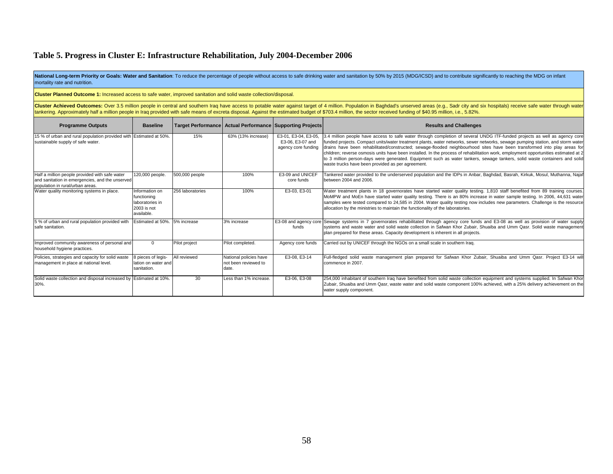#### **Table 5. Progress in Cluster E: Infrastructure Rehabilitation, July 2004-December 2006**

National Long-term Priority or Goals: Water and Sanitation: To reduce the percentage of people without access to safe drinking water and sanitation by 50% by 2015 (MDG/ICSD) and to contribute significantly to reaching the mortality rate and nutrition.

**Cluster Planned Outcome 1:** Increased access to safe water, improved sanitation and solid waste collection/disposal.

Cluster Achieved Outcomes: Over 3.5 million people in central and southern Iraq have access to potable water against target of 4 million. Population in Baghdad's unserved areas (e.g., Sadr city and six hospitals) receive s tankering. Approximately half a million people in Iraq provided with safe means of excreta disposal. Against the estimated budget of \$703.4 million, the sector received funding of \$40.95 million, i.e., 5.82%.

| <b>Programme Outputs</b>                                                                                                              | <b>Baseline</b>                                                               | Target Performance   Actual Performance   Supporting Projects |                                                         |                                                                 | <b>Results and Challenges</b>                                                                                                                                                                                                                                                                                                                                                                                                                                                                                                                                                                                                                                                                                      |
|---------------------------------------------------------------------------------------------------------------------------------------|-------------------------------------------------------------------------------|---------------------------------------------------------------|---------------------------------------------------------|-----------------------------------------------------------------|--------------------------------------------------------------------------------------------------------------------------------------------------------------------------------------------------------------------------------------------------------------------------------------------------------------------------------------------------------------------------------------------------------------------------------------------------------------------------------------------------------------------------------------------------------------------------------------------------------------------------------------------------------------------------------------------------------------------|
| 15 % of urban and rural population provided with Estimated at 50%.<br>sustainable supply of safe water.                               |                                                                               | 15%                                                           | 63% (13% increase)                                      | E3-01. E3-04. E3-05.<br>E3-06, E3-07 and<br>agency core funding | 3.4 million people have access to safe water through completion of several UNDG ITF-funded projects as well as agency core<br>funded projects. Compact units/water treatment plants, water networks, sewer networks, sewage pumping station, and storm water<br>drains have been rehabilitated/constructed; sewage-flooded neighbourhood sites have been transformed into play areas for<br>children; reverse osmosis units have been installed. In the process of rehabilitation work, employment opportunities estimated at 2<br>to 3 million person-days were generated. Equipment such as water tankers, sewage tankers, solid waste containers and solid<br>waste trucks have been provided as per agreement. |
| Half a million people provided with safe water<br>and sanitation in emergencies, and the unserved<br>population in rural/urban areas. | 120,000 people.                                                               | 500,000 people                                                | 100%                                                    | E3-09 and UNICEF<br>core funds                                  | Tankered water provided to the underserved population and the IDPs in Anbar, Baghdad, Basrah, Kirkuk, Mosul, Muthanna, Najaf<br>between 2004 and 2006.                                                                                                                                                                                                                                                                                                                                                                                                                                                                                                                                                             |
| Water quality monitoring systems in place.                                                                                            | Information on<br>functioning<br>laboratories in<br>2003 is not<br>available. | 256 laboratories                                              | 100%                                                    | E3-03, E3-01                                                    | Water treatment plants in 18 governorates have started water quality testing. 1,810 staff benefited from 89 training courses.<br>MoMPW and MoEn have started water quality testing. There is an 80% increase in water sample testing. In 2006, 44,631 water<br>samples were tested compared to 24,585 in 2004. Water quality testing now includes new parameters. Challenge is the resource<br>allocation by the ministries to maintain the functionality of the laboratories.                                                                                                                                                                                                                                     |
| 5 % of urban and rural population provided with<br>safe sanitation.                                                                   | Estimated at 50%. 5% increase                                                 |                                                               | 3% increase                                             | funds                                                           | E3-08 and agency core Sewage systems in 7 governorates rehabilitated through agency core funds and E3-08 as well as provision of water supply<br>systems and waste water and solid waste collection in Safwan Khor Zubair, Shuaiba and Umm Qasr. Solid waste management<br>plan prepared for these areas. Capacity development is inherent in all projects.                                                                                                                                                                                                                                                                                                                                                        |
| Improved community awareness of personal and<br>household hygiene practices.                                                          | $^{\circ}$                                                                    | Pilot project                                                 | Pilot completed.                                        | Agency core funds                                               | Carried out by UNICEF through the NGOs on a small scale in southern Iraq.                                                                                                                                                                                                                                                                                                                                                                                                                                                                                                                                                                                                                                          |
| Policies, strategies and capacity for solid waste<br>management in place at national level.                                           | 8 pieces of legis-<br>lation on water and<br>sanitation.                      | All reviewed                                                  | National policies have<br>not been reviewed to<br>date. | E3-08, E3-14                                                    | Full-fledged solid waste management plan prepared for Safwan Khor Zubair, Shuaiba and Umm Qasr. Project E3-14 will<br>commence in 2007.                                                                                                                                                                                                                                                                                                                                                                                                                                                                                                                                                                            |
| Solid waste collection and disposal increased by Estimated at 10%.<br>30%                                                             |                                                                               | 30                                                            | Less than 1% increase.                                  | E3-06, E3-08                                                    | 254,000 inhabitant of southern Iraq have benefited from solid waste collection equipment and systems supplied. In Safwan Khor<br>Zubair, Shuaiba and Umm Qasr, waste water and solid waste component 100% achieved, with a 25% delivery achievement on the<br>water supply component.                                                                                                                                                                                                                                                                                                                                                                                                                              |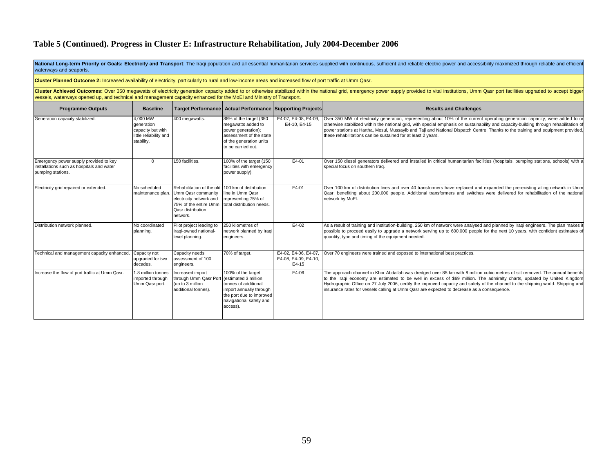#### **Table 5 (Continued). Progress in Cluster E: Infrastructure Rehabilitation, July 2004-December 2006**

National Long-term Priority or Goals: Electricity and Transport: The Iraqi population and all essential humanitarian services supplied with continuous, sufficient and reliable electric power and accessibility maximized thr waterways and seaports.

|  | Cluster Planned Outcome 2: Increased availability of electricity, particularly to rural and low-income areas and increased flow of port traffic at Umm Qasr. |
|--|--------------------------------------------------------------------------------------------------------------------------------------------------------------|
|  |                                                                                                                                                              |

Cluster Achieved Outcomes: Over 350 megawatts of electricity generation capacity added to or otherwise stabilized within the national grid, emergency power supply provided to vital institutions, Umm Qasr port facilities up vessels, waterways opened up, and technical and management capacity enhanced for the MoEl and Ministry of Transport.

| <b>Programme Outputs</b>                                                                                 | <b>Baseline</b>                                                                     |                                                                                                                                                                               | Target Performance   Actual Performance   Supporting Projects                                                                                  |                                                       | <b>Results and Challenges</b>                                                                                                                                                                                                                                                                                                                                                                                                                                                               |
|----------------------------------------------------------------------------------------------------------|-------------------------------------------------------------------------------------|-------------------------------------------------------------------------------------------------------------------------------------------------------------------------------|------------------------------------------------------------------------------------------------------------------------------------------------|-------------------------------------------------------|---------------------------------------------------------------------------------------------------------------------------------------------------------------------------------------------------------------------------------------------------------------------------------------------------------------------------------------------------------------------------------------------------------------------------------------------------------------------------------------------|
| Generation capacity stabilized.                                                                          | 4.000 MW<br>deneration<br>capacity but with<br>little reliability and<br>stability. | 400 megawatts.                                                                                                                                                                | 88% of the target (350<br>megawatts added to<br>power generation);<br>assessment of the state<br>of the generation units<br>to be carried out. | E4-07, E4-08, E4-09,<br>E4-10, E4-15                  | Over 350 MW of electricity generation, representing about 10% of the current operating generation capacity, were added to or<br>otherwise stabilized within the national grid, with special emphasis on sustainability and capacity-building through rehabilitation of<br>power stations at Hartha, Mosul, Mussayib and Taji and National Dispatch Centre. Thanks to the training and equipment provided,<br>these rehabilitations can be sustained for at least 2 years.                   |
| Emergency power supply provided to key<br>installations such as hospitals and water<br>pumping stations. | $\Omega$                                                                            | 150 facilities.                                                                                                                                                               | 100% of the target (150<br>facilities with emergency<br>power supply).                                                                         | E4-01                                                 | Over 150 diesel generators delivered and installed in critical humanitarian facilities (hospitals, pumping stations, schools) with a<br>special focus on southern Iraq.                                                                                                                                                                                                                                                                                                                     |
| Electricity grid repaired or extended.                                                                   | No scheduled                                                                        | Rehabilitation of the old 100 km of distribution<br>maintenance plan. Umm Qasr community<br>electricity network and<br>75% of the entire Umm<br>Qasr distribution<br>network. | line in Umm Qasr<br>representing 75% of<br>total distribution needs.                                                                           | E4-01                                                 | Over 100 km of distribution lines and over 40 transformers have replaced and expanded the pre-existing ailing network in Umm<br>Qasr, benefiting about 200,000 people. Additional transformers and switches were delivered for rehabilitation of the national<br>network by MoEl.                                                                                                                                                                                                           |
| Distribution network planned.                                                                            | No coordinated<br>planning.                                                         | Pilot project leading to<br>Iraqi-owned national-<br>level planning.                                                                                                          | 250 kilometres of<br>network planned by Iragi<br>engineers.                                                                                    | E4-02                                                 | As a result of training and institution-building, 250 km of network were analysed and planned by Iragi engineers. The plan makes it<br>possible to proceed easily to upgrade a network serving up to 600,000 people for the next 10 years, with confident estimates of<br>quantity, type and timing of the equipment needed.                                                                                                                                                                |
| Technical and management capacity enhanced.                                                              | Capacity not<br>upgraded for two<br>decades.                                        | Capacity needs<br>assessment of 100<br>engineers.                                                                                                                             | 70% of target.                                                                                                                                 | E4-02, E4-06, E4-07.<br>E4-08, E4-09, E4-10,<br>E4-15 | Over 70 engineers were trained and exposed to international best practices.                                                                                                                                                                                                                                                                                                                                                                                                                 |
| Increase the flow of port traffic at Umm Qasr.                                                           | 1.8 million tonnes<br>imported through<br>Umm Qasr port.                            | Increased import<br>through Umm Qasr Port (estimated 3 million<br>(up to 3 million<br>additional tonnes).                                                                     | 100% of the target<br>tonnes of additional<br>import annually through<br>the port due to improved<br>navigational safety and<br>access).       | E4-06                                                 | The approach channel in Khor Abdallah was dredged over 85 km with 8 million cubic metres of silt removed. The annual benefits<br>to the Iraqi economy are estimated to be well in excess of \$69 million. The admiralty charts, updated by United Kingdom<br>Hydrographic Office on 27 July 2006, certify the improved capacity and safety of the channel to the shipping world. Shipping and<br>insurance rates for vessels calling at Umm Qasr are expected to decrease as a consequence. |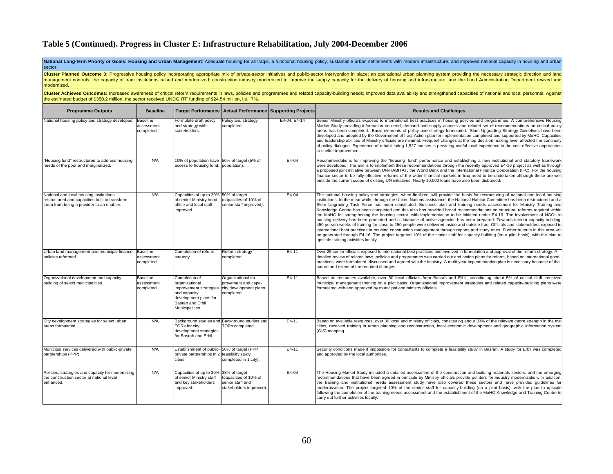### **Table 5 (Continued). Progress in Cluster E: Infrastructure Rehabilitation, July 2004-December 2006**

**National Long-term Priority or Goals: Housing and Urban Management**: Adequate housing for all Iraqis, a functional housing policy, sustainable urban settlements with modern infrastructure, and improved national capacity i

| modernized.                                                                                                                                                                                                                                                                                                                                   |                                             |                                                                                                                                           |                                                                                       |              | Cluster Planned Outcome 3: Progressive housing policy incorporating appropriate mix of private-sector initiatives and public-sector intervention in place; an operational urban planning system providing the necessary strate<br>management controls; the capacity of Iraqi institutions raised and modernized; construction industry modernized to improve the supply capacity for the delivery of housing and infrastructure; and the Land Administration Dep                                                                                                                                                                                                                                                                                                                                                                                                                                                                                                                                                                                                                                                                                                                                                                                      |  |  |  |  |  |
|-----------------------------------------------------------------------------------------------------------------------------------------------------------------------------------------------------------------------------------------------------------------------------------------------------------------------------------------------|---------------------------------------------|-------------------------------------------------------------------------------------------------------------------------------------------|---------------------------------------------------------------------------------------|--------------|-------------------------------------------------------------------------------------------------------------------------------------------------------------------------------------------------------------------------------------------------------------------------------------------------------------------------------------------------------------------------------------------------------------------------------------------------------------------------------------------------------------------------------------------------------------------------------------------------------------------------------------------------------------------------------------------------------------------------------------------------------------------------------------------------------------------------------------------------------------------------------------------------------------------------------------------------------------------------------------------------------------------------------------------------------------------------------------------------------------------------------------------------------------------------------------------------------------------------------------------------------|--|--|--|--|--|
| Cluster Achieved Outcomes: Increased awareness of critical reform requirements in laws, policies and programmes and related capacity-building needs; improved data availability and strengthened capacities of national and lo<br>the estimated budget of \$350.2 million, the sector received UNDG ITF funding of \$24.54 million, i.e., 7%. |                                             |                                                                                                                                           |                                                                                       |              |                                                                                                                                                                                                                                                                                                                                                                                                                                                                                                                                                                                                                                                                                                                                                                                                                                                                                                                                                                                                                                                                                                                                                                                                                                                       |  |  |  |  |  |
| <b>Programme Outputs</b>                                                                                                                                                                                                                                                                                                                      | <b>Baseline</b>                             |                                                                                                                                           | Target Performance   Actual Performance   Supporting Projects                         |              | <b>Results and Challenges</b>                                                                                                                                                                                                                                                                                                                                                                                                                                                                                                                                                                                                                                                                                                                                                                                                                                                                                                                                                                                                                                                                                                                                                                                                                         |  |  |  |  |  |
| National housing policy and strategy developed.                                                                                                                                                                                                                                                                                               | <b>Baseline</b><br>assessment<br>completed. | Formulate draft policy<br>and strategy with<br>stakeholders.                                                                              | Policy and strategy<br>completed.                                                     | E4-04, E4-14 | Senior Ministry officials exposed to international best practices in housing policies and programmes. A comprehensive Housing<br>Market Study providing information on need, demand and supply aspects and related set of recommendations on critical policy<br>areas has been completed. Basic elements of policy and strategy formulated. Slum Upgrading Strategy Guidelines have been<br>developed and adopted by the Government of Iraq. Action plan for implementation completed and supported by MoHC. Capacities<br>and leadership abilities of Ministry officials are minimal. Frequent changes at the top decision-making level affected the continuity<br>of policy dialogue. Experience of rehabilitating 1,527 houses is providing useful local experience in the cost-effective approaches<br>to shelter improvement.                                                                                                                                                                                                                                                                                                                                                                                                                    |  |  |  |  |  |
| "Housing fund" restructured to address housing<br>needs of the poor and marginalized.                                                                                                                                                                                                                                                         | N/A                                         | 10% of population have 50% of target (5% of<br>access to housing fund. population).                                                       |                                                                                       | $E4-04$      | Recommendations for improving the "housing fund" performance and establishing a new institutional and statutory framework<br>were developed. The aim is to implement these recommendations through the recently approved E4-16 project as well as through<br>a proposed joint initiative between UN-HABITAT, the World Bank and the International Finance Corporation (IFC). For the housing<br>finance sector to be fully effective, reforms of the wider financial markets in Iraq need to be undertaken although these are well<br>outside the current scope of existing UN initiatives. Nearly 10,000 loans have also been disbursed.                                                                                                                                                                                                                                                                                                                                                                                                                                                                                                                                                                                                             |  |  |  |  |  |
| National and local housing institutions<br>restructured and capacities built to transform<br>them from being a provider to an enabler.                                                                                                                                                                                                        | N/A                                         | Capacities of up to 20%<br>of senior Ministry head<br>office and local staff<br>improved.                                                 | 50% of target<br>(capacities of 10% of<br>senior staff improved).                     | E4-04        | The national housing policy and strategies, when finalized, will provide the basis for restructuring of national and local housing<br>institutions. In the meanwhile, through the United Nations assistance, the National Habitat Committee has been restructured and a<br>Slum Upgrading Task Force has been constituted. Business plan and training needs assessment for Ministry Training and<br>Knowledge Centre has been completed and this also has provided broad recommendations on structural reforms required within<br>the MoHC for strengthening the housing sector, with implementation to be initiated under E4-16. The involvement of NGOs in<br>housing delivery has been promoted and a database of active agencies has been prepared. Towards interim capacity-building,<br>450 person-weeks of training for close to 250 people were delivered inside and outside Iraq. Officials and stakeholders exposed to<br>international best practices in housing construction management through reports and study tours. Further outputs in this area will<br>be generated through E4-16. The project targeted 10% of the senior staff for capacity-building (on a pilot basis), with the plan to<br>upscale training activities locally. |  |  |  |  |  |
| Urban land management and municipal finance<br>policies reformed.                                                                                                                                                                                                                                                                             | <b>Baseline</b><br>assessment<br>completed. | Completion of reform<br>strategy.                                                                                                         | Reform strategy<br>completed.                                                         | $E4-11$      | Over 25 senior officials exposed to international best practices and involved in formulation and approval of the reform strategy. A<br>detailed review of related laws, policies and programmes was carried out and action plans for reform, based on international good<br>practices, were formulated, discussed and agreed with the Ministry. A multi-year implementation plan is necessary because of the<br>nature and extent of the required changes.                                                                                                                                                                                                                                                                                                                                                                                                                                                                                                                                                                                                                                                                                                                                                                                            |  |  |  |  |  |
| Organizational development and capacity-<br>building of select municipalities.                                                                                                                                                                                                                                                                | <b>Baseline</b><br>assessment<br>completed. | Completion of<br>organizational<br>improvement strategies<br>and capacity<br>development plans for<br>Basrah and Erbil<br>Municipalities. | Organizational im-<br>provement and capa-<br>city development plans<br>completed.     | $E4-11$      | Based on resources available, over 30 local officials from Basrah and Erbil, constituting about 5% of critical staff, received<br>municipal management training on a pilot basis. Organizational improvement strategies and related capacity-building plans were<br>formulated with and approved by municipal and ministry officials.                                                                                                                                                                                                                                                                                                                                                                                                                                                                                                                                                                                                                                                                                                                                                                                                                                                                                                                 |  |  |  |  |  |
| City development strategies for select urban<br>areas formulated.                                                                                                                                                                                                                                                                             | N/A                                         | TORs for city<br>development strategies<br>for Basrah and Erbil.                                                                          | Background studies and Background studies and<br>TORs completed.                      | E4-11        | Based on available resources, over 30 local and ministry officials, constituting about 30% of the relevant cadre strength in the two<br>cities, received training in urban planning and reconstruction, local economic development and geographic information system<br>(GIS) mapping.                                                                                                                                                                                                                                                                                                                                                                                                                                                                                                                                                                                                                                                                                                                                                                                                                                                                                                                                                                |  |  |  |  |  |
| Municipal services delivered with public-private<br>partnerships (PPP).                                                                                                                                                                                                                                                                       | N/A                                         | Establishment of public- 50% of target (PPP<br>private partnerships in 2 feasibility study<br>cities.                                     | completed in 1 city).                                                                 | $E4-11$      | Security conditions made it impossible for consultants to complete a feasibility study in Basrah. A study for Erbil was completed<br>and approved by the local authorities.                                                                                                                                                                                                                                                                                                                                                                                                                                                                                                                                                                                                                                                                                                                                                                                                                                                                                                                                                                                                                                                                           |  |  |  |  |  |
| Policies, strategies and capacity for modernizing<br>the construction sector at national level<br>enhanced.                                                                                                                                                                                                                                   | N/A                                         | Capacities of up to 30%<br>of senior Ministry staff<br>and key stakeholders<br>improved.                                                  | 33% of target<br>(capacities of 10% of<br>senior staff and<br>stakeholders improved). | E4-04        | The Housing Market Study included a detailed assessment of the construction and building materials sectors, and the emerging<br>recommendations that have been agreed in principle by Ministry officials provide pointers for industry modernization. In addition,<br>the training and institutional needs assessment study have also covered these sectors and have provided guidelines for<br>modernization. The project targeted 10% of the senior staff for capacity-building (on a pilot basis), with the plan to upscale<br>following the completion of the training needs assessment and the establishment of the MoHC Knowledge and Training Centre to<br>carry out further activities locally.                                                                                                                                                                                                                                                                                                                                                                                                                                                                                                                                               |  |  |  |  |  |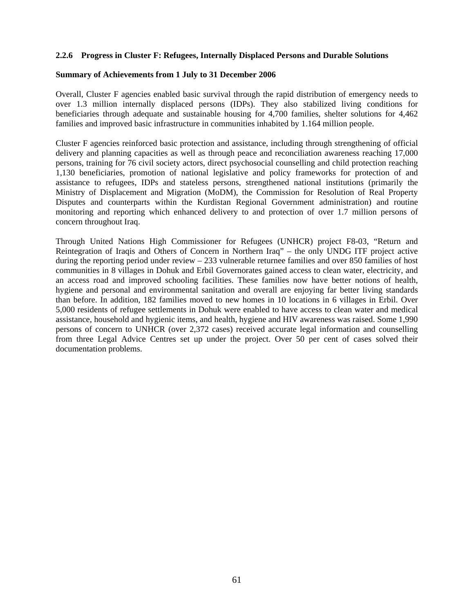#### **2.2.6 Progress in Cluster F: Refugees, Internally Displaced Persons and Durable Solutions**

#### **Summary of Achievements from 1 July to 31 December 2006**

Overall, Cluster F agencies enabled basic survival through the rapid distribution of emergency needs to over 1.3 million internally displaced persons (IDPs). They also stabilized living conditions for beneficiaries through adequate and sustainable housing for 4,700 families, shelter solutions for 4,462 families and improved basic infrastructure in communities inhabited by 1.164 million people.

Cluster F agencies reinforced basic protection and assistance, including through strengthening of official delivery and planning capacities as well as through peace and reconciliation awareness reaching 17,000 persons, training for 76 civil society actors, direct psychosocial counselling and child protection reaching 1,130 beneficiaries, promotion of national legislative and policy frameworks for protection of and assistance to refugees, IDPs and stateless persons, strengthened national institutions (primarily the Ministry of Displacement and Migration (MoDM), the Commission for Resolution of Real Property Disputes and counterparts within the Kurdistan Regional Government administration) and routine monitoring and reporting which enhanced delivery to and protection of over 1.7 million persons of concern throughout Iraq.

Through United Nations High Commissioner for Refugees (UNHCR) project F8-03, "Return and Reintegration of Iraqis and Others of Concern in Northern Iraq" – the only UNDG ITF project active during the reporting period under review – 233 vulnerable returnee families and over 850 families of host communities in 8 villages in Dohuk and Erbil Governorates gained access to clean water, electricity, and an access road and improved schooling facilities. These families now have better notions of health, hygiene and personal and environmental sanitation and overall are enjoying far better living standards than before. In addition, 182 families moved to new homes in 10 locations in 6 villages in Erbil. Over 5,000 residents of refugee settlements in Dohuk were enabled to have access to clean water and medical assistance, household and hygienic items, and health, hygiene and HIV awareness was raised. Some 1,990 persons of concern to UNHCR (over 2,372 cases) received accurate legal information and counselling from three Legal Advice Centres set up under the project. Over 50 per cent of cases solved their documentation problems.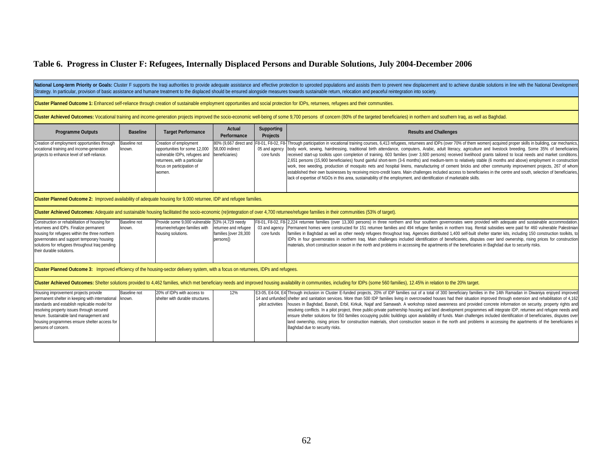National Long-term Priority or Goals: Cluster F supports the Iraqi authorities to provide adequate assistance and effective protection to uprooted populations and assists them to prevent new displacement and to achieve dur Strategy. In particular, provision of basic assistance and humane treatment to the displaced should be ensured alongside measures towards sustainable return, relocation and peaceful reintegration into society.

**Cluster Planned Outcome 1:** Enhanced self-reliance through creation of sustainable employment opportunities and social protection for IDPs, returnees, refugees and their communities.

Cluster Achieved Outcomes: Vocational training and income-generation projects improved the socio-economic well-being of some 9,700 persons of concern (80% of the targeted beneficiaries) in northern and southern Iraq, as we

| <b>Programme Outputs</b>                     | <b>Baseline</b>     | <b>Target Performance</b>                     | Actual<br>Performance | Supporting<br><b>Projects</b> | <b>Results and Challenges</b>                                                                                                                                                                                |
|----------------------------------------------|---------------------|-----------------------------------------------|-----------------------|-------------------------------|--------------------------------------------------------------------------------------------------------------------------------------------------------------------------------------------------------------|
| Creation of employment opportunities through | <b>Baseline not</b> | Creation of employment                        |                       |                               | 80% (9.667 direct and F8-01, F8-02, F8- Through participation in vocational training courses, 6.413 refugees, returnees and IDPs (over 70% of them women) acquired proper skills in building, car mechanics, |
| vocational training and income-generation    | known.              | opportunities for some 12,000 58,000 indirect |                       |                               | 05 and agency body work, sewing, hairdressing, traditional birth attendance, computers, Arabic, adult literacy, agriculture and livestock breeding. Some 35% of beneficiaries                                |
| projects to enhance level of self-reliance.  |                     | vulnerable IDPs, refugees and beneficiaries)  |                       | core funds                    | received start-up toolkits upon completion of training. 603 families (over 3,600 persons) received livelihood grants tailored to local needs and market conditions.                                          |
|                                              |                     | returnees, with a particular                  |                       |                               | 2,651 persons (15,900 beneficiaries) found gainful short-term (3-6 months) and medium-term to relatively stable (6 months and above) employment in construction                                              |
|                                              |                     | focus on participation of                     |                       |                               | work, tree weeding, production of mosquito nets and hospital linens, manufacturing of cement bricks and other community improvement projects, 267 of whom                                                    |
|                                              |                     | women.                                        |                       |                               | established their own businesses by receiving micro-credit loans. Main challenges included access to beneficiaries in the centre and south, selection of beneficiaries,                                      |
|                                              |                     |                                               |                       |                               | lack of expertise of NGOs in this area, sustainability of the employment, and identification of marketable skills.                                                                                           |
|                                              |                     |                                               |                       |                               |                                                                                                                                                                                                              |

**Cluster Planned Outcome 2:** Improved availability of adequate housing for 9,000 returnee, IDP and refugee families.

**Cluster Achieved Outcomes:** Adequate and sustainable housing facilitated the socio-economic (re)integration of over 4,700 returnee/refugee families in their communities (53% of target).

| Construction or rehabilitation of housing for<br>returnees and IDPs. Finalize permanent<br>housing for refugees within the three northern<br>governorates and support temporary housing<br>solutions for refugees throughout Iraq pending<br>their durable solutions. | Baseline not<br>known. | Provide some 9,000 vulnerable 53% (4,729 needy<br>returnee/refugee families with<br>housing solutions. | families [over 28,300<br>persons]) | core funds | F8-01, F8-02, F8-12,224 returnee families (over 13,300 persons) in three northern and four southern governorates were provided with adequate and sustainable accommodation.<br>returnee and refugee   03 and agency  Permanent homes were constructed for 151 returnee families and 494 refugee families in northern Irag. Rental subsidies were paid for 460 vulnerable Palestinian<br>families in Baghdad as well as other needy refugees throughout Iraq. Agencies distributed 1,400 self-built shelter starter kits, including 150 construction toolkits, to<br>IDPs in four governorates in northern Iraq. Main challenges included identification of beneficiaries, disputes over land ownership, rising prices for construction<br>materials, short construction season in the north and problems in accessing the apartments of the beneficiaries in Baghdad due to security risks. |  |  |  |
|-----------------------------------------------------------------------------------------------------------------------------------------------------------------------------------------------------------------------------------------------------------------------|------------------------|--------------------------------------------------------------------------------------------------------|------------------------------------|------------|---------------------------------------------------------------------------------------------------------------------------------------------------------------------------------------------------------------------------------------------------------------------------------------------------------------------------------------------------------------------------------------------------------------------------------------------------------------------------------------------------------------------------------------------------------------------------------------------------------------------------------------------------------------------------------------------------------------------------------------------------------------------------------------------------------------------------------------------------------------------------------------------|--|--|--|
|                                                                                                                                                                                                                                                                       |                        |                                                                                                        |                                    |            |                                                                                                                                                                                                                                                                                                                                                                                                                                                                                                                                                                                                                                                                                                                                                                                                                                                                                             |  |  |  |

**Cluster Planned Outcome 3:** Improved efficiency of the housing-sector delivery system, with a focus on returnees, IDPs and refugees.

Cluster Achieved Outcomes: Shelter solutions provided to 4,462 families, which met beneficiary needs and improved housing availability in communities, including for IDPs (some 560 families), 12.45% in relation to the 20% t

| Housing improvement projects provide                   | Baseline not | 20% of IDPs with access to       | 12% | E3-05, E4-04, E4 <sup>T</sup> hrough inclusion in Cluster E-funded projects, 20% of IDP families out of a total of 300 beneficiary families in the 14th Ramadan in Diwaniya enjoyed improved |
|--------------------------------------------------------|--------------|----------------------------------|-----|----------------------------------------------------------------------------------------------------------------------------------------------------------------------------------------------|
|                                                        |              |                                  |     |                                                                                                                                                                                              |
| permanent shelter in keeping with international known. |              | shelter with durable structures. |     | 1462, 14 and unfunded shelter and sanitation services. More than 500 IDP families living in overcrowded houses had their situation improved through extension and rehabilitation of 4,162    |
| standards and establish replicable model for           |              |                                  |     | pilot activities  houses in Baghdad, Basrah, Erbil, Kirkuk, Najaf and Samawah. A workshop raised awareness and provided concrete information on security, property rights and                |
| resolving property issues through secured              |              |                                  |     | resolving conflicts. In a pilot project, three public-private partnership housing and land development programmes will integrate IDP, returnee and refugee needs and                         |
| tenure. Sustainable land management and                |              |                                  |     | ensure shelter solutions for 550 families occupying public buildings upon availability of funds. Main challenges included identification of beneficiaries, disputes over                     |
| housing programmes ensure shelter access for           |              |                                  |     | land ownership, rising prices for construction materials, short construction season in the north and problems in accessing the apartments of the beneficiaries in                            |
| persons of concern.                                    |              |                                  |     | Baghdad due to security risks.                                                                                                                                                               |
|                                                        |              |                                  |     |                                                                                                                                                                                              |
|                                                        |              |                                  |     |                                                                                                                                                                                              |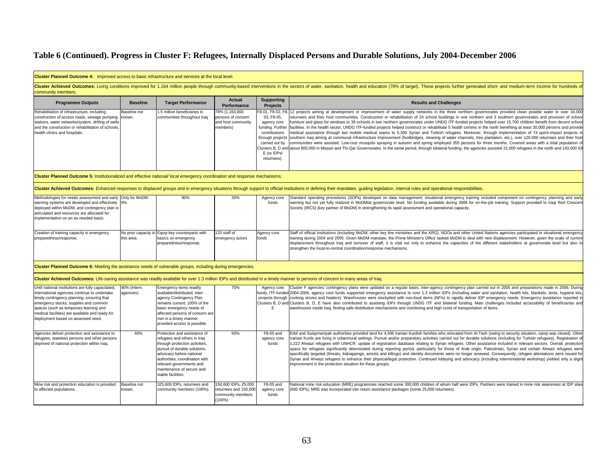| Cluster Planned Outcome 4: Improved access to basic infrastructure and services at the local level.                                                                                                                                                                                                                         |                           |                                                                                                                                                                                                                                                                             |                                                                                 |                                                                                                                                    |                                                                                                                                                                                                                                                                                                                                                                                                                                                                                                                                                                                                                                                                                                                                                                                                                                                                                                                                                                                                                                                                                                                                                                                                                                                                                                                                                                                       |
|-----------------------------------------------------------------------------------------------------------------------------------------------------------------------------------------------------------------------------------------------------------------------------------------------------------------------------|---------------------------|-----------------------------------------------------------------------------------------------------------------------------------------------------------------------------------------------------------------------------------------------------------------------------|---------------------------------------------------------------------------------|------------------------------------------------------------------------------------------------------------------------------------|---------------------------------------------------------------------------------------------------------------------------------------------------------------------------------------------------------------------------------------------------------------------------------------------------------------------------------------------------------------------------------------------------------------------------------------------------------------------------------------------------------------------------------------------------------------------------------------------------------------------------------------------------------------------------------------------------------------------------------------------------------------------------------------------------------------------------------------------------------------------------------------------------------------------------------------------------------------------------------------------------------------------------------------------------------------------------------------------------------------------------------------------------------------------------------------------------------------------------------------------------------------------------------------------------------------------------------------------------------------------------------------|
| community members.                                                                                                                                                                                                                                                                                                          |                           |                                                                                                                                                                                                                                                                             |                                                                                 |                                                                                                                                    | Cluster Achieved Outcomes: Living conditions improved for 1.164 million people through community-based interventions in the sectors of water, sanitation, health and education (78% of target). These projects further generat                                                                                                                                                                                                                                                                                                                                                                                                                                                                                                                                                                                                                                                                                                                                                                                                                                                                                                                                                                                                                                                                                                                                                        |
| <b>Programme Outputs</b>                                                                                                                                                                                                                                                                                                    | <b>Baseline</b>           | <b>Target Performance</b>                                                                                                                                                                                                                                                   | <b>Actual</b><br>Performance                                                    | <b>Supporting</b><br><b>Projects</b>                                                                                               | <b>Results and Challenges</b>                                                                                                                                                                                                                                                                                                                                                                                                                                                                                                                                                                                                                                                                                                                                                                                                                                                                                                                                                                                                                                                                                                                                                                                                                                                                                                                                                         |
| Rehabilitation of infrastructure, including:<br>construction of access roads, sewage pumping<br>stations, water networks/system, drilling of wells<br>and the construction or rehabilitation of schools<br>health clinics and hospitals.                                                                                    | Baseline not<br>known.    | .5 million beneficiaries in<br>communities throughout Iraq                                                                                                                                                                                                                  | '8% (1,164,000<br>persons of concern<br>and host community<br>members)          | 03. F8-05.<br>agency core<br>funding. Further<br>contributions<br>through projects<br>carried out by<br>E (re IDPs/<br>returnees). | F8-01, F8-02, F8-12 projects aiming at development or improvement of water supply networks in the three northern governorates provided clean potable water to over 34,000<br>returnees and their host communities. Construction or rehabilitation of 24 school buildings in one northern and 3 southern governorates and provision of school<br>furniture and glass for windows to 39 schools in two northern governorates under UNDG ITF-funded projects helped over 15,700 children benefit from decent school<br>facilities. In the health sector, UNDG ITF-funded projects helped construct or rehabilitate 5 health centres in the north benefiting at least 30,000 persons and provide<br>nedical assistance through two mobile medical teams to 5,300 Syrian and Turkish refugees. Moreover, through implementation of 74 quick-impact projects in<br>southern Iraq aiming at communal infrastructure improvement (footbridges, cleaning of water channels, tree plantation, etc.), over 120,000 returnees and their host<br>communities were assisted. Low-cost mosquito spraying in autumn and spring employed 355 persons for three months. Covered areas with a total population o<br>Clusters B, D and about 800,000 in Missan and Thi-Qar Governorates. In the same period, through bilateral funding, the agencies assisted 21,000 refugees in the north and 143,000 ID |
| Cluster Planned Outcome 5: Institutionalized and effective national/ local emergency coordination and response mechanisms.                                                                                                                                                                                                  |                           |                                                                                                                                                                                                                                                                             |                                                                                 |                                                                                                                                    |                                                                                                                                                                                                                                                                                                                                                                                                                                                                                                                                                                                                                                                                                                                                                                                                                                                                                                                                                                                                                                                                                                                                                                                                                                                                                                                                                                                       |
|                                                                                                                                                                                                                                                                                                                             |                           |                                                                                                                                                                                                                                                                             |                                                                                 |                                                                                                                                    | Cluster Achieved Outcomes: Enhanced responses to displaced groups and in emergency situations through support to official institutions in defining their mandates, quiding legislation, internal roles and operational respons                                                                                                                                                                                                                                                                                                                                                                                                                                                                                                                                                                                                                                                                                                                                                                                                                                                                                                                                                                                                                                                                                                                                                        |
| Methodologies for needs assessment and early Only for MoDM:<br>warning systems are developed and effectively<br>deployed within MoDM, and contingency plan is<br>articulated and resources are allocated for<br>implementation on an as-needed basis.                                                                       | 0%.                       | 90%                                                                                                                                                                                                                                                                         | 30%                                                                             | Agency core<br>funds                                                                                                               | Standard operating procedures (SOPs) developed on data management; situational emergency training included component on contingency planning and early<br>warning but not yet fully realized in MoDM/at governorate level. No funding available during 2006 for on-the-job training. Support provided to Iragi Red Crescent<br>Society (IRCS) (key partner of MoDM) in strengthening its rapid assessment and operational capacity.                                                                                                                                                                                                                                                                                                                                                                                                                                                                                                                                                                                                                                                                                                                                                                                                                                                                                                                                                   |
| Creation of training capacity in emergency<br>preparedness/response.                                                                                                                                                                                                                                                        | this area.                | No prior capacity in Equip key counterparts with<br>basics on emergency<br>preparedness/response.                                                                                                                                                                           | 120 staff of<br>emergency actors                                                | Agency core<br>funds                                                                                                               | Staff of official institutions (including MoDM, other key line ministries and the KRG), NGOs and other United Nations agencies participated in situational emergency<br>training during 2004 and 2005. Given MoDM mandate, the Prime Minister's Office tasked MoDM to deal with new displacement. However, given the scale of curren<br>displacement throughout Iraq and turnover of staff, it is vital not only to enhance the capacities of the different stakeholders at governorate level but also to<br>strengthen the local-to-central coordination/response mechanisms.                                                                                                                                                                                                                                                                                                                                                                                                                                                                                                                                                                                                                                                                                                                                                                                                        |
| Cluster Planned Outcome 6: Meeting the assistance needs of vulnerable groups, including during emergencies.                                                                                                                                                                                                                 |                           |                                                                                                                                                                                                                                                                             |                                                                                 |                                                                                                                                    |                                                                                                                                                                                                                                                                                                                                                                                                                                                                                                                                                                                                                                                                                                                                                                                                                                                                                                                                                                                                                                                                                                                                                                                                                                                                                                                                                                                       |
|                                                                                                                                                                                                                                                                                                                             |                           |                                                                                                                                                                                                                                                                             |                                                                                 |                                                                                                                                    | Cluster Achieved Outcomes: Life-saving assistance was readily available for over 1.3 million IDPs and distributed in a timely manner to persons of concern in many areas of Iraq.                                                                                                                                                                                                                                                                                                                                                                                                                                                                                                                                                                                                                                                                                                                                                                                                                                                                                                                                                                                                                                                                                                                                                                                                     |
| Until national institutions are fully capacitated<br>international agencies continue to undertake<br>timely contingency planning, ensuring that<br>emergency stocks, supplies and common<br>spaces (such as temporary learning and<br>medical facilities) are available and ready for<br>deployment based on assessed need. | 40% (Intern.<br>agencies) | Emergency items readily<br>available/distributed; inter-<br>agency Contingency Plan<br>remains current; 100% of the<br>basic emergency needs of<br>affected persons of concern are<br>met in a timely manner,<br>provided access is possible.                               | 70%                                                                             | Agency core<br>E                                                                                                                   | Cluster F agencies' contingency plans were updated on a regular basis; inter-agency contingency plan carried out in 2005 and preparations made in 2006. During<br>unds, ITF-funded 2004-2006, agency core funds supported emergency assistance to over 1.3 million IDPs (including water and sanitation, health kits, blankets, tents, hygiene kits<br>projects through cooking stoves and heaters). Warehouses were stockpiled with non-food items (NFIs) to rapidly deliver IDP emergency needs. Emergency assistance reported in<br>Clusters B, D and Clusters B, D, E have also contributed to assisting IDPs through UNDG ITF and bilateral funding. Main challenges included accessibility of beneficiaries an<br>warehouses inside Iraq, finding safe distribution mechanisms and monitoring and high costs of transportation of items.                                                                                                                                                                                                                                                                                                                                                                                                                                                                                                                                        |
| Agencies deliver protection and assistance to<br>refugees, stateless persons and other persons<br>deprived of national protection within Iraq.                                                                                                                                                                              | 40%                       | Protection and assistance of<br>refugees and others in Iraq<br>through protection activities,<br>pursuit of durable solutions,<br>advocacy before national<br>authorities, coordination with<br>relevant governments and<br>maintenance of secure and<br>stable facilities. | 50%                                                                             | F8-05 and<br>agency core<br>funds                                                                                                  | Erbil and Sulaymaniyah authorities provided land for 4,500 Iranian Kurdish families who relocated from Al-Tash (owing to security situation, camp was closed). Othe<br>Iranian Kurds are living in urban/rural settings. Pursuit and/or preparatory activities carried out for durable solutions (including for Turkish refugees). Registration of<br>1,222 Ahwazi refugees with UNHCR; update of registration database relating to Syrian refugees. Other assistance included in relevant sectors. Overall, protectior<br>space for refugees significantly deteriorated during reporting period, particularly for those of Arab origin. Palestinian, Syrian and certain Ahwazi refugees were<br>specifically targeted (threats, kidnappings, arrests and killings) and identity documents were no longer renewed. Consequently, refugee attestations were issued for<br>Syrian and Ahwazi refugees to enhance their physical/legal protection. Continued lobbying and advocacy (including interministerial workshop) yielded only a slight<br>improvement in the protection situation for these groups.                                                                                                                                                                                                                                                                              |
| Mine risk and protection education is provided<br>to affected populations.                                                                                                                                                                                                                                                  | Baseline not<br>known.    | 325,600 IDPs, returnees and<br>community members (100%).                                                                                                                                                                                                                    | 150,600 IDPs, 25,000<br>returnees and 150,000<br>community members<br>$(100\%)$ | F8-05 and<br>agency core<br>funds                                                                                                  | National mine risk education (MRE) programmes reached some 300,000 children of whom half were IDPs. Partners were trained in mine risk awareness at IDP sites<br>600 IDPs). MRE was incorporated into return assistance packages (some 25,000 returnees).                                                                                                                                                                                                                                                                                                                                                                                                                                                                                                                                                                                                                                                                                                                                                                                                                                                                                                                                                                                                                                                                                                                             |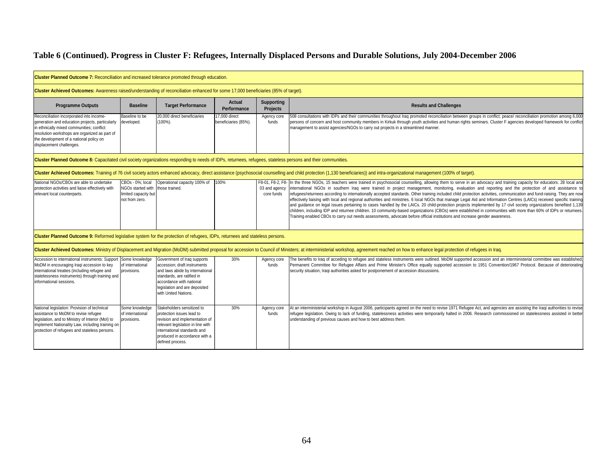| Cluster Planned Outcome 7: Reconciliation and increased tolerance promoted through education.                                                                                                                                                                    |                                                                                               |                                                                                                                                                                                                                    |                                       |                                                                       |                                                                                                                                                                                                                                                                                                                                                                                                                                                                                                                                                                                                                                                                                                                                                                                                                                                                                                                                                                                                                                                                                                                                                                                  |  |  |  |
|------------------------------------------------------------------------------------------------------------------------------------------------------------------------------------------------------------------------------------------------------------------|-----------------------------------------------------------------------------------------------|--------------------------------------------------------------------------------------------------------------------------------------------------------------------------------------------------------------------|---------------------------------------|-----------------------------------------------------------------------|----------------------------------------------------------------------------------------------------------------------------------------------------------------------------------------------------------------------------------------------------------------------------------------------------------------------------------------------------------------------------------------------------------------------------------------------------------------------------------------------------------------------------------------------------------------------------------------------------------------------------------------------------------------------------------------------------------------------------------------------------------------------------------------------------------------------------------------------------------------------------------------------------------------------------------------------------------------------------------------------------------------------------------------------------------------------------------------------------------------------------------------------------------------------------------|--|--|--|
| Cluster Achieved Outcomes: Awareness raised/understanding of reconciliation enhanced for some 17,000 beneficiaries (85% of target).                                                                                                                              |                                                                                               |                                                                                                                                                                                                                    |                                       |                                                                       |                                                                                                                                                                                                                                                                                                                                                                                                                                                                                                                                                                                                                                                                                                                                                                                                                                                                                                                                                                                                                                                                                                                                                                                  |  |  |  |
| <b>Programme Outputs</b>                                                                                                                                                                                                                                         | <b>Baseline</b>                                                                               | <b>Target Performance</b>                                                                                                                                                                                          | Actual<br>Performance                 | <b>Supporting</b><br><b>Results and Challenges</b><br><b>Projects</b> |                                                                                                                                                                                                                                                                                                                                                                                                                                                                                                                                                                                                                                                                                                                                                                                                                                                                                                                                                                                                                                                                                                                                                                                  |  |  |  |
| Reconciliation incorporated into income-<br>generation and education projects, particularly<br>in ethnically mixed communities; conflict<br>resolution workshops are organized as part of<br>the development of a national policy on<br>displacement challenges. | Baseline to be<br>developed.                                                                  | 20,000 direct beneficiaries<br>$(100\%)$ .                                                                                                                                                                         | 17.000 direct<br>beneficiaries (85%). | Agency core<br>funds                                                  | 508 consultations with IDPs and their communities throughout Iraq promoted reconciliation between groups in conflict; peace/ reconciliation promotion among 6,000<br>persons of concern and host community members in Kirkuk through youth activities and human rights seminars. Cluster F agencies developed framework for conflict<br>management to assist agencies/NGOs to carry out projects in a streamlined manner.                                                                                                                                                                                                                                                                                                                                                                                                                                                                                                                                                                                                                                                                                                                                                        |  |  |  |
| Cluster Planned Outcome 8: Capacitated civil society organizations responding to needs of IDPs, returnees, refugees, stateless persons and their communities.                                                                                                    |                                                                                               |                                                                                                                                                                                                                    |                                       |                                                                       |                                                                                                                                                                                                                                                                                                                                                                                                                                                                                                                                                                                                                                                                                                                                                                                                                                                                                                                                                                                                                                                                                                                                                                                  |  |  |  |
|                                                                                                                                                                                                                                                                  |                                                                                               |                                                                                                                                                                                                                    |                                       |                                                                       | Cluster Achieved Outcomes: Training of 76 civil society actors enhanced advocacy, direct assistance (psychosocial counselling and child protection (1,130 beneficiaries)) and intra-organizational management (100% of target)                                                                                                                                                                                                                                                                                                                                                                                                                                                                                                                                                                                                                                                                                                                                                                                                                                                                                                                                                   |  |  |  |
| National NGOs/CBOs are able to undertake<br>protection activities and liaise effectively with<br>relevant local counterparts.                                                                                                                                    | CBOs - 0%; local<br>NGOs started with those trained.<br>imited capacity but<br>not from zero. | Operational capacity 100% of                                                                                                                                                                                       | 100%                                  | core funds                                                            | F8-01, F8-2, F8- In the three NGOs, 15 teachers were trained in psychosocial counselling, allowing them to serve in an advocacy and training capacity for educators. 28 local and<br>03 and agency international NGOs in southern Iraq were trained in project management, monitoring, evaluation and reporting and the protection of and assistance to<br>refugees/returnees according to internationally accepted standards. Other training included child protection activities, communication and fund-raising. They are now<br>effectively liaising with local and regional authorities and ministries. 6 local NGOs that manage Legal Aid and Information Centres (LAICs) received specific training<br>and quidance on legal issues pertaining to cases handled by the LAICs. 20 child-protection projects implemented by 17 civil society organizations benefited 1,139<br>children, including IDP and returnee children. 10 community-based organizations (CBOs) were established in communities with more than 60% of IDPs or returnees.<br>Training enabled CBOs to carry out needs assessments, advocate before official institutions and increase gender awareness. |  |  |  |
| Cluster Planned Outcome 9: Reformed legislative system for the protection of refugees, IDPs, returnees and stateless persons.                                                                                                                                    |                                                                                               |                                                                                                                                                                                                                    |                                       |                                                                       |                                                                                                                                                                                                                                                                                                                                                                                                                                                                                                                                                                                                                                                                                                                                                                                                                                                                                                                                                                                                                                                                                                                                                                                  |  |  |  |
|                                                                                                                                                                                                                                                                  |                                                                                               |                                                                                                                                                                                                                    |                                       |                                                                       | Cluster Achieved Outcomes: Ministry of Displacement and Migration (MoDM) submitted proposal for accession to Council of Ministers; at interministerial workshop, agreement reached on how to enhance legal protection of refug                                                                                                                                                                                                                                                                                                                                                                                                                                                                                                                                                                                                                                                                                                                                                                                                                                                                                                                                                   |  |  |  |
| Accession to international instruments: Support Some knowledge<br>MoDM in encouraging Iraqi accession to key<br>international treaties (including refugee and<br>statelessness instruments) through training and<br>informational sessions.                      | of international<br>provisions.                                                               | Government of Iraq supports<br>accession; draft instruments<br>and laws abide by international<br>standards, are ratified in<br>accordance with national<br>legislation and are deposited<br>with United Nations.  | 30%                                   | Agency core<br>funds                                                  | The benefits to Iraq of acceding to refugee and stateless instruments were outlined. MoDM supported accession and an interministerial committee was established;<br>Permanent Committee for Refugee Affairs and Prime Minister's Office equally supported accession to 1951 Convention/1967 Protocol. Because of deteriorating<br>security situation, Iraqi authorities asked for postponement of accession discussions.                                                                                                                                                                                                                                                                                                                                                                                                                                                                                                                                                                                                                                                                                                                                                         |  |  |  |
| National legislation: Provision of technical<br>assistance to MoDM to revise refugee<br>legislation, and to Ministry of Interior (Mol) to<br>implement Nationality Law, including training on<br>protection of refugees and stateless persons.                   | Some knowledge<br>of international<br>rovisions.                                              | Stakeholders sensitized to<br>protection issues lead to<br>revision and implementation of<br>relevant legislation in line with<br>international standards and<br>produced in accordance with a<br>defined process. | 30%                                   | Agency core<br>funds                                                  | At an interministerial workshop in August 2006, participants agreed on the need to revise 1971 Refugee Act, and agencies are assisting the Iraqi authorities to revise<br>refugee legislation. Owing to lack of funding, statelessness activities were temporarily halted in 2006. Research commissioned on statelessness assisted in better<br>understanding of previous causes and how to best address them.                                                                                                                                                                                                                                                                                                                                                                                                                                                                                                                                                                                                                                                                                                                                                                   |  |  |  |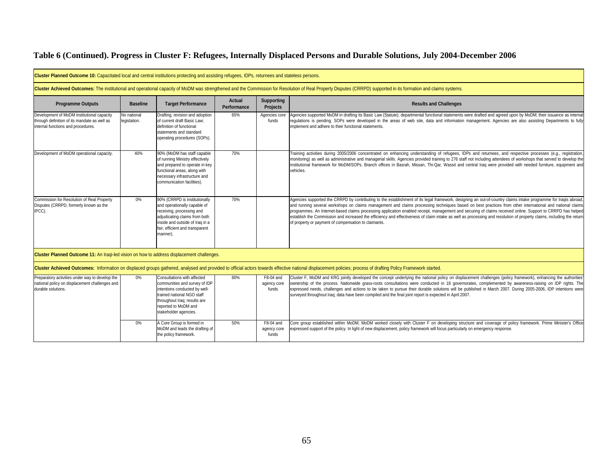<u> 1980 - Johann Barbara, martxa amerikan personal (h. 1980).</u>

| <b>Cluster Planned Outcome 10:</b> Capacitated local and central institutions protecting and assisting refugees, IDPs, returnees and stateless persons. |                             |                                                                                                                                                                                                               |                       |                                      |                                                                                                                                                                                                                                                                                                                                                                                                                                                                                                                                                                                                                                                                                                                              |
|---------------------------------------------------------------------------------------------------------------------------------------------------------|-----------------------------|---------------------------------------------------------------------------------------------------------------------------------------------------------------------------------------------------------------|-----------------------|--------------------------------------|------------------------------------------------------------------------------------------------------------------------------------------------------------------------------------------------------------------------------------------------------------------------------------------------------------------------------------------------------------------------------------------------------------------------------------------------------------------------------------------------------------------------------------------------------------------------------------------------------------------------------------------------------------------------------------------------------------------------------|
|                                                                                                                                                         |                             |                                                                                                                                                                                                               |                       |                                      | Cluster Achieved Outcomes: The institutional and operational capacity of MoDM was strengthened and the Commission for Resolution of Real Property Disputes (CRRPD) supported in its formation and claims systems.                                                                                                                                                                                                                                                                                                                                                                                                                                                                                                            |
| <b>Programme Outputs</b>                                                                                                                                | <b>Baseline</b>             | <b>Target Performance</b>                                                                                                                                                                                     | Actual<br>Performance | <b>Supporting</b><br><b>Projects</b> | <b>Results and Challenges</b>                                                                                                                                                                                                                                                                                                                                                                                                                                                                                                                                                                                                                                                                                                |
| Development of MoDM institutional capacity<br>through definition of its mandate as well as<br>internal functions and procedures.                        | No national<br>legislation. | Drafting, revision and adoption<br>of current draft Basic Law;<br>definition of functional<br>statements and standard<br>operating procedures (SOPs).                                                         | 65%                   | Agencies core<br>funds               | Agencies supported MoDM in drafting its Basic Law (Statute); departmental functional statements were drafted and agreed upon by MoDM; their issuance as internal<br>requlations is pending. SOPs were developed in the areas of web site, data and information management. Agencies are also assisting Departments to fully<br>implement and adhere to their functional statements.                                                                                                                                                                                                                                                                                                                                          |
| Development of MoDM operational capacity.                                                                                                               | 40%                         | 90% (MoDM has staff capable<br>of running Ministry effectively<br>and prepared to operate in key<br>functional areas, along with<br>necessary infrastructure and<br>communication facilities).                | 70%                   |                                      | Training activities during 2005/2006 concentrated on enhancing understanding of refugees, IDPs and returnees, and respective processes (e.g., registration,<br>monitoring) as well as administrative and managerial skills. Agencies provided training to 276 staff not including attendees of workshops that served to develop the<br>institutional framework for MoDM/SOPs. Branch offices in Basrah, Missan, Thi-Qar, Wassit and central Iraq were provided with needed furniture, equipment and<br>vehicles.                                                                                                                                                                                                             |
| Commission for Resolution of Real Property<br>Disputes (CRRPD, formerly known as the<br>IPCC).                                                          | $0\%$                       | 90% (CRRPD is institutionally<br>and operationally capable of<br>receiving, processing and<br>adjudicating claims from both<br>inside and outside of Iraq in a<br>fair, efficient and transparent<br>manner). | 70%                   |                                      | Agencies supported the CRRPD by contributing to the establishment of its legal framework, designing an out-of-country claims intake programme for Iraqis abroad,<br>and running several workshops on claims management and claims processing techniques based on best practices from other international and national claims<br>programmes. An Internet-based claims processing application enabled receipt, management and securing of claims received online. Support to CRRPD has helped<br>establish the Commission and increased the efficiency and effectiveness of claim intake as well as processing and resolution of property claims, including the return<br>of property or payment of compensation to claimants. |
| Cluster Planned Outcome 11: An Iragi-led vision on how to address displacement challenges.                                                              |                             |                                                                                                                                                                                                               |                       |                                      |                                                                                                                                                                                                                                                                                                                                                                                                                                                                                                                                                                                                                                                                                                                              |
|                                                                                                                                                         |                             |                                                                                                                                                                                                               |                       |                                      | Cluster Achieved Outcomes: Information on displaced groups gathered, analysed and provided to official actors towards effective national displacement policies; process of drafting Policy Framework started.                                                                                                                                                                                                                                                                                                                                                                                                                                                                                                                |
| Preparatory activities under way to develop the<br>national policy on displacement challenges and<br>durable solutions.                                 | $0\%$                       | Consultations with affected<br>communities and survey of IDP<br>intentions conducted by well<br>trained national NGO staff<br>throughout Iraq; results are<br>reported to MoDM and<br>stakeholder agencies.   | 80%                   | F8-04 and<br>agency core<br>funds    | Cluster F, MoDM and KRG jointly developed the concept underlying the national policy on displacement challenges (policy framework), enhancing the authorities'<br>ownership of the process. Nationwide grass-roots consultations were conducted in 18 governorates, complemented by awareness-raising on IDP rights. The<br>expressed needs, challenges and actions to be taken to pursue their durable solutions will be published in March 2007. During 2005-2006, IDP intentions were<br>surveyed throughout Iraq; data have been compiled and the final joint report is expected in April 2007.                                                                                                                          |
|                                                                                                                                                         | $0\%$                       | A Core Group is formed in<br>MoDM and leads the drafting of<br>the policy framework.                                                                                                                          | 50%                   | F8-04 and<br>agency core<br>funds    | Core group established within MoDM; MoDM worked closely with Cluster F on developing structure and coverage of policy framework. Prime Minister's Office<br>expressed support of the policy. In light of new displacement, policy framework will focus particularly on emergency response.                                                                                                                                                                                                                                                                                                                                                                                                                                   |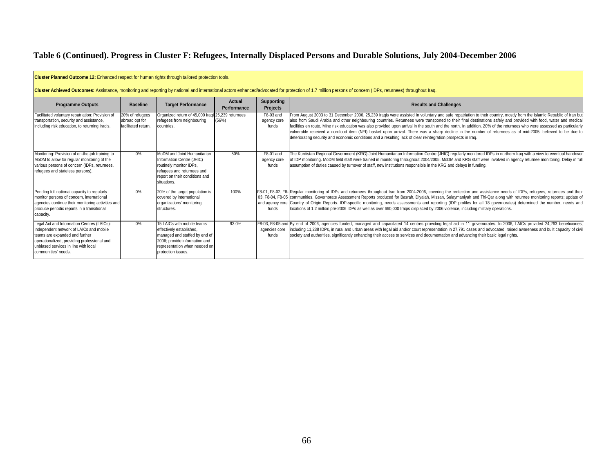| Cluster Planned Outcome 12: Enhanced respect for human rights through tailored protection tools.<br>Cluster Achieved Outcomes: Assistance, monitoring and reporting by national and international actors enhanced/advocated for protection of 1.7 million persons of concern (IDPs, returnees) throughout Irag. |                                                          |                                                                                                                                                                                 |       |                                   |                                                                                                                                                                                                                                                                                                                                                                                                                                                                                                                                                                                                                                                                                                                                                                                                  |  |  |  |
|-----------------------------------------------------------------------------------------------------------------------------------------------------------------------------------------------------------------------------------------------------------------------------------------------------------------|----------------------------------------------------------|---------------------------------------------------------------------------------------------------------------------------------------------------------------------------------|-------|-----------------------------------|--------------------------------------------------------------------------------------------------------------------------------------------------------------------------------------------------------------------------------------------------------------------------------------------------------------------------------------------------------------------------------------------------------------------------------------------------------------------------------------------------------------------------------------------------------------------------------------------------------------------------------------------------------------------------------------------------------------------------------------------------------------------------------------------------|--|--|--|
|                                                                                                                                                                                                                                                                                                                 |                                                          |                                                                                                                                                                                 |       |                                   |                                                                                                                                                                                                                                                                                                                                                                                                                                                                                                                                                                                                                                                                                                                                                                                                  |  |  |  |
| Facilitated voluntary repatriation: Provision of<br>transportation, security and assistance,<br>including risk education, to returning Iraqis.                                                                                                                                                                  | 20% of refugees<br>abroad opt for<br>facilitated return. | Organized return of 45,000 Iragi 25,239 returnees<br>refugees from neighbouring<br>countries.                                                                                   | (56%) | F8-03 and<br>agency core<br>funds | From August 2003 to 31 December 2006, 25,239 Iraqis were assisted in voluntary and safe repatriation to their country, mostly from the Islamic Republic of Iran but<br>also from Saudi Arabia and other neighbouring countries. Returnees were transported to their final destinations safely and provided with food, water and medical<br>facilities en route. Mine risk education was also provided upon arrival in the south and the north. In addition, 20% of the returnees who were assessed as particularly<br>vulnerable received a non-food item (NFI) basket upon arrival. There was a sharp decline in the number of returnees as of mid-2005, believed to be due to<br>deteriorating security and economic conditions and a resulting lack of clear reintegration prospects in Irag. |  |  |  |
| Monitoring: Provision of on-the-job training to<br>MoDM to allow for regular monitoring of the<br>various persons of concern (IDPs, returnees,<br>refugees and stateless persons).                                                                                                                              | 0%                                                       | MoDM and Joint Humanitarian<br>Information Centre (JHIC)<br>routinely monitor IDPs,<br>refugees and returnees and<br>report on their conditions and<br>situations.              | 50%   | F8-01 and<br>agency core<br>funds | The Kurdistan Regional Government (KRG) Joint Humanitarian Information Centre (JHIC) regularly monitored IDPs in northern Iraq with a view to eventual handover<br>of IDP monitoring. MoDM field staff were trained in monitoring throughout 2004/2005. MoDM and KRG staff were involved in agency returnee monitoring. Delay in full<br>assumption of duties caused by turnover of staff, new institutions responsible in the KRG and delays in funding.                                                                                                                                                                                                                                                                                                                                        |  |  |  |
| Pending full national capacity to regularly<br>monitor persons of concern, international<br>agencies continue their monitoring activities and<br>produce periodic reports in a transitional<br>capacity.                                                                                                        | 0%                                                       | 20% of the target population is<br>covered by international<br>organizations' monitoring<br>structures.                                                                         | 100%  | funds                             | F8-01, F8-02, F8-JReqular monitoring of IDPs and returnees throughout Iraq from 2004-2006, covering the protection and assistance needs of IDPs, refugees, returnees and their<br>03, F8-04, F8-05 communities. Governorate Assessment Reports produced for Basrah, Diyalah, Missan, Sulaymaniyah and Thi-Qar along with returnee monitoring reports; update of<br>and agency core Country of Origin Reports. IDP-specific monitoring, needs assessments and reporting (IDP profiles for all 18 governorates) determined the number, needs and<br>locations of 1.2 million pre-2006 IDPs as well as over 660,000 Iragis displaced by 2006 violence, including military operations.                                                                                                               |  |  |  |
| Legal Aid and Information Centres (LAICs):<br>Independent network of LAICs and mobile<br>teams are expanded and further<br>operationalized, providing professional and<br>unbiased services in line with local<br>communities' needs.                                                                           | 0%                                                       | 15 LAICs with mobile teams<br>effectively established,<br>managed and staffed by end of<br>2006; provide information and<br>representation when needed on<br>protection issues. | 93.0% | agencies core<br>funds            | F8-03, F8-05 and By end of 2006, agencies funded, managed and capacitated 14 centres providing legal aid in 11 governorates. In 2006, LAICs provided 24,263 beneficiaries,<br>including 11,238 IDPs, in rural and urban areas with legal aid and/or court representation in 27,791 cases and advocated, raised awareness and built capacity of civil<br>society and authorities, significantly enhancing their access to services and documentation and advancing their basic legal rights.                                                                                                                                                                                                                                                                                                      |  |  |  |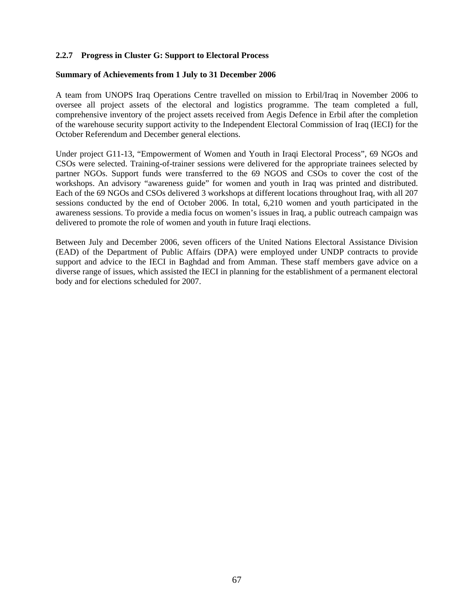### **2.2.7 Progress in Cluster G: Support to Electoral Process**

#### **Summary of Achievements from 1 July to 31 December 2006**

A team from UNOPS Iraq Operations Centre travelled on mission to Erbil/Iraq in November 2006 to oversee all project assets of the electoral and logistics programme. The team completed a full, comprehensive inventory of the project assets received from Aegis Defence in Erbil after the completion of the warehouse security support activity to the Independent Electoral Commission of Iraq (IECI) for the October Referendum and December general elections.

Under project G11-13, "Empowerment of Women and Youth in Iraqi Electoral Process", 69 NGOs and CSOs were selected. Training-of-trainer sessions were delivered for the appropriate trainees selected by partner NGOs. Support funds were transferred to the 69 NGOS and CSOs to cover the cost of the workshops. An advisory "awareness guide" for women and youth in Iraq was printed and distributed. Each of the 69 NGOs and CSOs delivered 3 workshops at different locations throughout Iraq, with all 207 sessions conducted by the end of October 2006. In total, 6,210 women and youth participated in the awareness sessions. To provide a media focus on women's issues in Iraq, a public outreach campaign was delivered to promote the role of women and youth in future Iraqi elections.

Between July and December 2006, seven officers of the United Nations Electoral Assistance Division (EAD) of the Department of Public Affairs (DPA) were employed under UNDP contracts to provide support and advice to the IECI in Baghdad and from Amman. These staff members gave advice on a diverse range of issues, which assisted the IECI in planning for the establishment of a permanent electoral body and for elections scheduled for 2007.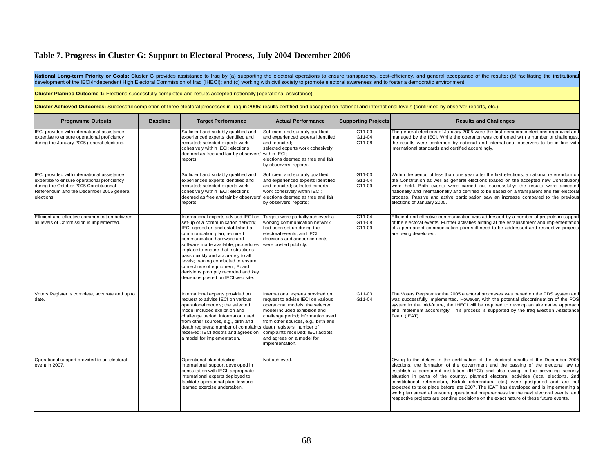# **Table 7. Progress in Cluster G: Support to Electoral Process, July 2004-December 2006**

| National Long-term Priority or Goals: Cluster G provides assistance to Iraq by (a) supporting the electoral operations to ensure transparency, cost-efficiency, and general acceptance of the results; (b) facilitating the in<br>development of the IECI/Independent High Electoral Commission of Iraq (IHECI); and (c) working with civil society to promote electoral awareness and to foster a democratic environment. |                 |                                                                                                                                                                                                                                                                                                                                                                                                                                                            |                                                                                                                                                                                                                                                                                                              |                              |                                                                                                                                                                                                                                                                                                                                                                                                                                                                                                                                                                                                                                                                                                                             |  |  |
|----------------------------------------------------------------------------------------------------------------------------------------------------------------------------------------------------------------------------------------------------------------------------------------------------------------------------------------------------------------------------------------------------------------------------|-----------------|------------------------------------------------------------------------------------------------------------------------------------------------------------------------------------------------------------------------------------------------------------------------------------------------------------------------------------------------------------------------------------------------------------------------------------------------------------|--------------------------------------------------------------------------------------------------------------------------------------------------------------------------------------------------------------------------------------------------------------------------------------------------------------|------------------------------|-----------------------------------------------------------------------------------------------------------------------------------------------------------------------------------------------------------------------------------------------------------------------------------------------------------------------------------------------------------------------------------------------------------------------------------------------------------------------------------------------------------------------------------------------------------------------------------------------------------------------------------------------------------------------------------------------------------------------------|--|--|
| Cluster Planned Outcome 1: Elections successfully completed and results accepted nationally (operational assistance).                                                                                                                                                                                                                                                                                                      |                 |                                                                                                                                                                                                                                                                                                                                                                                                                                                            |                                                                                                                                                                                                                                                                                                              |                              |                                                                                                                                                                                                                                                                                                                                                                                                                                                                                                                                                                                                                                                                                                                             |  |  |
| Cluster Achieved Outcomes: Successful completion of three electoral processes in Iraq in 2005: results certified and accepted on national and international levels (confirmed by observer reports, etc.).                                                                                                                                                                                                                  |                 |                                                                                                                                                                                                                                                                                                                                                                                                                                                            |                                                                                                                                                                                                                                                                                                              |                              |                                                                                                                                                                                                                                                                                                                                                                                                                                                                                                                                                                                                                                                                                                                             |  |  |
| <b>Programme Outputs</b>                                                                                                                                                                                                                                                                                                                                                                                                   | <b>Baseline</b> | <b>Target Performance</b>                                                                                                                                                                                                                                                                                                                                                                                                                                  | <b>Actual Performance</b>                                                                                                                                                                                                                                                                                    | <b>Supporting Projects</b>   | <b>Results and Challenges</b>                                                                                                                                                                                                                                                                                                                                                                                                                                                                                                                                                                                                                                                                                               |  |  |
| IECI provided with international assistance<br>expertise to ensure operational proficiency<br>during the January 2005 general elections.                                                                                                                                                                                                                                                                                   |                 | Sufficient and suitably qualified and<br>experienced experts identified and<br>recruited; selected experts work<br>cohesively within IECI; elections<br>deemed as free and fair by observers<br>reports.                                                                                                                                                                                                                                                   | Sufficient and suitably qualified<br>and experienced experts identified<br>and recruited;<br>selected experts work cohesively<br>within IECI;<br>elections deemed as free and fair<br>by observers' reports.                                                                                                 | G11-03<br>G11-04<br>G11-08   | The general elections of January 2005 were the first democratic elections organized and<br>managed by the IECI. While the operation was confronted with a number of challenges<br>the results were confirmed by national and international observers to be in line with<br>international standards and certified accordingly.                                                                                                                                                                                                                                                                                                                                                                                               |  |  |
| IECI provided with international assistance<br>expertise to ensure operational proficiency<br>during the October 2005 Constitutional<br>Referendum and the December 2005 general<br>elections.                                                                                                                                                                                                                             |                 | Sufficient and suitably qualified and<br>experienced experts identified and<br>recruited; selected experts work<br>cohesively within IECI; elections<br>deemed as free and fair by observers'<br>reports.                                                                                                                                                                                                                                                  | Sufficient and suitably qualified<br>and experienced experts identified<br>and recruited; selected experts<br>work cohesively within IECI;<br>elections deemed as free and fair<br>by observers' reports;                                                                                                    | $G11-03$<br>G11-04<br>G11-09 | Within the period of less than one year after the first elections, a national referendum or<br>the Constitution as well as general elections (based on the accepted new Constitution<br>were held. Both events were carried out successfully: the results were accepted<br>nationally and internationally and certified to be based on a transparent and fair electoral<br>process. Passive and active participation saw an increase compared to the previous<br>elections of January 2005.                                                                                                                                                                                                                                 |  |  |
| Efficient and effective communication between<br>all levels of Commission is implemented.                                                                                                                                                                                                                                                                                                                                  |                 | International experts advised IECI on<br>set-up of a communication network;<br>IECI agreed on and established a<br>communication plan; required<br>communication hardware and<br>software made available; procedures<br>in place to ensure that instructions<br>pass quickly and accurately to all<br>levels; training conducted to ensure<br>correct use of equipment; Board<br>decisions promptly recorded and key<br>decisions posted on IECI web site. | Targets were partially achieved: a<br>working communication network<br>had been set up during the<br>electoral events, and IECI<br>decisions and announcements<br>were posted publicly.                                                                                                                      | $G11-04$<br>G11-08<br>G11-09 | Efficient and effective communication was addressed by a number of projects in suppor<br>of the electoral events. Further activities aiming at the establishment and implementation<br>of a permanent communication plan still need to be addressed and respective projects<br>are being developed.                                                                                                                                                                                                                                                                                                                                                                                                                         |  |  |
| Voters Register is complete, accurate and up to<br>date.                                                                                                                                                                                                                                                                                                                                                                   |                 | International experts provided on<br>request to advise IECI on various<br>operational models; the selected<br>model included exhibition and<br>challenge period; information used<br>from other sources, e.g., birth and<br>death registers; number of complaints death registers; number of<br>received; IECI adopts and agrees on<br>a model for implementation.                                                                                         | International experts provided on<br>request to advise IECI on various<br>operational models; the selected<br>model included exhibition and<br>challenge period; information used<br>from other sources, e.g., birth and<br>complaints received; IECI adopts<br>and agrees on a model for<br>implementation. | $G11-03$<br>G11-04           | The Voters Register for the 2005 electoral processes was based on the PDS system and<br>was successfully implemented. However, with the potential discontinuation of the PDS<br>system in the mid-future, the IHECI will be required to develop an alternative approach<br>and implement accordingly. This process is supported by the Iraq Election Assistance<br>Team (IEAT).                                                                                                                                                                                                                                                                                                                                             |  |  |
| Operational support provided to an electoral<br>event in 2007.                                                                                                                                                                                                                                                                                                                                                             |                 | Operational plan detailing<br>international support developed in<br>consultation with IECI; appropriate<br>international experts deployed to<br>facilitate operational plan; lessons-<br>learned exercise undertaken.                                                                                                                                                                                                                                      | Not achieved.                                                                                                                                                                                                                                                                                                |                              | Owing to the delays in the certification of the electoral results of the December 2005<br>elections, the formation of the government and the passing of the electoral law to<br>establish a permanent institution (IHECI) and also owing to the prevailing security<br>situation in parts of the country, planned electoral activities (local elections, 2nd<br>constitutional referendum, Kirkuk referendum, etc.) were postponed and are not<br>expected to take place before late 2007. The IEAT has developed and is implementing a<br>work plan aimed at ensuring operational preparedness for the next electoral events, and<br>respective projects are pending decisions on the exact nature of these future events. |  |  |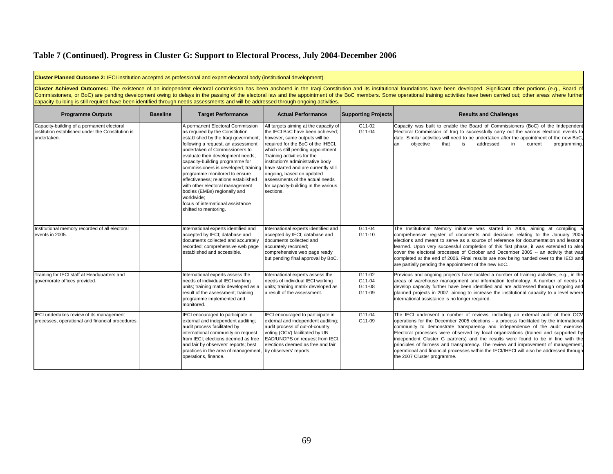# **Table 7 (Continued). Progress in Cluster G: Support to Electoral Process, July 2004-December 2006**

| <b>Cluster Planned Outcome 2: IECI institution accepted as professional and expert electoral body (institutional development).</b>                                                                                                                                                                                                                                                                                                                                                                                                                                                                      |                 |                                                                                                                                                                                                                                                                                                                                                                                                                                                                                                                            |                                                                                                                                                                                                                                                                                                                                                                                                                          |                                      |                                                                                                                                                                                                                                                                                                                                                                                                                                                                                                                                                                                                                                                          |  |  |
|---------------------------------------------------------------------------------------------------------------------------------------------------------------------------------------------------------------------------------------------------------------------------------------------------------------------------------------------------------------------------------------------------------------------------------------------------------------------------------------------------------------------------------------------------------------------------------------------------------|-----------------|----------------------------------------------------------------------------------------------------------------------------------------------------------------------------------------------------------------------------------------------------------------------------------------------------------------------------------------------------------------------------------------------------------------------------------------------------------------------------------------------------------------------------|--------------------------------------------------------------------------------------------------------------------------------------------------------------------------------------------------------------------------------------------------------------------------------------------------------------------------------------------------------------------------------------------------------------------------|--------------------------------------|----------------------------------------------------------------------------------------------------------------------------------------------------------------------------------------------------------------------------------------------------------------------------------------------------------------------------------------------------------------------------------------------------------------------------------------------------------------------------------------------------------------------------------------------------------------------------------------------------------------------------------------------------------|--|--|
| Cluster Achieved Outcomes: The existence of an independent electoral commission has been anchored in the Iraqi Constitution and its institutional foundations have been developed. Significant other portions (e.g., Board of<br>Commissioners, or BoC) are pending development owing to delays in the passing of the electoral law and the appointment of the BoC members. Some operational training activities have been carried out; other areas where furth<br>capacity-building is still required have been identified through needs assessments and will be addressed through ongoing activities. |                 |                                                                                                                                                                                                                                                                                                                                                                                                                                                                                                                            |                                                                                                                                                                                                                                                                                                                                                                                                                          |                                      |                                                                                                                                                                                                                                                                                                                                                                                                                                                                                                                                                                                                                                                          |  |  |
| <b>Programme Outputs</b>                                                                                                                                                                                                                                                                                                                                                                                                                                                                                                                                                                                | <b>Baseline</b> | <b>Target Performance</b>                                                                                                                                                                                                                                                                                                                                                                                                                                                                                                  | <b>Actual Performance</b>                                                                                                                                                                                                                                                                                                                                                                                                | <b>Supporting Projects</b>           | <b>Results and Challenges</b>                                                                                                                                                                                                                                                                                                                                                                                                                                                                                                                                                                                                                            |  |  |
| Capacity-building of a permanent electoral<br>institution established under the Constitution is<br>undertaken.                                                                                                                                                                                                                                                                                                                                                                                                                                                                                          |                 | A permanent Electoral Commission<br>as required by the Constitution<br>established by the Iraqi government;<br>ollowing a request, an assessment<br>undertaken of Commissioners to<br>evaluate their development needs;<br>capacity-building programme for<br>commissioners is developed; training<br>programme monitored to ensure<br>effectiveness; relations established<br>with other electoral management<br>bodies (EMBs) regionally and<br>worldwide;<br>focus of international assistance<br>shifted to mentoring. | All targets aiming at the capacity of<br>the IECI BoC have been achieved;<br>however, same outputs will be<br>required for the BoC of the IHECI,<br>which is still pending appointment.<br>Training activities for the<br>institution's administrative body<br>have started and are currently still<br>ongoing, based on updated<br>assessments of the actual needs<br>for capacity-building in the various<br>sections. | G11-02<br>G11-04                     | Capacity was built to enable the Board of Commissioners (BoC) of the Independent<br>Electoral Commission of Iraq to successfully carry out the various electoral events to<br>date. Similar activities will need to be undertaken after the appointment of the new BoC,<br>objective<br>addressed<br>$\mathsf{in}$<br>current<br>programming.<br>lan<br>that<br>is                                                                                                                                                                                                                                                                                       |  |  |
| Institutional memory recorded of all electoral<br>events in 2005.                                                                                                                                                                                                                                                                                                                                                                                                                                                                                                                                       |                 | International experts identified and<br>accepted by IECI; database and<br>documents collected and accurately<br>recorded; comprehensive web page<br>established and accessible.                                                                                                                                                                                                                                                                                                                                            | International experts identified and<br>accepted by IECI; database and<br>documents collected and<br>accurately recorded;<br>comprehensive web page ready<br>but pending final approval by BoC.                                                                                                                                                                                                                          | $G11-04$<br>G11-10                   | The Institutional Memory initiative was started in 2006, aiming at compiling a<br>comprehensive register of documents and decisions relating to the January 2005<br>elections and meant to serve as a source of reference for documentation and lessons<br>learned. Upon very successful completion of this first phase, it was extended to also<br>cover the electoral processes of October and December 2005 -- an activity that was<br>completed at the end of 2006. Final results are now being handed over to the IECI and<br>are partially pending the appointment of the new BoC.                                                                 |  |  |
| Training for IECI staff at Headquarters and<br>governorate offices provided.                                                                                                                                                                                                                                                                                                                                                                                                                                                                                                                            |                 | nternational experts assess the<br>needs of individual IECI working<br>units; training matrix developed as a<br>result of the assessment; training<br>programme implemented and<br>monitored.                                                                                                                                                                                                                                                                                                                              | International experts assess the<br>needs of individual IECI working<br>units; training matrix developed as<br>a result of the assessment.                                                                                                                                                                                                                                                                               | G11-02<br>G11-04<br>G11-08<br>G11-09 | Previous and ongoing projects have tackled a number of training activities, e.g., in the<br>areas of warehouse management and information technology. A number of needs to<br>develop capacity further have been identified and are addressed through ongoing and<br>planned projects in 2007, aiming to increase the institutional capacity to a level where<br>international assistance is no longer required.                                                                                                                                                                                                                                         |  |  |
| IECI undertakes review of its management<br>processes, operational and financial procedures.                                                                                                                                                                                                                                                                                                                                                                                                                                                                                                            |                 | ECI encouraged to participate in<br>external and independent auditing;<br>audit process facilitated by<br>international community on request<br>rom IECI; elections deemed as free<br>and fair by observers' reports; best<br>practices in the area of management.<br>operations, finance.                                                                                                                                                                                                                                 | IECI encouraged to participate in<br>external and independent auditing;<br>audit process of out-of-country<br>voting (OCV) facilitated by UN<br>EAD/UNOPS on request from IECI;<br>elections deemed as free and fair<br>by observers' reports.                                                                                                                                                                           | G11-04<br>G11-09                     | The IECI underwent a number of reviews, including an external audit of their OCV<br>operations for the December 2005 elections - a process facilitated by the international<br>community to demonstrate transparency and independence of the audit exercise.<br>Electoral processes were observed by local organizations (trained and supported by<br>independent Cluster G partners) and the results were found to be in line with the<br>principles of fairness and transparency. The review and improvement of management,<br>operational and financial processes within the IECI/IHECI will also be addressed through<br>the 2007 Cluster programme. |  |  |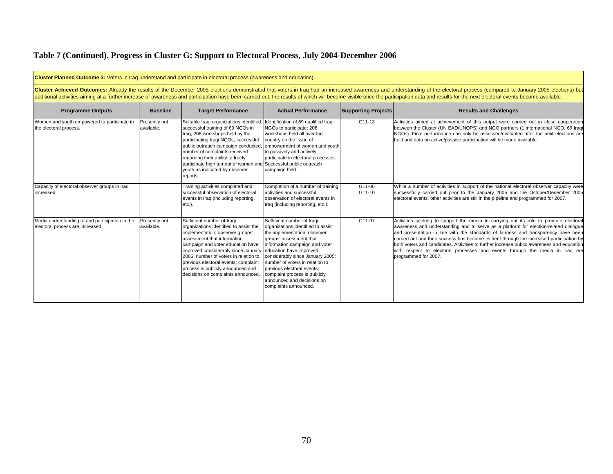# **Table 7 (Continued). Progress in Cluster G: Support to Electoral Process, July 2004-December 2006**

| <b>Cluster Planned Outcome 3:</b> Voters in Irag understand and participate in electoral process (awareness and education).                                                                                                                                                                                                                                                                                                                                     |                             |                                                                                                                                                                                                                                                                                                                                                                                                                              |                                                                                                                                                                                                                                                                                                                                                                                        |                            |                                                                                                                                                                                                                                                                                                                                                                                                                                                                                                                                                                     |  |  |
|-----------------------------------------------------------------------------------------------------------------------------------------------------------------------------------------------------------------------------------------------------------------------------------------------------------------------------------------------------------------------------------------------------------------------------------------------------------------|-----------------------------|------------------------------------------------------------------------------------------------------------------------------------------------------------------------------------------------------------------------------------------------------------------------------------------------------------------------------------------------------------------------------------------------------------------------------|----------------------------------------------------------------------------------------------------------------------------------------------------------------------------------------------------------------------------------------------------------------------------------------------------------------------------------------------------------------------------------------|----------------------------|---------------------------------------------------------------------------------------------------------------------------------------------------------------------------------------------------------------------------------------------------------------------------------------------------------------------------------------------------------------------------------------------------------------------------------------------------------------------------------------------------------------------------------------------------------------------|--|--|
| Cluster Achieved Outcomes: Already the results of the December 2005 elections demonstrated that voters in Iraq had an increased awareness and understanding of the electoral process (compared to January 2005 elections) but<br>additional activities aiming at a further increase of awareness and participation have been carried out, the results of which will become visible once the participation data and results for the next electoral events become |                             |                                                                                                                                                                                                                                                                                                                                                                                                                              |                                                                                                                                                                                                                                                                                                                                                                                        |                            |                                                                                                                                                                                                                                                                                                                                                                                                                                                                                                                                                                     |  |  |
| <b>Programme Outputs</b>                                                                                                                                                                                                                                                                                                                                                                                                                                        | <b>Baseline</b>             | <b>Target Performance</b>                                                                                                                                                                                                                                                                                                                                                                                                    | <b>Actual Performance</b>                                                                                                                                                                                                                                                                                                                                                              | <b>Supporting Projects</b> | <b>Results and Challenges</b>                                                                                                                                                                                                                                                                                                                                                                                                                                                                                                                                       |  |  |
| Women and youth empowered to participate in<br>the electoral process.                                                                                                                                                                                                                                                                                                                                                                                           | Presently not<br>available. | Suitable Iraqi organizations identified; Identification of 69 qualified Iraqi<br>successful training of 69 NGOs in<br>Iraq; 208 workshops held by the<br>participating Iraqi NGOs; successful<br>public outreach campaign conducted;<br>number of complaints received<br>regarding their ability to freely<br>participate high turnout of women and Successful public outreach<br>youth as indicated by observer<br>reports. | NGOs to participate: 208<br>workshops held all over the<br>country on the issue of<br>empowerment of women and youth<br>to passively and actively<br>participate in electoral processes.<br>campaign held.                                                                                                                                                                             | $G11-13$                   | Activities aimed at achievement of this output were carried out in close cooperation<br>between the Cluster (UN EAD/UNOPS) and NGO partners (1 international NGO, 69 Iraqi<br>NGOs). Final performance can only be assessed/evaluated after the next elections are<br>held and data on active/passive participation will be made available.                                                                                                                                                                                                                         |  |  |
| Capacity of electoral observer groups in Iraq<br>increased.                                                                                                                                                                                                                                                                                                                                                                                                     |                             | Training activities completed and<br>successful observation of electoral<br>events in Iraq (including reporting,<br>$etc.$ ).                                                                                                                                                                                                                                                                                                | Completion of a number of training<br>activities and successful<br>observation of electoral events in<br>Iraq (including reporting, etc.).                                                                                                                                                                                                                                             | G11-06<br>G11-10           | While a number of activities in support of the national electoral observer capacity were<br>successfully carried out prior to the January 2005 and the October/December 2005<br>electoral events, other activities are still in the pipeline and programmed for 2007.                                                                                                                                                                                                                                                                                               |  |  |
| Media understanding of and participation in the<br>electoral process are increased.                                                                                                                                                                                                                                                                                                                                                                             | Presently not<br>available. | Sufficient number of Iraqi<br>organizations identified to assist the<br>implementation; observer groups'<br>assessment that information<br>campaign and voter education have<br>improved considerably since January<br>2005; number of voters in relation to<br>previous electoral events; complaint<br>process is publicly announced and<br>decisions on complaints announced.                                              | Sufficient number of Iraqi<br>organizations identified to assist<br>the implementation; observer<br>groups' assessment that<br>information campaign and voter<br>education have improved<br>considerably since January 2005;<br>number of voters in relation to<br>previous electoral events:<br>complaint process is publicly<br>lannounced and decisions on<br>complaints announced. | G11-07                     | Activities seeking to support the media in carrying out its role to promote electoral<br>awareness and understanding and to serve as a platform for election-related dialogue<br>and presentation in line with the standards of fairness and transparency have been<br>carried out and their success has become evident through the increased participation by<br>both voters and candidates. Activities to further increase public awareness and education<br>with respect to electoral processes and events through the media in Iraq are<br>programmed for 2007. |  |  |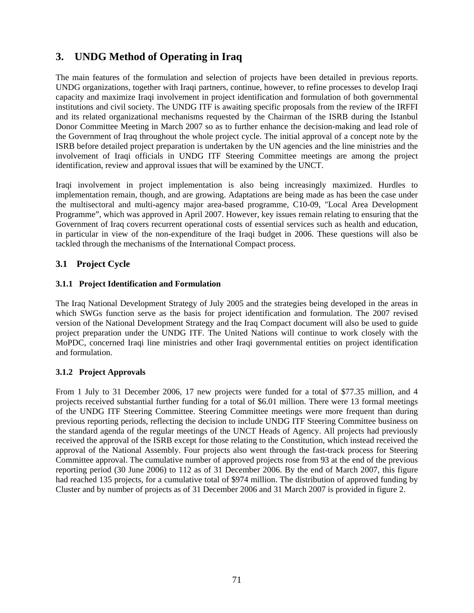# **3. UNDG Method of Operating in Iraq**

The main features of the formulation and selection of projects have been detailed in previous reports. UNDG organizations, together with Iraqi partners, continue, however, to refine processes to develop Iraqi capacity and maximize Iraqi involvement in project identification and formulation of both governmental institutions and civil society. The UNDG ITF is awaiting specific proposals from the review of the IRFFI and its related organizational mechanisms requested by the Chairman of the ISRB during the Istanbul Donor Committee Meeting in March 2007 so as to further enhance the decision-making and lead role of the Government of Iraq throughout the whole project cycle. The initial approval of a concept note by the ISRB before detailed project preparation is undertaken by the UN agencies and the line ministries and the involvement of Iraqi officials in UNDG ITF Steering Committee meetings are among the project identification, review and approval issues that will be examined by the UNCT.

Iraqi involvement in project implementation is also being increasingly maximized. Hurdles to implementation remain, though, and are growing. Adaptations are being made as has been the case under the multisectoral and multi-agency major area-based programme, C10-09, "Local Area Development Programme", which was approved in April 2007. However, key issues remain relating to ensuring that the Government of Iraq covers recurrent operational costs of essential services such as health and education, in particular in view of the non-expenditure of the Iraqi budget in 2006. These questions will also be tackled through the mechanisms of the International Compact process.

### **3.1 Project Cycle**

### **3.1.1 Project Identification and Formulation**

The Iraq National Development Strategy of July 2005 and the strategies being developed in the areas in which SWGs function serve as the basis for project identification and formulation. The 2007 revised version of the National Development Strategy and the Iraq Compact document will also be used to guide project preparation under the UNDG ITF. The United Nations will continue to work closely with the MoPDC, concerned Iraqi line ministries and other Iraqi governmental entities on project identification and formulation.

### **3.1.2 Project Approvals**

From 1 July to 31 December 2006, 17 new projects were funded for a total of \$77.35 million, and 4 projects received substantial further funding for a total of \$6.01 million. There were 13 formal meetings of the UNDG ITF Steering Committee. Steering Committee meetings were more frequent than during previous reporting periods, reflecting the decision to include UNDG ITF Steering Committee business on the standard agenda of the regular meetings of the UNCT Heads of Agency. All projects had previously received the approval of the ISRB except for those relating to the Constitution, which instead received the approval of the National Assembly. Four projects also went through the fast-track process for Steering Committee approval. The cumulative number of approved projects rose from 93 at the end of the previous reporting period (30 June 2006) to 112 as of 31 December 2006. By the end of March 2007, this figure had reached 135 projects, for a cumulative total of \$974 million. The distribution of approved funding by Cluster and by number of projects as of 31 December 2006 and 31 March 2007 is provided in figure 2.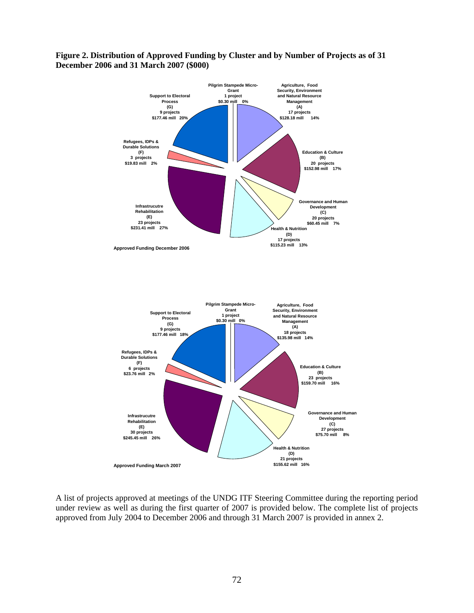### **Figure 2. Distribution of Approved Funding by Cluster and by Number of Projects as of 31 December 2006 and 31 March 2007 (\$000)**



A list of projects approved at meetings of the UNDG ITF Steering Committee during the reporting period under review as well as during the first quarter of 2007 is provided below. The complete list of projects approved from July 2004 to December 2006 and through 31 March 2007 is provided in annex 2.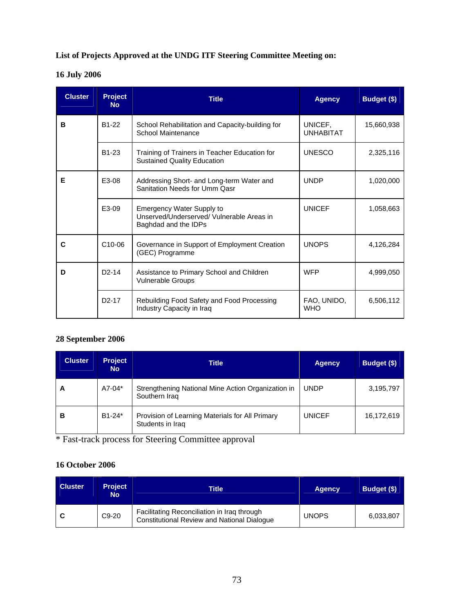## **List of Projects Approved at the UNDG ITF Steering Committee Meeting on:**

# **16 July 2006**

| <b>Cluster</b> | <b>Project</b><br><b>No</b> | <b>Title</b>                                                                                          | <b>Agency</b>               | Budget (\$) |
|----------------|-----------------------------|-------------------------------------------------------------------------------------------------------|-----------------------------|-------------|
| в              | B <sub>1</sub> -22          | School Rehabilitation and Capacity-building for<br>School Maintenance                                 | UNICEF.<br><b>UNHABITAT</b> | 15,660,938  |
|                | B <sub>1</sub> -23          | Training of Trainers in Teacher Education for<br><b>Sustained Quality Education</b>                   | <b>UNESCO</b>               | 2,325,116   |
| Е              | E3-08                       | Addressing Short- and Long-term Water and<br>Sanitation Needs for Umm Qasr                            | <b>UNDP</b>                 | 1,020,000   |
|                | E3-09                       | <b>Emergency Water Supply to</b><br>Unserved/Underserved/ Vulnerable Areas in<br>Baghdad and the IDPs | <b>UNICEF</b>               | 1.058.663   |
| C              | C <sub>10</sub> -06         | Governance in Support of Employment Creation<br>(GEC) Programme                                       | <b>UNOPS</b>                | 4,126,284   |
| D              | $D2-14$                     | Assistance to Primary School and Children<br><b>Vulnerable Groups</b>                                 | <b>WFP</b>                  | 4,999,050   |
|                | D <sub>2</sub> -17          | Rebuilding Food Safety and Food Processing<br>Industry Capacity in Iraq                               | FAO, UNIDO,<br><b>WHO</b>   | 6,506,112   |

## **28 September 2006**

| <b>Cluster</b> | <b>Project</b><br><b>No</b> | <b>Title</b>                                                        | <b>Agency</b> | Budget (\$) |
|----------------|-----------------------------|---------------------------------------------------------------------|---------------|-------------|
| A              | A7-04*                      | Strengthening National Mine Action Organization in<br>Southern Iraq | <b>UNDP</b>   | 3,195,797   |
| в              | $B1-24*$                    | Provision of Learning Materials for All Primary<br>Students in Iraq | <b>UNICEF</b> | 16,172,619  |

\* Fast-track process for Steering Committee approval

## **16 October 2006**

| <b>Cluster</b> | <b>Project</b><br><b>No</b> | Title                                                                                             | <b>Agency</b> | Budget (\$) |
|----------------|-----------------------------|---------------------------------------------------------------------------------------------------|---------------|-------------|
|                | C <sub>9</sub> -20          | Facilitating Reconciliation in Iraq through<br><b>Constitutional Review and National Dialogue</b> | <b>UNOPS</b>  | 6,033,807   |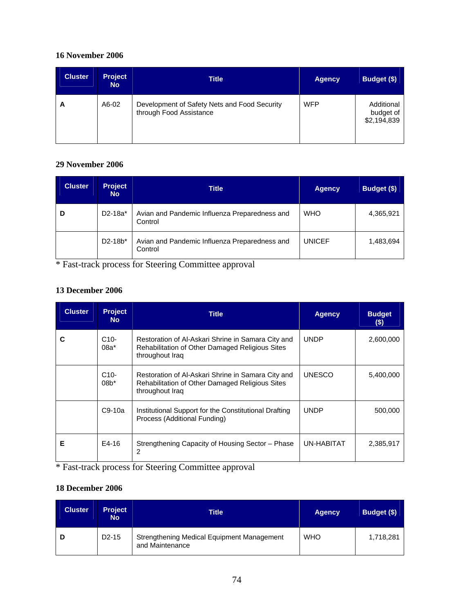## **16 November 2006**

| <b>Cluster</b> | <b>Project</b><br><b>No</b> | <b>Title</b>                                                            | <b>Agency</b> | Budget (\$)                            |
|----------------|-----------------------------|-------------------------------------------------------------------------|---------------|----------------------------------------|
| A              | A6-02                       | Development of Safety Nets and Food Security<br>through Food Assistance | <b>WFP</b>    | Additional<br>budget of<br>\$2,194,839 |

## **29 November 2006**

| <b>Cluster</b> | <b>Project</b><br><b>No</b> | <b>Title</b>                                             | <b>Agency</b> | Budget (\$) |
|----------------|-----------------------------|----------------------------------------------------------|---------------|-------------|
| D              | D2-18a*                     | Avian and Pandemic Influenza Preparedness and<br>Control | <b>WHO</b>    | 4,365,921   |
|                | $D2 - 18b^*$                | Avian and Pandemic Influenza Preparedness and<br>Control | <b>UNICEF</b> | 1,483,694   |

\* Fast-track process for Steering Committee approval

## **13 December 2006**

| <b>Cluster</b> | <b>Project</b><br><b>No</b>  | <b>Title</b>                                                                                                                    | <b>Agency</b> | <b>Budget</b><br>(\$) |
|----------------|------------------------------|---------------------------------------------------------------------------------------------------------------------------------|---------------|-----------------------|
|                | C <sub>10</sub> -<br>$08a^*$ | Restoration of Al-Askari Shrine in Samara City and<br>Rehabilitation of Other Damaged Religious Sites<br>throughout Iraq        | <b>UNDP</b>   | 2,600,000             |
|                | $C10-$<br>$08*$              | Restoration of Al-Askari Shrine in Samara City and<br><b>Rehabilitation of Other Damaged Religious Sites</b><br>throughout Iraq | <b>UNESCO</b> | 5,400,000             |
|                | $C9-10a$                     | Institutional Support for the Constitutional Drafting<br>Process (Additional Funding)                                           | <b>UNDP</b>   | 500,000               |
| Е              | E4-16                        | Strengthening Capacity of Housing Sector – Phase<br>2                                                                           | UN-HABITAT    | 2,385,917             |

\* Fast-track process for Steering Committee approval

## **18 December 2006**

| <b>Cluster</b> | <b>Project</b><br><b>No</b> | <b>Title</b>                                                  | <b>Agency</b> | Budget (\$) |
|----------------|-----------------------------|---------------------------------------------------------------|---------------|-------------|
|                | D <sub>2</sub> -15          | Strengthening Medical Equipment Management<br>and Maintenance | <b>WHO</b>    | 1,718,281   |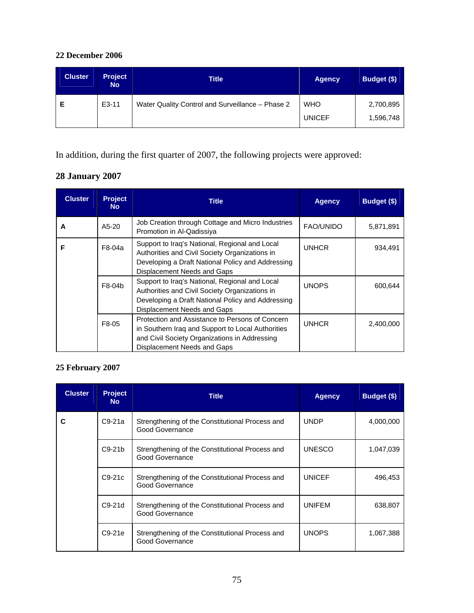## **22 December 2006**

| <b>Cluster</b> | Project<br><b>No</b> | <b>Title</b>                                     | <b>Agency</b>               | Budget (\$)            |
|----------------|----------------------|--------------------------------------------------|-----------------------------|------------------------|
|                | E3-11                | Water Quality Control and Surveillance - Phase 2 | <b>WHO</b><br><b>UNICEF</b> | 2,700,895<br>1,596,748 |

In addition, during the first quarter of 2007, the following projects were approved:

# **28 January 2007**

| <b>Cluster</b> | <b>Project</b><br><b>No</b> | <b>Title</b>                                                                                                                                                                         | <b>Agency</b>    | Budget (\$) |
|----------------|-----------------------------|--------------------------------------------------------------------------------------------------------------------------------------------------------------------------------------|------------------|-------------|
| A              | A5-20                       | Job Creation through Cottage and Micro Industries<br>Promotion in Al-Qadissiya                                                                                                       | <b>FAO/UNIDO</b> | 5,871,891   |
| F              | F8-04a                      | Support to Iraq's National, Regional and Local<br>Authorities and Civil Society Organizations in<br>Developing a Draft National Policy and Addressing<br>Displacement Needs and Gaps | <b>UNHCR</b>     | 934.491     |
|                | F8-04b                      | Support to Iraq's National, Regional and Local<br>Authorities and Civil Society Organizations in<br>Developing a Draft National Policy and Addressing<br>Displacement Needs and Gaps | <b>UNOPS</b>     | 600,644     |
|                | F8-05                       | Protection and Assistance to Persons of Concern<br>in Southern Iraq and Support to Local Authorities<br>and Civil Society Organizations in Addressing<br>Displacement Needs and Gaps | <b>UNHCR</b>     | 2,400,000   |

# **25 February 2007**

| <b>Cluster</b> | <b>Project</b><br><b>No</b> | <b>Title</b>                                                       | <b>Agency</b> | Budget (\$) |
|----------------|-----------------------------|--------------------------------------------------------------------|---------------|-------------|
| C              | $C9-21a$                    | Strengthening of the Constitutional Process and<br>Good Governance | <b>UNDP</b>   | 4,000,000   |
|                | $C9-21b$                    | Strengthening of the Constitutional Process and<br>Good Governance | <b>UNESCO</b> | 1,047,039   |
|                | $C9-21c$                    | Strengthening of the Constitutional Process and<br>Good Governance | <b>UNICEF</b> | 496,453     |
|                | $C9-21d$                    | Strengthening of the Constitutional Process and<br>Good Governance | <b>UNIFEM</b> | 638,807     |
|                | $C9-21e$                    | Strengthening of the Constitutional Process and<br>Good Governance | <b>UNOPS</b>  | 1,067,388   |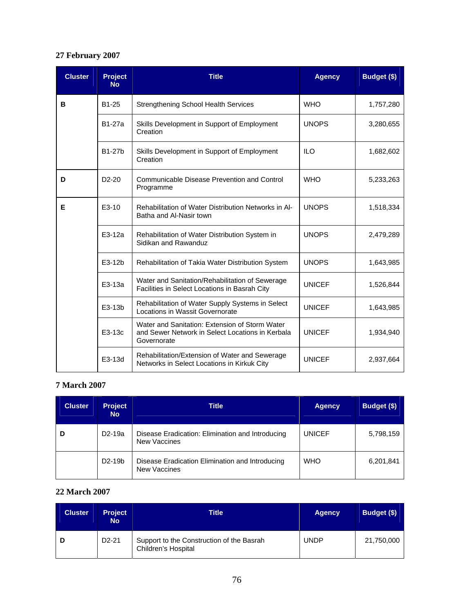## **27 February 2007**

| <b>Cluster</b> | <b>Project</b><br><b>No</b> | <b>Title</b>                                                                                                      | <b>Agency</b> | Budget (\$) |
|----------------|-----------------------------|-------------------------------------------------------------------------------------------------------------------|---------------|-------------|
| в              | B1-25                       | <b>Strengthening School Health Services</b>                                                                       | <b>WHO</b>    | 1,757,280   |
|                | <b>B1-27a</b>               | Skills Development in Support of Employment<br>Creation                                                           | <b>UNOPS</b>  | 3,280,655   |
|                | <b>B1-27b</b>               | Skills Development in Support of Employment<br>Creation                                                           | <b>ILO</b>    | 1,682,602   |
| D              | $D2-20$                     | Communicable Disease Prevention and Control<br>Programme                                                          | <b>WHO</b>    | 5,233,263   |
| Е              | E3-10                       | Rehabilitation of Water Distribution Networks in Al-<br>Batha and Al-Nasir town                                   | <b>UNOPS</b>  | 1,518,334   |
|                | E3-12a                      | Rehabilitation of Water Distribution System in<br>Sidikan and Rawanduz                                            | <b>UNOPS</b>  | 2,479,289   |
|                | E3-12b                      | Rehabilitation of Takia Water Distribution System                                                                 | <b>UNOPS</b>  | 1,643,985   |
|                | E3-13a                      | Water and Sanitation/Rehabilitation of Sewerage<br>Facilities in Select Locations in Basrah City                  | <b>UNICEF</b> | 1,526,844   |
|                | E3-13b                      | Rehabilitation of Water Supply Systems in Select<br>Locations in Wassit Governorate                               | <b>UNICEF</b> | 1,643,985   |
|                | E3-13c                      | Water and Sanitation: Extension of Storm Water<br>and Sewer Network in Select Locations in Kerbala<br>Governorate | <b>UNICEF</b> | 1,934,940   |
|                | E3-13d                      | Rehabilitation/Extension of Water and Sewerage<br>Networks in Select Locations in Kirkuk City                     | <b>UNICEF</b> | 2,937,664   |

## **7 March 2007**

| <b>Cluster</b> | <b>Project</b><br><b>No</b> | <b>Title</b>                                                            | <b>Agency</b> | Budget (\$) |
|----------------|-----------------------------|-------------------------------------------------------------------------|---------------|-------------|
| D              | D <sub>2</sub> -19a         | Disease Eradication: Elimination and Introducing<br><b>New Vaccines</b> | <b>UNICEF</b> | 5,798,159   |
|                | D <sub>2</sub> -19b         | Disease Eradication Elimination and Introducing<br><b>New Vaccines</b>  | <b>WHO</b>    | 6,201,841   |

## **22 March 2007**

| <b>Cluster</b> | <b>Project</b><br><b>No</b> | Title                                                                   | <b>Agency</b> | Budget (\$) |
|----------------|-----------------------------|-------------------------------------------------------------------------|---------------|-------------|
|                | $D2-21$                     | Support to the Construction of the Basrah<br><b>Children's Hospital</b> | <b>UNDP</b>   | 21,750,000  |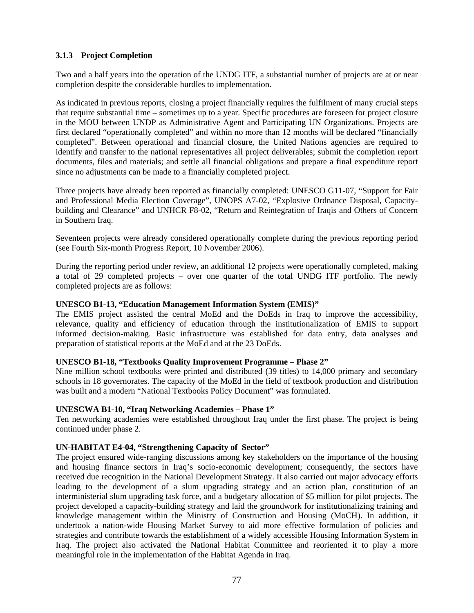## **3.1.3 Project Completion**

Two and a half years into the operation of the UNDG ITF, a substantial number of projects are at or near completion despite the considerable hurdles to implementation.

As indicated in previous reports, closing a project financially requires the fulfilment of many crucial steps that require substantial time – sometimes up to a year. Specific procedures are foreseen for project closure in the MOU between UNDP as Administrative Agent and Participating UN Organizations. Projects are first declared "operationally completed" and within no more than 12 months will be declared "financially completed". Between operational and financial closure, the United Nations agencies are required to identify and transfer to the national representatives all project deliverables; submit the completion report documents, files and materials; and settle all financial obligations and prepare a final expenditure report since no adjustments can be made to a financially completed project.

Three projects have already been reported as financially completed: UNESCO G11-07, "Support for Fair and Professional Media Election Coverage", UNOPS A7-02, "Explosive Ordnance Disposal, Capacitybuilding and Clearance" and UNHCR F8-02, "Return and Reintegration of Iraqis and Others of Concern in Southern Iraq.

Seventeen projects were already considered operationally complete during the previous reporting period (see Fourth Six-month Progress Report, 10 November 2006).

During the reporting period under review, an additional 12 projects were operationally completed, making a total of 29 completed projects – over one quarter of the total UNDG ITF portfolio. The newly completed projects are as follows:

### **UNESCO B1-13, "Education Management Information System (EMIS)"**

The EMIS project assisted the central MoEd and the DoEds in Iraq to improve the accessibility, relevance, quality and efficiency of education through the institutionalization of EMIS to support informed decision-making. Basic infrastructure was established for data entry, data analyses and preparation of statistical reports at the MoEd and at the 23 DoEds.

#### **UNESCO B1-18, "Textbooks Quality Improvement Programme – Phase 2"**

Nine million school textbooks were printed and distributed (39 titles) to 14,000 primary and secondary schools in 18 governorates. The capacity of the MoEd in the field of textbook production and distribution was built and a modern "National Textbooks Policy Document" was formulated.

#### **UNESCWA B1-10, "Iraq Networking Academies – Phase 1"**

Ten networking academies were established throughout Iraq under the first phase. The project is being continued under phase 2.

#### **UN-HABITAT E4-04, "Strengthening Capacity of Sector"**

The project ensured wide-ranging discussions among key stakeholders on the importance of the housing and housing finance sectors in Iraq's socio-economic development; consequently, the sectors have received due recognition in the National Development Strategy. It also carried out major advocacy efforts leading to the development of a slum upgrading strategy and an action plan, constitution of an interministerial slum upgrading task force, and a budgetary allocation of \$5 million for pilot projects. The project developed a capacity-building strategy and laid the groundwork for institutionalizing training and knowledge management within the Ministry of Construction and Housing (MoCH). In addition, it undertook a nation-wide Housing Market Survey to aid more effective formulation of policies and strategies and contribute towards the establishment of a widely accessible Housing Information System in Iraq. The project also activated the National Habitat Committee and reoriented it to play a more meaningful role in the implementation of the Habitat Agenda in Iraq.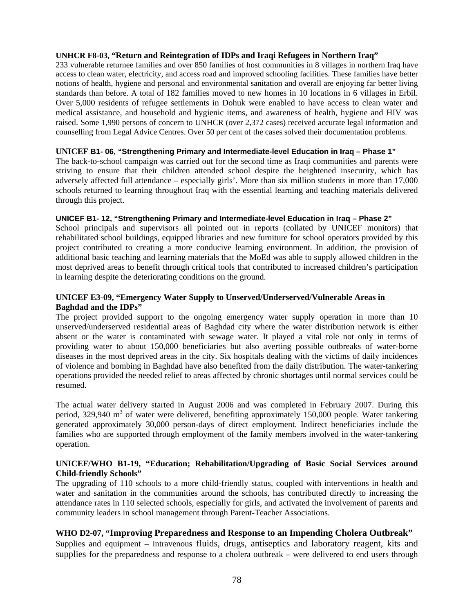#### **UNHCR F8-03, "Return and Reintegration of IDPs and Iraqi Refugees in Northern Iraq"**

233 vulnerable returnee families and over 850 families of host communities in 8 villages in northern Iraq have access to clean water, electricity, and access road and improved schooling facilities. These families have better notions of health, hygiene and personal and environmental sanitation and overall are enjoying far better living standards than before. A total of 182 families moved to new homes in 10 locations in 6 villages in Erbil. Over 5,000 residents of refugee settlements in Dohuk were enabled to have access to clean water and medical assistance, and household and hygienic items, and awareness of health, hygiene and HIV was raised. Some 1,990 persons of concern to UNHCR (over 2,372 cases) received accurate legal information and counselling from Legal Advice Centres. Over 50 per cent of the cases solved their documentation problems.

#### **UNICEF B1- 06, "Strengthening Primary and Intermediate-level Education in Iraq – Phase 1"**

The back-to-school campaign was carried out for the second time as Iraqi communities and parents were striving to ensure that their children attended school despite the heightened insecurity, which has adversely affected full attendance – especially girls'. More than six million students in more than 17,000 schools returned to learning throughout Iraq with the essential learning and teaching materials delivered through this project.

#### **UNICEF B1- 12, "Strengthening Primary and Intermediate-level Education in Iraq – Phase 2"**

School principals and supervisors all pointed out in reports (collated by UNICEF monitors) that rehabilitated school buildings, equipped libraries and new furniture for school operators provided by this project contributed to creating a more conducive learning environment. In addition, the provision of additional basic teaching and learning materials that the MoEd was able to supply allowed children in the most deprived areas to benefit through critical tools that contributed to increased children's participation in learning despite the deteriorating conditions on the ground.

### **UNICEF E3-09, "Emergency Water Supply to Unserved/Underserved/Vulnerable Areas in Baghdad and the IDPs"**

The project provided support to the ongoing emergency water supply operation in more than 10 unserved/underserved residential areas of Baghdad city where the water distribution network is either absent or the water is contaminated with sewage water. It played a vital role not only in terms of providing water to about 150,000 beneficiaries but also averting possible outbreaks of water-borne diseases in the most deprived areas in the city. Six hospitals dealing with the victims of daily incidences of violence and bombing in Baghdad have also benefited from the daily distribution. The water-tankering operations provided the needed relief to areas affected by chronic shortages until normal services could be resumed.

The actual water delivery started in August 2006 and was completed in February 2007. During this period, 329,940 m<sup>3</sup> of water were delivered, benefiting approximately 150,000 people. Water tankering generated approximately 30,000 person-days of direct employment. Indirect beneficiaries include the families who are supported through employment of the family members involved in the water-tankering operation.

#### **UNICEF/WHO B1-19, "Education; Rehabilitation/Upgrading of Basic Social Services around Child-friendly Schools"**

The upgrading of 110 schools to a more child-friendly status, coupled with interventions in health and water and sanitation in the communities around the schools, has contributed directly to increasing the attendance rates in 110 selected schools, especially for girls, and activated the involvement of parents and community leaders in school management through Parent-Teacher Associations.

#### **WHO D2-07, "Improving Preparedness and Response to an Impending Cholera Outbreak"**

Supplies and equipment – intravenous fluids, drugs, antiseptics and laboratory reagent, kits and supplies for the preparedness and response to a cholera outbreak – were delivered to end users through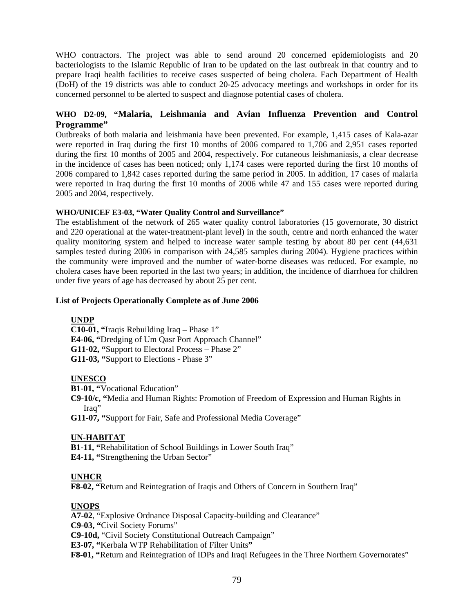WHO contractors. The project was able to send around 20 concerned epidemiologists and 20 bacteriologists to the Islamic Republic of Iran to be updated on the last outbreak in that country and to prepare Iraqi health facilities to receive cases suspected of being cholera. Each Department of Health (DoH) of the 19 districts was able to conduct 20-25 advocacy meetings and workshops in order for its concerned personnel to be alerted to suspect and diagnose potential cases of cholera.

## **WHO D2-09, "Malaria, Leishmania and Avian Influenza Prevention and Control Programme"**

Outbreaks of both malaria and leishmania have been prevented. For example, 1,415 cases of Kala-azar were reported in Iraq during the first 10 months of 2006 compared to 1,706 and 2,951 cases reported during the first 10 months of 2005 and 2004, respectively. For cutaneous leishmaniasis, a clear decrease in the incidence of cases has been noticed; only 1,174 cases were reported during the first 10 months of 2006 compared to 1,842 cases reported during the same period in 2005. In addition, 17 cases of malaria were reported in Iraq during the first 10 months of 2006 while 47 and 155 cases were reported during 2005 and 2004, respectively.

#### **WHO/UNICEF E3-03, "Water Quality Control and Surveillance"**

The establishment of the network of 265 water quality control laboratories (15 governorate, 30 district and 220 operational at the water-treatment-plant level) in the south, centre and north enhanced the water quality monitoring system and helped to increase water sample testing by about 80 per cent (44,631 samples tested during 2006 in comparison with 24,585 samples during 2004). Hygiene practices within the community were improved and the number of water-borne diseases was reduced. For example, no cholera cases have been reported in the last two years; in addition, the incidence of diarrhoea for children under five years of age has decreased by about 25 per cent.

#### **List of Projects Operationally Complete as of June 2006**

## **UNDP**

**C10-01, "**Iraqis Rebuilding Iraq – Phase 1" **E4-06, "**Dredging of Um Qasr Port Approach Channel" **G11-02, "**Support to Electoral Process – Phase 2" **G11-03, "**Support to Elections - Phase 3"

#### **UNESCO**

**B1-01, "**Vocational Education"

**C9-10/c, "**Media and Human Rights: Promotion of Freedom of Expression and Human Rights in Iraq"

**G11-07, "**Support for Fair, Safe and Professional Media Coverage"

#### **UN-HABITAT**

**B1-11, "**Rehabilitation of School Buildings in Lower South Iraq" **E4-11, "**Strengthening the Urban Sector"

#### **UNHCR**

**F8-02, "**Return and Reintegration of Iraqis and Others of Concern in Southern Iraq"

## **UNOPS**

**A7-02**, "Explosive Ordnance Disposal Capacity-building and Clearance"

**C9-03, "**Civil Society Forums"

**C9-10d,** "Civil Society Constitutional Outreach Campaign"

**E3-07, "**Kerbala WTP Rehabilitation of Filter Units**"** 

**F8-01, "**Return and Reintegration of IDPs and Iraqi Refugees in the Three Northern Governorates"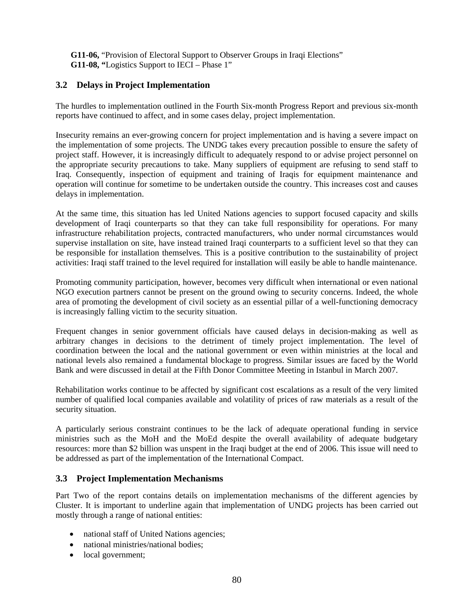**G11-06,** "Provision of Electoral Support to Observer Groups in Iraqi Elections" **G11-08, "**Logistics Support to IECI – Phase 1"

## **3.2 Delays in Project Implementation**

The hurdles to implementation outlined in the Fourth Six-month Progress Report and previous six-month reports have continued to affect, and in some cases delay, project implementation.

Insecurity remains an ever-growing concern for project implementation and is having a severe impact on the implementation of some projects. The UNDG takes every precaution possible to ensure the safety of project staff. However, it is increasingly difficult to adequately respond to or advise project personnel on the appropriate security precautions to take. Many suppliers of equipment are refusing to send staff to Iraq. Consequently, inspection of equipment and training of Iraqis for equipment maintenance and operation will continue for sometime to be undertaken outside the country. This increases cost and causes delays in implementation.

At the same time, this situation has led United Nations agencies to support focused capacity and skills development of Iraqi counterparts so that they can take full responsibility for operations. For many infrastructure rehabilitation projects, contracted manufacturers, who under normal circumstances would supervise installation on site, have instead trained Iraqi counterparts to a sufficient level so that they can be responsible for installation themselves. This is a positive contribution to the sustainability of project activities: Iraqi staff trained to the level required for installation will easily be able to handle maintenance.

Promoting community participation, however, becomes very difficult when international or even national NGO execution partners cannot be present on the ground owing to security concerns. Indeed, the whole area of promoting the development of civil society as an essential pillar of a well-functioning democracy is increasingly falling victim to the security situation.

Frequent changes in senior government officials have caused delays in decision-making as well as arbitrary changes in decisions to the detriment of timely project implementation. The level of coordination between the local and the national government or even within ministries at the local and national levels also remained a fundamental blockage to progress. Similar issues are faced by the World Bank and were discussed in detail at the Fifth Donor Committee Meeting in Istanbul in March 2007.

Rehabilitation works continue to be affected by significant cost escalations as a result of the very limited number of qualified local companies available and volatility of prices of raw materials as a result of the security situation.

A particularly serious constraint continues to be the lack of adequate operational funding in service ministries such as the MoH and the MoEd despite the overall availability of adequate budgetary resources: more than \$2 billion was unspent in the Iraqi budget at the end of 2006. This issue will need to be addressed as part of the implementation of the International Compact.

## **3.3 Project Implementation Mechanisms**

Part Two of the report contains details on implementation mechanisms of the different agencies by Cluster. It is important to underline again that implementation of UNDG projects has been carried out mostly through a range of national entities:

- national staff of United Nations agencies;
- national ministries/national bodies;
- local government;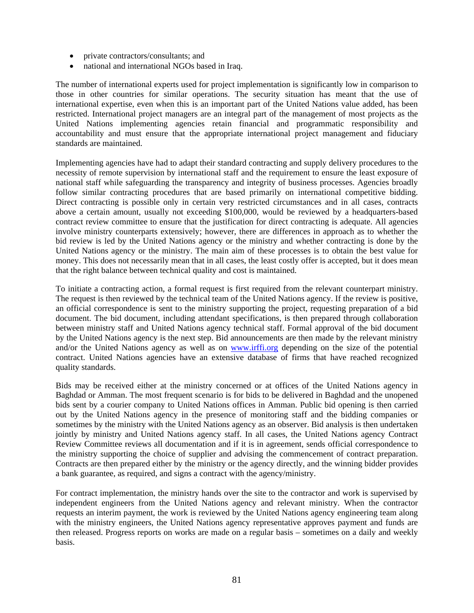- private contractors/consultants; and
- national and international NGOs based in Iraq.

The number of international experts used for project implementation is significantly low in comparison to those in other countries for similar operations. The security situation has meant that the use of international expertise, even when this is an important part of the United Nations value added, has been restricted. International project managers are an integral part of the management of most projects as the United Nations implementing agencies retain financial and programmatic responsibility and accountability and must ensure that the appropriate international project management and fiduciary standards are maintained.

Implementing agencies have had to adapt their standard contracting and supply delivery procedures to the necessity of remote supervision by international staff and the requirement to ensure the least exposure of national staff while safeguarding the transparency and integrity of business processes. Agencies broadly follow similar contracting procedures that are based primarily on international competitive bidding. Direct contracting is possible only in certain very restricted circumstances and in all cases, contracts above a certain amount, usually not exceeding \$100,000, would be reviewed by a headquarters-based contract review committee to ensure that the justification for direct contracting is adequate. All agencies involve ministry counterparts extensively; however, there are differences in approach as to whether the bid review is led by the United Nations agency or the ministry and whether contracting is done by the United Nations agency or the ministry. The main aim of these processes is to obtain the best value for money. This does not necessarily mean that in all cases, the least costly offer is accepted, but it does mean that the right balance between technical quality and cost is maintained.

To initiate a contracting action, a formal request is first required from the relevant counterpart ministry. The request is then reviewed by the technical team of the United Nations agency. If the review is positive, an official correspondence is sent to the ministry supporting the project, requesting preparation of a bid document. The bid document, including attendant specifications, is then prepared through collaboration between ministry staff and United Nations agency technical staff. Formal approval of the bid document by the United Nations agency is the next step. Bid announcements are then made by the relevant ministry and/or the United Nations agency as well as on www.irffi.org depending on the size of the potential contract. United Nations agencies have an extensive database of firms that have reached recognized quality standards.

Bids may be received either at the ministry concerned or at offices of the United Nations agency in Baghdad or Amman. The most frequent scenario is for bids to be delivered in Baghdad and the unopened bids sent by a courier company to United Nations offices in Amman. Public bid opening is then carried out by the United Nations agency in the presence of monitoring staff and the bidding companies or sometimes by the ministry with the United Nations agency as an observer. Bid analysis is then undertaken jointly by ministry and United Nations agency staff. In all cases, the United Nations agency Contract Review Committee reviews all documentation and if it is in agreement, sends official correspondence to the ministry supporting the choice of supplier and advising the commencement of contract preparation. Contracts are then prepared either by the ministry or the agency directly, and the winning bidder provides a bank guarantee, as required, and signs a contract with the agency/ministry.

For contract implementation, the ministry hands over the site to the contractor and work is supervised by independent engineers from the United Nations agency and relevant ministry. When the contractor requests an interim payment, the work is reviewed by the United Nations agency engineering team along with the ministry engineers, the United Nations agency representative approves payment and funds are then released. Progress reports on works are made on a regular basis – sometimes on a daily and weekly basis.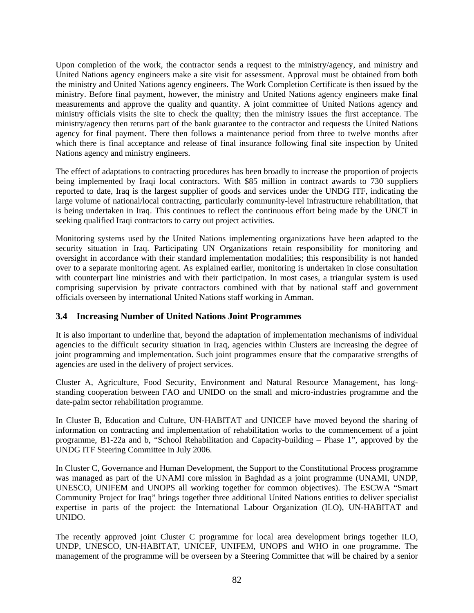Upon completion of the work, the contractor sends a request to the ministry/agency, and ministry and United Nations agency engineers make a site visit for assessment. Approval must be obtained from both the ministry and United Nations agency engineers. The Work Completion Certificate is then issued by the ministry. Before final payment, however, the ministry and United Nations agency engineers make final measurements and approve the quality and quantity. A joint committee of United Nations agency and ministry officials visits the site to check the quality; then the ministry issues the first acceptance. The ministry/agency then returns part of the bank guarantee to the contractor and requests the United Nations agency for final payment. There then follows a maintenance period from three to twelve months after which there is final acceptance and release of final insurance following final site inspection by United Nations agency and ministry engineers.

The effect of adaptations to contracting procedures has been broadly to increase the proportion of projects being implemented by Iraqi local contractors. With \$85 million in contract awards to 730 suppliers reported to date, Iraq is the largest supplier of goods and services under the UNDG ITF, indicating the large volume of national/local contracting, particularly community-level infrastructure rehabilitation, that is being undertaken in Iraq. This continues to reflect the continuous effort being made by the UNCT in seeking qualified Iraqi contractors to carry out project activities.

Monitoring systems used by the United Nations implementing organizations have been adapted to the security situation in Iraq. Participating UN Organizations retain responsibility for monitoring and oversight in accordance with their standard implementation modalities; this responsibility is not handed over to a separate monitoring agent. As explained earlier, monitoring is undertaken in close consultation with counterpart line ministries and with their participation. In most cases, a triangular system is used comprising supervision by private contractors combined with that by national staff and government officials overseen by international United Nations staff working in Amman.

## **3.4 Increasing Number of United Nations Joint Programmes**

It is also important to underline that, beyond the adaptation of implementation mechanisms of individual agencies to the difficult security situation in Iraq, agencies within Clusters are increasing the degree of joint programming and implementation. Such joint programmes ensure that the comparative strengths of agencies are used in the delivery of project services.

Cluster A, Agriculture, Food Security, Environment and Natural Resource Management, has longstanding cooperation between FAO and UNIDO on the small and micro-industries programme and the date-palm sector rehabilitation programme.

In Cluster B, Education and Culture, UN-HABITAT and UNICEF have moved beyond the sharing of information on contracting and implementation of rehabilitation works to the commencement of a joint programme, B1-22a and b, "School Rehabilitation and Capacity-building – Phase 1", approved by the UNDG ITF Steering Committee in July 2006.

In Cluster C, Governance and Human Development, the Support to the Constitutional Process programme was managed as part of the UNAMI core mission in Baghdad as a joint programme (UNAMI, UNDP, UNESCO, UNIFEM and UNOPS all working together for common objectives). The ESCWA "Smart Community Project for Iraq" brings together three additional United Nations entities to deliver specialist expertise in parts of the project: the International Labour Organization (ILO), UN-HABITAT and UNIDO.

The recently approved joint Cluster C programme for local area development brings together ILO, UNDP, UNESCO, UN-HABITAT, UNICEF, UNIFEM, UNOPS and WHO in one programme. The management of the programme will be overseen by a Steering Committee that will be chaired by a senior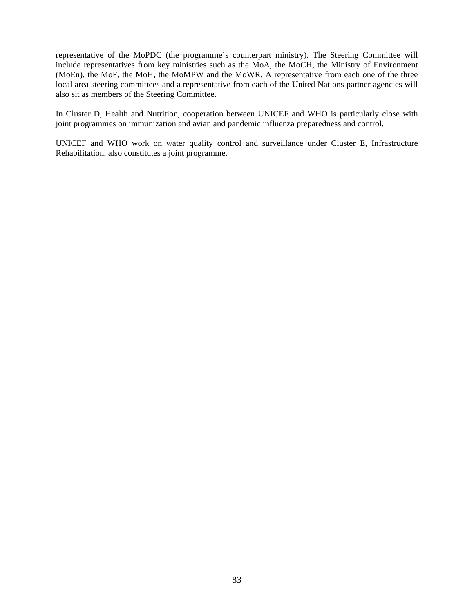representative of the MoPDC (the programme's counterpart ministry). The Steering Committee will include representatives from key ministries such as the MoA, the MoCH, the Ministry of Environment (MoEn), the MoF, the MoH, the MoMPW and the MoWR. A representative from each one of the three local area steering committees and a representative from each of the United Nations partner agencies will also sit as members of the Steering Committee.

In Cluster D, Health and Nutrition, cooperation between UNICEF and WHO is particularly close with joint programmes on immunization and avian and pandemic influenza preparedness and control.

UNICEF and WHO work on water quality control and surveillance under Cluster E, Infrastructure Rehabilitation, also constitutes a joint programme.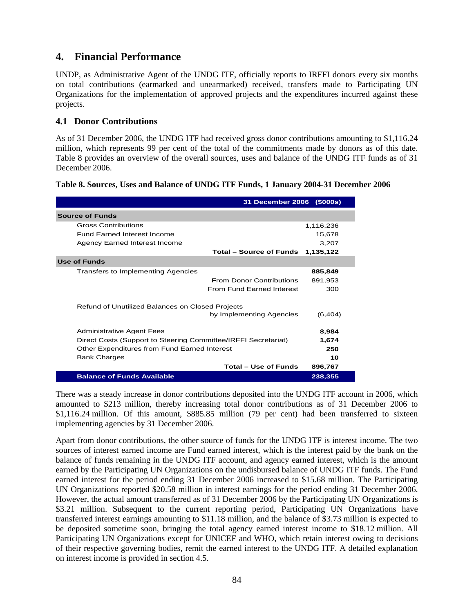# **4. Financial Performance**

UNDP, as Administrative Agent of the UNDG ITF, officially reports to IRFFI donors every six months on total contributions (earmarked and unearmarked) received, transfers made to Participating UN Organizations for the implementation of approved projects and the expenditures incurred against these projects.

## **4.1 Donor Contributions**

As of 31 December 2006, the UNDG ITF had received gross donor contributions amounting to \$1,116.24 million, which represents 99 per cent of the total of the commitments made by donors as of this date. Table 8 provides an overview of the overall sources, uses and balance of the UNDG ITF funds as of 31 December 2006.

|                                                                              | 31 December 2006 (\$000s)              |
|------------------------------------------------------------------------------|----------------------------------------|
| <b>Source of Funds</b>                                                       |                                        |
| <b>Gross Contributions</b>                                                   | 1,116,236                              |
| <b>Fund Earned Interest Income</b>                                           | 15,678                                 |
| Agency Earned Interest Income                                                | 3,207                                  |
| Total – Source of Funds                                                      | 1,135,122                              |
| <b>Use of Funds</b>                                                          |                                        |
| <b>Transfers to Implementing Agencies</b>                                    | 885,849                                |
| <b>From Donor Contributions</b>                                              | 891,953                                |
| From Fund Farned Interest                                                    | 300                                    |
| Refund of Unutilized Balances on Closed Projects<br>by Implementing Agencies | (6, 404)                               |
| <b>Administrative Agent Fees</b>                                             | 8,984                                  |
| Direct Costs (Support to Steering Committee/IRFFI Secretariat)               | 1,674                                  |
| Other Expenditures from Fund Earned Interest                                 | 250                                    |
| <b>Bank Charges</b>                                                          | 10                                     |
|                                                                              | <b>Total - Use of Funds</b><br>896,767 |
| <b>Balance of Funds Available</b>                                            | 238,355                                |

#### **Table 8. Sources, Uses and Balance of UNDG ITF Funds, 1 January 2004-31 December 2006**

There was a steady increase in donor contributions deposited into the UNDG ITF account in 2006, which amounted to \$213 million, thereby increasing total donor contributions as of 31 December 2006 to \$1,116.24 million. Of this amount, \$885.85 million (79 per cent) had been transferred to sixteen implementing agencies by 31 December 2006.

Apart from donor contributions, the other source of funds for the UNDG ITF is interest income. The two sources of interest earned income are Fund earned interest, which is the interest paid by the bank on the balance of funds remaining in the UNDG ITF account, and agency earned interest, which is the amount earned by the Participating UN Organizations on the undisbursed balance of UNDG ITF funds. The Fund earned interest for the period ending 31 December 2006 increased to \$15.68 million. The Participating UN Organizations reported \$20.58 million in interest earnings for the period ending 31 December 2006. However, the actual amount transferred as of 31 December 2006 by the Participating UN Organizations is \$3.21 million. Subsequent to the current reporting period, Participating UN Organizations have transferred interest earnings amounting to \$11.18 million, and the balance of \$3.73 million is expected to be deposited sometime soon, bringing the total agency earned interest income to \$18.12 million. All Participating UN Organizations except for UNICEF and WHO, which retain interest owing to decisions of their respective governing bodies, remit the earned interest to the UNDG ITF. A detailed explanation on interest income is provided in section 4.5.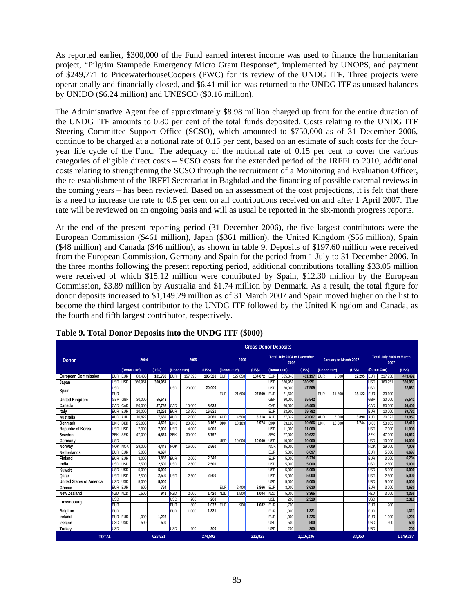As reported earlier, \$300,000 of the Fund earned interest income was used to finance the humanitarian project, "Pilgrim Stampede Emergency Micro Grant Response", implemented by UNOPS, and payment of \$249,771 to PricewaterhouseCoopers (PWC) for its review of the UNDG ITF. Three projects were operationally and financially closed, and \$6.41 million was returned to the UNDG ITF as unused balances by UNIDO (\$6.24 million) and UNESCO (\$0.16 million).

The Administrative Agent fee of approximately \$8.98 million charged up front for the entire duration of the UNDG ITF amounts to 0.80 per cent of the total funds deposited. Costs relating to the UNDG ITF Steering Committee Support Office (SCSO), which amounted to \$750,000 as of 31 December 2006, continue to be charged at a notional rate of 0.15 per cent, based on an estimate of such costs for the fouryear life cycle of the Fund. The adequacy of the notional rate of 0.15 per cent to cover the various categories of eligible direct costs – SCSO costs for the extended period of the IRFFI to 2010, additional costs relating to strengthening the SCSO through the recruitment of a Monitoring and Evaluation Officer, the re-establishment of the IRFFI Secretariat in Baghdad and the financing of possible external reviews in the coming years – has been reviewed. Based on an assessment of the cost projections, it is felt that there is a need to increase the rate to 0.5 per cent on all contributions received on and after 1 April 2007. The rate will be reviewed on an ongoing basis and will as usual be reported in the six-month progress reports.

At the end of the present reporting period (31 December 2006), the five largest contributors were the European Commission (\$461 million), Japan (\$361 million), the United Kingdom (\$56 million), Spain (\$48 million) and Canada (\$46 million), as shown in table 9. Deposits of \$197.60 million were received from the European Commission, Germany and Spain for the period from 1 July to 31 December 2006. In the three months following the present reporting period, additional contributions totalling \$33.05 million were received of which \$15.12 million were contributed by Spain, \$12.30 million by the European Commission, \$3.89 million by Australia and \$1.74 million by Denmark. As a result, the total figure for donor deposits increased to \$1,149.29 million as of 31 March 2007 and Spain moved higher on the list to become the third largest contributor to the UNDG ITF followed by the United Kingdom and Canada, as the fourth and fifth largest contributor, respectively.

|                                 |            |            |              |         |            |              |         |             |              | <b>Gross Donor Deposits</b> |            |              |                             |             |                       |        |            |                                  |           |
|---------------------------------|------------|------------|--------------|---------|------------|--------------|---------|-------------|--------------|-----------------------------|------------|--------------|-----------------------------|-------------|-----------------------|--------|------------|----------------------------------|-----------|
| <b>Donor</b>                    |            |            | 2004         |         |            | 2005         |         |             | 2006         |                             |            | 2006         | Total July 2004 to December |             | January to March 2007 |        |            | Total July 2004 to March<br>2007 |           |
|                                 |            |            | (Donor Curr) | (USS)   |            | (Donor Curr) | (USS)   |             | (Donor Curr) | (USS)                       |            | (Donor Curr) | (USS)                       |             | (Donor Curr)          | (USS)  |            | (Donor Curr)                     | (USS)     |
| <b>European Commission</b>      | <b>EUR</b> | <b>EUR</b> | 80,400       | 101.798 | <b>EUR</b> | 157.590      | 195.328 | <b>EUR</b>  | 127,858      | 164,072                     | <b>EUR</b> | 365.848      | 461.197                     | <b>IEUR</b> | 9.500                 | 12.295 | <b>EUR</b> | 217.758                          | 473,492   |
| Japan                           | <b>USD</b> | <b>USD</b> | 360.951      | 360.951 |            |              |         |             |              |                             | <b>USD</b> | 360.951      | 360.951                     |             |                       |        | USD        | 360.951                          | 360.951   |
| Spain                           | <b>USD</b> |            |              |         | USD        | 20,000       | 20.000  |             |              |                             | USD        | 20,000       | 47,509                      |             |                       |        | <b>JSD</b> |                                  | 62,631    |
|                                 | <b>EUR</b> |            |              |         |            |              |         | EUR         | 21,600       | 27.509                      | <b>EUR</b> | 21,600       |                             | <b>EUR</b>  | 11,500                | 15,122 | <b>EUR</b> | 33,100                           |           |
| <b>United Kingdom</b>           | GBP        | GBP        | 30,000       | 55.542  |            |              |         |             |              |                             | GBP        | 30,000       | 55,542                      |             |                       |        | GBP        | 30,000                           | 55,542    |
| Canada                          | CAD        | CAD        | 50,000       | 37,767  | CAD        | 10,000       | 8.633   |             |              |                             | CAD        | 60,000       | 46,400                      |             |                       |        | CAD        | 50,000                           | 46,400    |
| Italy                           | <b>EUR</b> | EUR        | 10,000       | 13,261  | <b>EUR</b> | 13,900       | 16.521  |             |              |                             | EUR        | 23,900       | 29.782                      |             |                       |        | EUR        | 10,000                           | 29.782    |
| Australia                       | AUD        | AUD        | 10,822       | 7,689   | AUD        | 12,000       | 9,060   | AUD         | 4,500        | 3,318                       | <b>AUD</b> | 27,322       | 20,067                      | AUD         | 5.000                 | 3,890  | AUD        | 20,322                           | 23,957    |
| <b>Denmark</b>                  | <b>DKK</b> | <b>DKK</b> | 25,000       | 4.526   | <b>DKK</b> | 20,000       | 3,167   | <b>DKK</b>  | 18,183       | 2,974                       | <b>DKK</b> | 63.183       | 10,666                      | <b>DKK</b>  | 10,000                | 1.744  | <b>DKK</b> | 53,183                           | 12,410    |
| <b>Republic of Korea</b>        | <b>USD</b> | <b>USD</b> | 7.000        | 7.000   | <b>USD</b> | 4.000        | 4.000   |             |              |                             | <b>USD</b> | 11,000       | 11.000                      |             |                       |        | USD        | 7,000                            | 11.000    |
| Sweden                          | <b>SEK</b> | <b>SEK</b> | 47.000       | 6.824   | <b>SEK</b> | 30,000       | 3.797   |             |              |                             | <b>SEK</b> | 77,000       | 10.622                      |             |                       |        | <b>SEK</b> | 47,000                           | 10.622    |
| Germany                         | <b>USD</b> |            |              |         |            |              |         | <b>IUSD</b> | 10,000       | 10.000                      | <b>USD</b> | 10,000       | 10.000                      |             |                       |        | USD        | 10,000                           | 10,000    |
| Norway                          | <b>NOK</b> | <b>NOK</b> | 29,000       | 4,449   | <b>NOK</b> | 16,000       | 2,560   |             |              |                             | <b>NOK</b> | 45,000       | 7,009                       |             |                       |        | <b>NOK</b> | 29,000                           | 7,009     |
| <b>Netherlands</b>              | <b>EUR</b> | EUR        | 5,000        | 6.697   |            |              |         |             |              |                             | <b>EUR</b> | 5.000        | 6,697                       |             |                       |        | <b>EUR</b> | 5,000                            | 6,697     |
| Finland                         | <b>EUR</b> | EUR        | 3,000        | 3.886   | <b>EUR</b> | 2.000        | 2.349   |             |              |                             | <b>EUR</b> | 5,000        | 6,234                       |             |                       |        | <b>EUR</b> | 3,000                            | 6,234     |
| India                           | USD        | <b>USD</b> | 2,500        | 2,500   | USD        | 2.500        | 2.500   |             |              |                             | <b>USD</b> | 5.000        | 5,000                       |             |                       |        | USD        | 2,500                            | 5,000     |
| Kuwait                          | <b>USD</b> | <b>USD</b> | 5.000        | 5.000   |            |              |         |             |              |                             | <b>USD</b> | 5.000        | 5.000                       |             |                       |        | USD        | 5.000                            | 5,000     |
| Qatar                           | <b>USD</b> | USD        | 2,500        | 2.500   | USD        | 2.500        | 2.500   |             |              |                             | <b>USD</b> | 5.000        | 5.000                       |             |                       |        | <b>JSD</b> | 2,500                            | 5.000     |
| <b>United States of America</b> | <b>USD</b> | USD        | 5,000        | 5.000   |            |              |         |             |              |                             | <b>USD</b> | 5.000        | 5,000                       |             |                       |        | <b>USD</b> | 5.000                            | 5.000     |
| Greece                          | <b>EUR</b> | EUR        | 600          | 764     |            |              |         | <b>EUR</b>  | 2.400        | 2.866                       | <b>EUR</b> | 3.000        | 3,630                       |             |                       |        | EUR        | 3,000                            | 3,630     |
| <b>New Zealand</b>              | <b>NZD</b> | <b>NZD</b> | 1.500        | 941     | <b>NZD</b> | 2.000        | 1,420   | <b>NZD</b>  | 1.500        | 1.004                       | <b>NZD</b> | 5.000        | 3,365                       |             |                       |        | <b>NZD</b> | 3.000                            | 3,365     |
| Luxembourg                      | <b>USD</b> |            |              |         | USD        | 200          | 200     |             |              |                             | <b>USD</b> | 200          | 2.319                       |             |                       |        | <b>USD</b> |                                  | 2.319     |
|                                 | <b>EUR</b> |            |              |         | <b>EUR</b> | 800          | 1,037   | EUR         | 900          | 1.082                       | <b>EUR</b> | 1.700        |                             |             |                       |        | EUR        | 900                              |           |
| Belgium                         | <b>EUR</b> |            |              |         | <b>EUR</b> | 1.000        | 1.321   |             |              |                             | <b>EUR</b> | 1,000        | 1.321                       |             |                       |        | <b>EUR</b> |                                  | 1,321     |
| Ireland                         | <b>EUR</b> | EUR        | 1.000        | 1.226   |            |              |         |             |              |                             | <b>EUR</b> | 1,000        | 1.226                       |             |                       |        | <b>EUR</b> | 1.000                            | 1,226     |
| Iceland                         | <b>USD</b> | <b>USD</b> | 500          | 500     |            |              |         |             |              |                             | <b>USD</b> | 500          | 500                         |             |                       |        | USD        | 500                              | 500       |
| Turkey                          | <b>USD</b> |            |              |         | USD        | 200          | 200     |             |              |                             | USD        | 200          | 200                         |             |                       |        | <b>JSD</b> |                                  | 200       |
| <b>TOTAL</b>                    |            |            |              | 628.821 |            |              | 274.592 |             |              | 212.823                     |            |              | 1.116.236                   |             |                       | 33.050 |            |                                  | 1.149.287 |

**Table 9. Total Donor Deposits into the UNDG ITF (\$000)**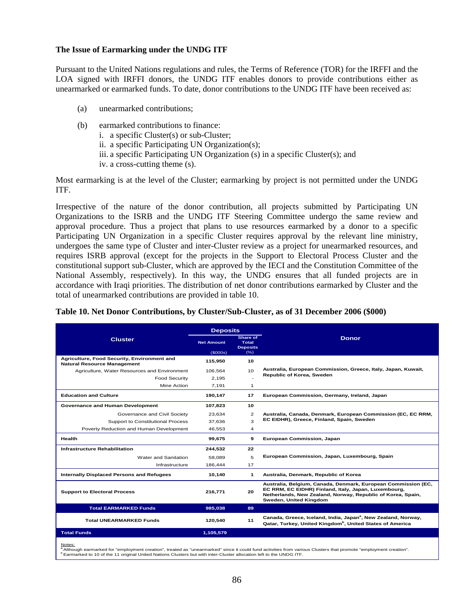#### **The Issue of Earmarking under the UNDG ITF**

Pursuant to the United Nations regulations and rules, the Terms of Reference (TOR) for the IRFFI and the LOA signed with IRFFI donors, the UNDG ITF enables donors to provide contributions either as unearmarked or earmarked funds. To date, donor contributions to the UNDG ITF have been received as:

- (a) unearmarked contributions;
- (b) earmarked contributions to finance:
	- i. a specific Cluster(s) or sub-Cluster;
	- ii. a specific Participating UN Organization(s);
	- iii. a specific Participating UN Organization (s) in a specific Cluster(s); and
	- iv. a cross-cutting theme (s).

Most earmarking is at the level of the Cluster; earmarking by project is not permitted under the UNDG ITF.

Irrespective of the nature of the donor contribution, all projects submitted by Participating UN Organizations to the ISRB and the UNDG ITF Steering Committee undergo the same review and approval procedure. Thus a project that plans to use resources earmarked by a donor to a specific Participating UN Organization in a specific Cluster requires approval by the relevant line ministry, undergoes the same type of Cluster and inter-Cluster review as a project for unearmarked resources, and requires ISRB approval (except for the projects in the Support to Electoral Process Cluster and the constitutional support sub-Cluster, which are approved by the IECI and the Constitution Committee of the National Assembly, respectively). In this way, the UNDG ensures that all funded projects are in accordance with Iraqi priorities. The distribution of net donor contributions earmarked by Cluster and the total of unearmarked contributions are provided in table 10.

#### **Table 10. Net Donor Contributions, by Cluster/Sub-Cluster, as of 31 December 2006 (\$000)**

|                                                                                   | <b>Deposits</b>   |                                             |                                                                                                                                                                                                                |
|-----------------------------------------------------------------------------------|-------------------|---------------------------------------------|----------------------------------------------------------------------------------------------------------------------------------------------------------------------------------------------------------------|
| <b>Cluster</b>                                                                    | <b>Net Amount</b> | Share of<br><b>Total</b><br><b>Deposits</b> | <b>Donor</b>                                                                                                                                                                                                   |
|                                                                                   | (S000s)           | $(\% )$                                     |                                                                                                                                                                                                                |
| Agriculture, Food Security, Environment and<br><b>Natural Resource Management</b> | 115,950           | 10                                          |                                                                                                                                                                                                                |
| Agriculture, Water Resources and Environment                                      | 106,564           | 10                                          | Australia, European Commission, Greece, Italy, Japan, Kuwait,                                                                                                                                                  |
| <b>Food Security</b>                                                              | 2.195             |                                             | Republic of Korea, Sweden                                                                                                                                                                                      |
| Mine Action                                                                       | 7.191             | 1                                           |                                                                                                                                                                                                                |
| <b>Education and Culture</b>                                                      | 190,147           | 17                                          | European Commission, Germany, Ireland, Japan                                                                                                                                                                   |
| Governance and Human Development                                                  | 107,823           | 10                                          |                                                                                                                                                                                                                |
| Governance and Civil Society                                                      | 23.634            | 2                                           | Australia, Canada, Denmark, European Commission (EC, EC RRM,                                                                                                                                                   |
| Support to Constitutional Process                                                 | 37.636            | 3                                           | EC EIDHR), Greece, Finland, Spain, Sweden                                                                                                                                                                      |
| Poverty Reduction and Human Development                                           | 46,553            | $\overline{4}$                              |                                                                                                                                                                                                                |
| Health                                                                            | 99,675            | 9                                           | European Commission, Japan                                                                                                                                                                                     |
| <b>Infrastructure Rehabilitation</b>                                              | 244,532           | 22                                          |                                                                                                                                                                                                                |
| Water and Sanitation                                                              | 58.089            | 5                                           | European Commission, Japan, Luxembourg, Spain                                                                                                                                                                  |
| Infrastructure                                                                    | 186,444           | 17                                          |                                                                                                                                                                                                                |
| Internally Displaced Persons and Refugees                                         | 10,140            | $\mathbf{1}$                                | Australia, Denmark, Republic of Korea                                                                                                                                                                          |
| <b>Support to Electoral Process</b>                                               | 216.771           | 20                                          | Australia, Belgium, Canada, Denmark, European Commission (EC,<br>EC RRM, EC EIDHR) Finland, Italy, Japan, Luxembourg,<br>Netherlands, New Zealand, Norway, Republic of Korea, Spain,<br>Sweden, United Kingdom |
| <b>Total EARMARKED Funds</b>                                                      | 985,038           | 89                                          |                                                                                                                                                                                                                |
| <b>Total UNEARMARKED Funds</b>                                                    | 120,540           | 11                                          | Canada, Greece, Iceland, India, Japan <sup>a</sup> , New Zealand, Norway,<br>Qatar, Turkey, United Kingdom <sup>b</sup> , United States of America                                                             |
| <b>Total Funds</b>                                                                | 1,105,579         |                                             |                                                                                                                                                                                                                |
|                                                                                   |                   |                                             |                                                                                                                                                                                                                |

<u>Notes:</u><br><sup>a</sup> Although earmarked for "employment creation", treated as "unearmarked" since it could fund activities from various Clusters that promote "employment creation".<br><sup>b</sup> Earmarked to 10 of the 11 original United Nat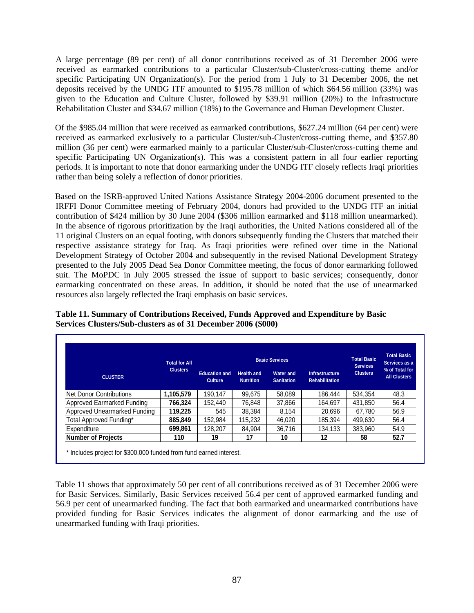A large percentage (89 per cent) of all donor contributions received as of 31 December 2006 were received as earmarked contributions to a particular Cluster/sub-Cluster/cross-cutting theme and/or specific Participating UN Organization(s). For the period from 1 July to 31 December 2006, the net deposits received by the UNDG ITF amounted to \$195.78 million of which \$64.56 million (33%) was given to the Education and Culture Cluster, followed by \$39.91 million (20%) to the Infrastructure Rehabilitation Cluster and \$34.67 million (18%) to the Governance and Human Development Cluster.

Of the \$985.04 million that were received as earmarked contributions, \$627.24 million (64 per cent) were received as earmarked exclusively to a particular Cluster/sub-Cluster/cross-cutting theme, and \$357.80 million (36 per cent) were earmarked mainly to a particular Cluster/sub-Cluster/cross-cutting theme and specific Participating UN Organization(s). This was a consistent pattern in all four earlier reporting periods. It is important to note that donor earmarking under the UNDG ITF closely reflects Iraqi priorities rather than being solely a reflection of donor priorities.

Based on the ISRB-approved United Nations Assistance Strategy 2004-2006 document presented to the IRFFI Donor Committee meeting of February 2004, donors had provided to the UNDG ITF an initial contribution of \$424 million by 30 June 2004 (\$306 million earmarked and \$118 million unearmarked). In the absence of rigorous prioritization by the Iraqi authorities, the United Nations considered all of the 11 original Clusters on an equal footing, with donors subsequently funding the Clusters that matched their respective assistance strategy for Iraq. As Iraqi priorities were refined over time in the National Development Strategy of October 2004 and subsequently in the revised National Development Strategy presented to the July 2005 Dead Sea Donor Committee meeting, the focus of donor earmarking followed suit. The MoPDC in July 2005 stressed the issue of support to basic services; consequently, donor earmarking concentrated on these areas. In addition, it should be noted that the use of unearmarked resources also largely reflected the Iraqi emphasis on basic services.

|                              | <b>Total for All</b> |                                        | <b>Basic Services</b>                                                          | <b>Total Basic</b> | <b>Total Basic</b><br>Services as a            |                                    |                                       |  |
|------------------------------|----------------------|----------------------------------------|--------------------------------------------------------------------------------|--------------------|------------------------------------------------|------------------------------------|---------------------------------------|--|
| <b>CLUSTER</b>               | <b>Clusters</b>      | <b>Education and</b><br><b>Culture</b> | <b>Health and</b><br><b>Water and</b><br><b>Nutrition</b><br><b>Sanitation</b> |                    | <b>Infrastructure</b><br><b>Rehabilitation</b> | <b>Services</b><br><b>Clusters</b> | % of Total for<br><b>All Clusters</b> |  |
| Net Donor Contributions      | 1,105,579            | 190.147                                | 99,675                                                                         | 58.089             | 186.444                                        | 534.354                            | 48.3                                  |  |
| Approved Earmarked Funding   | 766.324              | 152.440                                | 76,848                                                                         | 37.866             | 164.697                                        | 431.850                            | 56.4                                  |  |
| Approved Unearmarked Funding | 119,225              | 545                                    | 38.384                                                                         | 8.154              | 20.696                                         | 67.780                             | 56.9                                  |  |
| Total Approved Funding*      | 885,849              | 152.984                                | 115.232                                                                        | 46.020             | 185.394                                        | 499.630                            | 56.4                                  |  |
| Expenditure                  | 699,861              | 128.207                                | 84.904                                                                         | 36.716             | 134.133                                        | 383.960                            | 54.9                                  |  |
| <b>Number of Projects</b>    | 110                  | 19                                     | 17                                                                             | 10                 | 12                                             | 58                                 | 52.7                                  |  |

**Table 11. Summary of Contributions Received, Funds Approved and Expenditure by Basic Services Clusters/Sub-clusters as of 31 December 2006 (\$000)**

Table 11 shows that approximately 50 per cent of all contributions received as of 31 December 2006 were for Basic Services. Similarly, Basic Services received 56.4 per cent of approved earmarked funding and 56.9 per cent of unearmarked funding. The fact that both earmarked and unearmarked contributions have provided funding for Basic Services indicates the alignment of donor earmarking and the use of unearmarked funding with Iraqi priorities.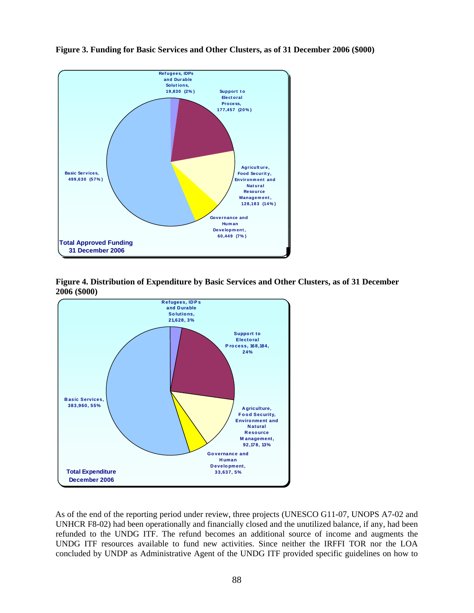

**Figure 3. Funding for Basic Services and Other Clusters, as of 31 December 2006 (\$000)** 





As of the end of the reporting period under review, three projects (UNESCO G11-07, UNOPS A7-02 and UNHCR F8-02) had been operationally and financially closed and the unutilized balance, if any, had been refunded to the UNDG ITF. The refund becomes an additional source of income and augments the UNDG ITF resources available to fund new activities. Since neither the IRFFI TOR nor the LOA concluded by UNDP as Administrative Agent of the UNDG ITF provided specific guidelines on how to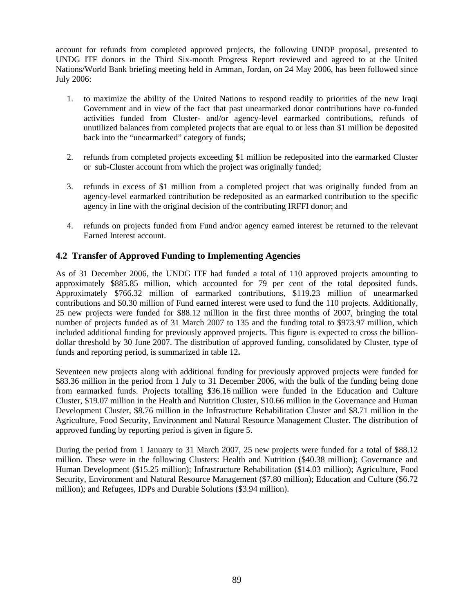account for refunds from completed approved projects, the following UNDP proposal, presented to UNDG ITF donors in the Third Six-month Progress Report reviewed and agreed to at the United Nations/World Bank briefing meeting held in Amman, Jordan, on 24 May 2006, has been followed since July 2006:

- 1. to maximize the ability of the United Nations to respond readily to priorities of the new Iraqi Government and in view of the fact that past unearmarked donor contributions have co-funded activities funded from Cluster- and/or agency-level earmarked contributions, refunds of unutilized balances from completed projects that are equal to or less than \$1 million be deposited back into the "unearmarked" category of funds;
- 2. refunds from completed projects exceeding \$1 million be redeposited into the earmarked Cluster or sub-Cluster account from which the project was originally funded;
- 3. refunds in excess of \$1 million from a completed project that was originally funded from an agency-level earmarked contribution be redeposited as an earmarked contribution to the specific agency in line with the original decision of the contributing IRFFI donor; and
- 4. refunds on projects funded from Fund and/or agency earned interest be returned to the relevant Earned Interest account.

## **4.2 Transfer of Approved Funding to Implementing Agencies**

As of 31 December 2006, the UNDG ITF had funded a total of 110 approved projects amounting to approximately \$885.85 million, which accounted for 79 per cent of the total deposited funds. Approximately \$766.32 million of earmarked contributions, \$119.23 million of unearmarked contributions and \$0.30 million of Fund earned interest were used to fund the 110 projects. Additionally, 25 new projects were funded for \$88.12 million in the first three months of 2007, bringing the total number of projects funded as of 31 March 2007 to 135 and the funding total to \$973.97 million, which included additional funding for previously approved projects. This figure is expected to cross the billiondollar threshold by 30 June 2007. The distribution of approved funding, consolidated by Cluster, type of funds and reporting period, is summarized in table 12**.** 

Seventeen new projects along with additional funding for previously approved projects were funded for \$83.36 million in the period from 1 July to 31 December 2006, with the bulk of the funding being done from earmarked funds. Projects totalling \$36.16 million were funded in the Education and Culture Cluster, \$19.07 million in the Health and Nutrition Cluster, \$10.66 million in the Governance and Human Development Cluster, \$8.76 million in the Infrastructure Rehabilitation Cluster and \$8.71 million in the Agriculture, Food Security, Environment and Natural Resource Management Cluster. The distribution of approved funding by reporting period is given in figure 5.

During the period from 1 January to 31 March 2007, 25 new projects were funded for a total of \$88.12 million. These were in the following Clusters: Health and Nutrition (\$40.38 million); Governance and Human Development (\$15.25 million); Infrastructure Rehabilitation (\$14.03 million); Agriculture, Food Security, Environment and Natural Resource Management (\$7.80 million); Education and Culture (\$6.72 million); and Refugees, IDPs and Durable Solutions (\$3.94 million).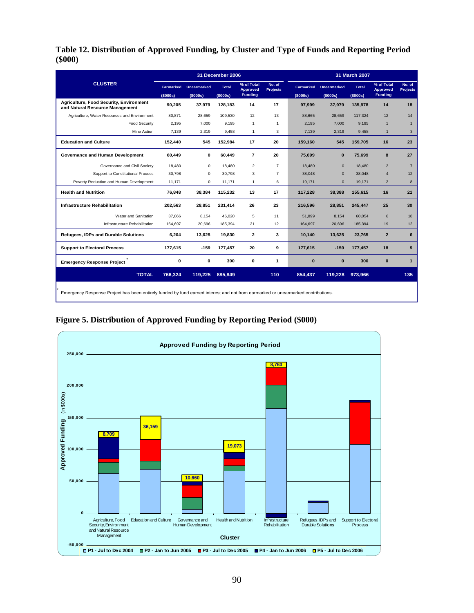**Table 12. Distribution of Approved Funding, by Cluster and Type of Funds and Reporting Period (\$000)**

|                                                                                                                                  |                       |                                | 31 December 2006         |                                          |                           |                              | 31 March 2007                        |                          |                                                 |                           |  |  |  |
|----------------------------------------------------------------------------------------------------------------------------------|-----------------------|--------------------------------|--------------------------|------------------------------------------|---------------------------|------------------------------|--------------------------------------|--------------------------|-------------------------------------------------|---------------------------|--|--|--|
| <b>CLUSTER</b>                                                                                                                   | Earmarked<br>(\$000s) | <b>Unearmarked</b><br>(\$000s) | <b>Total</b><br>(\$000s) | % of Total<br>Approved<br><b>Funding</b> | No. of<br><b>Projects</b> | <b>Earmarked</b><br>(\$000s) | <b>Unearmarked</b><br>$($ \$000s $)$ | <b>Total</b><br>(\$000s) | % of Total<br><b>Approved</b><br><b>Funding</b> | No. of<br><b>Projects</b> |  |  |  |
| <b>Agriculture, Food Security, Environment</b><br>and Natural Resource Management                                                | 90,205                | 37,979                         | 128,183                  | 14                                       | 17                        | 97,999                       | 37,979                               | 135.978                  | 14                                              | 18                        |  |  |  |
| Agriculture, Water Resources and Environment                                                                                     | 80,871                | 28,659                         | 109,530                  | 12                                       | 13                        | 88.665                       | 28,659                               | 117,324                  | 12                                              | 14                        |  |  |  |
| <b>Food Security</b>                                                                                                             | 2,195                 | 7,000                          | 9,195                    | $\mathbf{1}$                             | $\mathbf{1}$              | 2,195                        | 7,000                                | 9,195                    | $\overline{1}$                                  | $\mathbf{1}$              |  |  |  |
| Mine Action                                                                                                                      | 7,139                 | 2,319                          | 9,458                    | $\mathbf{1}$                             | 3                         | 7,139                        | 2,319                                | 9,458                    | $\mathbf{1}$                                    | 3                         |  |  |  |
| <b>Education and Culture</b>                                                                                                     | 152,440               | 545                            | 152.984                  | 17                                       | 20                        | 159,160                      | 545                                  | 159,705                  | 16                                              | 23                        |  |  |  |
| Governance and Human Development                                                                                                 | 60,449                | 0                              | 60,449                   | $\overline{7}$                           | 20                        | 75,699                       | $\bf{0}$                             | 75,699                   | 8                                               | 27                        |  |  |  |
| Governance and Civil Society                                                                                                     | 18,480                | $\mathbf 0$                    | 18,480                   | $\overline{2}$                           | $\overline{7}$            | 18,480                       | $\mathbf{0}$                         | 18,480                   | $\overline{2}$                                  | $\overline{7}$            |  |  |  |
| Support to Constitutional Process                                                                                                | 30,798                | $\mathbf 0$                    | 30,798                   | 3                                        | $\overline{7}$            | 38,048                       | $\Omega$                             | 38,048                   | $\overline{4}$                                  | 12                        |  |  |  |
| Poverty Reduction and Human Development                                                                                          | 11,171                | 0                              | 11,171                   | $\mathbf{1}$                             | 6                         | 19,171                       | $\mathbf{0}$                         | 19,171                   | $\overline{2}$                                  | 8                         |  |  |  |
| <b>Health and Nutrition</b>                                                                                                      | 76,848                | 38,384                         | 115,232                  | 13                                       | 17                        | 117,228                      | 38,388                               | 155,615                  | 16                                              | 21                        |  |  |  |
| <b>Infrastructure Rehabilitation</b>                                                                                             | 202,563               | 28,851                         | 231,414                  | 26                                       | 23                        | 216,596                      | 28,851                               | 245,447                  | 25                                              | 30                        |  |  |  |
| Water and Sanitation                                                                                                             | 37,866                | 8,154                          | 46,020                   | 5                                        | 11                        | 51.899                       | 8,154                                | 60,054                   | 6                                               | 18                        |  |  |  |
| Infrastructure Rehabilitation                                                                                                    | 164,697               | 20,696                         | 185,394                  | 21                                       | 12                        | 164,697                      | 20,696                               | 185,394                  | 19                                              | 12                        |  |  |  |
| Refugees, IDPs and Durable Solutions                                                                                             | 6,204                 | 13,625                         | 19,830                   | $\mathbf{2}$                             | 3                         | 10,140                       | 13,625                               | 23,765                   | $\overline{2}$                                  | 6                         |  |  |  |
| <b>Support to Electoral Process</b>                                                                                              | 177,615               | $-159$                         | 177,457                  | 20                                       | 9                         | 177,615                      | $-159$                               | 177,457                  | 18                                              | 9                         |  |  |  |
| <b>Emergency Response Project</b>                                                                                                | 0                     | 0                              | 300                      | 0                                        | $\mathbf{1}$              | $\bf{0}$                     | $\bf{0}$                             | 300                      | 0                                               | $\mathbf{1}$              |  |  |  |
| <b>TOTAL</b>                                                                                                                     | 766,324               | 119,225                        | 885,849                  |                                          | 110                       | 854.437                      | 119,228                              | 973,966                  |                                                 | 135                       |  |  |  |
| Emergency Response Project has been entirely funded by fund earned interest and not from earmarked or unearmarked contributions. |                       |                                |                          |                                          |                           |                              |                                      |                          |                                                 |                           |  |  |  |

**Figure 5. Distribution of Approved Funding by Reporting Period (\$000)** 

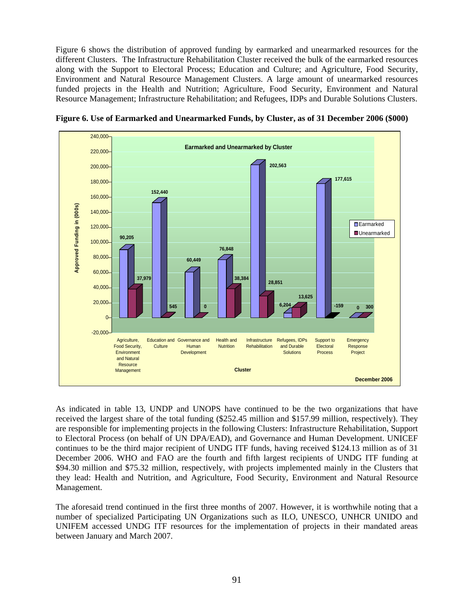Figure 6 shows the distribution of approved funding by earmarked and unearmarked resources for the different Clusters. The Infrastructure Rehabilitation Cluster received the bulk of the earmarked resources along with the Support to Electoral Process; Education and Culture; and Agriculture, Food Security, Environment and Natural Resource Management Clusters. A large amount of unearmarked resources funded projects in the Health and Nutrition; Agriculture, Food Security, Environment and Natural Resource Management; Infrastructure Rehabilitation; and Refugees, IDPs and Durable Solutions Clusters.



**Figure 6. Use of Earmarked and Unearmarked Funds, by Cluster, as of 31 December 2006 (\$000)** 

As indicated in table 13, UNDP and UNOPS have continued to be the two organizations that have received the largest share of the total funding (\$252.45 million and \$157.99 million, respectively). They are responsible for implementing projects in the following Clusters: Infrastructure Rehabilitation, Support to Electoral Process (on behalf of UN DPA/EAD), and Governance and Human Development. UNICEF continues to be the third major recipient of UNDG ITF funds, having received \$124.13 million as of 31 December 2006. WHO and FAO are the fourth and fifth largest recipients of UNDG ITF funding at \$94.30 million and \$75.32 million, respectively, with projects implemented mainly in the Clusters that they lead: Health and Nutrition, and Agriculture, Food Security, Environment and Natural Resource Management.

The aforesaid trend continued in the first three months of 2007. However, it is worthwhile noting that a number of specialized Participating UN Organizations such as ILO, UNESCO, UNHCR UNIDO and UNIFEM accessed UNDG ITF resources for the implementation of projects in their mandated areas between January and March 2007.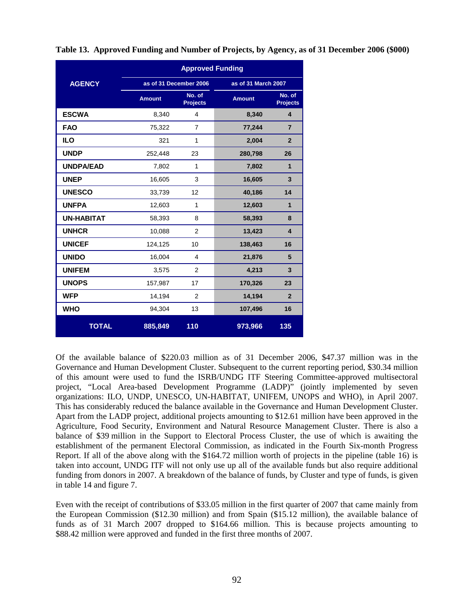|                   |               | <b>Approved Funding</b>   |                     |                           |
|-------------------|---------------|---------------------------|---------------------|---------------------------|
| <b>AGENCY</b>     |               | as of 31 December 2006    | as of 31 March 2007 |                           |
|                   | <b>Amount</b> | No. of<br><b>Projects</b> | <b>Amount</b>       | No. of<br><b>Projects</b> |
| <b>ESCWA</b>      | 8,340         | 4                         | 8,340               | $\overline{\mathbf{4}}$   |
| <b>FAO</b>        | 75,322        | $\overline{7}$            | 77,244              | $\overline{7}$            |
| <b>ILO</b>        | 321           | 1                         | 2,004               | $\overline{2}$            |
| <b>UNDP</b>       | 252,448       | 23                        | 280,798             | 26                        |
| <b>UNDPA/EAD</b>  | 7,802         | 1                         | 7,802               | $\mathbf{1}$              |
| <b>UNEP</b>       | 16,605        | 3                         | 16,605              | 3                         |
| <b>UNESCO</b>     | 33,739        | 12                        | 40,186              | 14                        |
| <b>UNFPA</b>      | 12,603        | 1                         | 12,603              | $\mathbf{1}$              |
| <b>UN-HABITAT</b> | 58,393        | 8                         | 58,393              | 8                         |
| <b>UNHCR</b>      | 10,088        | 2                         | 13,423              | $\overline{\mathbf{4}}$   |
| <b>UNICEF</b>     | 124,125       | 10                        | 138,463             | 16                        |
| <b>UNIDO</b>      | 16,004        | 4                         | 21,876              | 5                         |
| <b>UNIFEM</b>     | 3,575         | 2                         | 4,213               | $\overline{3}$            |
| <b>UNOPS</b>      | 157,987       | 17                        | 170,326             | 23                        |
| <b>WFP</b>        | 14,194        | 2                         | 14,194              | $\overline{2}$            |
| <b>WHO</b>        | 94,304        | 13                        | 107,496             | 16                        |
| <b>TOTAL</b>      | 885,849       | 110                       | 973,966             | 135                       |

**Table 13. Approved Funding and Number of Projects, by Agency, as of 31 December 2006 (\$000)**

Of the available balance of \$220.03 million as of 31 December 2006, \$47.37 million was in the Governance and Human Development Cluster. Subsequent to the current reporting period, \$30.34 million of this amount were used to fund the ISRB/UNDG ITF Steering Committee-approved multisectoral project, "Local Area-based Development Programme (LADP)" (jointly implemented by seven organizations: ILO, UNDP, UNESCO, UN-HABITAT, UNIFEM, UNOPS and WHO), in April 2007. This has considerably reduced the balance available in the Governance and Human Development Cluster. Apart from the LADP project, additional projects amounting to \$12.61 million have been approved in the Agriculture, Food Security, Environment and Natural Resource Management Cluster. There is also a balance of \$39 million in the Support to Electoral Process Cluster, the use of which is awaiting the establishment of the permanent Electoral Commission, as indicated in the Fourth Six-month Progress Report. If all of the above along with the \$164.72 million worth of projects in the pipeline (table 16) is taken into account, UNDG ITF will not only use up all of the available funds but also require additional funding from donors in 2007. A breakdown of the balance of funds, by Cluster and type of funds, is given in table 14 and figure 7.

Even with the receipt of contributions of \$33.05 million in the first quarter of 2007 that came mainly from the European Commission (\$12.30 million) and from Spain (\$15.12 million), the available balance of funds as of 31 March 2007 dropped to \$164.66 million. This is because projects amounting to \$88.42 million were approved and funded in the first three months of 2007.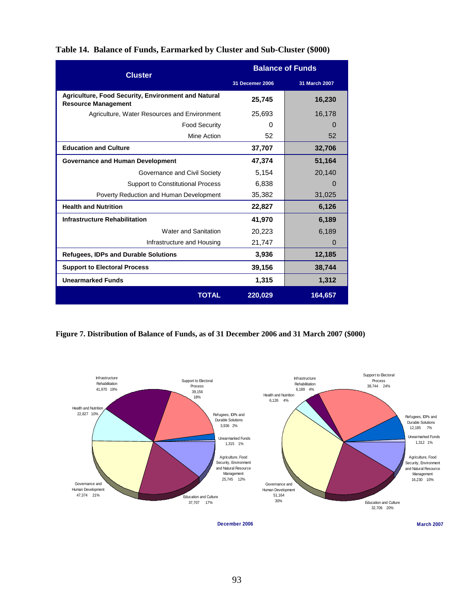| Table 14. Balance of Funds, Earmarked by Cluster and Sub-Cluster (\$000) |  |
|--------------------------------------------------------------------------|--|
|--------------------------------------------------------------------------|--|

| <b>Cluster</b>                                                                    |                 | <b>Balance of Funds</b> |
|-----------------------------------------------------------------------------------|-----------------|-------------------------|
|                                                                                   | 31 Decemer 2006 | 31 March 2007           |
| Agriculture, Food Security, Environment and Natural<br><b>Resource Management</b> | 25,745          | 16,230                  |
| Agriculture, Water Resources and Environment                                      | 25,693          | 16,178                  |
| <b>Food Security</b>                                                              | 0               | $\Omega$                |
| Mine Action                                                                       | 52              | 52                      |
| <b>Education and Culture</b>                                                      | 37,707          | 32,706                  |
| <b>Governance and Human Development</b>                                           | 47,374          | 51,164                  |
| Governance and Civil Society                                                      | 5,154           | 20,140                  |
| <b>Support to Constitutional Process</b>                                          | 6,838           | $\Omega$                |
| Poverty Reduction and Human Development                                           | 35,382          | 31,025                  |
| <b>Health and Nutrition</b>                                                       | 22,827          | 6,126                   |
| <b>Infrastructure Rehabilitation</b>                                              | 41,970          | 6,189                   |
| Water and Sanitation                                                              | 20,223          | 6,189                   |
| Infrastructure and Housing                                                        | 21,747          | 0                       |
| <b>Refugees, IDPs and Durable Solutions</b>                                       | 3,936           | 12,185                  |
| <b>Support to Electoral Process</b>                                               | 39,156          | 38,744                  |
| <b>Unearmarked Funds</b>                                                          | 1,315           | 1,312                   |
| <b>TOTAL</b>                                                                      | 220,029         | 164,657                 |

**Figure 7. Distribution of Balance of Funds, as of 31 December 2006 and 31 March 2007 (\$000)** 



**December 2006**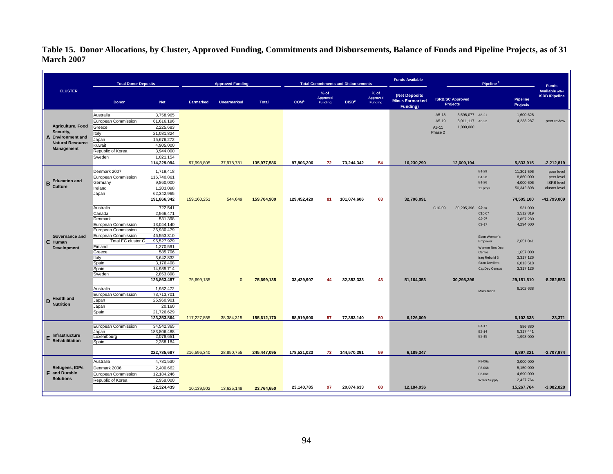**Table 15. Donor Allocations, by Cluster, Approved Funding, Commitments and Disbursements, Balance of Funds and Pipeline Projects, as of 31 March 2007**

|                                         | <b>Total Donor Deposits</b>   |                         |             | <b>Approved Funding</b> |              |                  |                               | <b>Total Commitments and Disbursements</b> |                                      | <b>Funds Available</b>                                      |                                            | Pipeline <sup>3</sup>   |                                    | <b>Funds</b>                                    |
|-----------------------------------------|-------------------------------|-------------------------|-------------|-------------------------|--------------|------------------|-------------------------------|--------------------------------------------|--------------------------------------|-------------------------------------------------------------|--------------------------------------------|-------------------------|------------------------------------|-------------------------------------------------|
| <b>CLUSTER</b>                          | <b>Donor</b>                  | <b>Net</b>              | Earmarked   | <b>Unearmarked</b>      | <b>Total</b> | COM <sup>1</sup> | $%$ of<br>Approved<br>Funding | DISB <sup>2</sup>                          | $%$ of<br>Approved<br><b>Funding</b> | (Net Deposits<br><b>Minus Earmarked</b><br><b>Funding</b> ) | <b>ISRB/SC Approved</b><br><b>Projects</b> |                         | <b>Pipeline</b><br><b>Projects</b> | <b>Available after</b><br><b>ISRB</b> /Pipeline |
|                                         | Australia                     | 3,758,965               |             |                         |              |                  |                               |                                            |                                      |                                                             | A5-18<br>3.598.077 A5-21                   |                         | 1,600,628                          |                                                 |
|                                         | European Commission           | 61,616,196              |             |                         |              |                  |                               |                                            |                                      |                                                             | A5-19<br>8,011,117 A5-22                   |                         | 4,233,287                          | peer review                                     |
| Agriculture, Food                       | Greece                        | 2,225,683               |             |                         |              |                  |                               |                                            |                                      |                                                             | 1,000,000<br>A5-11                         |                         |                                    |                                                 |
| Security,                               | Italy                         | 21,081,824              |             |                         |              |                  |                               |                                            |                                      |                                                             | Phase 2                                    |                         |                                    |                                                 |
| A Environment and                       | Japan                         | 15,676,272              |             |                         |              |                  |                               |                                            |                                      |                                                             |                                            |                         |                                    |                                                 |
| <b>Natural Resource</b>                 | Kuwait                        | 4,905,000               |             |                         |              |                  |                               |                                            |                                      |                                                             |                                            |                         |                                    |                                                 |
| <b>Management</b>                       | Republic of Korea             | 3,944,000               |             |                         |              |                  |                               |                                            |                                      |                                                             |                                            |                         |                                    |                                                 |
|                                         | Sweden                        | 1,021,154               |             |                         |              |                  |                               |                                            |                                      |                                                             |                                            |                         |                                    |                                                 |
|                                         |                               | 114,229,094             | 97,998,805  | 37,978,781              | 135,977,586  | 97,806,206       | 72                            | 73,244,342                                 | 54                                   | 16,230,290                                                  | 12,609,194                                 |                         | 5,833,915                          | $-2,212,819$                                    |
|                                         | Denmark 2007                  | 1,719,418               |             |                         |              |                  |                               |                                            |                                      |                                                             |                                            | B1-29                   | 11,301,596                         | peer level                                      |
|                                         | European Commission           | 116,740,861             |             |                         |              |                  |                               |                                            |                                      |                                                             |                                            | B1-28                   | 8,860,000                          | peer level                                      |
| <b>Education and</b><br>В               | Germany                       | 9,860,000               |             |                         |              |                  |                               |                                            |                                      |                                                             |                                            | B1-26                   | 4,000,606                          | <b>ISRB</b> level                               |
| Culture                                 | Ireland                       | 1,203,098               |             |                         |              |                  |                               |                                            |                                      |                                                             |                                            | 11 projs                | 50,342,898                         | cluster level                                   |
|                                         | Japan                         | 62,342,965              |             |                         |              |                  |                               |                                            |                                      |                                                             |                                            |                         |                                    |                                                 |
|                                         |                               | 191,866,342             | 159,160,251 | 544,649                 | 159,704,900  | 129,452,429      | 81                            | 101,074,606                                | 63                                   | 32,706,091                                                  |                                            |                         | 74,505,100                         | $-41,799,009$                                   |
|                                         | Australia                     | 722,541                 |             |                         |              |                  |                               |                                            |                                      |                                                             | C10-09<br>30.295.396 C9-xx                 |                         | 531,000                            |                                                 |
|                                         | Canada                        | 2,566,471               |             |                         |              |                  |                               |                                            |                                      |                                                             |                                            | C10-07                  | 3,512,819                          |                                                 |
|                                         | Denmark                       | 531,398                 |             |                         |              |                  |                               |                                            |                                      |                                                             |                                            | C9-07                   | 3,857,280                          |                                                 |
|                                         | European Commission           | 13,044,140              |             |                         |              |                  |                               |                                            |                                      |                                                             |                                            | C9-17                   | 4,294,600                          |                                                 |
|                                         | European Commission           | 36,930,479              |             |                         |              |                  |                               |                                            |                                      |                                                             |                                            |                         |                                    |                                                 |
| Governance and                          | European Commission           | 46,553,310              |             |                         |              |                  |                               |                                            |                                      |                                                             |                                            | Econ Women's            |                                    |                                                 |
| C Human                                 | Total EC cluster C<br>Finland | 96,527,929<br>1,270,591 |             |                         |              |                  |                               |                                            |                                      |                                                             |                                            | Empower                 | 2,651,041                          |                                                 |
| <b>Development</b>                      | Greece                        | 585,706                 |             |                         |              |                  |                               |                                            |                                      |                                                             |                                            | Women Res Doc<br>Centre | 1,657,000                          |                                                 |
|                                         | Italy                         | 3,642,832               |             |                         |              |                  |                               |                                            |                                      |                                                             |                                            | Iraq Rebuild 3          | 3,317,126                          |                                                 |
|                                         | Spain                         | 3,176,408               |             |                         |              |                  |                               |                                            |                                      |                                                             |                                            | Slum Dwellers           | 6,013,518                          |                                                 |
|                                         | Spain                         | 14,985,714              |             |                         |              |                  |                               |                                            |                                      |                                                             |                                            | CapDev Census           | 3,317,126                          |                                                 |
|                                         | Sweden                        | 2,853,898               |             |                         |              |                  |                               |                                            |                                      |                                                             |                                            |                         |                                    |                                                 |
|                                         |                               | 126,863,487             | 75,699,135  | $\mathbf{0}$            | 75,699,135   | 33,429,907       | 44                            | 32,352,333                                 | 43                                   | 51,164,353                                                  | 30,295,396                                 |                         | 29,151,510                         | $-8,282,553$                                    |
|                                         | Australia                     | 1,932,472               |             |                         |              |                  |                               |                                            |                                      |                                                             |                                            |                         | 6,102,638                          |                                                 |
|                                         | European Commission           | 73,713,701              |             |                         |              |                  |                               |                                            |                                      |                                                             |                                            | Malnutrition            |                                    |                                                 |
| D Health and                            | Japan                         | 25,960,901              |             |                         |              |                  |                               |                                            |                                      |                                                             |                                            |                         |                                    |                                                 |
| <b>Nutrition</b>                        | Japan                         | 20,160                  |             |                         |              |                  |                               |                                            |                                      |                                                             |                                            |                         |                                    |                                                 |
|                                         | Spain                         | 21,726,629              |             |                         |              |                  |                               |                                            |                                      |                                                             |                                            |                         |                                    |                                                 |
|                                         |                               | 123,353,864             | 117,227,855 | 38,384,315              | 155,612,170  | 88,919,900       | 57                            | 77,383,140                                 | 50                                   | 6,126,009                                                   |                                            |                         | 6,102,638                          | 23,371                                          |
|                                         | European Commission           | 34,542,365              |             |                         |              |                  |                               |                                            |                                      |                                                             |                                            | E4-17                   | 586,880                            |                                                 |
|                                         | Japan                         | 183,806,488             |             |                         |              |                  |                               |                                            |                                      |                                                             |                                            | E3-14                   | 6,317,441                          |                                                 |
| Infrastructure<br><b>Rehabilitation</b> | Luxembourg                    | 2,078,651               |             |                         |              |                  |                               |                                            |                                      |                                                             |                                            | E3-15                   | 1,993,000                          |                                                 |
|                                         | Spain                         | 2,358,184               |             |                         |              |                  |                               |                                            |                                      |                                                             |                                            |                         |                                    |                                                 |
|                                         |                               | 222,785,687             | 216,596,340 | 28,850,755              | 245,447,095  | 178,521,023      | 73                            | 144,570,391                                | 59                                   | 6,189,347                                                   |                                            |                         | 8,897,321                          | $-2,707,974$                                    |
|                                         | Australia                     | 4,781,530               |             |                         |              |                  |                               |                                            |                                      |                                                             |                                            | F8-06a                  | 3,000,000                          |                                                 |
| Refugees, IDPs                          | Denmark 2006                  | 2,400,662               |             |                         |              |                  |                               |                                            |                                      |                                                             |                                            | F8-06b                  | 5,150,000                          |                                                 |
| <b>F</b> and Durable                    | European Commission           | 12,184,246              |             |                         |              |                  |                               |                                            |                                      |                                                             |                                            | F8-06c                  | 4,690,000                          |                                                 |
| <b>Solutions</b>                        | Republic of Korea             | 2,958,000               |             |                         |              |                  |                               |                                            |                                      |                                                             |                                            | <b>Water Supply</b>     | 2,427,764                          |                                                 |
|                                         |                               | 22,324,439              |             |                         |              | 23,140,785       | 97                            | 20,874,633                                 | 88                                   | 12,184,936                                                  |                                            |                         | 15,267,764                         | $-3,082,828$                                    |
|                                         |                               |                         | 10,139,502  | 13,625,148              | 23,764,650   |                  |                               |                                            |                                      |                                                             |                                            |                         |                                    |                                                 |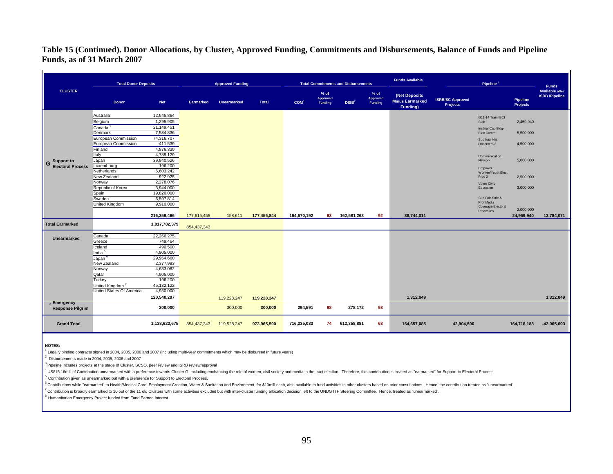#### **Table 15 (Continued). Donor Allocations, by Cluster, Approved Funding, Commitments and Disbursements, Balance of Funds and Pipeline Funds, as of 31 March 2007**

|                                                   | <b>Total Donor Deposits</b>    |                        |               | <b>Approved Funding</b> |             |                  |                               | <b>Total Commitments and Disbursements</b> |                               | <b>Funds Available</b>                              |                                            | Pipeline <sup>3</sup>                  |                                    | <b>Funds</b>                                    |
|---------------------------------------------------|--------------------------------|------------------------|---------------|-------------------------|-------------|------------------|-------------------------------|--------------------------------------------|-------------------------------|-----------------------------------------------------|--------------------------------------------|----------------------------------------|------------------------------------|-------------------------------------------------|
| <b>CLUSTER</b>                                    | Donor                          | <b>Net</b>             | Earmarked     | <b>Unearmarked</b>      | Total       | COM <sup>1</sup> | $%$ of<br>Approved<br>Funding | DISB <sup>2</sup>                          | $%$ of<br>Approved<br>Funding | (Net Deposits<br><b>Minus Earmarked</b><br>Funding) | <b>ISRB/SC Approved</b><br><b>Projects</b> |                                        | <b>Pipeline</b><br><b>Projects</b> | <b>Available after</b><br><b>ISRB</b> /Pipeline |
|                                                   | Australia                      | 12,545,864             |               |                         |             |                  |                               |                                            |                               |                                                     |                                            | G11-14 Train IECI                      |                                    |                                                 |
|                                                   | Belgium                        | 1,295,905              |               |                         |             |                  |                               |                                            |                               |                                                     |                                            | Staff                                  | 2,459,940                          |                                                 |
|                                                   | Canada <sup>4</sup>            | 21,149,451             |               |                         |             |                  |                               |                                            |                               |                                                     |                                            | Inst'nal Cap Bldg-                     |                                    |                                                 |
|                                                   | Denmark                        | 7,584,836              |               |                         |             |                  |                               |                                            |                               |                                                     |                                            | Elec Comm                              | 5,500,000                          |                                                 |
|                                                   | European Commission            | 74,316,707             |               |                         |             |                  |                               |                                            |                               |                                                     |                                            | Sup Iraqi Nat                          |                                    |                                                 |
|                                                   | European Commission<br>Finland | $-411,539$             |               |                         |             |                  |                               |                                            |                               |                                                     |                                            | Observers 3                            | 4,500,000                          |                                                 |
|                                                   | Italy                          | 4,876,330<br>4,789,129 |               |                         |             |                  |                               |                                            |                               |                                                     |                                            |                                        |                                    |                                                 |
|                                                   | Japan                          | 39,940,526             |               |                         |             |                  |                               |                                            |                               |                                                     |                                            | Communication<br>Network               | 5,000,000                          |                                                 |
| Support to<br>G<br><b>Electoral Process</b>       | Luxembourg                     | 196,200                |               |                         |             |                  |                               |                                            |                               |                                                     |                                            |                                        |                                    |                                                 |
|                                                   | Netherlands                    | 6,603,242              |               |                         |             |                  |                               |                                            |                               |                                                     |                                            | Empower                                |                                    |                                                 |
|                                                   | New Zealand                    | 922,925                |               |                         |             |                  |                               |                                            |                               |                                                     |                                            | Women/Youth Elect<br>Proc 2            | 2,500,000                          |                                                 |
|                                                   | Norway                         | 2,278,076              |               |                         |             |                  |                               |                                            |                               |                                                     |                                            | Voter/ Civic                           |                                    |                                                 |
|                                                   | Republic of Korea              | 3,944,000              |               |                         |             |                  |                               |                                            |                               |                                                     |                                            | Education                              | 3,000,000                          |                                                 |
|                                                   | Spain                          | 19,820,000             |               |                         |             |                  |                               |                                            |                               |                                                     |                                            |                                        |                                    |                                                 |
|                                                   | Sweden                         | 6,597,814              |               |                         |             |                  |                               |                                            |                               |                                                     |                                            | Sup-Fair-Safe &                        |                                    |                                                 |
|                                                   | United Kingdom                 | 9,910,000              |               |                         |             |                  |                               |                                            |                               |                                                     |                                            | Prof Media                             |                                    |                                                 |
|                                                   |                                |                        |               |                         |             |                  |                               |                                            |                               |                                                     |                                            | <b>Coverage Electoral</b><br>Processes | 2,000,000                          |                                                 |
|                                                   |                                | 216,359,466            | 177,615,455   | $-158,611$              | 177,456,844 | 164,670,192      | 93                            | 162,581,263                                | 92                            | 38,744,011                                          |                                            |                                        | 24,959,940                         | 13,784,071                                      |
| <b>Total Earmarked</b>                            |                                | 1,017,782,379          | 854,437,343   |                         |             |                  |                               |                                            |                               |                                                     |                                            |                                        |                                    |                                                 |
|                                                   | Canada                         | 22,266,275             |               |                         |             |                  |                               |                                            |                               |                                                     |                                            |                                        |                                    |                                                 |
| <b>Unearmarked</b>                                | Greece                         | 749,464                |               |                         |             |                  |                               |                                            |                               |                                                     |                                            |                                        |                                    |                                                 |
|                                                   | Iceland                        | 490,500                |               |                         |             |                  |                               |                                            |                               |                                                     |                                            |                                        |                                    |                                                 |
|                                                   | India <sup>5</sup>             | 4,905,000              |               |                         |             |                  |                               |                                            |                               |                                                     |                                            |                                        |                                    |                                                 |
|                                                   | Japan <sup>6</sup>             | 29,954,660             |               |                         |             |                  |                               |                                            |                               |                                                     |                                            |                                        |                                    |                                                 |
|                                                   | New Zealand                    | 2,377,993              |               |                         |             |                  |                               |                                            |                               |                                                     |                                            |                                        |                                    |                                                 |
|                                                   | Norway                         | 4,633,082              |               |                         |             |                  |                               |                                            |                               |                                                     |                                            |                                        |                                    |                                                 |
|                                                   | Qatar                          | 4,905,000              |               |                         |             |                  |                               |                                            |                               |                                                     |                                            |                                        |                                    |                                                 |
|                                                   | Turkey                         | 196,200                |               |                         |             |                  |                               |                                            |                               |                                                     |                                            |                                        |                                    |                                                 |
|                                                   | United Kingdom <sup>1</sup>    | 45, 132, 122           |               |                         |             |                  |                               |                                            |                               |                                                     |                                            |                                        |                                    |                                                 |
|                                                   | United States Of America       | 4,930,000              |               |                         |             |                  |                               |                                            |                               |                                                     |                                            |                                        |                                    |                                                 |
|                                                   |                                | 120,540,297            |               | 119,228,247             | 119,228,247 |                  |                               |                                            |                               | 1,312,049                                           |                                            |                                        |                                    | 1,312,049                                       |
| <sub>8</sub> Emergency<br><b>Response Pilgrim</b> |                                | 300,000                |               | 300,000                 | 300,000     | 294,591          | 98                            | 278,172                                    | 93                            |                                                     |                                            |                                        |                                    |                                                 |
| <b>Grand Total</b>                                |                                | 1,138,622,675          | 854, 437, 343 | 119,528,247             | 973,965,590 | 716,235,033      | 74                            | 612,358,881                                | 63                            | 164,657,085                                         | 42,904,590                                 |                                        | 164,718,188                        | $-42,965,693$                                   |

**NOTES:**

 $\mathbf{r}$ 

 $^1$  Legally binding contracts signed in 2004, 2005, 2006 and 2007 (including multi-year commitments which may be disbursed in future years)

 $2$  Disbursements made in 2004, 2005, 2006 and 2007

 $^3$  Pipeline includes projects at the stage of Cluster, SCSO, peer review and ISRB review/approval

4 US\$15.16mill of Contribution unearmarked with a preference towards Cluster G, including enchancing the role of women, civil society and media in the Iraqi election. Therefore, this contribution is treated as "earmarked"

<sup>5</sup> Contribution given as unearmarked but with a preference for Support to Electoral Process.

<sup>6</sup> Contributions while "earmarked" to Health/Medical Care, Employment Creation, Water & Sanitation and Environment, for \$10mill each, also available to fund activities in other clusters based on prior consultations. Hence

<sup>7</sup> Contribution is broadly earmarked to 10 out of the 11 old Clusters with some activities excluded but with inter-cluster funding allocation decision left to the UNDG ITF Steering Committee. Hence, treated as "unearmarke

<sup>8</sup> Humanitarian Emergency Project funded from Fund Earned Interest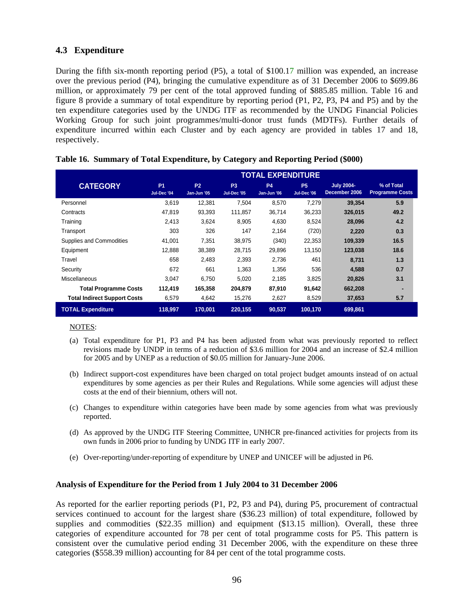## **4.3 Expenditure**

During the fifth six-month reporting period (P5), a total of \$100.17 million was expended, an increase over the previous period (P4), bringing the cumulative expenditure as of 31 December 2006 to \$699.86 million, or approximately 79 per cent of the total approved funding of \$885.85 million. Table 16 and figure 8 provide a summary of total expenditure by reporting period (P1, P2, P3, P4 and P5) and by the ten expenditure categories used by the UNDG ITF as recommended by the UNDG Financial Policies Working Group for such joint programmes/multi-donor trust funds (MDTFs). Further details of expenditure incurred within each Cluster and by each agency are provided in tables 17 and 18, respectively.

|                                     | <b>TOTAL EXPENDITURE</b> |                          |                               |                          |                          |                                    |                                      |  |  |  |  |
|-------------------------------------|--------------------------|--------------------------|-------------------------------|--------------------------|--------------------------|------------------------------------|--------------------------------------|--|--|--|--|
| <b>CATEGORY</b>                     | <b>P1</b><br>Jul-Dec '04 | <b>P2</b><br>Jan-Jun '05 | P <sub>3</sub><br>Jul-Dec '05 | <b>P4</b><br>Jan-Jun '06 | <b>P5</b><br>Jul-Dec '06 | <b>July 2004-</b><br>December 2006 | % of Total<br><b>Programme Costs</b> |  |  |  |  |
| Personnel                           | 3.619                    | 12,381                   | 7,504                         | 8.570                    | 7,279                    | 39.354                             | 5.9                                  |  |  |  |  |
| Contracts                           | 47,819                   | 93,393                   | 111,857                       | 36,714                   | 36,233                   | 326.015                            | 49.2                                 |  |  |  |  |
| Training                            | 2.413                    | 3,624                    | 8,905                         | 4,630                    | 8,524                    | 28.096                             | 4.2                                  |  |  |  |  |
| Transport                           | 303                      | 326                      | 147                           | 2,164                    | (720)                    | 2,220                              | 0.3                                  |  |  |  |  |
| Supplies and Commodities            | 41.001                   | 7.351                    | 38.975                        | (340)                    | 22,353                   | 109,339                            | 16.5                                 |  |  |  |  |
| Equipment                           | 12,888                   | 38,389                   | 28,715                        | 29,896                   | 13,150                   | 123,038                            | 18.6                                 |  |  |  |  |
| Travel                              | 658                      | 2,483                    | 2,393                         | 2,736                    | 461                      | 8.731                              | 1.3                                  |  |  |  |  |
| Security                            | 672                      | 661                      | 1,363                         | 1,356                    | 536                      | 4,588                              | 0.7                                  |  |  |  |  |
| <b>Miscellaneous</b>                | 3.047                    | 6.750                    | 5.020                         | 2,185                    | 3,825                    | 20.826                             | 3.1                                  |  |  |  |  |
| <b>Total Programme Costs</b>        | 112,419                  | 165,358                  | 204,879                       | 87,910                   | 91,642                   | 662,208                            |                                      |  |  |  |  |
| <b>Total Indirect Support Costs</b> | 6,579                    | 4,642                    | 15,276                        | 2,627                    | 8,529                    | 37,653                             | 5.7                                  |  |  |  |  |
| <b>TOTAL Expenditure</b>            | 118,997                  | 170,001                  | 220,155                       | 90,537                   | 100,170                  | 699,861                            |                                      |  |  |  |  |

#### **Table 16. Summary of Total Expenditure, by Category and Reporting Period (\$000)**

#### NOTES:

- (a) Total expenditure for P1, P3 and P4 has been adjusted from what was previously reported to reflect revisions made by UNDP in terms of a reduction of \$3.6 million for 2004 and an increase of \$2.4 million for 2005 and by UNEP as a reduction of \$0.05 million for January-June 2006.
- (b) Indirect support-cost expenditures have been charged on total project budget amounts instead of on actual expenditures by some agencies as per their Rules and Regulations. While some agencies will adjust these costs at the end of their biennium, others will not.
- (c) Changes to expenditure within categories have been made by some agencies from what was previously reported.
- (d) As approved by the UNDG ITF Steering Committee, UNHCR pre-financed activities for projects from its own funds in 2006 prior to funding by UNDG ITF in early 2007.
- (e) Over-reporting/under-reporting of expenditure by UNEP and UNICEF will be adjusted in P6.

#### **Analysis of Expenditure for the Period from 1 July 2004 to 31 December 2006**

As reported for the earlier reporting periods (P1, P2, P3 and P4), during P5, procurement of contractual services continued to account for the largest share (\$36.23 million) of total expenditure, followed by supplies and commodities (\$22.35 million) and equipment (\$13.15 million). Overall, these three categories of expenditure accounted for 78 per cent of total programme costs for P5. This pattern is consistent over the cumulative period ending 31 December 2006, with the expenditure on these three categories (\$558.39 million) accounting for 84 per cent of the total programme costs.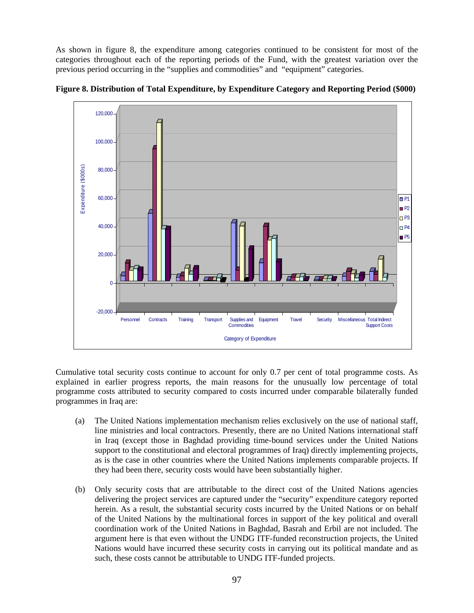As shown in figure 8, the expenditure among categories continued to be consistent for most of the categories throughout each of the reporting periods of the Fund, with the greatest variation over the previous period occurring in the "supplies and commodities" and "equipment" categories.



**Figure 8. Distribution of Total Expenditure, by Expenditure Category and Reporting Period (\$000)**

Cumulative total security costs continue to account for only 0.7 per cent of total programme costs. As explained in earlier progress reports, the main reasons for the unusually low percentage of total programme costs attributed to security compared to costs incurred under comparable bilaterally funded programmes in Iraq are:

- (a) The United Nations implementation mechanism relies exclusively on the use of national staff, line ministries and local contractors. Presently, there are no United Nations international staff in Iraq (except those in Baghdad providing time-bound services under the United Nations support to the constitutional and electoral programmes of Iraq) directly implementing projects, as is the case in other countries where the United Nations implements comparable projects. If they had been there, security costs would have been substantially higher.
- (b) Only security costs that are attributable to the direct cost of the United Nations agencies delivering the project services are captured under the "security" expenditure category reported herein. As a result, the substantial security costs incurred by the United Nations or on behalf of the United Nations by the multinational forces in support of the key political and overall coordination work of the United Nations in Baghdad, Basrah and Erbil are not included. The argument here is that even without the UNDG ITF-funded reconstruction projects, the United Nations would have incurred these security costs in carrying out its political mandate and as such, these costs cannot be attributable to UNDG ITF-funded projects.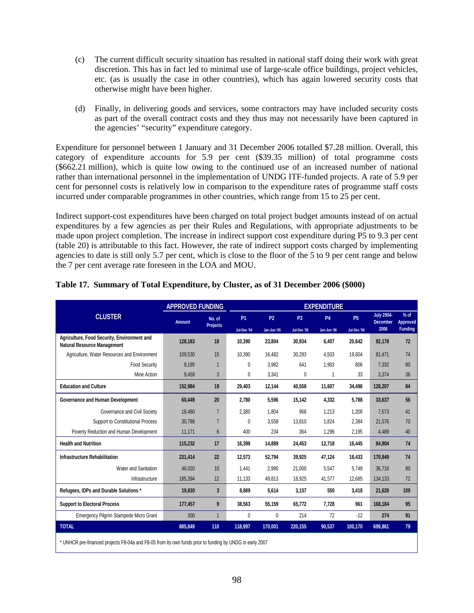- (c) The current difficult security situation has resulted in national staff doing their work with great discretion. This has in fact led to minimal use of large-scale office buildings, project vehicles, etc. (as is usually the case in other countries), which has again lowered security costs that otherwise might have been higher.
- (d) Finally, in delivering goods and services, some contractors may have included security costs as part of the overall contract costs and they thus may not necessarily have been captured in the agencies' "security" expenditure category.

Expenditure for personnel between 1 January and 31 December 2006 totalled \$7.28 million. Overall, this category of expenditure accounts for 5.9 per cent (\$39.35 million) of total programme costs (\$662.21 million), which is quite low owing to the continued use of an increased number of national rather than international personnel in the implementation of UNDG ITF-funded projects. A rate of 5.9 per cent for personnel costs is relatively low in comparison to the expenditure rates of programme staff costs incurred under comparable programmes in other countries, which range from 15 to 25 per cent.

Indirect support-cost expenditures have been charged on total project budget amounts instead of on actual expenditures by a few agencies as per their Rules and Regulations, with appropriate adjustments to be made upon project completion. The increase in indirect support cost expenditure during P5 to 9.3 per cent (table 20) is attributable to this fact. However, the rate of indirect support costs charged by implementing agencies to date is still only 5.7 per cent, which is close to the floor of the 5 to 9 per cent range and below the 7 per cent average rate foreseen in the LOA and MOU.

|                                                                                                          | <b>APPROVED FUNDING</b> |                           |             |             |                | <b>EXPENDITURE</b> |             |                                      |                    |
|----------------------------------------------------------------------------------------------------------|-------------------------|---------------------------|-------------|-------------|----------------|--------------------|-------------|--------------------------------------|--------------------|
| <b>CLUSTER</b>                                                                                           | <b>Amount</b>           | No. of<br><b>Projects</b> | <b>P1</b>   | <b>P2</b>   | P <sub>3</sub> | <b>P4</b>          | <b>P5</b>   | <b>July 2004-</b><br><b>December</b> | $%$ of<br>Approved |
|                                                                                                          |                         |                           | Jul-Dec '04 | Jan-Jun '05 | Jul-Dec '05    | Jan-Jun '06        | Jul-Dec '06 | 2006                                 | <b>Funding</b>     |
| Agriculture, Food Security, Environment and<br><b>Natural Resource Management</b>                        | 128.183                 | 19                        | 10.390      | 23,804      | 30,934         | 6,407              | 20.642      | 92,178                               | 72                 |
| Agriculture, Water Resources and Environment                                                             | 109,530                 | 15                        | 10,390      | 16,482      | 30,293         | 4,503              | 19,804      | 81,471                               | 74                 |
| <b>Food Security</b>                                                                                     | 9,195                   | $\mathbf 1$               | 0           | 3,982       | 641            | 1,903              | 806         | 7.332                                | 80                 |
| Mine Action                                                                                              | 9,458                   | 3                         | 0           | 3,341       | 0              | 1                  | 33          | 3,374                                | 36                 |
| <b>Education and Culture</b>                                                                             | 152,984                 | 19                        | 29,403      | 12,144      | 40,558         | 11,607             | 34,496      | 128,207                              | 84                 |
| Governance and Human Development                                                                         | 60,449                  | 20                        | 2,780       | 5,596       | 15,142         | 4,332              | 5.788       | 33,637                               | 56                 |
| Governance and Civil Society                                                                             | 18,480                  | $\overline{7}$            | 2.380       | 1.804       | 968            | 1,213              | 1,208       | 7.573                                | 41                 |
| <b>Support to Constitutional Process</b>                                                                 | 30,798                  | $\overline{7}$            | 0           | 3,558       | 13,810         | 1,824              | 2,384       | 21,576                               | 70                 |
| Poverty Reduction and Human Development                                                                  | 11,171                  | 6                         | 400         | 234         | 364            | 1,296              | 2,195       | 4,489                                | 40                 |
| <b>Health and Nutrition</b>                                                                              | 115,232                 | 17                        | 16,399      | 14,889      | 24,453         | 12,718             | 16,445      | 84,904                               | 74                 |
| Infrastructure Rehabilitation                                                                            | 231,414                 | 22                        | 12,573      | 52,794      | 39,925         | 47,124             | 18,433      | 170,849                              | 74                 |
| Water and Sanitation                                                                                     | 46,020                  | 10                        | 1,441       | 2,980       | 21,000         | 5,547              | 5.748       | 36,716                               | 80                 |
| Infrastructure                                                                                           | 185,394                 | 12                        | 11.133      | 49,813      | 18,925         | 41,577             | 12.685      | 134,133                              | 72                 |
| Refugees, IDPs and Durable Solutions *                                                                   | 19,830                  | 3                         | 8,889       | 5,614       | 3,157          | 550                | 3,418       | 21,628                               | 109                |
| <b>Support to Electoral Process</b>                                                                      | 177,457                 | 9                         | 38,563      | 55,159      | 65,772         | 7,728              | 961         | 168,184                              | 95                 |
| Emergency Pilgrim Stampede Micro Grant                                                                   | 300                     | $\overline{1}$            | 0           | 0           | 214            | 72                 | $-12$       | 274                                  | 91                 |
| <b>TOTAL</b>                                                                                             | 885,849                 | 110                       | 118,997     | 170,001     | 220,155        | 90,537             | 100,170     | 699,861                              | 79                 |
| * UNHCR pre-financed projects F8-04a and F8-05 from its own funds prior to funding by UNDG in early 2007 |                         |                           |             |             |                |                    |             |                                      |                    |

#### **Table 17. Summary of Total Expenditure, by Cluster, as of 31 December 2006 (\$000)**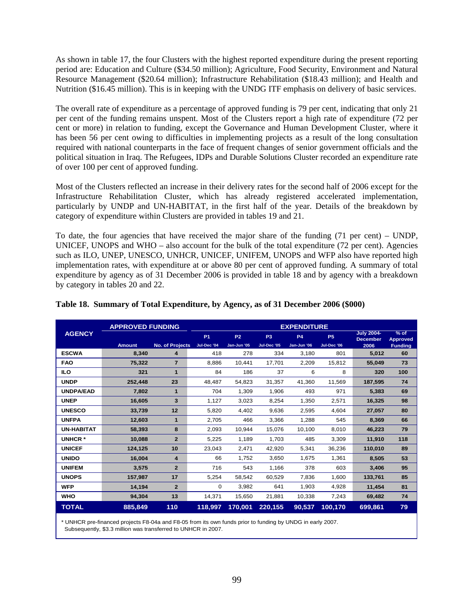As shown in table 17, the four Clusters with the highest reported expenditure during the present reporting period are: Education and Culture (\$34.50 million); Agriculture, Food Security, Environment and Natural Resource Management (\$20.64 million); Infrastructure Rehabilitation (\$18.43 million); and Health and Nutrition (\$16.45 million). This is in keeping with the UNDG ITF emphasis on delivery of basic services.

The overall rate of expenditure as a percentage of approved funding is 79 per cent, indicating that only 21 per cent of the funding remains unspent. Most of the Clusters report a high rate of expenditure (72 per cent or more) in relation to funding, except the Governance and Human Development Cluster, where it has been 56 per cent owing to difficulties in implementing projects as a result of the long consultation required with national counterparts in the face of frequent changes of senior government officials and the political situation in Iraq. The Refugees, IDPs and Durable Solutions Cluster recorded an expenditure rate of over 100 per cent of approved funding.

Most of the Clusters reflected an increase in their delivery rates for the second half of 2006 except for the Infrastructure Rehabilitation Cluster, which has already registered accelerated implementation, particularly by UNDP and UN-HABITAT, in the first half of the year. Details of the breakdown by category of expenditure within Clusters are provided in tables 19 and 21.

To date, the four agencies that have received the major share of the funding (71 per cent) – UNDP, UNICEF, UNOPS and WHO – also account for the bulk of the total expenditure (72 per cent). Agencies such as ILO, UNEP, UNESCO, UNHCR, UNICEF, UNIFEM, UNOPS and WFP also have reported high implementation rates, with expenditure at or above 80 per cent of approved funding. A summary of total expenditure by agency as of 31 December 2006 is provided in table 18 and by agency with a breakdown by category in tables 20 and 22.

|                   | <b>APPROVED FUNDING</b><br><b>EXPENDITURE</b><br><b>July 2004-</b> |                 |             |                |                |             |             |                 |                           |
|-------------------|--------------------------------------------------------------------|-----------------|-------------|----------------|----------------|-------------|-------------|-----------------|---------------------------|
| <b>AGENCY</b>     |                                                                    |                 | <b>P1</b>   | P <sub>2</sub> | P <sub>3</sub> | <b>P4</b>   | <b>P5</b>   | <b>December</b> | $%$ of<br><b>Approved</b> |
|                   | <b>Amount</b>                                                      | No. of Projects | Jul-Dec '04 | Jan-Jun '05    | Jul-Dec '05    | Jan-Jun '06 | Jul-Dec '06 | 2006            | <b>Funding</b>            |
| <b>ESCWA</b>      | 8,340                                                              | 4               | 418         | 278            | 334            | 3,180       | 801         | 5,012           | 60                        |
| <b>FAO</b>        | 75,322                                                             | $\overline{7}$  | 8,886       | 10,441         | 17,701         | 2,209       | 15,812      | 55,049          | 73                        |
| <b>ILO</b>        | 321                                                                | $\mathbf{1}$    | 84          | 186            | 37             | 6           | 8           | 320             | 100                       |
| <b>UNDP</b>       | 252,448                                                            | 23              | 48,487      | 54,823         | 31,357         | 41,360      | 11,569      | 187,595         | 74                        |
| <b>UNDPA/EAD</b>  | 7,802                                                              | 1               | 704         | 1,309          | 1,906          | 493         | 971         | 5,383           | 69                        |
| <b>UNEP</b>       | 16,605                                                             | 3               | 1,127       | 3,023          | 8,254          | 1,350       | 2,571       | 16,325          | 98                        |
| <b>UNESCO</b>     | 33,739                                                             | 12              | 5,820       | 4,402          | 9,636          | 2,595       | 4,604       | 27,057          | 80                        |
| <b>UNFPA</b>      | 12,603                                                             | $\mathbf{1}$    | 2,705       | 466            | 3.366          | 1,288       | 545         | 8,369           | 66                        |
| <b>UN-HABITAT</b> | 58,393                                                             | 8               | 2,093       | 10,944         | 15,076         | 10,100      | 8,010       | 46,223          | 79                        |
| <b>UNHCR*</b>     | 10.088                                                             | $\overline{2}$  | 5,225       | 1,189          | 1,703          | 485         | 3,309       | 11,910          | 118                       |
| <b>UNICEF</b>     | 124,125                                                            | 10              | 23,043      | 2,471          | 42,920         | 5,341       | 36,236      | 110,010         | 89                        |
| <b>UNIDO</b>      | 16,004                                                             | 4               | 66          | 1,752          | 3,650          | 1,675       | 1,361       | 8,505           | 53                        |
| <b>UNIFEM</b>     | 3,575                                                              | $\overline{2}$  | 716         | 543            | 1,166          | 378         | 603         | 3,406           | 95                        |
| <b>UNOPS</b>      | 157,987                                                            | 17              | 5,254       | 58,542         | 60.529         | 7,836       | 1,600       | 133,761         | 85                        |
| <b>WFP</b>        | 14.194                                                             | $\overline{2}$  | $\Omega$    | 3.982          | 641            | 1,903       | 4.928       | 11,454          | 81                        |
| <b>WHO</b>        | 94,304                                                             | 13              | 14,371      | 15,650         | 21,881         | 10,338      | 7,243       | 69,482          | 74                        |
| <b>TOTAL</b>      | 885,849                                                            | 110             | 118,997     | 170,001        | 220,155        | 90,537      | 100,170     | 699,861         | 79                        |

#### **Table 18. Summary of Total Expenditure, by Agency, as of 31 December 2006 (\$000)**

\* UNHCR pre-financed projects F8-04a and F8-05 from its own funds prior to funding by UNDG in early 2007. Subsequently, \$3.3 million was transferred to UNHCR in 2007.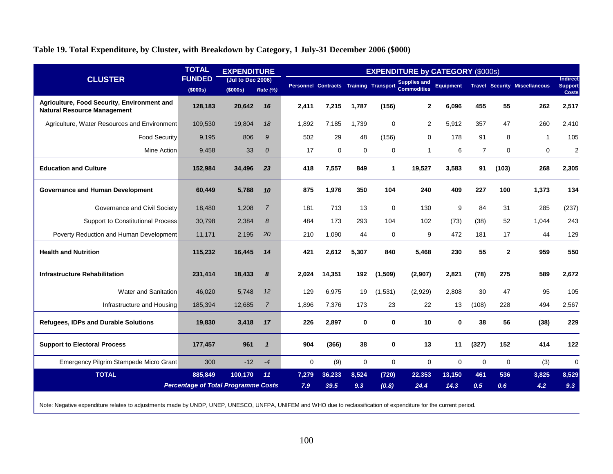## **Table 19. Total Expenditure, by Cluster, with Breakdown by Category, 1 July-31 December 2006 (\$000)**

|                                                                                   | <b>TOTAL</b>                               | <b>EXPENDITURE</b>            |                  |             |             |             |              | <b>EXPENDITURE by CATEGORY (\$000s)</b>                            |                  |                |              |                                      |                            |
|-----------------------------------------------------------------------------------|--------------------------------------------|-------------------------------|------------------|-------------|-------------|-------------|--------------|--------------------------------------------------------------------|------------------|----------------|--------------|--------------------------------------|----------------------------|
| <b>CLUSTER</b>                                                                    | <b>FUNDED</b><br>(\$000s)                  | (Jul to Dec 2006)<br>(\$000s) | Rate (%)         |             |             |             |              | Personnel Contracts Training Transport Supplies and<br>Commodities | <b>Equipment</b> |                |              | <b>Travel Security Miscellaneous</b> | Indirect<br><b>Support</b> |
| Agriculture, Food Security, Environment and<br><b>Natural Resource Management</b> | 128,183                                    | 20,642                        | 16               | 2.411       | 7,215       | 1,787       | (156)        | $\mathbf{2}$                                                       | 6,096            | 455            | 55           | 262                                  | <b>Costs</b><br>2,517      |
| Agriculture, Water Resources and Environment                                      | 109,530                                    | 19,804                        | 18               | 1,892       | 7,185       | 1,739       | $\mathbf 0$  | 2                                                                  | 5,912            | 357            | 47           | 260                                  | 2.410                      |
| <b>Food Security</b>                                                              | 9.195                                      | 806                           | 9                | 502         | 29          | 48          | (156)        | $\mathbf 0$                                                        | 178              | 91             | 8            | $\mathbf 1$                          | 105                        |
| Mine Action                                                                       | 9,458                                      | 33                            | $\boldsymbol{0}$ | 17          | $\mathbf 0$ | $\mathbf 0$ | 0            | $\mathbf{1}$                                                       | 6                | $\overline{7}$ | 0            | $\mathbf 0$                          | $\overline{2}$             |
| <b>Education and Culture</b>                                                      | 152,984                                    | 34,496                        | 23               | 418         | 7,557       | 849         | 1            | 19,527                                                             | 3,583            | 91             | (103)        | 268                                  | 2,305                      |
| <b>Governance and Human Development</b>                                           | 60,449                                     | 5,788                         | 10               | 875         | 1,976       | 350         | 104          | 240                                                                | 409              | 227            | 100          | 1,373                                | 134                        |
| Governance and Civil Society                                                      | 18,480                                     | 1,208                         | $\overline{7}$   | 181         | 713         | 13          | $\mathbf 0$  | 130                                                                | 9                | 84             | 31           | 285                                  | (237)                      |
| <b>Support to Constitutional Process</b>                                          | 30,798                                     | 2,384                         | 8                | 484         | 173         | 293         | 104          | 102                                                                | (73)             | (38)           | 52           | 1.044                                | 243                        |
| Poverty Reduction and Human Development                                           | 11,171                                     | 2,195                         | 20               | 210         | 1,090       | 44          | $\mathbf 0$  | 9                                                                  | 472              | 181            | 17           | 44                                   | 129                        |
| <b>Health and Nutrition</b>                                                       | 115,232                                    | 16,445                        | 14               | 421         | 2,612       | 5,307       | 840          | 5,468                                                              | 230              | 55             | $\mathbf{2}$ | 959                                  | 550                        |
| <b>Infrastructure Rehabilitation</b>                                              | 231,414                                    | 18,433                        | 8                | 2.024       | 14,351      | 192         | (1,509)      | (2,907)                                                            | 2,821            | (78)           | 275          | 589                                  | 2,672                      |
| Water and Sanitation                                                              | 46.020                                     | 5.748                         | 12               | 129         | 6,975       | 19          | (1,531)      | (2,929)                                                            | 2,808            | 30             | 47           | 95                                   | 105                        |
| Infrastructure and Housing                                                        | 185,394                                    | 12,685                        | $\overline{7}$   | 1,896       | 7,376       | 173         | 23           | 22                                                                 | 13               | (108)          | 228          | 494                                  | 2,567                      |
| <b>Refugees, IDPs and Durable Solutions</b>                                       | 19,830                                     | 3,418                         | 17               | 226         | 2,897       | 0           | $\mathbf{0}$ | 10                                                                 | $\bf{0}$         | 38             | 56           | (38)                                 | 229                        |
| <b>Support to Electoral Process</b>                                               | 177,457                                    | 961                           | $\mathbf{1}$     | 904         | (366)       | 38          | $\mathbf{0}$ | 13                                                                 | 11               | (327)          | 152          | 414                                  | 122                        |
| Emergency Pilgrim Stampede Micro Grant                                            | 300                                        | $-12$                         | $-4$             | $\mathbf 0$ | (9)         | $\mathbf 0$ | $\mathbf 0$  | $\mathbf 0$                                                        | $\mathbf 0$      | $\mathbf 0$    | 0            | (3)                                  | $\mathbf 0$                |
| <b>TOTAL</b>                                                                      | 885,849                                    | 100,170                       | 11               | 7,279       | 36,233      | 8,524       | (720)        | 22,353                                                             | 13,150           | 461            | 536          | 3,825                                | 8,529                      |
|                                                                                   | <b>Percentage of Total Programme Costs</b> |                               |                  | 7.9         | 39.5        | 9.3         | (0.8)        | 24.4                                                               | 14.3             | 0.5            | 0.6          | 4.2                                  | 9.3                        |

Note: Negative expenditure relates to adjustments made by UNDP, UNEP, UNESCO, UNFPA, UNIFEM and WHO due to reclassification of expenditure for the current period.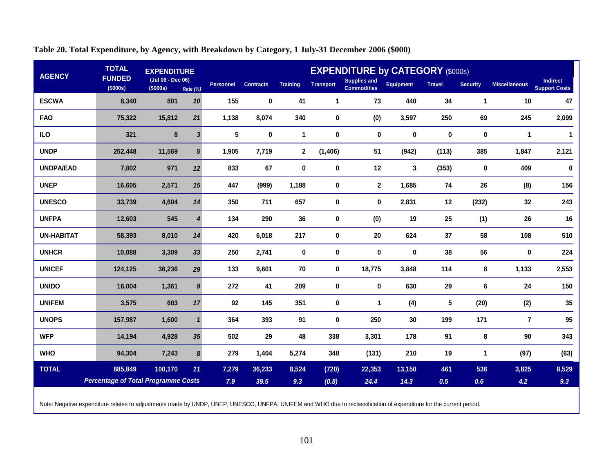| <b>AGENCY</b>     | <b>TOTAL</b>                               | <b>EXPENDITURE</b>            |                  |                  |                  |                 |                  | <b>EXPENDITURE by CATEGORY (\$000s)</b>   |                  |               |                      |                      |                                  |
|-------------------|--------------------------------------------|-------------------------------|------------------|------------------|------------------|-----------------|------------------|-------------------------------------------|------------------|---------------|----------------------|----------------------|----------------------------------|
|                   | <b>FUNDED</b><br>(\$000s)                  | (Jul 06 - Dec 06)<br>(\$000s) | Rate (%)         | <b>Personnel</b> | <b>Contracts</b> | <b>Training</b> | <b>Transport</b> | <b>Supplies and</b><br><b>Commodities</b> | <b>Equipment</b> | <b>Travel</b> | <b>Security</b>      | <b>Miscellaneous</b> | Indirect<br><b>Support Costs</b> |
| <b>ESCWA</b>      | 8,340                                      | 801                           | 10               | 155              | $\pmb{0}$        | 41              | 1                | 73                                        | 440              | 34            | $\blacktriangleleft$ | 10                   | 47                               |
| <b>FAO</b>        | 75,322                                     | 15,812                        | 21               | 1,138            | 8,074            | 340             | $\mathbf 0$      | (0)                                       | 3,597            | 250           | 69                   | 245                  | 2,099                            |
| <b>ILO</b>        | 321                                        | 8                             | $\mathbf{3}$     | 5                | $\pmb{0}$        | 1               | $\mathbf 0$      | 0                                         | $\pmb{0}$        | 0             | $\pmb{0}$            | $\mathbf{1}$         | 1                                |
| <b>UNDP</b>       | 252,448                                    | 11,569                        | $5\phantom{1}$   | 1,905            | 7,719            | $\mathbf{2}$    | (1, 406)         | 51                                        | (942)            | (113)         | 385                  | 1,847                | 2,121                            |
| <b>UNDPA/EAD</b>  | 7,802                                      | 971                           | 12               | 833              | 67               | 0               | 0                | 12                                        | $\mathbf{3}$     | (353)         | 0                    | 409                  | $\pmb{0}$                        |
| <b>UNEP</b>       | 16,605                                     | 2,571                         | 15               | 447              | (999)            | 1,188           | 0                | $\mathbf{2}$                              | 1,685            | 74            | 26                   | (8)                  | 156                              |
| <b>UNESCO</b>     | 33,739                                     | 4,604                         | 14               | 350              | 711              | 657             | $\mathbf 0$      | 0                                         | 2,831            | 12            | (232)                | 32                   | 243                              |
| <b>UNFPA</b>      | 12,603                                     | 545                           | $\overline{4}$   | 134              | 290              | 36              | 0                | (0)                                       | 19               | 25            | (1)                  | 26                   | 16                               |
| <b>UN-HABITAT</b> | 58,393                                     | 8,010                         | 14               | 420              | 6,018            | 217             | $\mathbf 0$      | 20                                        | 624              | 37            | 58                   | 108                  | 510                              |
| <b>UNHCR</b>      | 10,088                                     | 3,309                         | 33               | 250              | 2,741            | 0               | $\mathbf 0$      | 0                                         | 0                | 38            | 56                   | 0                    | 224                              |
| <b>UNICEF</b>     | 124,125                                    | 36,236                        | 29               | 133              | 9,601            | 70              | 0                | 18,775                                    | 3,848            | 114           | 8                    | 1,133                | 2,553                            |
| <b>UNIDO</b>      | 16,004                                     | 1,361                         | $\boldsymbol{9}$ | 272              | 41               | 209             | $\pmb{0}$        | $\pmb{0}$                                 | 630              | 29            | 6                    | 24                   | 150                              |
| <b>UNIFEM</b>     | 3,575                                      | 603                           | 17               | 92               | 145              | 351             | 0                | $\mathbf 1$                               | (4)              | 5             | (20)                 | (2)                  | 35                               |
| <b>UNOPS</b>      | 157,987                                    | 1,600                         | $\mathbf{1}$     | 364              | 393              | 91              | $\mathbf 0$      | 250                                       | 30               | 199           | 171                  | 7                    | 95                               |
| <b>WFP</b>        | 14,194                                     | 4,928                         | 35               | 502              | 29               | 48              | 338              | 3,301                                     | 178              | 91            | 8                    | 90                   | 343                              |
| <b>WHO</b>        | 94,304                                     | 7,243                         | 8                | 279              | 1,404            | 5,274           | 348              | (131)                                     | 210              | 19            | $\mathbf 1$          | (97)                 | (63)                             |
| <b>TOTAL</b>      | 885,849                                    | 100,170                       | 11               | 7,279            | 36,233           | 8,524           | (720)            | 22,353                                    | 13,150           | 461           | 536                  | 3,825                | 8,529                            |
|                   | <b>Percentage of Total Programme Costs</b> |                               |                  | 7.9              | 39.5             | 9.3             | (0.8)            | 24.4                                      | 14.3             | 0.5           | 0.6                  | 4.2                  | 9.3                              |

## **Table 20. Total Expenditure, by Agency, with Breakdown by Category, 1 July-31 December 2006 (\$000)**

Note: Negative expenditure relates to adjustments made by UNDP, UNEP, UNESCO, UNFPA, UNIFEM and WHO due to reclassification of expenditure for the current period.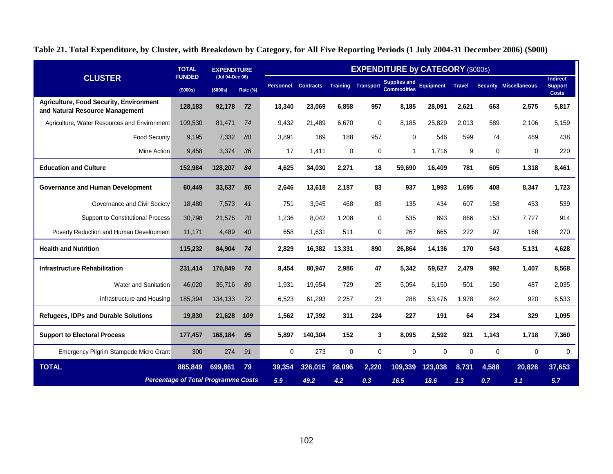|                                                                                   | <b>TOTAL</b><br><b>FUNDED</b>              | <b>EXPENDITURE</b>          |          |                  |                  |          |                           | <b>EXPENDITURE by CATEGORY (\$000s)</b>   |                  |               |          |                               |                                                   |
|-----------------------------------------------------------------------------------|--------------------------------------------|-----------------------------|----------|------------------|------------------|----------|---------------------------|-------------------------------------------|------------------|---------------|----------|-------------------------------|---------------------------------------------------|
| <b>CLUSTER</b>                                                                    | (\$000s)                                   | (Jul 04-Dec 06)<br>(\$000s) | Rate (%) | <b>Personnel</b> | <b>Contracts</b> |          | <b>Training Transport</b> | <b>Supplies and</b><br><b>Commodities</b> | <b>Equipment</b> | <b>Travel</b> |          | <b>Security Miscellaneous</b> | <b>Indirect</b><br><b>Support</b><br><b>Costs</b> |
| <b>Agriculture, Food Security, Environment</b><br>and Natural Resource Management | 128,183                                    | 92,178                      | 72       | 13,340           | 23,069           | 6,858    | 957                       | 8.185                                     | 28,091           | 2,621         | 663      | 2,575                         | 5,817                                             |
| Agriculture, Water Resources and Environment                                      | 109.530                                    | 81.471                      | 74       | 9.432            | 21.489           | 6.670    | $\mathbf 0$               | 8.185                                     | 25.829           | 2.013         | 589      | 2.106                         | 5.159                                             |
| <b>Food Security</b>                                                              | 9.195                                      | 7,332                       | 80       | 3,891            | 169              | 188      | 957                       | 0                                         | 546              | 599           | 74       | 469                           | 438                                               |
| Mine Action                                                                       | 9,458                                      | 3,374                       | 36       | 17               | 1,411            | 0        | 0                         | 1                                         | 1,716            | 9             | 0        | $\Omega$                      | 220                                               |
| <b>Education and Culture</b>                                                      | 152,984                                    | 128,207                     | 84       | 4,625            | 34,030           | 2,271    | 18                        | 59,690                                    | 16,409           | 781           | 605      | 1,318                         | 8,461                                             |
| <b>Governance and Human Development</b>                                           | 60,449                                     | 33,637                      | 56       | 2,646            | 13,618           | 2.187    | 83                        | 937                                       | 1,993            | 1,695         | 408      | 8,347                         | 1,723                                             |
| Governance and Civil Society                                                      | 18.480                                     | 7,573                       | 41       | 751              | 3.945            | 468      | 83                        | 135                                       | 434              | 607           | 158      | 453                           | 539                                               |
| <b>Support to Constitutional Process</b>                                          | 30,798                                     | 21,576                      | 70       | 1,236            | 8,042            | 1,208    | $\Omega$                  | 535                                       | 893              | 866           | 153      | 7,727                         | 914                                               |
| Poverty Reduction and Human Development                                           | 11,171                                     | 4,489                       | 40       | 658              | 1,631            | 511      | $\mathbf 0$               | 267                                       | 665              | 222           | 97       | 168                           | 270                                               |
| <b>Health and Nutrition</b>                                                       | 115,232                                    | 84,904                      | 74       | 2,829            | 16,382           | 13,331   | 890                       | 26,864                                    | 14,136           | 170           | 543      | 5,131                         | 4,628                                             |
| <b>Infrastructure Rehabilitation</b>                                              | 231,414                                    | 170,849                     | 74       | 8,454            | 80,947           | 2,986    | 47                        | 5,342                                     | 59,627           | 2,479         | 992      | 1,407                         | 8,568                                             |
| Water and Sanitation                                                              | 46.020                                     | 36.716                      | 80       | 1.931            | 19.654           | 729      | 25                        | 5.054                                     | 6.150            | 501           | 150      | 487                           | 2.035                                             |
| Infrastructure and Housing                                                        | 185.394                                    | 134.133                     | 72       | 6.523            | 61.293           | 2.257    | 23                        | 288                                       | 53.476           | 1,978         | 842      | 920                           | 6.533                                             |
| <b>Refugees, IDPs and Durable Solutions</b>                                       | 19,830                                     | 21,628                      | 109      | 1,562            | 17,392           | 311      | 224                       | 227                                       | 191              | 64            | 234      | 329                           | 1,095                                             |
| <b>Support to Electoral Process</b>                                               | 177,457                                    | 168,184                     | 95       | 5.897            | 140,304          | 152      | 3                         | 8,095                                     | 2,592            | 921           | 1,143    | 1,718                         | 7,360                                             |
| Emergency Pilgrim Stampede Micro Grant                                            | 300                                        | 274                         | 91       | $\Omega$         | 273              | $\Omega$ | $\Omega$                  | 0                                         | $\Omega$         | $\Omega$      | $\Omega$ | $\Omega$                      | $\Omega$                                          |
| <b>TOTAL</b>                                                                      | 885,849                                    | 699,861                     | 79       | 39,354           | 326,015          | 28,096   | 2,220                     | 109,339                                   | 123,038          | 8,731         | 4,588    | 20,826                        | 37,653                                            |
|                                                                                   | <b>Percentage of Total Programme Costs</b> |                             | 5.9      | 49.2             | 4.2              | 0.3      | 16.5                      | 18.6                                      | 1.3              | 0.7           | 3.1      | 5.7                           |                                                   |

**Table 21. Total Expenditure, by Cluster, with Breakdown by Category, for All Five Reporting Periods (1 July 2004-31 December 2006) (\$000)**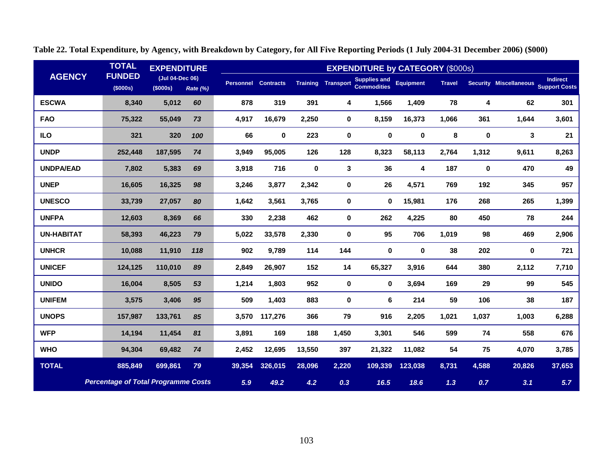|                   | <b>TOTAL</b>                               | <b>EXPENDITURE</b>             |          |        |                            |             |                           | <b>EXPENDITURE by CATEGORY (\$000s)</b>   |                  |               |           |                               |                                         |
|-------------------|--------------------------------------------|--------------------------------|----------|--------|----------------------------|-------------|---------------------------|-------------------------------------------|------------------|---------------|-----------|-------------------------------|-----------------------------------------|
| <b>AGENCY</b>     | <b>FUNDED</b><br>(\$000s)                  | (Jul 04-Dec 06)<br>$($ \$000s) | Rate (%) |        | <b>Personnel Contracts</b> |             | <b>Training Transport</b> | <b>Supplies and</b><br><b>Commodities</b> | <b>Equipment</b> | <b>Travel</b> |           | <b>Security Miscellaneous</b> | <b>Indirect</b><br><b>Support Costs</b> |
| <b>ESCWA</b>      | 8,340                                      | 5,012                          | 60       | 878    | 319                        | 391         | 4                         | 1,566                                     | 1,409            | 78            | 4         | 62                            | 301                                     |
| <b>FAO</b>        | 75,322                                     | 55,049                         | 73       | 4,917  | 16,679                     | 2,250       | 0                         | 8,159                                     | 16,373           | 1,066         | 361       | 1,644                         | 3,601                                   |
| <b>ILO</b>        | 321                                        | 320                            | 100      | 66     | 0                          | 223         | $\bf{0}$                  | $\mathbf 0$                               | $\pmb{0}$        | 8             | $\pmb{0}$ | 3                             | 21                                      |
| <b>UNDP</b>       | 252,448                                    | 187,595                        | 74       | 3,949  | 95,005                     | 126         | 128                       | 8,323                                     | 58,113           | 2,764         | 1,312     | 9,611                         | 8,263                                   |
| <b>UNDPA/EAD</b>  | 7,802                                      | 5,383                          | 69       | 3,918  | 716                        | $\mathbf 0$ | 3                         | 36                                        | 4                | 187           | 0         | 470                           | 49                                      |
| <b>UNEP</b>       | 16,605                                     | 16,325                         | 98       | 3,246  | 3,877                      | 2,342       | 0                         | 26                                        | 4,571            | 769           | 192       | 345                           | 957                                     |
| <b>UNESCO</b>     | 33,739                                     | 27,057                         | 80       | 1,642  | 3,561                      | 3,765       | 0                         | 0                                         | 15,981           | 176           | 268       | 265                           | 1,399                                   |
| <b>UNFPA</b>      | 12,603                                     | 8,369                          | 66       | 330    | 2,238                      | 462         | $\bf{0}$                  | 262                                       | 4,225            | 80            | 450       | 78                            | 244                                     |
| <b>UN-HABITAT</b> | 58,393                                     | 46,223                         | 79       | 5,022  | 33,578                     | 2,330       | 0                         | 95                                        | 706              | 1,019         | 98        | 469                           | 2,906                                   |
| <b>UNHCR</b>      | 10,088                                     | 11,910                         | 118      | 902    | 9,789                      | 114         | 144                       | 0                                         | 0                | 38            | 202       | 0                             | 721                                     |
| <b>UNICEF</b>     | 124,125                                    | 110,010                        | 89       | 2,849  | 26,907                     | 152         | 14                        | 65,327                                    | 3,916            | 644           | 380       | 2,112                         | 7,710                                   |
| <b>UNIDO</b>      | 16,004                                     | 8,505                          | 53       | 1,214  | 1,803                      | 952         | $\bf{0}$                  | $\mathbf{0}$                              | 3,694            | 169           | 29        | 99                            | 545                                     |
| <b>UNIFEM</b>     | 3,575                                      | 3,406                          | 95       | 509    | 1,403                      | 883         | $\bf{0}$                  | 6                                         | 214              | 59            | 106       | 38                            | 187                                     |
| <b>UNOPS</b>      | 157,987                                    | 133,761                        | 85       | 3,570  | 117,276                    | 366         | 79                        | 916                                       | 2,205            | 1,021         | 1,037     | 1,003                         | 6,288                                   |
| <b>WFP</b>        | 14,194                                     | 11,454                         | 81       | 3,891  | 169                        | 188         | 1,450                     | 3,301                                     | 546              | 599           | 74        | 558                           | 676                                     |
| <b>WHO</b>        | 94,304                                     | 69,482                         | 74       | 2,452  | 12,695                     | 13,550      | 397                       | 21,322                                    | 11,082           | 54            | 75        | 4,070                         | 3,785                                   |
| <b>TOTAL</b>      | 885,849                                    | 699,861                        | 79       | 39,354 | 326,015                    | 28,096      | 2,220                     | 109,339                                   | 123,038          | 8,731         | 4,588     | 20,826                        | 37,653                                  |
|                   | <b>Percentage of Total Programme Costs</b> |                                |          | 5.9    | 49.2                       | 4.2         | 0.3                       | 16.5                                      | 18.6             | 1.3           | 0.7       | 3.1                           | 5.7                                     |

**Table 22. Total Expenditure, by Agency, with Breakdown by Category, for All Five Reporting Periods (1 July 2004-31 December 2006) (\$000)**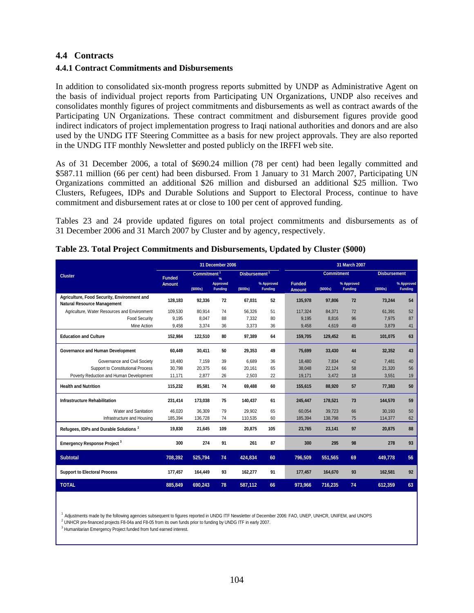### **4.4 Contracts**

#### **4.4.1 Contract Commitments and Disbursements**

In addition to consolidated six-month progress reports submitted by UNDP as Administrative Agent on the basis of individual project reports from Participating UN Organizations, UNDP also receives and consolidates monthly figures of project commitments and disbursements as well as contract awards of the Participating UN Organizations. These contract commitment and disbursement figures provide good indirect indicators of project implementation progress to Iraqi national authorities and donors and are also used by the UNDG ITF Steering Committee as a basis for new project approvals. They are also reported in the UNDG ITF monthly Newsletter and posted publicly on the IRFFI web site.

As of 31 December 2006, a total of \$690.24 million (78 per cent) had been legally committed and \$587.11 million (66 per cent) had been disbursed. From 1 January to 31 March 2007, Participating UN Organizations committed an additional \$26 million and disbursed an additional \$25 million. Two Clusters, Refugees, IDPs and Durable Solutions and Support to Electoral Process, continue to have commitment and disbursement rates at or close to 100 per cent of approved funding.

Tables 23 and 24 provide updated figures on total project commitments and disbursements as of 31 December 2006 and 31 March 2007 by Cluster and by agency, respectively.

|                                                                                   |               |                   | 31 December 2006           |                     |                              |                                |                   | 31 March 2007         |                     |                              |
|-----------------------------------------------------------------------------------|---------------|-------------------|----------------------------|---------------------|------------------------------|--------------------------------|-------------------|-----------------------|---------------------|------------------------------|
| <b>Cluster</b>                                                                    | <b>Funded</b> | <b>Commitment</b> | $\frac{9}{6}$              | <b>Disbursement</b> |                              |                                | <b>Commitment</b> |                       | <b>Disbursement</b> |                              |
|                                                                                   | <b>Amount</b> | (5000s)           | Approved<br><b>Funding</b> | (\$000s)            | % Approved<br><b>Funding</b> | <b>Funded</b><br><b>Amount</b> | (S000s)           | % Approved<br>Funding | (\$000s)            | % Approved<br><b>Funding</b> |
| Agriculture, Food Security, Environment and<br><b>Natural Resource Management</b> | 128.183       | 92.336            | 72                         | 67.031              | 52                           | 135.978                        | 97.806            | 72                    | 73.244              | 54                           |
| Agriculture, Water Resources and Environment                                      | 109.530       | 80.914            | 74                         | 56.326              | 51                           | 117.324                        | 84.371            | 72                    | 61.391              | 52                           |
| <b>Food Security</b>                                                              | 9.195         | 8,047             | 88                         | 7,332               | 80                           | 9,195                          | 8.816             | 96                    | 7.975               | 87                           |
| Mine Action                                                                       | 9,458         | 3,374             | 36                         | 3,373               | 36                           | 9,458                          | 4,619             | 49                    | 3,879               | 41                           |
| <b>Education and Culture</b>                                                      | 152,984       | 122,510           | 80                         | 97,389              | 64                           | 159,705                        | 129,452           | 81                    | 101,075             | 63                           |
| Governance and Human Development                                                  | 60.449        | 30.411            | 50                         | 29.353              | 49                           | 75,699                         | 33,430            | 44                    | 32.352              | 43                           |
| Governance and Civil Society                                                      | 18,480        | 7,159             | 39                         | 6,689               | 36                           | 18,480                         | 7,834             | 42                    | 7,481               | 40                           |
| Support to Constitutional Process                                                 | 30,798        | 20,375            | 66                         | 20,161              | 65                           | 38,048                         | 22,124            | 58                    | 21,320              | 56                           |
| Poverty Reduction and Human Development                                           | 11,171        | 2,877             | 26                         | 2,503               | 22                           | 19,171                         | 3,472             | 18                    | 3,551               | 19                           |
| <b>Health and Nutrition</b>                                                       | 115,232       | 85,581            | 74                         | 69.488              | 60                           | 155,615                        | 88.920            | 57                    | 77,383              | 50                           |
| <b>Infrastructure Rehabilitation</b>                                              | 231,414       | 173,038           | 75                         | 140,437             | 61                           | 245,447                        | 178,521           | 73                    | 144,570             | 59                           |
| Water and Sanitation                                                              | 46.020        | 36.309            | 79                         | 29.902              | 65                           | 60.054                         | 39.723            | 66                    | 30.193              | 50                           |
| Infrastructure and Housing                                                        | 185,394       | 136,728           | 74                         | 110,535             | 60                           | 185,394                        | 138,798           | 75                    | 114,377             | 62                           |
| Refugees, IDPs and Durable Solutions <sup>2</sup>                                 | 19,830        | 21,645            | 109                        | 20,875              | 105                          | 23,765                         | 23,141            | 97                    | 20,875              | 88                           |
| <b>Emergency Response Project 3</b>                                               | 300           | 274               | 91                         | 261                 | 87                           | 300                            | 295               | 98                    | 278                 | 93                           |
| <b>Subtotal</b>                                                                   | 708,392       | 525,794           | 74                         | 424.834             | 60                           | 796,509                        | 551,565           | 69                    | 449,778             | 56                           |
| <b>Support to Electoral Process</b>                                               | 177,457       | 164,449           | 93                         | 162,277             | 91                           | 177,457                        | 164,670           | 93                    | 162,581             | 92                           |
| <b>TOTAL</b>                                                                      | 885,849       | 690,243           | 78                         | 587,112             | 66                           | 973,966                        | 716,235           | 74                    | 612,359             | 63                           |

#### **Table 23. Total Project Commitments and Disbursements, Updated by Cluster (\$000)**

<sup>1</sup> Adjustments made by the following agencies subsequent to figures reported in UNDG ITF Newsletter of December 2006: FAO, UNEP, UNHCR, UNIFEM, and UNOPS<br><sup>2</sup> UNHCR pre-financed projects F8-04a and F8-05 from its own funds

<sup>3</sup> Humanitarian Emergency Project funded from fund earned interest.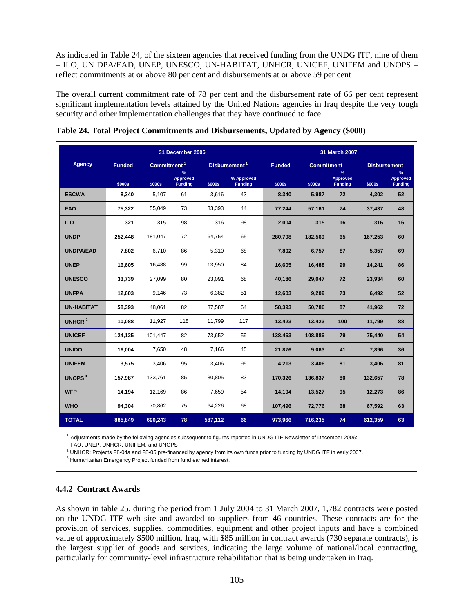As indicated in Table 24, of the sixteen agencies that received funding from the UNDG ITF, nine of them – ILO, UN DPA/EAD, UNEP, UNESCO, UN-HABITAT, UNHCR, UNICEF, UNIFEM and UNOPS – reflect commitments at or above 80 per cent and disbursements at or above 59 per cent

The overall current commitment rate of 78 per cent and the disbursement rate of 66 per cent represent significant implementation levels attained by the United Nations agencies in Iraq despite the very tough security and other implementation challenges that they have continued to face.

|                           |               |                         | 31 December 2006                          |         |                              |               |                   | 31 March 2007                          |                     |                                    |
|---------------------------|---------------|-------------------------|-------------------------------------------|---------|------------------------------|---------------|-------------------|----------------------------------------|---------------------|------------------------------------|
| <b>Agency</b>             | <b>Funded</b> | Commitment <sup>1</sup> |                                           |         | Disbursement <sup>1</sup>    | <b>Funded</b> | <b>Commitment</b> |                                        | <b>Disbursement</b> |                                    |
|                           | \$000s        | \$000s                  | $\%$<br><b>Approved</b><br><b>Funding</b> | \$000s  | % Approved<br><b>Funding</b> | \$000s        | \$000s            | %<br><b>Approved</b><br><b>Funding</b> | \$000s              | $\%$<br>Approved<br><b>Funding</b> |
| <b>ESCWA</b>              | 8,340         | 5,107                   | 61                                        | 3,616   | 43                           | 8,340         | 5,987             | 72                                     | 4,302               | 52                                 |
| <b>FAO</b>                | 75,322        | 55,049                  | 73                                        | 33,393  | 44                           | 77,244        | 57,161            | 74                                     | 37,437              | 48                                 |
| <b>ILO</b>                | 321           | 315                     | 98                                        | 316     | 98                           | 2,004         | 315               | 16                                     | 316                 | 16                                 |
| <b>UNDP</b>               | 252,448       | 181,047                 | 72                                        | 164,754 | 65                           | 280,798       | 182,569           | 65                                     | 167,253             | 60                                 |
| <b>UNDPA/EAD</b>          | 7,802         | 6,710                   | 86                                        | 5,310   | 68                           | 7,802         | 6,757             | 87                                     | 5,357               | 69                                 |
| <b>UNEP</b>               | 16,605        | 16,488                  | 99                                        | 13,950  | 84                           | 16,605        | 16,488            | 99                                     | 14,241              | 86                                 |
| <b>UNESCO</b>             | 33.739        | 27,099                  | 80                                        | 23.091  | 68                           | 40.186        | 29,047            | 72                                     | 23,934              | 60                                 |
| <b>UNFPA</b>              | 12,603        | 9,146                   | 73                                        | 6,382   | 51                           | 12,603        | 9,209             | 73                                     | 6,492               | 52                                 |
| <b>UN-HABITAT</b>         | 58,393        | 48,061                  | 82                                        | 37,587  | 64                           | 58,393        | 50,786            | 87                                     | 41,962              | 72                                 |
| UNHCR <sup>2</sup>        | 10,088        | 11,927                  | 118                                       | 11,799  | 117                          | 13,423        | 13,423            | 100                                    | 11,799              | 88                                 |
| <b>UNICEF</b>             | 124,125       | 101,447                 | 82                                        | 73,652  | 59                           | 138,463       | 108,886           | 79                                     | 75,440              | 54                                 |
| <b>UNIDO</b>              | 16,004        | 7,650                   | 48                                        | 7,166   | 45                           | 21,876        | 9,063             | 41                                     | 7,896               | 36                                 |
| <b>UNIFEM</b>             | 3,575         | 3,406                   | 95                                        | 3,406   | 95                           | 4,213         | 3,406             | 81                                     | 3,406               | 81                                 |
| <b>UNOPS</b> <sup>3</sup> | 157,987       | 133,761                 | 85                                        | 130,805 | 83                           | 170,326       | 136,837           | 80                                     | 132,657             | 78                                 |
| <b>WFP</b>                | 14,194        | 12,169                  | 86                                        | 7,659   | 54                           | 14,194        | 13,527            | 95                                     | 12,273              | 86                                 |
| <b>WHO</b>                | 94,304        | 70,862                  | 75                                        | 64,226  | 68                           | 107,496       | 72,776            | 68                                     | 67,592              | 63                                 |
| <b>TOTAL</b>              | 885,849       | 690,243                 | 78                                        | 587,112 | 66                           | 973,966       | 716,235           | 74                                     | 612,359             | 63                                 |

|  | Table 24. Total Project Commitments and Disbursements, Updated by Agency (\$000) |  |  |
|--|----------------------------------------------------------------------------------|--|--|
|  |                                                                                  |  |  |

<sup>1</sup> Adjustments made by the following agencies subsequent to figures reported in UNDG ITF Newsletter of December 2006:<br>FAO, UNEP, UNHCR, UNIFEM, and UNOPS<br><sup>2</sup> UNHCR: Projects F8-04a and F8-05 pre-financed by agency from i

<sup>3</sup> Humanitarian Emergency Project funded from fund earned interest.

#### **4.4.2 Contract Awards**

As shown in table 25, during the period from 1 July 2004 to 31 March 2007, 1,782 contracts were posted on the UNDG ITF web site and awarded to suppliers from 46 countries. These contracts are for the provision of services, supplies, commodities, equipment and other project inputs and have a combined value of approximately \$500 million. Iraq, with \$85 million in contract awards (730 separate contracts), is the largest supplier of goods and services, indicating the large volume of national/local contracting, particularly for community-level infrastructure rehabilitation that is being undertaken in Iraq.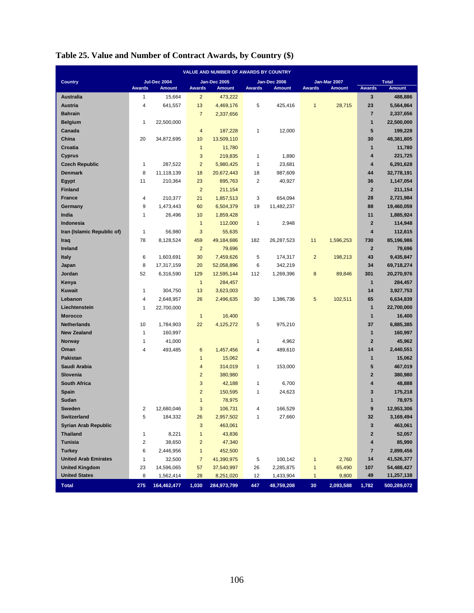|                             |               |                     |                         | VALUE AND NUMBER OF AWARDS BY COUNTRY |                |               |                 |               |                         |               |
|-----------------------------|---------------|---------------------|-------------------------|---------------------------------------|----------------|---------------|-----------------|---------------|-------------------------|---------------|
| <b>Country</b>              |               | <b>Jul-Dec 2004</b> |                         | <b>Jan-Dec 2005</b>                   |                | Jan-Dec 2006  |                 | Jan-Mar 2007  |                         | <b>Total</b>  |
|                             | <b>Awards</b> | <b>Amount</b>       | Awards                  | <b>Amount</b>                         | <b>Awards</b>  | <b>Amount</b> | <b>Awards</b>   | <b>Amount</b> | <b>Awards</b>           | <b>Amount</b> |
| <b>Australia</b>            | $\mathbf{1}$  | 15,664              | $\overline{2}$          | 473,222                               |                |               |                 |               | 3                       | 488,886       |
| <b>Austria</b>              | 4             | 641,557             | 13                      | 4,469,176                             | 5              | 425,416       | $\mathbf{1}$    | 28,715        | 23                      | 5,564,864     |
| <b>Bahrain</b>              |               |                     | $\overline{7}$          | 2,337,656                             |                |               |                 |               | $\overline{7}$          | 2,337,656     |
| <b>Belgium</b>              | 1             | 22,500,000          |                         |                                       |                |               |                 |               | $\mathbf{1}$            | 22,500,000    |
| Canada                      |               |                     | $\overline{\mathbf{4}}$ | 187,228                               | $\mathbf{1}$   | 12,000        |                 |               | 5                       | 199,228       |
| China                       | 20            | 34,872,695          | 10                      | 13,509,110                            |                |               |                 |               | 30                      | 48,381,805    |
| Croatia                     |               |                     | $\mathbf{1}$            | 11,780                                |                |               |                 |               | $\mathbf{1}$            | 11,780        |
| <b>Cyprus</b>               |               |                     | 3                       | 219,835                               | $\mathbf{1}$   | 1,890         |                 |               | $\overline{4}$          | 221,725       |
| <b>Czech Republic</b>       | 1             | 287,522             | $\overline{c}$          | 5,980,425                             | $\mathbf{1}$   | 23,681        |                 |               | $\overline{\mathbf{4}}$ | 6,291,628     |
| <b>Denmark</b>              | 8             | 11,118,139          | 18                      | 20,672,443                            | 18             | 987,609       |                 |               | 44                      | 32,778,191    |
| <b>Egypt</b>                | 11            | 210,364             | 23                      | 895,763                               | $\overline{2}$ | 40,927        |                 |               | 36                      | 1,147,054     |
| <b>Finland</b>              |               |                     | $\overline{c}$          | 211,154                               |                |               |                 |               | $\mathbf{2}$            | 211,154       |
| <b>France</b>               | 4             | 210,377             | 21                      | 1,857,513                             | 3              | 654,094       |                 |               | 28                      | 2,721,984     |
| Germany                     | 9             | 1,473,443           | 60                      | 6,504,379                             | 19             | 11,482,237    |                 |               | 88                      | 19,460,059    |
| India                       | 1             | 26,496              | 10                      | 1,859,428                             |                |               |                 |               | 11                      | 1,885,924     |
| Indonesia                   |               |                     | $\mathbf{1}$            | 112,000                               | $\mathbf{1}$   | 2,948         |                 |               | $\overline{2}$          | 114,948       |
| Iran (Islamic Republic of)  | $\mathbf{1}$  | 56,980              | 3                       | 55,635                                |                |               |                 |               | $\overline{\mathbf{4}}$ | 112,615       |
| Iraq                        | 78            | 8,128,524           | 459                     | 49,184,686                            | 182            | 26,287,523    | 11              | 1,596,253     | 730                     | 85,196,986    |
| <b>Ireland</b>              |               |                     | $\overline{c}$          | 79,696                                |                |               |                 |               | $\mathbf{2}$            | 79,696        |
| <b>Italy</b>                | 6             | 1,603,691           | 30                      | 7,459,626                             | 5              | 174,317       | $\overline{2}$  | 198,213       | 43                      | 9,435,847     |
| Japan                       | 8             | 17,317,159          | 20                      | 52,058,896                            | 6              | 342,219       |                 |               | 34                      | 69,718,274    |
| Jordan                      | 52            | 6,316,590           | 129                     | 12,595,144                            | 112            | 1,269,396     | $\bf 8$         | 89,846        | 301                     | 20,270,976    |
| Kenya                       |               |                     | $\mathbf{1}$            | 284,457                               |                |               |                 |               | $\mathbf{1}$            | 284,457       |
| Kuwait                      | 1             | 304,750             | 13                      | 3,623,003                             |                |               |                 |               | 14                      | 3,927,753     |
| Lebanon                     | 4             | 2,648,957           | 26                      | 2,496,635                             | 30             | 1,386,736     | 5               | 102,511       | 65                      | 6,634,839     |
| Liechtenstein               | 1             | 22,700,000          |                         |                                       |                |               |                 |               | $\mathbf{1}$            | 22,700,000    |
| <b>Morocco</b>              |               |                     | $\mathbf{1}$            | 16,400                                |                |               |                 |               | $\mathbf{1}$            | 16,400        |
| <b>Netherlands</b>          | 10            | 1,784,903           | 22                      | 4,125,272                             | 5              | 975,210       |                 |               | 37                      | 6,885,385     |
| <b>New Zealand</b>          | 1             | 160,997             |                         |                                       |                |               |                 |               | $\mathbf{1}$            | 160,997       |
| Norway                      | 1             | 41,000              |                         |                                       | $\mathbf{1}$   | 4,962         |                 |               | $\overline{2}$          | 45,962        |
| Oman                        | 4             | 493,485             | 6                       | 1,457,456                             | 4              | 489,610       |                 |               | 14                      | 2,440,551     |
| <b>Pakistan</b>             |               |                     | $\mathbf{1}$            | 15,062                                |                |               |                 |               | $\mathbf{1}$            | 15,062        |
| Saudi Arabia                |               |                     | 4                       | 314,019                               | $\mathbf{1}$   | 153,000       |                 |               | 5                       | 467,019       |
| Slovenia                    |               |                     | $\overline{2}$          | 380,980                               |                |               |                 |               | $\mathbf{2}$            | 380,980       |
| <b>South Africa</b>         |               |                     | 3                       | 42,188                                | 1              | 6,700         |                 |               | 4                       | 48,888        |
| <b>Spain</b>                |               |                     | $\overline{\mathbf{c}}$ | 150,595                               | 1              | 24,623        |                 |               | 3                       | 175,218       |
| Sudan                       |               |                     | $\mathbf{1}$            | 78,975                                |                |               |                 |               | $\mathbf{1}$            | 78,975        |
| Sweden                      | 2             | 12,680,046          | $\mathbf{3}$            | 106,731                               | 4              | 166,529       |                 |               | 9                       | 12,953,306    |
| Switzerland                 | 5             | 184,332             | 26                      | 2,957,502                             | 1              | 27,660        |                 |               | 32                      | 3,169,494     |
| <b>Syrian Arab Republic</b> |               |                     | 3                       | 463,061                               |                |               |                 |               | $\mathbf 3$             | 463,061       |
| <b>Thailand</b>             | 1             | 8,221               | $\mathbf{1}$            | 43,836                                |                |               |                 |               | $\bf{2}$                | 52,057        |
| <b>Tunisia</b>              | 2             | 38,650              | $\overline{c}$          | 47,340                                |                |               |                 |               | 4                       | 85,990        |
| <b>Turkey</b>               | 6             | 2,446,956           | $\mathbf{1}$            | 452,500                               |                |               |                 |               | $\overline{\mathbf{7}}$ | 2,899,456     |
| <b>United Arab Emirates</b> | 1             | 32,500              | $\overline{7}$          | 41,390,975                            | 5              | 100,142       | $\mathbf{1}$    | 2,760         | 14                      | 41,526,377    |
| <b>United Kingdom</b>       | 23            | 14,596,065          | 57                      | 37,540,997                            | 26             | 2,285,875     | $\mathbf{1}$    | 65,490        | 107                     | 54,488,427    |
| <b>United States</b>        | 8             | 1,562,414           | 28                      | 8,251,020                             | 12             | 1,433,904     | $\mathbf{1}$    | 9,800         | 49                      | 11,257,138    |
| <b>Total</b>                | 275           | 164,462,477         | 1,030                   | 284,973,799                           | 447            | 48,759,208    | 30 <sub>2</sub> | 2,093,588     | 1,782                   | 500,289,072   |

# **Table 25. Value and Number of Contract Awards, by Country (\$)**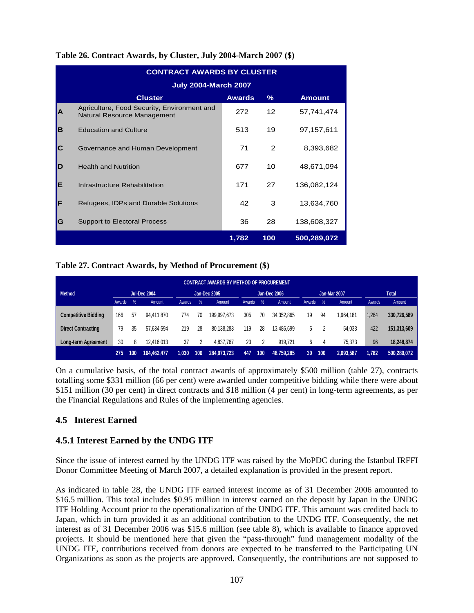|   | <b>CONTRACT AWARDS BY CLUSTER</b>                                          |               |                 |               |
|---|----------------------------------------------------------------------------|---------------|-----------------|---------------|
|   | <b>July 2004-March 2007</b>                                                |               |                 |               |
|   | <b>Cluster</b>                                                             | <b>Awards</b> | %               | <b>Amount</b> |
| A | Agriculture, Food Security, Environment and<br>Natural Resource Management | 272           | 12 <sup>2</sup> | 57,741,474    |
| B | <b>Education and Culture</b>                                               | 513           | 19              | 97,157,611    |
| С | Governance and Human Development                                           | 71            | 2               | 8,393,682     |
| D | <b>Health and Nutrition</b>                                                | 677           | 10              | 48,671,094    |
| Е | Infrastructure Rehabilitation                                              | 171           | 27              | 136,082,124   |
| F | Refugees, IDPs and Durable Solutions                                       | 42            | 3               | 13,634,760    |
| G | <b>Support to Electoral Process</b>                                        | 36            | 28              | 138,608,327   |
|   |                                                                            | 1,782         | 100             | 500,289,072   |

## **Table 26. Contract Awards, by Cluster, July 2004-March 2007 (\$)**

### **Table 27. Contract Awards, by Method of Procurement (\$)**

|                            |        |               |                     |        |               | CONTRACT AWARDS BY METHOD OF PROCUREMENT |        |     |              |        |     |                     |        |             |
|----------------------------|--------|---------------|---------------------|--------|---------------|------------------------------------------|--------|-----|--------------|--------|-----|---------------------|--------|-------------|
| <b>Method</b>              |        |               | <b>Jul-Dec 2004</b> |        |               | Jan-Dec 2005                             |        |     | Jan-Dec 2006 |        |     | <b>Jan-Mar 2007</b> |        | Total       |
|                            | Awards | $\frac{9}{6}$ | Amount              | Awards | $\frac{9}{6}$ | Amount                                   | Awards | %   | Amount       | Awards | %   | Amount              | Awards | Amount      |
| <b>Competitive Bidding</b> | 166    | 57            | 94.411.870          | 774    | 70            | 199.997.673                              | 305    | 70  | 34.352.865   | 19     | 94  | .964,181            | 1.264  | 330,726,589 |
| <b>Direct Contracting</b>  | 79     | 35            | 57.634.594          | 219    | 28            | 80.138.283                               | 119    | 28  | 13,486,699   | 5      |     | 54.033              | 422    | 151,313,609 |
| Long-term Agreement        | 30     | 8             | 12.416.013          | 37     |               | 4,837,767                                | 23     |     | 919.721      | 6      | 4   | 75.373              | 96     | 18,248,874  |
|                            | 275    | 100           | 64,462,477          | 1,030  | 100           | 284,973,723                              | 447    | 100 | 48,759,285   | 30     | 100 | 2,093,587           | 1,782  | 500,289,072 |

On a cumulative basis, of the total contract awards of approximately \$500 million (table 27), contracts totalling some \$331 million (66 per cent) were awarded under competitive bidding while there were about \$151 million (30 per cent) in direct contracts and \$18 million (4 per cent) in long-term agreements, as per the Financial Regulations and Rules of the implementing agencies.

## **4.5 Interest Earned**

## **4.5.1 Interest Earned by the UNDG ITF**

Since the issue of interest earned by the UNDG ITF was raised by the MoPDC during the Istanbul IRFFI Donor Committee Meeting of March 2007, a detailed explanation is provided in the present report.

As indicated in table 28, the UNDG ITF earned interest income as of 31 December 2006 amounted to \$16.5 million. This total includes \$0.95 million in interest earned on the deposit by Japan in the UNDG ITF Holding Account prior to the operationalization of the UNDG ITF. This amount was credited back to Japan, which in turn provided it as an additional contribution to the UNDG ITF. Consequently, the net interest as of 31 December 2006 was \$15.6 million (see table 8), which is available to finance approved projects. It should be mentioned here that given the "pass-through" fund management modality of the UNDG ITF, contributions received from donors are expected to be transferred to the Participating UN Organizations as soon as the projects are approved. Consequently, the contributions are not supposed to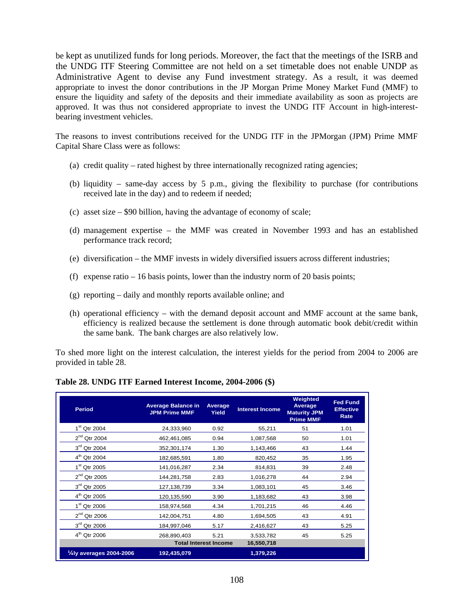be kept as unutilized funds for long periods. Moreover, the fact that the meetings of the ISRB and the UNDG ITF Steering Committee are not held on a set timetable does not enable UNDP as Administrative Agent to devise any Fund investment strategy. As a result, it was deemed appropriate to invest the donor contributions in the JP Morgan Prime Money Market Fund (MMF) to ensure the liquidity and safety of the deposits and their immediate availability as soon as projects are approved. It was thus not considered appropriate to invest the UNDG ITF Account in high-interestbearing investment vehicles.

The reasons to invest contributions received for the UNDG ITF in the JPMorgan (JPM) Prime MMF Capital Share Class were as follows:

- (a) credit quality rated highest by three internationally recognized rating agencies;
- (b) liquidity same-day access by 5 p.m., giving the flexibility to purchase (for contributions received late in the day) and to redeem if needed;
- (c) asset size \$90 billion, having the advantage of economy of scale;
- (d) management expertise the MMF was created in November 1993 and has an established performance track record;
- (e) diversification the MMF invests in widely diversified issuers across different industries;
- (f) expense ratio 16 basis points, lower than the industry norm of 20 basis points;
- (g) reporting daily and monthly reports available online; and
- (h) operational efficiency with the demand deposit account and MMF account at the same bank, efficiency is realized because the settlement is done through automatic book debit/credit within the same bank. The bank charges are also relatively low.

To shed more light on the interest calculation, the interest yields for the period from 2004 to 2006 are provided in table 28.

| <b>Period</b>                       | <b>Average Balance in</b><br><b>JPM Prime MMF</b> | <b>Average</b><br>Yield      | <b>Interest Income</b> | Weighted<br>Average<br><b>Maturity JPM</b><br><b>Prime MMF</b> | <b>Fed Fund</b><br><b>Effective</b><br>Rate |
|-------------------------------------|---------------------------------------------------|------------------------------|------------------------|----------------------------------------------------------------|---------------------------------------------|
| $1st$ Qtr 2004                      | 24,333,960                                        | 0.92                         | 55,211                 | 51                                                             | 1.01                                        |
| $2nd$ Qtr 2004                      | 462,461,085                                       | 0.94                         | 1,087,568              | 50                                                             | 1.01                                        |
| 3rd Qtr 2004                        | 352,301,174                                       | 1.30                         | 1,143,466              | 43                                                             | 1.44                                        |
| $4^{th}$ Qtr 2004                   | 182,685,591                                       | 1.80                         | 820,452                | 35                                                             | 1.95                                        |
| 1 <sup>st</sup> Qtr 2005            | 141,016,287                                       | 2.34                         | 814,831                | 39                                                             | 2.48                                        |
| $2nd$ Qtr 2005                      | 144,281,758                                       | 2.83                         | 1,016,278              | 44                                                             | 2.94                                        |
| $3rd$ Qtr 2005                      | 127, 138, 739                                     | 3.34                         | 1,083,101              | 45                                                             | 3.46                                        |
| 4 <sup>th</sup> Qtr 2005            | 120,135,590                                       | 3.90                         | 1,183,682              | 43                                                             | 3.98                                        |
| $1st$ Qtr 2006                      | 158,974,568                                       | 4.34                         | 1,701,215              | 46                                                             | 4.46                                        |
| $2nd$ Qtr 2006                      | 142,004,751                                       | 4.80                         | 1,694,505              | 43                                                             | 4.91                                        |
| $3rd$ Qtr 2006                      | 184,997,046                                       | 5.17                         | 2,416,627              | 43                                                             | 5.25                                        |
| $4th$ Qtr 2006                      | 268,890,403                                       | 5.21                         | 3,533,782              | 45                                                             | 5.25                                        |
|                                     |                                                   | <b>Total Interest Income</b> | 16,550,718             |                                                                |                                             |
| $\frac{1}{4}$ ly averages 2004-2006 | 192,435,079                                       |                              | 1,379,226              |                                                                |                                             |

**Table 28. UNDG ITF Earned Interest Income, 2004-2006 (\$)**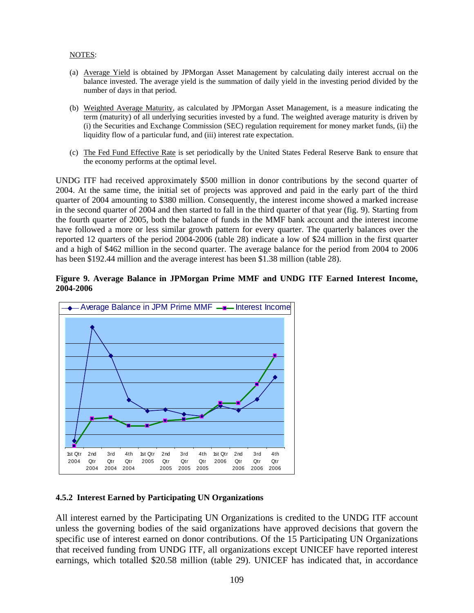#### NOTES:

- (a) Average Yield is obtained by JPMorgan Asset Management by calculating daily interest accrual on the balance invested. The average yield is the summation of daily yield in the investing period divided by the number of days in that period.
- (b) Weighted Average Maturity, as calculated by JPMorgan Asset Management, is a measure indicating the term (maturity) of all underlying securities invested by a fund. The weighted average maturity is driven by (i) the Securities and Exchange Commission (SEC) regulation requirement for money market funds, (ii) the liquidity flow of a particular fund, and (iii) interest rate expectation.
- (c) The Fed Fund Effective Rate is set periodically by the United States Federal Reserve Bank to ensure that the economy performs at the optimal level.

UNDG ITF had received approximately \$500 million in donor contributions by the second quarter of 2004. At the same time, the initial set of projects was approved and paid in the early part of the third quarter of 2004 amounting to \$380 million. Consequently, the interest income showed a marked increase in the second quarter of 2004 and then started to fall in the third quarter of that year (fig. 9). Starting from the fourth quarter of 2005, both the balance of funds in the MMF bank account and the interest income have followed a more or less similar growth pattern for every quarter. The quarterly balances over the reported 12 quarters of the period 2004-2006 (table 28) indicate a low of \$24 million in the first quarter and a high of \$462 million in the second quarter. The average balance for the period from 2004 to 2006 has been \$192.44 million and the average interest has been \$1.38 million (table 28).

#### **Figure 9. Average Balance in JPMorgan Prime MMF and UNDG ITF Earned Interest Income, 2004-2006**



### **4.5.2 Interest Earned by Participating UN Organizations**

All interest earned by the Participating UN Organizations is credited to the UNDG ITF account unless the governing bodies of the said organizations have approved decisions that govern the specific use of interest earned on donor contributions. Of the 15 Participating UN Organizations that received funding from UNDG ITF, all organizations except UNICEF have reported interest earnings, which totalled \$20.58 million (table 29). UNICEF has indicated that, in accordance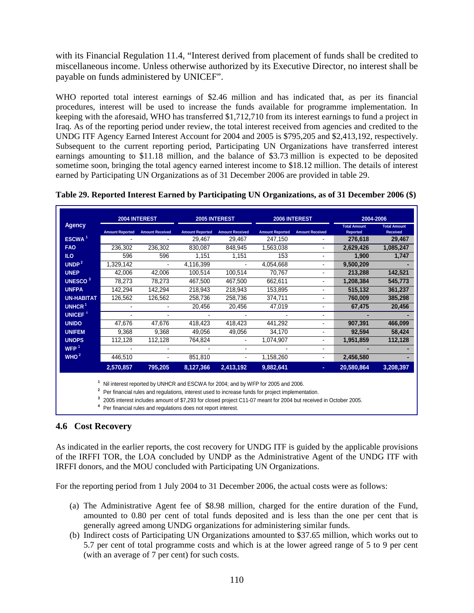with its Financial Regulation 11.4, "Interest derived from placement of funds shall be credited to miscellaneous income. Unless otherwise authorized by its Executive Director, no interest shall be payable on funds administered by UNICEF".

WHO reported total interest earnings of \$2.46 million and has indicated that, as per its financial procedures, interest will be used to increase the funds available for programme implementation. In keeping with the aforesaid, WHO has transferred \$1,712,710 from its interest earnings to fund a project in Iraq. As of the reporting period under review, the total interest received from agencies and credited to the UNDG ITF Agency Earned Interest Account for 2004 and 2005 is \$795,205 and \$2,413,192, respectively. Subsequent to the current reporting period, Participating UN Organizations have transferred interest earnings amounting to \$11.18 million, and the balance of \$3.73 million is expected to be deposited sometime soon, bringing the total agency earned interest income to \$18.12 million. The details of interest earned by Participating UN Organizations as of 31 December 2006 are provided in table 29.

|                           |                                                                                                                                                                                                                                                                                                         | 2004 INTEREST          |                        | 2005 INTEREST          |                        | 2006 INTEREST            | 2004-2006                              |                                        |  |  |  |  |
|---------------------------|---------------------------------------------------------------------------------------------------------------------------------------------------------------------------------------------------------------------------------------------------------------------------------------------------------|------------------------|------------------------|------------------------|------------------------|--------------------------|----------------------------------------|----------------------------------------|--|--|--|--|
| <b>Agency</b>             | <b>Amount Reported</b>                                                                                                                                                                                                                                                                                  | <b>Amount Received</b> | <b>Amount Reported</b> | <b>Amount Received</b> | <b>Amount Reported</b> | <b>Amount Received</b>   | <b>Total Amount</b><br><b>Reported</b> | <b>Total Amount</b><br><b>Received</b> |  |  |  |  |
| ESCWA <sup>1</sup>        |                                                                                                                                                                                                                                                                                                         |                        | 29,467                 | 29,467                 | 247,150                |                          | 276,618                                | 29,467                                 |  |  |  |  |
| <b>FAO</b>                | 236,302                                                                                                                                                                                                                                                                                                 | 236,302                | 830,087                | 848,945                | 1,563,038              | $\blacksquare$           | 2,629,426                              | 1,085,247                              |  |  |  |  |
| ILO <sub>1</sub>          | 596                                                                                                                                                                                                                                                                                                     | 596                    | 1,151                  | 1,151                  | 153                    | $\blacksquare$           | 1,900                                  | 1,747                                  |  |  |  |  |
| UNDP <sup>2</sup>         | 1,329,142                                                                                                                                                                                                                                                                                               |                        | 4,116,399              |                        | 4,054,668              | $\overline{\phantom{0}}$ | 9,500,209                              |                                        |  |  |  |  |
| <b>UNEP</b>               | 42,006                                                                                                                                                                                                                                                                                                  | 42,006                 | 100,514                | 100,514                | 70,767                 | $\overline{a}$           | 213,288                                | 142,521                                |  |  |  |  |
| <b>UNESCO<sup>3</sup></b> | 78,273                                                                                                                                                                                                                                                                                                  | 78,273                 | 467,500                | 467,500                | 662,611                | $\blacksquare$           | 1,208,384                              | 545,773                                |  |  |  |  |
| <b>UNFPA</b>              | 142,294                                                                                                                                                                                                                                                                                                 | 142,294                | 218,943                | 218,943                | 153,895                | $\blacksquare$           | 515,132                                | 361,237                                |  |  |  |  |
| <b>UN-HABITAT</b>         | 126,562                                                                                                                                                                                                                                                                                                 | 126,562                | 258,736                | 258,736                | 374,711                |                          | 760,009                                | 385,298                                |  |  |  |  |
| UNHCR <sup>1</sup>        |                                                                                                                                                                                                                                                                                                         |                        | 20,456                 | 20,456                 | 47,019                 | ٠                        | 67,475                                 | 20,456                                 |  |  |  |  |
| UNICEF <sup>4</sup>       |                                                                                                                                                                                                                                                                                                         |                        |                        |                        |                        | $\blacksquare$           |                                        |                                        |  |  |  |  |
| <b>UNIDO</b>              | 47,676                                                                                                                                                                                                                                                                                                  | 47,676                 | 418,423                | 418,423                | 441,292                | $\overline{a}$           | 907,391                                | 466,099                                |  |  |  |  |
| <b>UNIFEM</b>             | 9,368                                                                                                                                                                                                                                                                                                   | 9,368                  | 49,056                 | 49,056                 | 34,170                 | $\blacksquare$           | 92,594                                 | 58,424                                 |  |  |  |  |
| <b>UNOPS</b>              | 112,128                                                                                                                                                                                                                                                                                                 | 112,128                | 764,824                |                        | 1,074,907              | $\blacksquare$           | 1,951,859                              | 112,128                                |  |  |  |  |
| WFP $1$                   |                                                                                                                                                                                                                                                                                                         |                        |                        |                        |                        | $\blacksquare$           |                                        |                                        |  |  |  |  |
| WHO <sup>2</sup>          | 446,510                                                                                                                                                                                                                                                                                                 |                        | 851,810                |                        | 1,158,260              | $\blacksquare$           | 2,456,580                              |                                        |  |  |  |  |
|                           | 2,570,857                                                                                                                                                                                                                                                                                               | 795,205                | 8,127,366              | 2,413,192              | 9,882,641              | ٠                        | 20,580,864                             | 3,208,397                              |  |  |  |  |
|                           | Nil interest reported by UNHCR and ESCWA for 2004; and by WFP for 2005 and 2006.<br>Per financial rules and regulations, interest used to increase funds for project implementation.<br>2005 interest includes amount of \$7,293 for closed project C11-07 meant for 2004 but received in October 2005. |                        |                        |                        |                        |                          |                                        |                                        |  |  |  |  |

|  |  | Table 29. Reported Interest Earned by Participating UN Organizations, as of 31 December 2006 (\$) |  |
|--|--|---------------------------------------------------------------------------------------------------|--|

**<sup>4</sup>** Per financial rules and regulations does not report interest.

## **4.6 Cost Recovery**

As indicated in the earlier reports, the cost recovery for UNDG ITF is guided by the applicable provisions of the IRFFI TOR, the LOA concluded by UNDP as the Administrative Agent of the UNDG ITF with IRFFI donors, and the MOU concluded with Participating UN Organizations.

For the reporting period from 1 July 2004 to 31 December 2006, the actual costs were as follows:

- (a) The Administrative Agent fee of \$8.98 million, charged for the entire duration of the Fund, amounted to 0.80 per cent of total funds deposited and is less than the one per cent that is generally agreed among UNDG organizations for administering similar funds.
- (b) Indirect costs of Participating UN Organizations amounted to \$37.65 million, which works out to 5.7 per cent of total programme costs and which is at the lower agreed range of 5 to 9 per cent (with an average of 7 per cent) for such costs.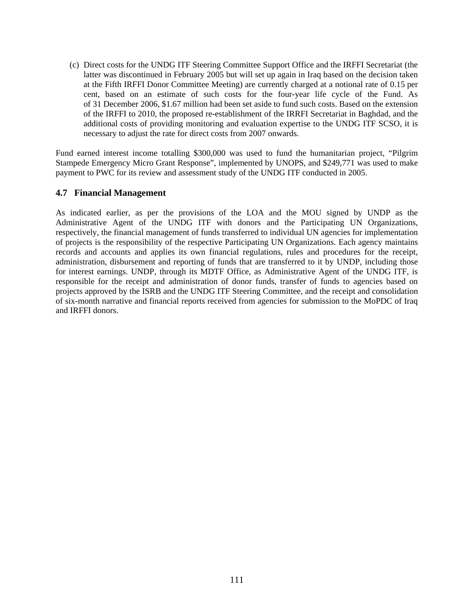(c) Direct costs for the UNDG ITF Steering Committee Support Office and the IRFFI Secretariat (the latter was discontinued in February 2005 but will set up again in Iraq based on the decision taken at the Fifth IRFFI Donor Committee Meeting) are currently charged at a notional rate of 0.15 per cent, based on an estimate of such costs for the four-year life cycle of the Fund. As of 31 December 2006, \$1.67 million had been set aside to fund such costs. Based on the extension of the IRFFI to 2010, the proposed re-establishment of the IRRFI Secretariat in Baghdad, and the additional costs of providing monitoring and evaluation expertise to the UNDG ITF SCSO, it is necessary to adjust the rate for direct costs from 2007 onwards.

Fund earned interest income totalling \$300,000 was used to fund the humanitarian project, "Pilgrim Stampede Emergency Micro Grant Response", implemented by UNOPS, and \$249,771 was used to make payment to PWC for its review and assessment study of the UNDG ITF conducted in 2005.

### **4.7 Financial Management**

As indicated earlier, as per the provisions of the LOA and the MOU signed by UNDP as the Administrative Agent of the UNDG ITF with donors and the Participating UN Organizations, respectively, the financial management of funds transferred to individual UN agencies for implementation of projects is the responsibility of the respective Participating UN Organizations. Each agency maintains records and accounts and applies its own financial regulations, rules and procedures for the receipt, administration, disbursement and reporting of funds that are transferred to it by UNDP, including those for interest earnings. UNDP, through its MDTF Office, as Administrative Agent of the UNDG ITF, is responsible for the receipt and administration of donor funds, transfer of funds to agencies based on projects approved by the ISRB and the UNDG ITF Steering Committee, and the receipt and consolidation of six-month narrative and financial reports received from agencies for submission to the MoPDC of Iraq and IRFFI donors.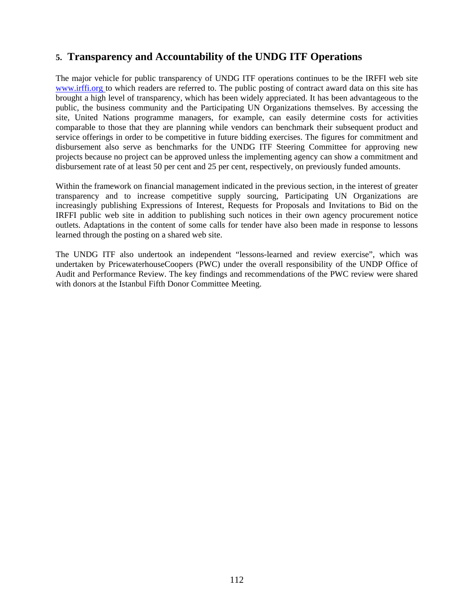# **5. Transparency and Accountability of the UNDG ITF Operations**

The major vehicle for public transparency of UNDG ITF operations continues to be the IRFFI web site www.irffi.org to which readers are referred to. The public posting of contract award data on this site has brought a high level of transparency, which has been widely appreciated. It has been advantageous to the public, the business community and the Participating UN Organizations themselves. By accessing the site, United Nations programme managers, for example, can easily determine costs for activities comparable to those that they are planning while vendors can benchmark their subsequent product and service offerings in order to be competitive in future bidding exercises. The figures for commitment and disbursement also serve as benchmarks for the UNDG ITF Steering Committee for approving new projects because no project can be approved unless the implementing agency can show a commitment and disbursement rate of at least 50 per cent and 25 per cent, respectively, on previously funded amounts.

Within the framework on financial management indicated in the previous section, in the interest of greater transparency and to increase competitive supply sourcing, Participating UN Organizations are increasingly publishing Expressions of Interest, Requests for Proposals and Invitations to Bid on the IRFFI public web site in addition to publishing such notices in their own agency procurement notice outlets. Adaptations in the content of some calls for tender have also been made in response to lessons learned through the posting on a shared web site.

The UNDG ITF also undertook an independent "lessons-learned and review exercise", which was undertaken by PricewaterhouseCoopers (PWC) under the overall responsibility of the UNDP Office of Audit and Performance Review. The key findings and recommendations of the PWC review were shared with donors at the Istanbul Fifth Donor Committee Meeting.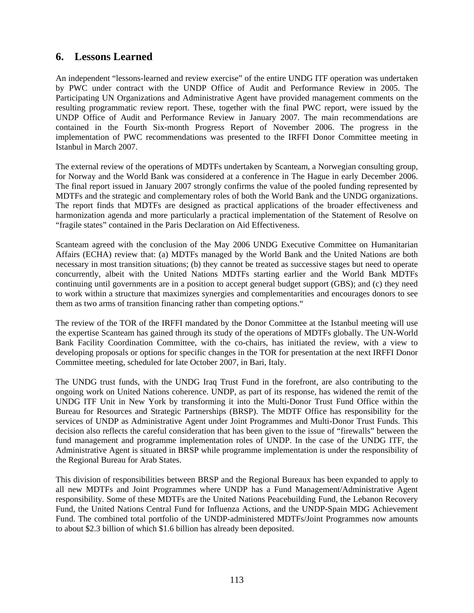# **6. Lessons Learned**

An independent "lessons-learned and review exercise" of the entire UNDG ITF operation was undertaken by PWC under contract with the UNDP Office of Audit and Performance Review in 2005. The Participating UN Organizations and Administrative Agent have provided management comments on the resulting programmatic review report. These, together with the final PWC report, were issued by the UNDP Office of Audit and Performance Review in January 2007. The main recommendations are contained in the Fourth Six-month Progress Report of November 2006. The progress in the implementation of PWC recommendations was presented to the IRFFI Donor Committee meeting in Istanbul in March 2007.

The external review of the operations of MDTFs undertaken by Scanteam, a Norwegian consulting group, for Norway and the World Bank was considered at a conference in The Hague in early December 2006. The final report issued in January 2007 strongly confirms the value of the pooled funding represented by MDTFs and the strategic and complementary roles of both the World Bank and the UNDG organizations. The report finds that MDTFs are designed as practical applications of the broader effectiveness and harmonization agenda and more particularly a practical implementation of the Statement of Resolve on "fragile states" contained in the Paris Declaration on Aid Effectiveness.

Scanteam agreed with the conclusion of the May 2006 UNDG Executive Committee on Humanitarian Affairs (ECHA) review that: (a) MDTFs managed by the World Bank and the United Nations are both necessary in most transition situations; (b) they cannot be treated as successive stages but need to operate concurrently, albeit with the United Nations MDTFs starting earlier and the World Bank MDTFs continuing until governments are in a position to accept general budget support (GBS); and (c) they need to work within a structure that maximizes synergies and complementarities and encourages donors to see them as two arms of transition financing rather than competing options."

The review of the TOR of the IRFFI mandated by the Donor Committee at the Istanbul meeting will use the expertise Scanteam has gained through its study of the operations of MDTFs globally. The UN-World Bank Facility Coordination Committee, with the co-chairs, has initiated the review, with a view to developing proposals or options for specific changes in the TOR for presentation at the next IRFFI Donor Committee meeting, scheduled for late October 2007, in Bari, Italy.

The UNDG trust funds, with the UNDG Iraq Trust Fund in the forefront, are also contributing to the ongoing work on United Nations coherence. UNDP, as part of its response, has widened the remit of the UNDG ITF Unit in New York by transforming it into the Multi-Donor Trust Fund Office within the Bureau for Resources and Strategic Partnerships (BRSP). The MDTF Office has responsibility for the services of UNDP as Administrative Agent under Joint Programmes and Multi-Donor Trust Funds. This decision also reflects the careful consideration that has been given to the issue of "firewalls" between the fund management and programme implementation roles of UNDP. In the case of the UNDG ITF, the Administrative Agent is situated in BRSP while programme implementation is under the responsibility of the Regional Bureau for Arab States.

This division of responsibilities between BRSP and the Regional Bureaux has been expanded to apply to all new MDTFs and Joint Programmes where UNDP has a Fund Management/Administrative Agent responsibility. Some of these MDTFs are the United Nations Peacebuilding Fund, the Lebanon Recovery Fund, the United Nations Central Fund for Influenza Actions, and the UNDP-Spain MDG Achievement Fund. The combined total portfolio of the UNDP-administered MDTFs/Joint Programmes now amounts to about \$2.3 billion of which \$1.6 billion has already been deposited.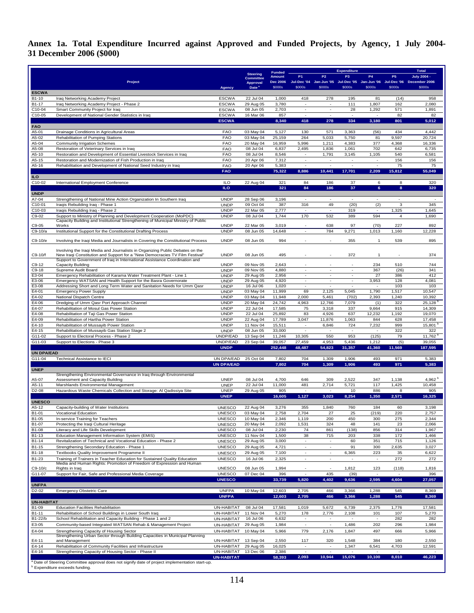**Annex 1a. Total Expenditure Incurred against Approved and Funded Projects, by Agency, 1 July 2004- 31 December 2006 (\$000)** 

|                        |                                                                                                                                                              |                                 |                                     | <b>Funded</b>             |                                    |                                    | <b>Expenditure</b>       |                                   |              | <b>Total</b>                                                                                    |
|------------------------|--------------------------------------------------------------------------------------------------------------------------------------------------------------|---------------------------------|-------------------------------------|---------------------------|------------------------------------|------------------------------------|--------------------------|-----------------------------------|--------------|-------------------------------------------------------------------------------------------------|
|                        |                                                                                                                                                              |                                 | <b>Steering</b><br><b>Committee</b> | Amount                    | P <sub>1</sub>                     | P <sub>2</sub>                     | P <sub>3</sub>           | <b>P4</b>                         | P5           | <b>July 2004 -</b><br>Jul-Dec '04 Jan-Jun '05 Jul-Dec '05 Jan-Jun '06 Jul-Dec '06 December 2006 |
|                        | Project                                                                                                                                                      | <b>Agency</b>                   | Approval<br>Date <sup>a</sup>       | <b>Dec 2006</b><br>\$000s | \$000s                             | \$000s                             | \$000s                   | \$000s                            | \$000s       | \$000s                                                                                          |
| <b>ESCWA</b>           |                                                                                                                                                              |                                 |                                     |                           |                                    |                                    |                          |                                   |              |                                                                                                 |
| B1-10<br>B1-17         | Iraq Networking Academy Project                                                                                                                              | <b>ESCWA</b>                    | 22 Jul 04                           | 1,000<br>3,780            | 418                                | 278                                | 195<br>111               | 81<br>1,807                       | (14)<br>162  | 958<br>2,080                                                                                    |
| C10-04                 | Iraq Networking Academy Project - Phase 2<br>Smart Community Project for Iraq                                                                                | <b>ESCWA</b><br><b>ESCWA</b>    | 29 Aug 05<br>08 Jun 05              | 2,703                     | $\overline{\phantom{a}}$           | $\overline{\phantom{a}}$           | 28                       | 1,292                             | 571          | 1,891                                                                                           |
| C10-05                 | Development of National Gender Statistics in Iraq                                                                                                            | <b>ESCWA</b>                    | 16 Mar 06                           | 857                       | ÷                                  | ÷                                  | $\overline{a}$           | $\overline{a}$                    | 82           | 82                                                                                              |
|                        |                                                                                                                                                              | <b>ESCWA</b>                    |                                     | 8,340                     | 418                                | 278                                | 334                      | 3,180                             | 801          | 5,012                                                                                           |
| <b>FAO</b><br>A5-01    | Drainage Conditions in Agricultural Areas                                                                                                                    | <b>FAO</b>                      | 03 May 04                           | 5,127                     | 130                                | 571                                | 3,363                    | (56)                              | 434          | 4,442                                                                                           |
| A5-02                  | Rehabilitation of Pumping Stations                                                                                                                           | <b>FAO</b>                      | 03 May 04                           | 25,159                    | 264                                | 5,033                              | 5,750                    | 81                                | 9,597        | 20,724                                                                                          |
| A5-04                  | <b>Community Irrigation Schemes</b>                                                                                                                          | <b>FAO</b>                      | 20 May 04                           | 16,959                    | 5,996                              | 1,211                              | 4,383                    | 377                               | 4,368        | 16,336                                                                                          |
| A5-08<br>A5-10         | Restoration of Veterinary Services in Iraq<br>Restoration and Development of Essential Livestock Services in Iraq                                            | <b>FAO</b><br><b>FAO</b>        | 08 Jul 04<br>08 Jul 04              | 6,837<br>8,546            | 2,495<br>$\sim$                    | 1,836<br>1,791                     | 1,061<br>3,145           | 702<br>1,105                      | 642<br>540   | 6,735<br>6,581                                                                                  |
| A5-15                  | Restoration and Modernization of Fish Production in Iraq                                                                                                     | <b>FAO</b>                      | 20 Apr 06                           | 7,312                     | $\overline{\phantom{a}}$           | $\overline{\phantom{a}}$           | $\overline{a}$           | $\overline{\phantom{a}}$          | 156          | 156                                                                                             |
| A5-16                  | Rehabilitation and Development of National Seed Industry in Iraq                                                                                             | <b>FAO</b>                      | 20 Apr 06                           | 5,383                     | $\overline{\phantom{a}}$           | $\overline{\phantom{a}}$           | $\overline{a}$           | $\overline{a}$                    | 75           | 75                                                                                              |
|                        |                                                                                                                                                              | <b>FAO</b>                      |                                     | 75,322                    | 8,886                              | 10,441                             | 17,701                   | 2,209                             | 15,812       | 55,049                                                                                          |
| ILO.<br>C10-02         | International Employment Conference                                                                                                                          | <b>ILO</b>                      | 22 Aug 04                           | 321                       | 84                                 | 186                                | 37                       | 6                                 | 8            | 320                                                                                             |
|                        |                                                                                                                                                              | ILO                             |                                     | 321                       | 84                                 | 186                                | 37                       | $6\phantom{1}$                    | 8            | 320                                                                                             |
| <b>UNDP</b>            |                                                                                                                                                              |                                 |                                     |                           |                                    |                                    |                          |                                   |              |                                                                                                 |
| A7-04<br>C10-01        | Strengthening of National Mine Action Organization In Southern Iraq<br>Iraqis Rebuilding Iraq - Phase 1                                                      | <b>UNDP</b><br><b>UNDP</b>      | 28 Sep 06<br>09 Oct 04              | 3,196<br>387              | 316                                | $\overline{\phantom{a}}$<br>49     | ٠<br>(20)                | (2)                               | 3            | 345                                                                                             |
| C10-03                 | Iraqis Rebuilding Iraq - Phase 2                                                                                                                             | <b>UNDP</b>                     | 22 Mar 05                           | 2,777                     | $\sim$                             | $\overline{\phantom{a}}$           | 319                      | $\sim$                            | 1,325        | 1,645                                                                                           |
| C9-02                  | Support to Ministry of Planning and Development Cooperation (MoPDC)                                                                                          | <b>UNDP</b>                     | 08 Jul 04                           | 1,744                     | 170                                | 532                                | 389                      | 594                               | $\bf{4}$     | 1,690                                                                                           |
| C9-05                  | Capacity Building and Institutional Strengthening of Municipal Ministry of Public<br>Works                                                                   | <b>UNDP</b>                     | 22 Mar 05                           | 3,019                     | ÷                                  | 638                                | 97                       | (70)                              | 227          | 892                                                                                             |
| C9-10/a                | Institutional Support for the Constitutional Drafting Process                                                                                                | <b>UNDP</b>                     | 08 Jun 05                           | 14,648                    | $\overline{\phantom{a}}$           | 784                                | 9,271                    | 1,013                             | 1,160        | 12,228                                                                                          |
| C9-10/e                | Involving the Iraqi Media and Journalists in Covering the Constitutional Process                                                                             | <b>UNDP</b>                     | 08 Jun 05                           | 994                       |                                    |                                    | 355                      | $\mathbf{1}$                      | 539          | 895                                                                                             |
|                        |                                                                                                                                                              |                                 |                                     |                           |                                    |                                    |                          |                                   |              |                                                                                                 |
| C9-10/f                | Involving the Iraqi Media and Journalists in Organizing Public Debates on the<br>New Iraqi Constitution and Support for a "New Democracies TV Film Festival" | <b>UNDP</b>                     | 08 Jun 05                           | 495                       |                                    |                                    | 372                      | $\mathbf{1}$                      |              | 374                                                                                             |
|                        | Support to Government of Iraq in International Assistance Coordination and                                                                                   |                                 |                                     |                           |                                    |                                    |                          |                                   |              |                                                                                                 |
| $C9-12$                | Capacity Building                                                                                                                                            | <b>UNDP</b><br><b>UNDP</b>      | 09 Nov 05<br>09 Nov 05              | 2,643<br>4,880            | $\blacksquare$                     | $\blacksquare$                     | $\overline{\phantom{a}}$ | 234                               | 510          | 744<br>341                                                                                      |
| $C9-18$<br>E3-04       | Supreme Audit Board<br>Emergency Rehabilitation of Karama Water Treatment Plant - Line 1                                                                     | <b>UNDP</b>                     | 29 Aug 05                           | 2,956                     | ÷.                                 | ÷.                                 | $\overline{a}$           | 367<br>27                         | (26)<br>386  | 412                                                                                             |
| E3-06                  | Emergency WATSAN and Health Support for the Basra Governorate                                                                                                | <b>UNDP</b>                     | 29 Aug 05                           | 4,920                     |                                    |                                    |                          | 3,953                             | 128          | 4,081                                                                                           |
| E3-08<br>E4-01         | Addressing Short and Long Term Water and Sanitation Needs for Umm Qasr<br><b>Emergency Power Supply</b>                                                      | <b>UNDP</b><br><b>UNDP</b>      | 16 Jul 06<br>03 May 04              | 1,020<br>11,999           | $\overline{\phantom{a}}$<br>69     | $\sim$<br>2,125                    | $\sim$<br>5,045          | ٠<br>1,790                        | 103<br>1,517 | 103<br>10,547                                                                                   |
| E4-02                  | National Dispatch Centre                                                                                                                                     | <b>UNDP</b>                     | 03 May 04                           | 11,948                    | 2,000                              | 5,461                              | (702)                    | 2,393                             | 1,240        | 10,392                                                                                          |
| E4-06                  | Dredging of Umm Qasr Port Approach Channel                                                                                                                   | <b>UNDP</b>                     | 20 May 04                           | 24,742                    | 4,963                              | 12,766                             | 7,079                    | (1)                               | 322          | 25,128                                                                                          |
| E4-07                  | Rehabilitation of Mosul Gas Power Station                                                                                                                    | <b>UNDP</b>                     | 22 Jul 04                           | 17,585                    | 75                                 | 3,318                              | 337                      | 9,664                             | 915          | 14,309                                                                                          |
| E4-08<br>E4-09         | Rehabilitation of Taji Gas Power Station<br>Rehabilitation of Hartha Power Station                                                                           | <b>UNDP</b><br><b>UNDP</b>      | 22 Jul 04<br>22 Aug 04              | 25,892<br>17,789          | 83<br>3,047                        | 4,926<br>11,876                    | 637<br>1,063             | 12,232<br>844                     | 1,192<br>628 | 19,070<br>17,458                                                                                |
| E4-10                  | Rehabilitation of Mussayib Power Station                                                                                                                     | <b>UNDP</b>                     | 11 Nov 04                           | 15,511                    | $\blacksquare$                     | 6,846                              | 724                      | 7,232                             | 999          | 15,801                                                                                          |
| E4-15                  | Rehabilitation of Mussayib Gas Station Stage 2                                                                                                               | <b>UNDP</b>                     | 08 Jun 05                           | 33,000                    | $\overline{\phantom{a}}$           | $\sim$                             | $\blacksquare$           | $\overline{\phantom{a}}$          | 322          | 322                                                                                             |
| G11-02<br>G11-03       | Support to Electoral Process - Phase 2<br>Support to Elections - Phase 3                                                                                     | UNDP/EAD<br>UNDP/EAD            | 13 Sep 04<br>23 Sep 04              | 11,246<br>39,057          | 10,305<br>27,459                   | 550<br>4,953                       | 953<br>5,436             | (125)<br>1,212                    | 79<br>(5)    | 11,762 $b$<br>39,055                                                                            |
|                        |                                                                                                                                                              | <b>UNDP</b>                     |                                     | 252,448                   | 48,487                             | 54,823                             | 31,357                   | 41,360                            | 11,569       | 187,595                                                                                         |
| <b>UN DPA/EAD</b>      |                                                                                                                                                              |                                 |                                     |                           |                                    |                                    |                          |                                   |              |                                                                                                 |
| G11-04                 | Technical Assistance to IECI                                                                                                                                 | UN DPA/EAD<br><b>UN DPA/EAD</b> | 25 Oct 04                           | 7,802<br>7,802            | 704<br>704                         | 1,309<br>1,309                     | 1,906<br>1,906           | 493<br>493                        | 971<br>971   | 5,383<br>5,383                                                                                  |
| <b>UNEP</b>            |                                                                                                                                                              |                                 |                                     |                           |                                    |                                    |                          |                                   |              |                                                                                                 |
| A5-07                  | Strengthening Environmental Governance in Iraq through Environmental<br>Assessment and Capacity Building                                                     | <b>UNEP</b>                     | 08 Jul 04                           | 4,700                     | 646                                | 309                                | 2,522                    | 347                               | 1,138        | 4,962 <sup>b</sup>                                                                              |
| A5-11                  | Marshlands Environmental Management                                                                                                                          | <b>UNEP</b>                     | 22 Jul 04                           | 11,000                    | 481                                | 2,714                              | 5,721                    | 117                               | 1,425        | 10,458                                                                                          |
| D2-08                  | Hazardous Waste Chemicals Collection and Storage: Al Qadissiya Site                                                                                          | <b>UNEP</b>                     | 29 Aug 05                           | 905                       | $\overline{\phantom{a}}$           | ٠                                  | 10                       | 886                               | 8            | 905                                                                                             |
|                        |                                                                                                                                                              | <b>UNEP</b>                     |                                     | 16,605                    | 1,127                              | 3,023                              | 8,254                    | 1,350                             | 2,571        | 16,325                                                                                          |
| <b>UNESCO</b><br>A5-12 | Capacity-building of Water Institutions                                                                                                                      | <b>UNESCO</b>                   | 22 Aug 04                           | 3,276                     | 355                                | 1,840                              | 760                      | 184                               | 60           | 3,198                                                                                           |
| B1-01                  | Vocational Education                                                                                                                                         | <b>UNESCO</b>                   | 03 May 04                           | 2,758                     | 2,704                              | 21                                 | 25                       | (219)                             | 220          | 2,757                                                                                           |
| B1-05                  | In-service Training for Teachers                                                                                                                             | <b>UNESCO</b>                   | 10 May 04                           | 2,346                     | 1,119                              | 200                                | 450                      | 300                               | 275          | 2,344                                                                                           |
| B1-07<br>B1-08         | Protecting the Iraqi Cultural Heritage<br>Literacy and Life Skills Development                                                                               | <b>UNESCO</b><br><b>UNESCO</b>  | 20 May 04<br>08 Jul 04              | 2,092<br>2,230            | 1,531<br>74                        | 324<br>861                         | 48<br>(138)              | 141<br>856                        | 23<br>314    | 2,066<br>1,967                                                                                  |
| B1-13                  | Education Management Information System (EMIS)                                                                                                               | <b>UNESCO</b>                   | 11 Nov 04                           | 1,500                     | 38                                 | 715                                | 203                      | 338                               | 172          | 1,466                                                                                           |
| B1-14                  | Revitalization of Technical and Vocational Education - Phase 2                                                                                               | <b>UNESCO</b>                   | 29 Aug 05                           | 3,000                     | $\overline{\phantom{a}}$           | $\overline{\phantom{a}}$           | 60                       | 351                               | 715          | 1,126                                                                                           |
| B1-15                  | Strengthening Secondary Education - Phase 1                                                                                                                  | <b>UNESCO</b>                   | 29 Aug 05                           | 4,721                     | $\overline{\phantom{a}}$           | $\overline{\phantom{a}}$           | 91                       | 300                               | 2,635        | 3,027                                                                                           |
| B1-18<br>B1-23         | Textbooks Quality Improvement Programme II<br>Training of Trainers in Teacher Education for Sustained Quality Education                                      | <b>UNESCO</b><br><b>UNESCO</b>  | 29 Aug 05<br>16 Jul 06              | 7,100<br>2,325            | ÷<br>$\sim$                        | ÷<br>$\sim$                        | 6,365                    | 223<br>$\sim$                     | 35<br>272    | 6,622<br>272                                                                                    |
|                        | Media and Human Rights: Promotion of Freedom of Expression and Human                                                                                         |                                 |                                     |                           |                                    |                                    |                          |                                   |              |                                                                                                 |
| C9-10/c                | Rights in Iraq                                                                                                                                               | <b>UNESCO</b>                   | 08 Jun 05                           | 1,994                     |                                    |                                    | 1,812                    | 123                               | (118)        | 1,816                                                                                           |
| G11-07                 | Support for Fair, Safe and Professional Media Coverage                                                                                                       | <b>UNESCO</b><br><b>UNESCO</b>  | 07 Dec 04                           | 396<br>33,739             | $\sim$<br>5,820                    | 435<br>4,402                       | (39)<br>9,636            | $\overline{\phantom{a}}$<br>2,595 | 4,604        | 396<br>27,057                                                                                   |
| <b>UNFPA</b>           |                                                                                                                                                              |                                 |                                     |                           |                                    |                                    |                          |                                   |              |                                                                                                 |
| D2-02                  | Emergency Obstetric Care                                                                                                                                     | <b>UNFPA</b>                    | 10 May 04                           | 12,603                    | 2,705                              | 466                                | 3,366                    | 1,288                             | 545          | 8,369                                                                                           |
| <b>UN-HABITAT</b>      |                                                                                                                                                              | <b>UNFPA</b>                    |                                     | 12,603                    | 2,705                              | 466                                | 3,366                    | 1,288                             | 545          | 8,369                                                                                           |
| B1-09                  | <b>Education Facilities Rehabilitation</b>                                                                                                                   | UN-HABITAT                      | 08 Jul 04                           | 17,581                    | 1,019                              | 5,672                              | 6,739                    | 2,375                             | 1,776        | 17,581                                                                                          |
| B1-11                  | Rehabilitation of School Buildings in Lower South Iraq                                                                                                       | UN-HABITAT                      | 11 Nov 04                           | 5,270                     | 178                                | 2,776                              | 2,108                    | 101                               | 107          | 5,270                                                                                           |
| B1-22/b                | School Rehabilitation and Capacity Building - Phase 1 and 2                                                                                                  | UN-HABITAT                      | 16 Jul 06                           | 6,632                     | $\overline{\phantom{a}}$           | $\sim$                             | $\overline{\phantom{a}}$ | $\sim$                            | 282          | 282                                                                                             |
| E3-05<br>E4-04         | Community-based Integrated WATSAN Rehab & Management Project<br>Strengthening Capacity of Housing Sector                                                     | UN-HABITAT<br>UN-HABITAT        | 29 Aug 05<br>10 May 04              | 1,984<br>5,966            | $\overline{\phantom{a}}$<br>779    | $\overline{\phantom{a}}$<br>2,176  | 1,486<br>1,847           | 202<br>497                        | 296<br>666   | 1,984<br>5,966                                                                                  |
|                        | Strengthening Urban Sector through Building Capacities in Municipal Planning                                                                                 |                                 |                                     |                           |                                    |                                    |                          |                                   |              |                                                                                                 |
| E4-11                  | and Management                                                                                                                                               | UN-HABITAT                      | 13 Sep 04                           | 2,550                     | 117                                | 320                                | 1,548                    | 384                               | 180          | 2,550                                                                                           |
| E4-14<br>E4-16         | Rehabilitation of Community Facilities and Infrastructure<br>Strengthening Capacity of Housing Sector - Phase II                                             | UN-HABITAT<br>UN-HABITAT        | 29 Aug 05<br>13 Dec 06              | 16,025<br>2,386           | $\overline{\phantom{a}}$<br>$\sim$ | $\overline{\phantom{a}}$<br>$\sim$ | 1,347                    | 6,541<br>$\overline{\phantom{a}}$ | 4,703<br>÷   | 12,591                                                                                          |
|                        |                                                                                                                                                              | <b>UN-HABITAT</b>               |                                     | 58,393                    | 2,093                              | 10,944                             | 15,076                   | 10,100                            | 8,010        | 46,223                                                                                          |
|                        | Date of Steering Committee approval does not signify date of project implementation start-up.<br><sup>b</sup> Expenditure exceeds funding.                   |                                 |                                     |                           |                                    |                                    |                          |                                   |              |                                                                                                 |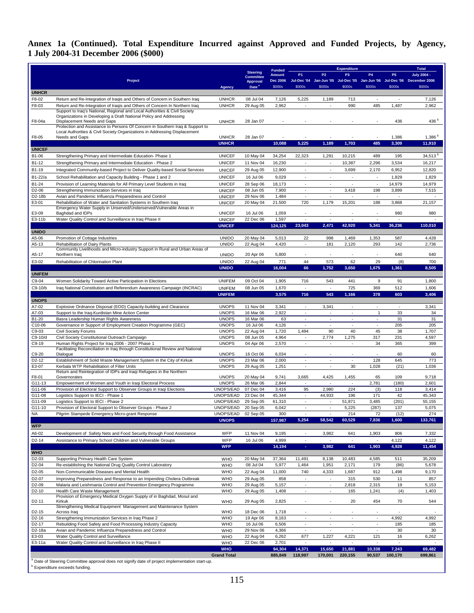## **Annex 1a (Continued). Total Expenditure Incurred against Approved and Funded Projects, by Agency, 1 July 2004-31 December 2006 (\$000)**

|                                          |                                                                                                                                                  |                                |                                     | <b>Funded</b>   | <b>Expenditure</b>                 |                                    |                                      | <b>Total</b>                                         |                          |                                                                           |
|------------------------------------------|--------------------------------------------------------------------------------------------------------------------------------------------------|--------------------------------|-------------------------------------|-----------------|------------------------------------|------------------------------------|--------------------------------------|------------------------------------------------------|--------------------------|---------------------------------------------------------------------------|
|                                          |                                                                                                                                                  |                                | <b>Steering</b><br><b>Committee</b> | <b>Amount</b>   | <b>P1</b>                          | <b>P2</b>                          | P <sub>3</sub>                       | <b>P4</b>                                            | P <sub>5</sub>           | July 2004 -                                                               |
|                                          | Project                                                                                                                                          |                                | <b>Approval</b>                     | <b>Dec 2006</b> |                                    |                                    |                                      |                                                      |                          | Jul-Dec '04 Jan-Jun '05 Jul-Dec '05 Jan-Jun '06 Jul-Dec '06 December 2006 |
| <b>UNHCR</b>                             |                                                                                                                                                  | <b>Agency</b>                  | Date <sup>3</sup>                   | \$000s          | \$000s                             | \$000s                             | \$000s                               | \$000s                                               | \$000s                   | \$000s                                                                    |
| F8-02                                    | Return and Re-Integration of Iraqis and Others of Concern in Southern Iraq                                                                       | <b>UNHCR</b>                   | 08 Jul 04                           | 7,126           | 5,225                              | 1,189                              | 713                                  | $\sim$                                               | $\overline{\phantom{a}}$ | 7,126                                                                     |
| F8-03                                    | Return and Re-Integration of Iragis and Others of Concern In Northern Irag                                                                       | <b>UNHCR</b>                   | 29 Aug 05                           | 2,962           | ×,                                 |                                    | 990                                  | 485                                                  | 1,487                    | 2,962                                                                     |
|                                          | Support to Iraq's National, Regional and Local Authorities & Civil Society<br>Organizations in Developing a Draft National Policy and Addressing |                                |                                     |                 |                                    |                                    |                                      |                                                      |                          |                                                                           |
| F8-04a                                   | Displacement Needs and Gaps                                                                                                                      | <b>UNHCR</b>                   | 28 Jan 07                           |                 |                                    |                                    |                                      |                                                      | 436                      | 436 $b$                                                                   |
|                                          | Protection and Assistance to Persons Of Concern in Southern Iraq & Support to                                                                    |                                |                                     |                 |                                    |                                    |                                      |                                                      |                          |                                                                           |
| F8-05                                    | Local Authorities & Civil Society Organizations in Addressing Displacement<br>Needs and Gaps                                                     | <b>UNHCR</b>                   | 28 Jan 07                           |                 |                                    |                                    |                                      |                                                      | 1,386                    | $1,386^{b}$                                                               |
|                                          |                                                                                                                                                  | <b>UNHCR</b>                   |                                     | 10,088          | 5,225                              | 1,189                              | 1,703                                | 485                                                  | 3,309                    | 11,910                                                                    |
| <b>UNICEF</b>                            |                                                                                                                                                  |                                |                                     |                 |                                    |                                    |                                      |                                                      |                          |                                                                           |
| B1-06                                    | Strengthening Primary and Intermediate Education- Phase 1                                                                                        | <b>UNICEF</b>                  | 10 May 04                           | 34,254          | 22,323                             | 1,291                              | 10,215                               | 489                                                  | 195                      | $34,513$ <sup>D</sup>                                                     |
| B1-12                                    | Strengthening Primary and Intermediate Education - Phase 2                                                                                       | <b>UNICEF</b>                  | 11 Nov 04                           | 16,230          | ×.                                 | ×.                                 | 10,387                               | 2,296                                                | 3,534                    | 16,217                                                                    |
| B1-19                                    | Integrated Community-based Project to Deliver Quality-based Social Services                                                                      | <b>UNICEF</b>                  | 29 Aug 05                           | 12,900          | $\sim$                             | $\sim$                             | 3,699                                | 2,170                                                | 6,952                    | 12,820                                                                    |
| B1-22/a                                  | School Rehabilitation and Capacity Building - Phase 1 and 2                                                                                      | <b>UNICEF</b>                  | 16 Jul 06                           | 9,029           | ٠                                  | $\sim$                             | $\sim$                               | $\sim$                                               | 1,829                    | 1,829                                                                     |
| B1-24<br>D2-06                           | Provision of Learning Materials for All Primary Level Students in Iraq<br>Strengthening Immunization Services in Iraq                            | <b>UNICEF</b><br><b>UNICEF</b> | 28 Sep 06<br>08 Jun 05              | 18,173<br>7,900 | $\sim$<br>$\overline{\phantom{a}}$ | $\sim$<br>$\overline{\phantom{a}}$ | ٠<br>3,418                           | $\sim$<br>198                                        | 14,979<br>3,899          | 14,979<br>7,515                                                           |
| D2-18b                                   | Avian and Pandemic Influenza Preparedness and Control                                                                                            | <b>UNICEF</b>                  | 29 Nov 06                           | 1,484           | $\sim$                             | $\sim$                             | $\epsilon$                           | $\overline{\phantom{a}}$                             | $\sim$                   |                                                                           |
| E3-01                                    | Rehabilitation of Water and Sanitation Systems in Southern Iraq                                                                                  | <b>UNICEF</b>                  | 20 May 04                           | 21,500          | 720                                | 1,179                              | 15,201                               | 188                                                  | 3,868                    | 21,157                                                                    |
| E3-09                                    | Emergency Water Supply in Unserved/Underserved/Vulnerable Areas in<br>Baghdad and IDPs                                                           | <b>UNICEF</b>                  | 16 Jul 06                           | 1,059           | $\sim$                             | $\sim$                             | ×.                                   | ٠                                                    | 980                      | 980                                                                       |
| E3-11b                                   | Water Quality Control and Surveillance in Iraq Phase II                                                                                          | <b>UNICEF</b>                  | 22 Dec 06                           | 1,597           |                                    |                                    |                                      |                                                      |                          |                                                                           |
|                                          |                                                                                                                                                  | <b>UNICEF</b>                  |                                     | 124,125         | 23,043                             | 2,471                              | 42,920                               | 5,341                                                | 36,236                   | 110,010                                                                   |
| <b>UNIDO</b>                             |                                                                                                                                                  |                                |                                     |                 |                                    |                                    |                                      |                                                      |                          |                                                                           |
| A5-06                                    | Promotion of Cottage Industries                                                                                                                  | <b>UNIDO</b>                   | 20 May 04                           | 5,013           | 22                                 | 998                                | 1,469                                | 1,353                                                | 587                      | 4,428                                                                     |
| A5-13                                    | Rehabilitation of Dairy Plants<br>Community Livelihoods and Micro-industry Support in Rural and Urban Areas of                                   | <b>UNIDO</b>                   | 22 Aug 04                           | 4,420           | ×.                                 | 181                                | 2,120                                | 293                                                  | 142                      | 2,736                                                                     |
| A5-17                                    | Northern Iraq                                                                                                                                    | <b>UNIDO</b>                   | 20 Apr 06                           | 5,800           |                                    |                                    |                                      | $\overline{\phantom{a}}$                             | 640                      | 640                                                                       |
| E3-02                                    | Rehabilitation of Chlorination Plant                                                                                                             | <b>UNIDO</b>                   | 22 Aug 04                           | 771             | 44                                 | 573                                | 62                                   | 29                                                   | (8)                      | 700                                                                       |
|                                          |                                                                                                                                                  | <b>UNIDO</b>                   |                                     | 16,004          | 66                                 | 1,752                              | 3,650                                | 1,675                                                | 1,361                    | 8,505                                                                     |
| <b>UNIFEM</b>                            |                                                                                                                                                  |                                |                                     |                 |                                    |                                    |                                      |                                                      |                          |                                                                           |
| C9-04                                    | Women Solidarity Toward Active Participation in Elections                                                                                        | <b>UNIFEM</b>                  | 09 Oct 04                           | 1,905           | 716<br>$\sim$                      | 543<br>$\omega$                    | 441                                  | 9                                                    | 91                       | 1,800                                                                     |
| C9-10/b                                  | Iraq National Constitution and Referendum Awareness Campaign (INCRAC)                                                                            | <b>UNIFEM</b><br><b>UNIFEM</b> | 08 Jun 05                           | 1,670<br>3,575  | 716                                | 543                                | 725<br>1,166                         | 369<br>378                                           | 512<br>603               | 1,606<br>3,406                                                            |
| <b>UNOPS</b>                             |                                                                                                                                                  |                                |                                     |                 |                                    |                                    |                                      |                                                      |                          |                                                                           |
| A7-02                                    | Explosive Ordnance Disposal (EOD) Capacity-building and Clearance                                                                                | <b>UNOPS</b>                   | 11 Nov 04                           | 3,341           | ×.                                 | 3,341                              | $\overline{\phantom{a}}$             | $\overline{\phantom{a}}$                             | $\sim$                   | 3,341                                                                     |
| A7-03                                    | Support to the Iraq-Kurdistan Mine Action Center                                                                                                 | <b>UNOPS</b>                   | 16 Mar 06                           | 2,922           | $\sim$                             | $\sim$                             | $\sim$                               | $\mathbf{1}$                                         | 33                       | 34                                                                        |
| B1-20                                    | Basra Leadership Human Rights Awareness                                                                                                          | <b>UNOPS</b><br><b>UNOPS</b>   | 16 Mar 06                           | 63              | $\sim$                             | $\sim$<br>×                        | $\overline{\phantom{a}}$<br>$\omega$ | $\overline{\phantom{a}}$<br>÷.                       | 31                       | 31                                                                        |
| C10-06<br>C9-03                          | Governance in Support of Employment Creation Programme (GEC)<br><b>Civil Society Forums</b>                                                      | <b>UNOPS</b>                   | 16 Jul 06<br>22 Aug 04              | 4,126<br>1,720  | 1,494                              | 90                                 | 40                                   | 45                                                   | 205<br>38                | 205<br>1,707                                                              |
| C9-10/d                                  | Civil Society Constitutional Outreach Campaign                                                                                                   | <b>UNOPS</b>                   | 08 Jun 05                           | 4,964           | ×.                                 | 2,774                              | 1,275                                | 317                                                  | 231                      | 4,597                                                                     |
| C9-19                                    | Human Rights Project for Iraq 2006 - 2007 Phase 1                                                                                                | <b>UNOPS</b>                   | 04 Apr 06                           | 2,570           | $\sim$                             | $\sim$                             | $\overline{\phantom{a}}$             | 34                                                   | 365                      | 399                                                                       |
| C9-20                                    | Facilitating Reconciliation in Iraq through Constitutional Review and National<br>Dialogue                                                       | <b>UNOPS</b>                   | 16 Oct 06                           | 6,034           |                                    |                                    |                                      |                                                      | 60                       | 60                                                                        |
| D <sub>2</sub> -12                       | Establishment of Solid Waste Management System in the City of Kirkuk                                                                             | <b>UNOPS</b>                   | 23 Mar 06                           | 2,000           | ÷.                                 | ×.                                 | ×                                    | 128                                                  | 645                      | 773                                                                       |
| E3-07                                    | Kerbala WTP Rehabilitation of Filter Units                                                                                                       | <b>UNOPS</b>                   | 29 Aug 05                           | 1,251           | $\sim$                             | $\sim$                             | 30                                   | 1,028                                                | (21)                     | 1,036                                                                     |
| F8-01                                    | Return and Reintegration of IDPs and Iraqi Refugees in the Northern<br>Governorates                                                              | <b>UNOPS</b>                   | 20 May 04                           | 9,741           | 3,665                              | 4,425                              | 1,455                                | 65                                                   | 109                      | 9,718                                                                     |
| G11-13                                   | Empowerment of Women and Youth in Iraqi Electoral Process                                                                                        | <b>UNOPS</b>                   | 26 Mar 06                           | 2,844           | $\sim$                             | $\sim$                             | $\overline{\phantom{a}}$             | 2,781                                                | (180)                    | 2,601                                                                     |
| G11-06                                   | Provision of Electoral Support to Observer Groups in Iraqi Elections                                                                             | UNOPS/EAD                      | 07 Dec 04                           | 3,416           | 95                                 | 2,980                              | 224                                  | (3)                                                  | 118                      | 3,414                                                                     |
| G11-08                                   | Logistics Support to IECI - Phase 1                                                                                                              | UNOPS/EAD                      | 23 Dec 04                           | 45,344          | $\sim$                             | 44,933                             | 196                                  | 171                                                  | 42                       | 45,343                                                                    |
| G11-09                                   | Logistics Support to IECI - Phase 2                                                                                                              | UNOPS/EAD                      | 29 Sep 05                           | 61,310          | $\sim$                             | $\sim$                             | 51,871                               | 3,485                                                | (201)                    | 55,155                                                                    |
| G11-10<br><b>NA</b>                      | Provision of Electoral Support to Observer Groups - Phase 2                                                                                      | UNOPS/EAD<br>UNOPS/EAD         | 20 Sep 05<br>02 Sep 05              | 6,042           |                                    |                                    | 5,225                                | (287)<br>72                                          | 137                      | 5,075                                                                     |
|                                          | Pilgrim Stampede Emergency Micro-grant Response                                                                                                  | <b>UNOPS</b>                   |                                     | 300<br>157,987  | 5,254                              | 58,542                             | 214<br>60,529                        | 7,836                                                | (12)<br>1,600            | 274<br>133,761                                                            |
| <b>WFP</b>                               |                                                                                                                                                  |                                |                                     |                 |                                    |                                    |                                      |                                                      |                          |                                                                           |
| A6-02                                    | Development of Safety Nets and Food Security through Food Assistance                                                                             | WFP                            | 11 Nov 04                           | 9,195           | ×,                                 | 3,982                              | 641                                  | 1,903                                                | 806                      | 7,332                                                                     |
| D <sub>2</sub> -14                       | Assistance to Primary School Children and Vulnerable Groups                                                                                      | WFP                            | 16 Jul 06                           | 4,999           | $\overline{\phantom{a}}$           | $\sim$                             | ٠                                    |                                                      | 4,122                    | 4,122                                                                     |
|                                          |                                                                                                                                                  | <b>WFP</b>                     |                                     | 14,194          | $\overline{\phantom{a}}$           | 3,982                              | 641                                  | 1,903                                                | 4,928                    | 11,454                                                                    |
| <b>WHO</b>                               |                                                                                                                                                  |                                |                                     |                 |                                    |                                    |                                      |                                                      |                          |                                                                           |
| D2-03<br>D2-04                           | Supporting Primary Health Care System<br>Re-establishing the National Drug Quality Control Laboratory                                            | <b>WHO</b><br>WHO              | 20 May 04<br>08 Jul 04              | 37,364<br>5,977 | 11,491<br>1,464                    | 8,138<br>1,951                     | 10,483<br>2,171                      | 4,585<br>179                                         | 511<br>(86)              | 35,209<br>5,678                                                           |
| D2-05                                    | Non-Communicable Diseases and Mental Health                                                                                                      | <b>WHO</b>                     | 22 Aug 04                           | 11,000          | 740                                | 4,333                              | 1,687                                | 912                                                  | 1,498                    | 9,170                                                                     |
| D2-07                                    | Improving Preparedness and Response to an Impending Cholera Outbreak                                                                             | <b>WHO</b>                     | 29 Aug 05                           | 858             | $\sim$                             | $\sim$                             | 315                                  | 530                                                  | 11                       | 857                                                                       |
| D2-09                                    | Malaria and Leishmania Control and Prevention Emergency Programme                                                                                | <b>WHO</b>                     | 29 Aug 05                           | 5,157           | $\overline{\phantom{a}}$           | $\overline{\phantom{a}}$           | 2,818                                | 2,315                                                | 19                       | 5,153                                                                     |
| D2-10                                    | Health Care Waste Management                                                                                                                     | <b>WHO</b>                     | 29 Aug 05                           | 1,408           | ×,                                 | $\sim$                             | 165                                  | 1,241                                                | (4)                      | 1,403                                                                     |
| D <sub>2</sub> -11                       | Provision of Emergency Medical Oxygen Supply of in Baghdad, Mosul and<br>Kirkuk                                                                  | <b>WHO</b>                     | 29 Aug 05                           | 2,825           |                                    | $\sim$                             | 20                                   | 454                                                  | 70                       | 544                                                                       |
|                                          | Strengthening Medical Equipment Management and Maintenance System                                                                                |                                |                                     |                 |                                    |                                    |                                      |                                                      |                          |                                                                           |
| D <sub>2</sub> -15                       | Across Iraq                                                                                                                                      | <b>WHO</b>                     | 18 Dec 06                           | 1,718           |                                    | ×.                                 | $\overline{\phantom{a}}$             | $\overline{\phantom{a}}$                             |                          |                                                                           |
| D <sub>2</sub> -16<br>D <sub>2</sub> -17 | Strengthening Immunization Services in Iraq Phase 2<br>Rebuilding Food Safety and Food Processing Industry Capacity                              | WHO<br><b>WHO</b>              | 19 Apr 06<br>16 Jul 06              | 8,163<br>6,506  | $\sim$<br>$\overline{\phantom{a}}$ | $\overline{\phantom{a}}$           | $\overline{\phantom{a}}$<br>$\sim$   | $\overline{\phantom{a}}$<br>$\overline{\phantom{a}}$ | 4,992<br>185             | 4,992<br>185                                                              |
| D2-18a                                   | Avian and Pandemic Influenza Preparedness and Control                                                                                            | <b>WHO</b>                     | 29 Nov 06                           | 4,366           |                                    |                                    |                                      |                                                      | 30                       | 30                                                                        |
| E3-03                                    | Water Quality Control and Surveillance                                                                                                           | WHO                            | 22 Aug 04                           | 6,262           | 677                                | 1,227                              | 4,221                                | 121                                                  | 16                       | 6,262                                                                     |
| E3-11a                                   | Water Quality Control and Surveillance in Iraq Phase II                                                                                          | <b>WHO</b>                     | 22 Dec 06                           | 2,701           | $\sim$                             | $\sim$                             | $\overline{\phantom{a}}$             | $\sim$                                               | ٠                        |                                                                           |
|                                          |                                                                                                                                                  | <b>WHO</b>                     |                                     | 94,304          | 14,371                             | 15,650                             | 21,881                               | 10,338                                               | 7,243                    | 69,482                                                                    |
|                                          | a Date of Steering Committee approval does not signify date of project implementation start-up.                                                  | <b>Grand Total</b>             |                                     | 885,849         | 118,997                            | 170,001                            | 220,155                              | 90,537                                               | 100,170                  | 699,861                                                                   |
|                                          | <sup>b</sup> Expenditure exceeds funding.                                                                                                        |                                |                                     |                 |                                    |                                    |                                      |                                                      |                          |                                                                           |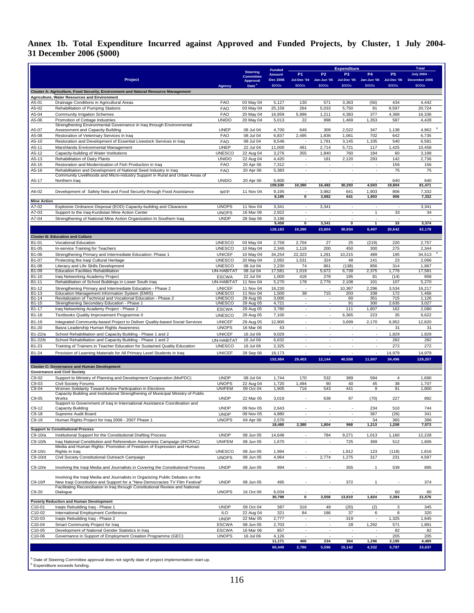## **Annex 1b. Total Expenditure Incurred against Approved and Funded Projects, by Cluster, 1 July 2004- 31 December 2006 (\$000)**

|                             |                                                                                                                                                               |                                |                                     | <b>Funded</b>             | <b>Expenditure</b>                                   |                                                      |                                                      |                                                      | <b>Total</b>          |                         |
|-----------------------------|---------------------------------------------------------------------------------------------------------------------------------------------------------------|--------------------------------|-------------------------------------|---------------------------|------------------------------------------------------|------------------------------------------------------|------------------------------------------------------|------------------------------------------------------|-----------------------|-------------------------|
|                             |                                                                                                                                                               |                                | <b>Steering</b><br><b>Committee</b> | Amount                    | P <sub>1</sub>                                       | P <sub>2</sub>                                       | P <sub>3</sub>                                       | <b>P4</b>                                            | P <sub>5</sub>        | <b>July 2004 -</b>      |
|                             | Project                                                                                                                                                       | Agency                         | Approval<br>Date <sup>3</sup>       | <b>Dec 2006</b><br>\$000s | Jul-Dec '04<br>\$000s                                | Jan-Jun '05<br>\$000s                                | Jul-Dec '05<br>\$000s                                | Jan-Jun '06<br>\$000s                                | Jul-Dec '06<br>\$000s | December 2006<br>\$000s |
|                             | Cluster A: Agriculture, Food Security, Environment and Natural Resource Management                                                                            |                                |                                     |                           |                                                      |                                                      |                                                      |                                                      |                       |                         |
| A5-01                       | Agriculture, Water Resources and Environment                                                                                                                  | <b>FAO</b>                     | 03 May 04                           | 5,127                     | 130                                                  | 571                                                  | 3,363                                                | (56)                                                 | 434                   | 4,442                   |
| A5-02                       | Drainage Conditions in Agricultural Areas<br>Rehabilitation of Pumping Stations                                                                               | <b>FAO</b>                     | 03 May 04                           | 25,159                    | 264                                                  | 5,033                                                | 5,750                                                | 81                                                   | 9,597                 | 20,724                  |
| A5-04                       | <b>Community Irrigation Schemes</b>                                                                                                                           | <b>FAO</b>                     | 20 May 04                           | 16,959                    | 5,996                                                | 1,211                                                | 4,383                                                | 377                                                  | 4,368                 | 16,336                  |
| A5-06                       | Promotion of Cottage Industries<br>Strengthening Environmental Governance in Iraq through Environmental                                                       | <b>UNIDO</b>                   | 20 May 04                           | 5,013                     | 22                                                   | 998                                                  | 1,469                                                | 1,353                                                | 587                   | 4,428                   |
| A5-07                       | Assessment and Capacity Building                                                                                                                              | <b>UNEP</b>                    | 08 Jul 04                           | 4,700                     | 646                                                  | 309                                                  | 2,522                                                | 347                                                  | 1,138                 | 4,962                   |
| A5-08                       | Restoration of Veterinary Services in Iraq                                                                                                                    | <b>FAO</b>                     | 08 Jul 04                           | 6,837                     | 2,495                                                | 1,836                                                | 1,061                                                | 702                                                  | 642                   | 6,735                   |
| A5-10<br>A5-11              | Restoration and Development of Essential Livestock Services in Iraq<br>Marshlands Environmental Management                                                    | <b>FAO</b><br><b>UNEP</b>      | 08 Jul 04<br>22 Jul 04              | 8,546<br>11,000           | $\sim$<br>481                                        | 1,791<br>2,714                                       | 3,145<br>5,721                                       | 1,105<br>117                                         | 540<br>1,425          | 6,581<br>10,458         |
| A5-12                       | Capacity-building of Water Institutions                                                                                                                       | <b>UNESCO</b>                  | 22 Aug 04                           | 3,276                     | 355                                                  | 1,840                                                | 760                                                  | 184                                                  | 60                    | 3,198                   |
| A5-13                       | Rehabilitation of Dairy Plants                                                                                                                                | <b>UNIDO</b>                   | 22 Aug 04                           | 4,420                     | $\overline{\phantom{a}}$                             | 181                                                  | 2,120                                                | 293                                                  | 142                   | 2,736                   |
| A5-15<br>A5-16              | Restoration and Modernization of Fish Production in Iraq<br>Rehabilitation and Development of National Seed Industry in Iraq                                  | <b>FAO</b><br><b>FAO</b>       | 20 Apr 06<br>20 Apr 06              | 7,312<br>5,383            | $\overline{\phantom{a}}$                             | ÷,                                                   |                                                      | $\overline{\phantom{a}}$                             | 156<br>75             | 156<br>75               |
|                             | Community Livelihoods and Micro-industry Support in Rural and Urban Areas of                                                                                  |                                |                                     |                           |                                                      |                                                      |                                                      |                                                      |                       |                         |
| A5-17                       | Northern Iraq                                                                                                                                                 | <b>UNIDO</b>                   | 20 Apr 06                           | 5,800<br>109,530          | 10,390                                               | 16,482                                               | 30,293                                               | 4,503                                                | 640<br>19,804         | 640<br>81,471           |
| A6-02                       | Development of Safety Nets and Food Security through Food Assistance                                                                                          | WFP                            | 11 Nov 04                           | 9,195                     |                                                      | 3,982                                                | 641                                                  | 1,903                                                | 806                   | 7,332                   |
|                             |                                                                                                                                                               |                                |                                     | 9,195                     | 0                                                    | 3,982                                                | 641                                                  | 1,903                                                | 806                   | 7,332                   |
| <b>Mine Action</b><br>A7-02 | Explosive Ordnance Disposal (EOD) Capacity-building and Clearance                                                                                             | <b>UNOPS</b>                   | 11 Nov 04                           | 3,341                     | ÷,                                                   | 3,341                                                | $\sim$                                               | $\sim$                                               | $\sim$                | 3,341                   |
| A7-03                       | Support to the Iraq-Kurdistan Mine Action Center                                                                                                              | <b>UNOPS</b>                   | 16 Mar 06                           | 2,922                     | $\overline{\phantom{a}}$                             | ä,                                                   | ÷,                                                   | $\mathbf{1}$                                         | 33                    | 34                      |
| A7-04                       | Strengthening of National Mine Action Organization In Southern Iraq                                                                                           | <b>UNDP</b>                    | 28 Sep 06                           | 3,196                     | $\overline{\phantom{a}}$                             |                                                      | ÷,                                                   | ÷,                                                   | Ĭ.                    |                         |
|                             |                                                                                                                                                               |                                |                                     | 9,458<br>128,183          | $\overline{\mathbf{0}}$<br>10,390                    | 3,341<br>23,804                                      | $\overline{0}$<br>30,934                             | $\overline{1}$<br>6,407                              | 33<br>20,642          | 3,374<br>92,178         |
|                             | <b>Cluster B: Education and Culture</b>                                                                                                                       |                                |                                     |                           |                                                      |                                                      |                                                      |                                                      |                       |                         |
| B1-01                       | <b>Vocational Education</b>                                                                                                                                   | <b>UNESCO</b>                  | 03 May 04                           | 2,758                     | 2,704                                                | 27                                                   | 25                                                   | (219)                                                | 220                   | 2,757                   |
| B1-05                       | In-service Training for Teachers                                                                                                                              | <b>UNESCO</b>                  | 10 May 04                           | 2,346                     | 1,119                                                | 200                                                  | 450                                                  | 300                                                  | 275                   | 2,344                   |
| B1-06                       | Strengthening Primary and Intermediate Education- Phase 1                                                                                                     | <b>UNICEF</b>                  | 10 May 04                           | 34,254                    | 22,323                                               | 1,291                                                | 10,215                                               | 489                                                  | 195                   | 34,513                  |
| B1-07<br>B1-08              | Protecting the Iraqi Cultural Heritage<br>Literacy and Life Skills Development                                                                                | <b>UNESCO</b><br><b>UNESCO</b> | 20 May 04<br>08 Jul 04              | 2,092<br>2,230            | 1,531<br>74                                          | 324<br>861                                           | 48<br>(138)                                          | 141<br>856                                           | 23<br>314             | 2,066<br>1,967          |
| <b>B1-09</b>                | <b>Education Facilities Rehabilitation</b>                                                                                                                    | UN-HABITA <sup>-</sup>         | 08 Jul 04                           | 17,581                    | 1,019                                                | 5,672                                                | 6,739                                                | 2,375                                                | 1,776                 | 17,581                  |
| B1-10                       | Iraq Networking Academy Project                                                                                                                               | <b>ESCWA</b>                   | 22 Jul 04                           | 1,000                     | 418                                                  | 278                                                  | 195                                                  | 81                                                   | (14)                  | 958                     |
| B1-11                       | Rehabilitation of School Buildings in Lower South Iraq                                                                                                        | UN-HABITAT                     | 11 Nov 04                           | 5,270                     | 178                                                  | 2,776                                                | 2,108                                                | 101                                                  | 107                   | 5,270                   |
| B1-12<br><b>B1-13</b>       | Strengthening Primary and Intermediate Education - Phase 2<br>Education Management Information System (EMIS)                                                  | <b>UNICEF</b><br><b>UNESCO</b> | 11 Nov 04<br>11 Nov 04              | 16,230<br>1,500           | $\overline{\phantom{a}}$<br>38                       | ٠.<br>715                                            | 10,387<br>203                                        | 2,296<br>338                                         | 3,534<br>172          | 16,217<br>1,466         |
| $B1-14$                     | Revitalization of Technical and Vocational Education - Phase 2                                                                                                | <b>UNESCO</b>                  | 29 Aug 05                           | 3,000                     |                                                      |                                                      | 60                                                   | 351                                                  | 715                   | 1,126                   |
| B1-15                       | Strengthening Secondary Education - Phase 1                                                                                                                   | <b>UNESCO</b>                  | 29 Aug 05                           | 4,721                     | $\overline{\phantom{a}}$                             | $\overline{\phantom{a}}$                             | 91                                                   | 300                                                  | 2,635                 | 3,027                   |
| B1-17<br>B1-18              | Iraq Networking Academy Project - Phase 2<br>Textbooks Quality Improvement Programme II                                                                       | <b>ESCWA</b><br><b>UNESCO</b>  | 29 Aug 05<br>29 Aug 05              | 3,780<br>7,100            | $\sim$<br>$\sim$                                     | $\sim$<br>$\sim$                                     | 111<br>6,365                                         | 1,807<br>223                                         | 162<br>35             | 2,080<br>6,622          |
| B1-19                       | Integrated Community-based Project to Deliver Quality-based Social Services                                                                                   | <b>UNICEF</b>                  | 29 Aug 05                           | 12,900                    | $\sim$                                               | $\sim$                                               | 3,699                                                | 2,170                                                | 6,952                 | 12,820                  |
| B1-20                       | Basra Leadership Human Rights Awareness                                                                                                                       | <b>UNOPS</b>                   | 16 Mar 06                           | 63                        | $\overline{\phantom{a}}$                             | $\overline{\phantom{a}}$                             | $\overline{\phantom{a}}$                             | ÷,                                                   | 31                    | 31                      |
| B1-22/a                     | School Rehabilitation and Capacity Building - Phase 1 and 2                                                                                                   | <b>UNICEF</b>                  | 16 Jul 06                           | 9,029                     | $\overline{\phantom{a}}$                             | ÷                                                    | $\overline{\phantom{a}}$                             | $\overline{\phantom{a}}$                             | 1,829                 | 1,829                   |
| B1-22/b                     | School Rehabilitation and Capacity Building - Phase 1 and 2                                                                                                   | UN-HABITAT                     | 16 Jul 06                           | 6,632                     |                                                      | ä,                                                   | L,                                                   | L,                                                   | 282                   | 282                     |
| B1-23                       | Training of Trainers in Teacher Education for Sustained Quality Education                                                                                     | <b>UNESCO</b>                  | 16 Jul 06                           | 2,325                     | ÷,                                                   | $\sim$                                               | $\overline{\phantom{a}}$                             | $\overline{\phantom{a}}$                             | 272                   | 272                     |
| B1-24                       | Provision of Learning Materials for All Primary Level Students in Iraq                                                                                        | <b>UNICEF</b>                  | 28 Sep 06                           | 18,173                    | ä,                                                   | ä,                                                   | ä,                                                   | $\overline{\phantom{a}}$                             | 14,979                | 14,979                  |
|                             |                                                                                                                                                               |                                |                                     | 152,984                   | 29,403                                               | 12,144                                               | 40,558                                               | 11,607                                               | 34,496                | 128,207                 |
|                             | <b>Cluster C: Governance and Human Development</b><br><b>Governance and Civil Society</b>                                                                     |                                |                                     |                           |                                                      |                                                      |                                                      |                                                      |                       |                         |
| C9-02                       | Support to Ministry of Planning and Development Cooperation (MoPDC)                                                                                           | <b>UNDP</b>                    | 08 Jul 04                           | 1,744                     | 170                                                  | 532                                                  | 389                                                  | 594                                                  | $\overline{4}$        | 1,690                   |
| C9-03                       | <b>Civil Society Forums</b>                                                                                                                                   | <b>UNOPS</b>                   | 22 Aug 04                           | 1,720                     | 1,494                                                | 90                                                   | 40                                                   | 45                                                   | 38                    | 1,707                   |
| C9-04                       | Women Solidarity Toward Active Participation in Elections<br>Capacity Building and Institutional Strengthening of Municipal Ministry of Public                | <b>UNIFEM</b>                  | 09 Oct 04                           | 1,905                     | 716                                                  | 543                                                  | 441                                                  | 9                                                    | 91                    | 1,800                   |
| C9-05                       | Works                                                                                                                                                         | <b>UNDP</b>                    | 22 Mar 05                           | 3,019                     | $\overline{\phantom{a}}$                             | 638                                                  | 97                                                   | (70)                                                 | 227                   | 892                     |
| $C9-12$                     | Support to Government of Iraq in International Assistance Coordination and<br>Capacity Building                                                               | <b>UNDP</b>                    | 09 Nov 05                           | 2,643                     |                                                      |                                                      |                                                      | 234                                                  | 510                   | 744                     |
| C9-18                       | Supreme Audit Board                                                                                                                                           | <b>UNDP</b>                    | 09 Nov 05                           | 4,880                     |                                                      | $\overline{\phantom{a}}$                             | $\overline{\phantom{a}}$                             | 367                                                  | (26)                  | 341                     |
| C9-19                       | Human Rights Project for Iraq 2006 - 2007 Phase 1                                                                                                             | <b>UNOPS</b>                   | 04 Apr 06                           | 2,570                     | $\overline{\phantom{a}}$                             | $\overline{\phantom{a}}$                             | $\overline{\phantom{a}}$                             | 34                                                   | 365                   | 399                     |
|                             | <b>Support to Constitutional Process</b>                                                                                                                      |                                |                                     | 18,480                    | 2,380                                                | 1,804                                                | 968                                                  | 1,213                                                | 1,208                 | 7,573                   |
| C9-10/a                     | Institutional Support for the Constitutional Drafting Process                                                                                                 | <b>UNDP</b>                    | 08 Jun 05                           | 14,648                    | $\overline{\phantom{a}}$                             | 784                                                  | 9,271                                                | 1,013                                                | 1,160                 | 12,228                  |
| C9-10/b                     | Iraq National Constitution and Referendum Awareness Campaign (INCRAC)                                                                                         | <b>UNIFEM</b>                  | 08 Jun 05                           | 1,670                     | $\sim$                                               | $\overline{\phantom{a}}$                             | 725                                                  | 369                                                  | 512                   | 1,606                   |
| C9-10/c                     | Media and Human Rights: Promotion of Freedom of Expression and Human<br>Rights in Iraq                                                                        | <b>UNESCO</b>                  | 08 Jun 05                           | 1,994                     |                                                      |                                                      | 1,812                                                | 123                                                  | (118)                 | 1,816                   |
| C9-10/d                     | Civil Society Constitutional Outreach Campaign                                                                                                                | <b>UNOPS</b>                   | 08 Jun 05                           | 4,964                     | ä,                                                   | 2,774                                                | 1,275                                                | 317                                                  | 231                   | 4,597                   |
|                             |                                                                                                                                                               |                                |                                     |                           |                                                      |                                                      |                                                      |                                                      |                       |                         |
| C9-10/e                     | Involving the Iraqi Media and Journalists in Covering the Constitutional Process                                                                              | <b>UNDP</b>                    | 08 Jun 05                           | 994                       |                                                      |                                                      | 355                                                  | $\mathbf{1}$                                         | 539                   | 895                     |
|                             | Involving the Iraqi Media and Journalists in Organizing Public Debates on the                                                                                 |                                |                                     |                           |                                                      |                                                      |                                                      |                                                      |                       |                         |
| C9-10/f                     | New Iraqi Constitution and Support for a "New Democracies TV Film Festival"<br>Facilitating Reconciliation in Iraq through Constitutional Review and National | <b>UNDP</b>                    | 08 Jun 05                           | 495                       |                                                      |                                                      | 372                                                  | $\mathbf{1}$                                         |                       | 374                     |
| C9-20                       | Dialogue                                                                                                                                                      | <b>UNOPS</b>                   | 16 Oct 06                           | 6,034                     |                                                      |                                                      |                                                      |                                                      | 60                    | 60                      |
|                             | <b>Poverty Reduction and Human Development</b>                                                                                                                |                                |                                     | 30,798                    | 0                                                    | 3,558                                                | 13,810                                               | 1,824                                                | 2,384                 | 21,576                  |
| C10-01                      | Iraqis Rebuilding Iraq - Phase 1                                                                                                                              | <b>UNDP</b>                    | 09 Oct 04                           | 387                       | 316                                                  | 49                                                   | (20)                                                 | (2)                                                  | 3                     | 345                     |
| C10-02                      | International Employment Conference                                                                                                                           | <b>ILO</b>                     | 22 Aug 04                           | 321                       | 84                                                   | 186                                                  | 37                                                   | 6                                                    | 8                     | 320                     |
| C10-03                      | Iraqis Rebuilding Iraq - Phase 2                                                                                                                              | <b>UNDP</b>                    | 22 Mar 05                           | 2,777                     |                                                      | $\sim$                                               | 319                                                  | $\blacksquare$                                       | 1,325                 | 1,645                   |
| C10-04                      | Smart Community Project for Iraq                                                                                                                              | <b>ESCWA</b>                   | 08 Jun 05                           | 2,703                     | $\overline{\phantom{a}}$                             | $\overline{\phantom{a}}$                             | 28                                                   | 1,292                                                | 571                   | 1,891                   |
| C10-05<br>C10-06            | Development of National Gender Statistics in Iraq<br>Governance in Support of Employment Creation Programme (GEC)                                             | <b>ESCWA</b><br><b>UNOPS</b>   | 16 Mar 06<br>16 Jul 06              | 857<br>4,126              | $\overline{\phantom{a}}$<br>$\overline{\phantom{a}}$ | $\overline{\phantom{a}}$<br>$\overline{\phantom{a}}$ | $\overline{\phantom{a}}$<br>$\overline{\phantom{a}}$ | $\overline{\phantom{a}}$<br>$\overline{\phantom{a}}$ | 82<br>205             | 82<br>205               |
|                             |                                                                                                                                                               |                                |                                     | 11,171                    | 400                                                  | 234                                                  | 364                                                  | 1,296                                                | 2,195                 | 4,489                   |
|                             |                                                                                                                                                               |                                |                                     | 60,449                    | 2,780                                                | 5,596                                                | 15,142                                               | 4,332                                                | 5,787                 | 33,637                  |
|                             |                                                                                                                                                               |                                |                                     |                           |                                                      |                                                      |                                                      |                                                      |                       |                         |
|                             | a Date of Steering Committee approval does not signify date of project implementation start-up.                                                               |                                |                                     |                           |                                                      |                                                      |                                                      |                                                      |                       |                         |
|                             | <sup>D</sup> Expenditure exceeds funding.                                                                                                                     |                                |                                     |                           |                                                      |                                                      |                                                      |                                                      |                       |                         |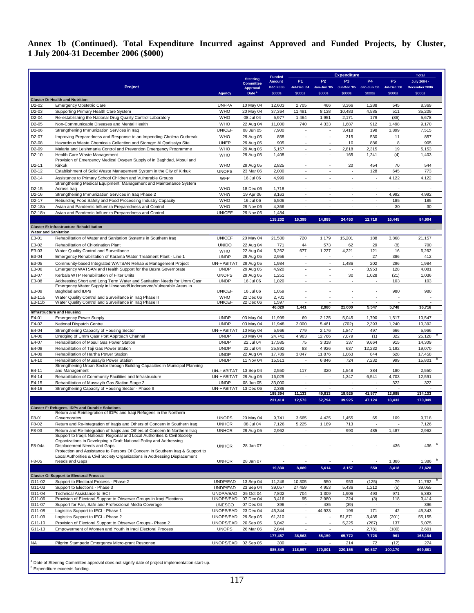## **Annex 1b (Continued). Total Expenditure Incurred against Approved and Funded Projects, by Cluster, 1 July 2004-31 December 2006 (\$000)**

|                                          |                                                                                                                                              |                              |                                      |                                |                                                      |                                    | <b>Expenditure</b>             |                                                           |                                 | <b>Total</b>            |  |
|------------------------------------------|----------------------------------------------------------------------------------------------------------------------------------------------|------------------------------|--------------------------------------|--------------------------------|------------------------------------------------------|------------------------------------|--------------------------------|-----------------------------------------------------------|---------------------------------|-------------------------|--|
|                                          |                                                                                                                                              |                              | <b>Steering</b><br><b>Committee</b>  | <b>Funded</b><br><b>Amount</b> | <b>P1</b>                                            | P <sub>2</sub>                     | P <sub>3</sub>                 | <b>P4</b>                                                 | <b>P5</b>                       | <b>July 2004 -</b>      |  |
|                                          | Project                                                                                                                                      | <b>Agency</b>                | <b>Approval</b><br>Date <sup>®</sup> | <b>Dec 2006</b><br>\$000s      | Jul-Dec '04<br>\$000s                                | \$000s                             | \$000s                         | Jan-Jun '05 Jul-Dec '05 Jan-Jun '06 Jul-Dec '06<br>\$000s | \$000s                          | December 2006<br>\$000s |  |
|                                          | <b>Cluster D: Health and Nutrition</b>                                                                                                       |                              |                                      |                                |                                                      |                                    |                                |                                                           |                                 |                         |  |
| D2-02                                    | <b>Emergency Obstetric Care</b>                                                                                                              | <b>UNFPA</b>                 | 10 May 04                            | 12,603                         | 2,705                                                | 466                                | 3,366                          | 1,288                                                     | 545                             | 8,369                   |  |
| D2-03                                    | Supporting Primary Health Care System                                                                                                        | <b>WHO</b>                   | 20 May 04                            | 37,364                         | 11,491                                               | 8,138                              | 10,483                         | 4,585                                                     | 511                             | 35,209                  |  |
| D2-04<br>D2-05                           | Re-establishing the National Drug Quality Control Laboratory<br>Non-Communicable Diseases and Mental Health                                  | <b>WHO</b><br><b>WHO</b>     | 08 Jul 04<br>22 Aug 04               | 5,977<br>11,000                | 1,464<br>740                                         | 1,951<br>4,333                     | 2,171<br>1,687                 | 179<br>912                                                | (86)<br>1,498                   | 5,678<br>9,170          |  |
| D2-06                                    | Strengthening Immunization Services in Iraq                                                                                                  | <b>UNICEF</b>                | 08 Jun 05                            | 7,900                          | $\sim$                                               | $\overline{\phantom{a}}$           | 3,418                          | 198                                                       | 3,899                           | 7,515                   |  |
| D2-07                                    | Improving Preparedness and Response to an Impending Cholera Outbreak                                                                         | <b>WHO</b>                   | 29 Aug 05                            | 858                            | ٠                                                    | $\sim$                             | 315                            | 530                                                       | 11                              | 857                     |  |
| D2-08                                    | Hazardous Waste Chemicals Collection and Storage: Al Qadissiya Site                                                                          | <b>UNEP</b>                  | 29 Aug 05                            | 905                            | ٠<br>×.                                              | $\sim$                             | 10                             | 886                                                       | 8                               | 905                     |  |
| D2-09<br>D <sub>2</sub> -10              | Malaria and Leishmania Control and Prevention Emergency Programme<br>Health Care Waste Management                                            | <b>WHO</b><br><b>WHO</b>     | 29 Aug 05<br>29 Aug 05               | 5,157<br>1,408                 | $\sim$                                               | $\sim$<br>$\sim$                   | 2,818<br>165                   | 2,315<br>1,241                                            | 19<br>(4)                       | 5,153<br>1,403          |  |
|                                          | Provision of Emergency Medical Oxygen Supply of in Baghdad, Mosul and                                                                        |                              |                                      |                                |                                                      |                                    |                                |                                                           |                                 |                         |  |
| D <sub>2</sub> -11<br>D <sub>2</sub> -12 | Kirkuk<br>Establishment of Solid Waste Management System in the City of Kirkuk                                                               | <b>WHO</b><br><b>UNOPS</b>   | 29 Aug 05<br>23 Mar 06               | 2,825<br>2,000                 | ×                                                    | $\sim$                             | 20<br>$\overline{\phantom{a}}$ | 454<br>128                                                | 70<br>645                       | 544<br>773              |  |
| D <sub>2</sub> -14                       | Assistance to Primary School Children and Vulnerable Groups                                                                                  | WFP                          | 16 Jul 06                            | 4,999                          | $\sim$                                               | ÷.                                 | ÷                              | $\overline{\phantom{a}}$                                  | 4,122                           | 4,122                   |  |
|                                          | Strengthening Medical Equipment Management and Maintenance System                                                                            |                              |                                      |                                |                                                      |                                    |                                |                                                           |                                 |                         |  |
| D <sub>2</sub> -15                       | Across Iraq                                                                                                                                  | <b>WHO</b><br><b>WHO</b>     | 18 Dec 06                            | 1,718<br>8,163                 | ×                                                    | ÷.                                 | ÷.                             | ÷                                                         | 4,992                           | 4,992                   |  |
| D2-16<br>D <sub>2</sub> -17              | Strengthening Immunization Services in Iraq Phase 2<br>Rebuilding Food Safety and Food Processing Industry Capacity                          | <b>WHO</b>                   | 19 Apr 06<br>16 Jul 06               | 6,506                          | $\overline{\phantom{a}}$                             | $\sim$                             | $\overline{\phantom{a}}$       | $\overline{\phantom{a}}$                                  | 185                             | 185                     |  |
| D2-18a                                   | Avian and Pandemic Influenza Preparedness and Control                                                                                        | <b>WHO</b>                   | 29 Nov 06                            | 4,366                          | ×                                                    | ÷.                                 | ÷.                             | ÷                                                         | 30                              | 30                      |  |
| D2-18b                                   | Avian and Pandemic Influenza Preparedness and Control                                                                                        | <b>UNICEF</b>                | 29 Nov 06                            | 1,484                          | ٠                                                    | $\overline{\phantom{a}}$           | $\overline{\phantom{a}}$       | $\overline{\phantom{a}}$                                  | $\overline{a}$                  | ٠                       |  |
|                                          |                                                                                                                                              |                              |                                      | 115,232                        | 16,399                                               | 14,889                             | 24,453                         | 12,718                                                    | 16,445                          | 84,904                  |  |
| <b>Water and Sanitation</b>              | <b>Cluster E: Infrastructure Rehabilitation</b>                                                                                              |                              |                                      |                                |                                                      |                                    |                                |                                                           |                                 |                         |  |
| E3-01                                    | Rehabilitation of Water and Sanitation Systems in Southern Iraq                                                                              | <b>UNICEF</b>                | 20 May 04                            | 21,500                         | 720                                                  | 1,179                              | 15,201                         | 188                                                       | 3,868                           | 21,157                  |  |
| E3-02                                    | Rehabilitation of Chlorination Plant                                                                                                         | <b>UNIDO</b>                 | 22 Aug 04                            | 771                            | 44                                                   | 573                                | 62                             | 29                                                        | (8)                             | 700                     |  |
| E3-03                                    | Water Quality Control and Surveillance                                                                                                       | <b>WHO</b>                   | 22 Aug 04                            | 6,262                          | 677                                                  | 1,227                              | 4,221                          | 121                                                       | 16                              | 6,262                   |  |
| E3-04<br>E3-05                           | Emergency Rehabilitation of Karama Water Treatment Plant - Line 1<br>Community-based Integrated WATSAN Rehab & Management Project            | <b>UNDP</b><br>UN-HABITAT    | 29 Aug 05<br>29 Aug 05               | 2,956<br>1,984                 | ٠<br>٠                                               | $\overline{\phantom{a}}$<br>$\sim$ | $\sim$<br>1,486                | 27<br>202                                                 | 386<br>296                      | 412<br>1,984            |  |
| E3-06                                    | Emergency WATSAN and Health Support for the Basra Governorate                                                                                | <b>UNDP</b>                  | 29 Aug 05                            | 4,920                          | ×                                                    | ×.                                 | ÷.                             | 3,953                                                     | 128                             | 4,081                   |  |
| E3-07                                    | Kerbala WTP Rehabilitation of Filter Units                                                                                                   | <b>UNOPS</b>                 | 29 Aug 05                            | 1,251                          | ٠                                                    | $\sim$                             | 30                             | 1,028                                                     | (21)                            | 1,036                   |  |
| E3-08                                    | Addressing Short and Long Term Water and Sanitation Needs for Umm Qasr<br>Emergency Water Supply in Unserved/Underserved/Vulnerable Areas in | <b>UNDP</b>                  | 16 Jul 06                            | 1,020                          | ×                                                    | $\sim$                             | ÷.                             | ×,                                                        | 103                             | 103                     |  |
| E3-09                                    | Baghdad and IDPs                                                                                                                             | <b>UNICEF</b>                | 16 Jul 06                            | 1,059                          |                                                      |                                    |                                |                                                           | 980                             | 980                     |  |
| E3-11a                                   | Water Quality Control and Surveillance in Iraq Phase II                                                                                      | WHO                          | 22 Dec 06                            | 2,701                          | ÷.                                                   | $\sim$                             | $\sim$                         | $\mathcal{L}_{\mathcal{A}}$                               | ä,                              | à.                      |  |
| E3-11b                                   | Water Quality Control and Surveillance in Iraq Phase II                                                                                      | <b>UNICEF</b>                | 22 Dec 06                            | 1,597<br>46,020                | ×<br>1,441                                           | 2,980                              | 21,000                         | 5,547                                                     | 5,748                           | 36,716                  |  |
|                                          | <b>Infrastructure and Housing</b>                                                                                                            |                              |                                      |                                |                                                      |                                    |                                |                                                           |                                 |                         |  |
| E4-01<br>E4-02                           | <b>Emergency Power Supply</b><br>National Dispatch Centre                                                                                    | <b>UNDP</b><br><b>UNDP</b>   | 03 May 04<br>03 May 04               | 11,999<br>11,948               | 69<br>2,000                                          | 2,125<br>5,461                     | 5,045<br>(702)                 | 1,790<br>2,393                                            | 1,517<br>1,240                  | 10,547<br>10,392        |  |
| E4-04                                    | Strengthening Capacity of Housing Sector                                                                                                     | UN-HABITAT                   | 10 May 04                            | 5,966                          | 779                                                  | 2,176                              | 1,847                          | 497                                                       | 666                             | 5,966                   |  |
| E4-06                                    | Dredging of Umm Qasr Port Approach Channel                                                                                                   | <b>UNDP</b>                  | 20 May 04                            | 24,742                         | 4,963                                                | 12,766                             | 7,079                          | (1)                                                       | 322                             | 25,128                  |  |
| E4-07                                    | Rehabilitation of Mosul Gas Power Station                                                                                                    | <b>UNDP</b>                  | 22 Jul 04                            | 17,585                         | 75                                                   | 3,318                              | 337                            | 9,664                                                     | 915                             | 14,309                  |  |
| E4-08<br>E4-09                           | Rehabilitation of Taji Gas Power Station<br>Rehabilitation of Hartha Power Station                                                           | <b>UNDP</b><br><b>UNDP</b>   | 22 Jul 04<br>22 Aug 04               | 25,892<br>17,789               | 83<br>3,047                                          | 4,926<br>11,876                    | 637<br>1,063                   | 12,232<br>844                                             | 1,192<br>628                    | 19,070<br>17,458        |  |
| E4-10                                    | Rehabilitation of Mussayib Power Station                                                                                                     | <b>UNDP</b>                  | 11 Nov 04                            | 15,511                         |                                                      | 6,846                              | 724                            | 7,232                                                     | 999                             | 15,801                  |  |
|                                          | Strengthening Urban Sector through Building Capacities in Municipal Planning                                                                 |                              | 13 Sep 04                            | 2,550                          | 117                                                  | 320                                | 1,548                          | 384                                                       | 180                             | 2,550                   |  |
| E4-11<br>E4-14                           | and Management<br>Rehabilitation of Community Facilities and Infrastructure                                                                  | UN-HABITAT<br>UN-HABITAT     | 29 Aug 05                            | 16,025                         | ×                                                    | $\sim$                             | 1,347                          | 6,541                                                     | 4,703                           | 12,591                  |  |
| E4-15                                    | Rehabilitation of Mussayib Gas Station Stage 2                                                                                               | <b>UNDP</b>                  | 08 Jun 05                            | 33,000                         | $\sim$                                               | $\sim$                             | ×.                             | ×                                                         | 322                             | 322                     |  |
| E4-16                                    | Strengthening Capacity of Housing Sector - Phase II                                                                                          | UN-HABITAT                   | 13 Dec 06                            | 2,386                          | $\sim$                                               | $\sim$                             | $\sim$                         | $\sim$                                                    | ٠                               |                         |  |
|                                          |                                                                                                                                              |                              |                                      | 185,394<br>231,414             | 11,133<br>12,573                                     | 49,813<br>52,794                   | 18,925<br>39,925               | 41,577<br>47,124                                          | 12,685<br>18,433                | 134,133<br>170,849      |  |
|                                          | <b>Cluster F: Refugees, IDPs and Durable Solutions</b>                                                                                       |                              |                                      |                                |                                                      |                                    |                                |                                                           |                                 |                         |  |
|                                          | Return and Reintegration of IDPs and Iraqi Refugees in the Northern                                                                          |                              |                                      |                                |                                                      |                                    |                                |                                                           |                                 |                         |  |
| F8-01<br>F8-02                           | Governorates<br>Return and Re-Integration of Iraqis and Others of Concern in Southern Iraq                                                   | <b>UNOPS</b><br><b>UNHCR</b> | 20 May 04<br>08 Jul 04               | 9,741<br>7,126                 | 3,665<br>5,225                                       | 4,425<br>1,189                     | 1,455<br>713                   | 65<br>$\sim$                                              | 109<br>$\overline{\phantom{a}}$ | 9,718<br>7,126          |  |
| F8-03                                    | Return and Re-Integration of Iragis and Others of Concern In Northern Irag                                                                   | <b>UNHCR</b>                 | 29 Aug 05                            | 2,962                          |                                                      | $\sim$                             | 990                            | 485                                                       | 1,487                           | 2,962                   |  |
|                                          | Support to Iraq's National, Regional and Local Authorities & Civil Society                                                                   |                              |                                      |                                |                                                      |                                    |                                |                                                           |                                 |                         |  |
| F8-04a                                   | Organizations in Developing a Draft National Policy and Addressing<br>Displacement Needs and Gaps                                            | <b>UNHCR</b>                 | 28 Jan 07                            |                                |                                                      |                                    |                                |                                                           | 436                             | 436 $b$                 |  |
|                                          | Protection and Assistance to Persons Of Concern in Southern Iraq & Support to                                                                |                              |                                      |                                |                                                      |                                    |                                |                                                           |                                 |                         |  |
| F8-05                                    | Local Authorities & Civil Society Organizations in Addressing Displacement<br>Needs and Gaps                                                 | <b>UNHCR</b>                 | 28 Jan 07                            |                                |                                                      |                                    | ä,                             | ÷,                                                        | 1,386                           | 1,386                   |  |
|                                          |                                                                                                                                              |                              |                                      | 19,830                         | 8,889                                                | 5,614                              | 3,157                          | 550                                                       | 3,418                           | 21,628                  |  |
|                                          | <b>Cluster G: Support to Electoral Process</b>                                                                                               |                              |                                      |                                |                                                      |                                    |                                |                                                           |                                 |                         |  |
| G11-02                                   | Support to Electoral Process - Phase 2                                                                                                       | UNDP/EAD                     | 13 Sep 04                            | 11,246                         | 10,305                                               | 550                                | 953                            | (125)                                                     | 79                              | 11,762                  |  |
| G11-03                                   | Support to Elections - Phase 3<br>Technical Assistance to IECI                                                                               | UNDP/EAD                     | 23 Sep 04                            | 39,057                         | 27,459                                               | 4,953                              | 5,436                          | 1,212                                                     | (5)                             | 39,055                  |  |
| G11-04<br>G11-06                         | Provision of Electoral Support to Observer Groups in Iraqi Elections                                                                         | UNDPA/EAD<br>UNOPS/EAD       | 25 Oct 04<br>07 Dec 04               | 7,802<br>3,416                 | 704<br>95                                            | 1,309<br>2,980                     | 1,906<br>224                   | 493<br>(3)                                                | 971<br>118                      | 5,383<br>3,414          |  |
| G11-07                                   | Support for Fair, Safe and Professional Media Coverage                                                                                       | <b>UNESCO</b>                | 07 Dec 04                            | 396                            | $\sim$                                               | 435                                | (39)                           | $\overline{\phantom{a}}$                                  | $\overline{\phantom{a}}$        | 396                     |  |
| G11-08                                   | Logistics Support to IECI - Phase 1                                                                                                          | UNOPS/EAD                    | 23 Dec 04                            | 45,344                         | $\mathcal{L}_{\mathcal{A}}$                          | 44,933                             | 196                            | 171                                                       | 42                              | 45,343                  |  |
| G11-09<br>G11-10                         | Logistics Support to IECI - Phase 2<br>Provision of Electoral Support to Observer Groups - Phase 2                                           | UNOPS/EAD<br>UNOPS/EAD       | 29 Sep 05<br>20 Sep 05               | 61,310<br>6,042                | $\overline{\phantom{a}}$<br>$\overline{\phantom{a}}$ | $\overline{\phantom{a}}$<br>×      | 51,871<br>5,225                | 3,485<br>(287)                                            | (201)<br>137                    | 55,155<br>5,075         |  |
| G11-13                                   | Empowerment of Women and Youth in Iraqi Electoral Process                                                                                    | <b>UNOPS</b>                 | 26 Mar 06                            | 2,844                          | i.                                                   | ×.                                 | ÷.                             | 2,781                                                     | (180)                           | 2,601                   |  |
|                                          |                                                                                                                                              |                              |                                      | 177,457                        | 38,563                                               | 55,159                             | 65,772                         | 7,728                                                     | 961                             | 168,184                 |  |
| NA                                       | Pilgrim Stampede Emergency Micro-grant Response                                                                                              | UNOPS/EAD 02 Sep 05          |                                      | 300                            |                                                      |                                    | 214                            | 72                                                        | (12)                            | 274                     |  |
|                                          |                                                                                                                                              |                              |                                      | 885,849                        | 118,997                                              | 170,001                            | 220,155                        | 90,537                                                    | 100,170                         | 699,861                 |  |
|                                          | <sup>a</sup> Date of Steering Committee approval does not signify date of project implementation start-up.                                   |                              |                                      |                                |                                                      |                                    |                                |                                                           |                                 |                         |  |

**b** Expenditure exceeds funding.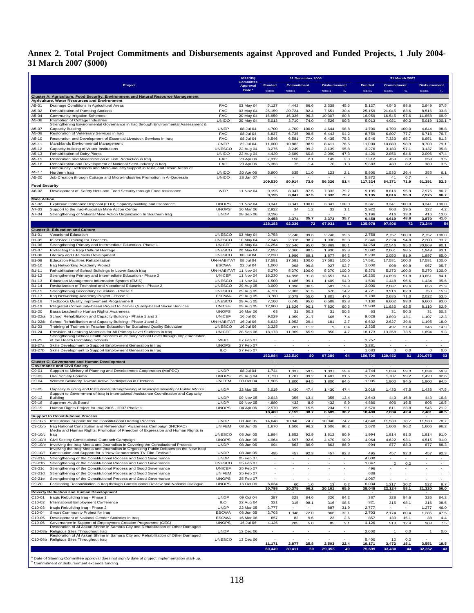## **Annex 2. Total Project Commitments and Disbursements against Approved and Funded Projects, 1 July 2004- 31 March 2007 (\$000)**

|                      |                                                                                                                                                                                |                                | <b>Steering</b><br>31 December 2006 |                          |                   |               | 31 March 2007       |                          |                  |                          |               |                     |                          |
|----------------------|--------------------------------------------------------------------------------------------------------------------------------------------------------------------------------|--------------------------------|-------------------------------------|--------------------------|-------------------|---------------|---------------------|--------------------------|------------------|--------------------------|---------------|---------------------|--------------------------|
|                      | Project                                                                                                                                                                        |                                | Committee<br><b>Approval</b>        | <b>Funded</b>            | <b>Commitment</b> |               | <b>Disbursement</b> |                          | <b>Funded</b>    | <b>Commitment</b>        |               | <b>Disbursement</b> |                          |
|                      |                                                                                                                                                                                |                                | Date <sup>*</sup>                   | <b>SOOOS</b>             | <b>\$000s</b>     | %             | \$000s              | $\%$                     | \$000s           | \$000s                   | %             | <b>SOOOS</b>        | %                        |
|                      | Cluster A: Agriculture, Food Security, Environment and Natural Resource Management<br><b>Agriculture, Water Resources and Environment</b>                                      |                                |                                     |                          |                   |               |                     |                          |                  |                          |               |                     |                          |
| A5-01<br>A5-02       | Drainage Conditions in Agricultural Areas                                                                                                                                      | <b>FAO</b><br><b>FAO</b>       | 03 May 04                           | 5,127<br>25,159          | 4,442<br>20,724   | 86.6<br>82.4  | 2,338<br>7,651      | 45.6<br>30.4             | 5,127<br>25,159  | 4,543<br>21,045          | 88.6<br>83.6  | 2,949<br>8,516      | 57.5<br>33.8             |
| A5-04                | Rehabilitation of Pumping Stations<br><b>Community Irrigation Schemes</b>                                                                                                      | <b>FAO</b>                     | 03 May 04<br>20 May 04              | 16,959                   | 16,336            | 96.3          | 10,307              | 60.8                     | 16,959           | 16,545                   | 97.6          | 11,858              | 69.9                     |
| A5-06                | Promotion of Cottage Industries<br>Strengthening Environmental Governance in Iraq through Environmental Assessment &                                                           | <b>UNIDO</b>                   | 20 May 04                           | 5,013                    | 3,710             | 74.0          | 4,526               | 90.3                     | 5,013            | 4,021                    | 80.2          | 5,019               | 100.1                    |
| A5-07                | Capacity Building                                                                                                                                                              | <b>UNEP</b>                    | 08 Jul 04                           | 4,700                    | 4,700             | 100.0         | 4,644               | 98.8                     | 4,700            | 4,700                    | 100.0         | 4,644               | 98.8                     |
| A5-08                | Restoration of Veterinary Services in Iraq                                                                                                                                     | <b>FAO</b>                     | 08 Jul 04                           | 6,837                    | 6,735             | 98.5          | 6,443               | 94.2                     | 8,759            | 6,807                    | 77.7          | 6,716               | 76.7                     |
| A5-10<br>A5-11       | Restoration and Development of Essential Livestock Services in Iraq<br>Marshlands Environmental Management                                                                     | <b>FAO</b><br><b>UNEP</b>      | 08 Jul 04<br>22 Jul 04              | 8,546<br>11,000          | 6,581<br>10,883   | 77.0<br>98.9  | 6,435<br>8,411      | 75.3<br>76.5             | 8,546<br>11,000  | 7,323<br>10,883          | 85.7<br>98.9  | 6,951<br>8,703      | 81.3<br>79.1             |
| A5-12                | Capacity-building of Water Institutions                                                                                                                                        | UNESCO                         | 22 Aug 04                           | 3,276                    | 3,249             | 99.2          | 3,139               | 95.8                     | 3,276            | 3,180                    | 97.1          | 3,137               | 95.8                     |
| A5-13                | Rehabilitation of Dairy Plants<br>Restoration and Modernization of Fish Production in Iraq                                                                                     | <b>UNIDO</b>                   | 22 Aug 04                           | 4,420                    | 2,689             | 60.8          | 2,090               | 47.3                     | 4,420            | 2,856                    | 64.6          | 2,096               | 47.4                     |
| A5-15<br>A5-16       | Rehabilitation and Development of National Seed Industry in Iraq                                                                                                               | <b>FAO</b><br><b>FAO</b>       | 20 Apr 06<br>20 Apr 06              | 7,312<br>5,383           | 156<br>75         | 2.1<br>1.4    | 149<br>70           | 2.0<br>1.3               | 7,312<br>5,383   | 459<br>439               | 6.3<br>8.2    | 258<br>189          | 3.5<br>$3.5\,$           |
| A5-17                | Community Livelihoods and Micro-industry Support in Rural and Urban Areas of<br>Northern Irag                                                                                  | <b>UNIDO</b>                   | 20 Apr 06                           | 5,800                    |                   |               |                     |                          | 5,800            | 1,530                    |               |                     |                          |
| A5-20                | Job Creation through Cottage and Micro-Industries Promotion in Al-Qadessia                                                                                                     | <b>UNIDO</b>                   | 28 Jan 07                           |                          | 635               | 11.0          | 123                 | 2.1                      | 5,872            | 41                       | 26.4<br>0.7   | 355                 | 6.1                      |
| <b>Food Security</b> |                                                                                                                                                                                |                                |                                     | 109,530                  | 80,914            | 73.9          | 56,326              | 51.4                     | 117,324          | 84,371                   | 71.9          | 61,391              | 52.3                     |
| A6-02                | Development of Safety Nets and Food Security through Food Assistance                                                                                                           | WFP                            | 11 Nov 04                           | 9,195                    | 8,047             | 87.5          | 7,332               | 79.7                     | 9,195            | 8,816                    | 95.9          | 7,975               | 86.7                     |
| <b>Mine Action</b>   |                                                                                                                                                                                |                                |                                     | 9,195                    | 8,047             | 87.5          | 7,332               | 79.7                     | 9,195            | 8,816                    | 95.9          | 7,975               | 86.7                     |
| A7-02                | Explosive Ordnance Disposal (EOD) Capacity-building and Clearance                                                                                                              | <b>UNOPS</b>                   | 11 Nov 04                           | 3,341                    | 3,341             | 100.0         | 3,341               | 100.0                    | 3,341            | 3,341                    | 100.0         | 3,341               | 100.0                    |
| A7-03                | Support to the Iraq-Kurdistan Mine Action Center                                                                                                                               | <b>UNOPS</b>                   | 16 Mar 06                           | 2,922                    | 34                | 1.2           | 32                  | 1.1                      | 2,922            | 863                      | 29.5          | 122                 | 4.2                      |
| A7-04                | Strengthening of National Mine Action Organization In Southern Iraq                                                                                                            | <b>UNDP</b>                    | 28 Sep 06                           | 3,196<br>9,458           | 3,374             | 35.7          | 3,373               | 35.7                     | 3,196<br>9,458   | 416<br>4,619             | 13.0<br>48.8  | 416<br>3,879        | 13.0<br>41.0             |
|                      |                                                                                                                                                                                |                                |                                     | 128,183                  | 92,336            | 72            | 67,031              | 52                       | 135,978          | 97,806                   | 72            | 73,244              | 54                       |
|                      | <b>Cluster B: Education and Culture</b>                                                                                                                                        |                                |                                     |                          |                   |               |                     |                          |                  |                          |               |                     |                          |
| B1-01<br>B1-05       | <b>Vocational Education</b>                                                                                                                                                    | <b>UNESCO</b><br><b>UNESCO</b> | 03 May 04<br>10 May 04              | 2,758<br>2,346           | 2,748             | 99.6          | 2,748<br>1,930      | 99.6                     | 2,758<br>2,346   | 2,757                    | 100.0         | 2,757               | 100.0<br>93.7            |
| B1-06                | In-service Training for Teachers<br>Strengthening Primary and Intermediate Education- Phase 1                                                                                  | <b>UNICEF</b>                  | 10 May 04                           | 34,254                   | 2,316<br>32,546   | 98.7<br>95.0  | 30,869              | 82.3<br>90.1             | 34,254           | 2,224<br>32,546          | 94.8<br>95.0  | 2,200<br>30,869     | 90.1                     |
| B1-07                | Protecting the Iraqi Cultural Heritage                                                                                                                                         | <b>UNESCO</b>                  | 20 May 04                           | 2,092                    | 2,060             | 98.5          | 1,930               | 92.3                     | 2,092            | 2,061                    | 98.5          | 1,949               | 93.1                     |
| B1-08<br>B1-09       | Literacy and Life Skills Development<br><b>Education Facilities Rehabilitation</b>                                                                                             | <b>UNESCO</b><br>UN-HABITAT    | 08 Jul 04<br>08 Jul 04              | 2,230<br>17,581          | 1,986<br>17,581   | 89.1<br>100.0 | 1,877<br>17,581     | 84.2<br>100.0            | 2,230<br>17,581  | 2,050<br>17,581          | 91.9<br>100.0 | 1,897<br>17,581     | 85.0<br>100.0            |
| B1-10                | Iraq Networking Academy Project                                                                                                                                                | <b>ESCWA</b>                   | 22 Jul 04                           | 1,000                    | 998               | 99.8          | 927                 | 92.7                     | 1,000            | 998                      | 99.8          | 957                 | 95.7                     |
| B1-11                | Rehabilitation of School Buildings in Lower South Iraq                                                                                                                         | UN-HABITAT                     | 11 Nov 04                           | 5,270                    | 5,270             | 100.0         | 5,270               | 100.0                    | 5,270            | 5,270                    | 100.0         | 5,270               | 100.0                    |
| B1-12                | Strengthening Primary and Intermediate Education - Phase 2                                                                                                                     | <b>UNICEF</b>                  | 11 Nov 04                           | 16,230                   | 14,896            | 91.8          | 13,651              | 84.1                     | 16,230           | 14,896                   | 91.8          | 13,651              | 84.1                     |
| B1-13<br>B1-14       | Education Management Information System (EMIS)<br>Revitalization of Technical and Vocational Education - Phase 2                                                               | <b>UNESCO</b><br><b>UNESCO</b> | 11 Nov 04<br>29 Aug 05              | 1,500<br>3,000           | 1,486<br>1,096    | 99.1<br>36.5  | 1,409<br>581        | 94.0<br>19.4             | 1,500<br>3,000   | 1,448<br>2,087           | 96.6<br>69.6  | 1,434<br>656        | 95.6<br>21.9             |
| B1-15                | Strengthening Secondary Education - Phase 1                                                                                                                                    | <b>UNESCO</b>                  | 29 Aug 05                           | 4,721                    | 2,903             | 61.5          | 670                 | 14.2                     | 4,721            | 3,916                    | 82.9          | 750                 | 15.9                     |
| B1-17                | Iraq Networking Academy Project - Phase 2                                                                                                                                      | <b>ESCWA</b>                   | 29 Aug 05                           | 3,780                    | 2,079             | 55.0          | 1,801               | 47.6                     | 3,780            | 2,685                    | 71.0          | 2,022               | 53.5                     |
| B1-18<br>B1-19       | Textbooks Quality Improvement Programme II<br>Integrated Community-based Project to Deliver Quality-based Social Services                                                      | <b>UNESCO</b><br><b>UNICEF</b> | 29 Aug 05<br>29 Aug 05              | 7,100<br>12,900          | 6,745<br>11,626   | 95.0<br>90.1  | 6,588<br>7,820      | 92.8<br>60.6             | 7,100<br>12,900  | 6,602<br>11,926          | 93.0<br>92.5  | 6,600<br>8,110      | 93.0<br>62.9             |
| B1-20                | Basra Leadership Human Rights Awareness                                                                                                                                        | <b>UNOPS</b>                   | 16 Mar 06                           | 63                       | 31                | 50.3          | 31                  | 50.3                     | 63               | 31                       | 50.3          | 31                  | 50.3                     |
| B1-22/a              | School Rehabilitation and Capacity Building - Phase 1 and 2                                                                                                                    | <b>UNICEF</b>                  | 16 Jul 06                           | 9,029                    | 1,959             | 21.7          | 665                 | 7.4                      | 9,029            | 3,890                    | 43.1          | 1,107               | 12.3                     |
| B1-22/b<br>B1-23     | School Rehabilitation and Capacity Building - Phase 1 and 2<br>Training of Trainers in Teacher Education for Sustained Quality Education                                       | UN-HABITAT<br><b>UNESCO</b>    | 16 Jul 06<br>16 Jul 06              | 6,632<br>2,325           | 1,952<br>261      | 29.4<br>11.2  | 181<br>9            | 2.7<br>0.4               | 6,632<br>2,325   | 2,627<br>497             | 39.6<br>21.4  | 1,195<br>346        | 18.0<br>14.9             |
| B1-24                | Provision of Learning Materials for All Primary Level Students in Iraq                                                                                                         | <b>UNICEF</b>                  | 28 Sep 06                           | 18,173                   | 11,969            | 65.9          | 850                 | 4.7                      | 18,173           | 13,358                   | 73.5          | 1,694               | 9.3                      |
| B1-25                | Strengthening School Health Services at Primary School Level through Implementation<br>of the Health Promoting Schools                                                         | <b>WHO</b>                     | 27 Feb 07                           |                          |                   |               |                     |                          | 1,757            |                          |               |                     |                          |
| B1-27a               | Skills Development to Support Employment Generation in Iraq                                                                                                                    | <b>UNOPS</b>                   | 27 Feb 07                           |                          | $\sim$            | $\sim$        |                     | $\overline{\phantom{a}}$ | 3,281            |                          |               |                     | $\overline{\phantom{a}}$ |
| B1-27b               | Skills Development to Support Employment Generation in Iraq                                                                                                                    | <b>ILO</b>                     | 27 Feb 07                           |                          |                   |               |                     |                          | 1,683            | $\circ$                  | 0.0           | $\circ$             | 0.0                      |
|                      |                                                                                                                                                                                |                                |                                     | 152,984                  | 122,510           | 80            | 97,389              | 64                       | 159,705          | 129,452                  | 81            | 101,075             | 63                       |
|                      | <b>Cluster C: Governance and Human Development</b><br><b>Governance and Civil Society</b>                                                                                      |                                |                                     |                          |                   |               |                     |                          |                  |                          |               |                     |                          |
| C9-01                | Support to Ministry of Planning and Development Cooperation (MoPDC)                                                                                                            | <b>UNDP</b>                    | 08 Jul 04                           | 1,744                    | 1,037             | 59.5          | 1,037               | 59.4                     | 1,744            | 1,034                    | 59.3          | 1,034               | 59.3                     |
| C9-03<br>C9-04       | Civil Society Forums<br>Women Solidarity Toward Active Participation in Elections                                                                                              | <b>UNOPS</b><br><b>UNIFEM</b>  | 22 Aug 04<br>09 Oct 04              | 1,720<br>1,905           | 1,707<br>1,800    | 99.2<br>94.5  | 1,401<br>1,800      | 81.5<br>94.5             | 1,720<br>1,905   | 1,707<br>1,800           | 99.2<br>94.5  | 1,420<br>1,800      | 82.6<br>94.5             |
|                      |                                                                                                                                                                                |                                |                                     |                          |                   |               |                     |                          |                  |                          |               |                     |                          |
| C9-05                | Capacity Building and Institutional Strengthening of Municipal Ministry of Public Works<br>Support to Government of Iraq in International Assistance Coordination and Capacity | <b>UNDP</b>                    | 22 Mar 05                           | 3,019                    | 1,430             | 47.4          | 1,430               | 47.4                     | 3,019            | 1,433                    | 47.5          | 1,433               | 47.5                     |
| $C9-12$              | Building                                                                                                                                                                       | <b>UNDP</b>                    | 09 Nov 05                           | 2,643                    | 355               | 13.4          | 355                 | 13.4                     | 2,643            | 443                      | 16.8          | 443                 | 16.8                     |
| C9-18<br>C9-19       | Supreme Audit Board<br>Human Rights Project for Iraq 2006 - 2007 Phase 1                                                                                                       | <b>UNDP</b><br><b>UNOPS</b>    | 09 Nov 05<br>04 Apr 06              | 4,880<br>2,570           | 432<br>399        | 8.9<br>15.5   | 432<br>234          | 8.9<br>9.1               | 4,880<br>2,570   | 806<br>611               | 16.5<br>23.8  | 806<br>545          | 16.5<br>21.2             |
|                      |                                                                                                                                                                                |                                |                                     | 18,480                   | 7,159             | 38.7          | 6,689               | 36.2                     | 18,480           | 7,834                    | 42.4          | 7,481               | 40.5                     |
| C9-10/a              | <b>Support to Constitutional Process</b><br>Institutional Support for the Constitutional Drafting Process                                                                      | <b>UNDP</b>                    | 08 Jun 05                           | 14,648                   | 10,940            | 74.7          | 10,940              | 74.7                     | 14,648           | 11,530                   | 78.7          | 11,530              | 78.7                     |
| C9-10/b              | Iraq National Constitution and Referendum Awareness Campaign (INCRAC)                                                                                                          | <b>UNIFEM</b>                  | 08 Jun 05                           | 1,670                    | 1,606             | 96.2          | 1,606               | 96.2                     | 1,670            | 1,606                    | 96.2          | 1,606               | 96.2                     |
| C9-10/c              | Media and Human Rights: Promotion of Freedom of Expression and Human Rights in<br>Irag                                                                                         | <b>UNESCO</b>                  | 08 Jun 05                           | 1,994                    | 1,852             | 92.9          | 1,812               | 90.9                     | 1,994            | 1,814                    | 91.0          | 1.814               | 91.0                     |
| C9-10/d              | Civil Society Constitutional Outreach Campaign                                                                                                                                 | <b>UNOPS</b>                   | 08 Jun 05                           | 4,964                    | 4,597             | 92.6          | 4,470               | 90.0                     | 4,964            | 4,622                    | 93.1          | 4,515               | 91.0                     |
| C9-10/e              | Involving the Iraqi Media and Journalists in Covering the Constitutional Process<br>Involving the Iraqi Media and Journalists in Organizing Public Debates on the New Iraqi    | <b>UNDP</b>                    | 08 Jun 05                           | 994                      | 863               | 86.9          | 863                 | 86.9                     | 994              | 877                      | 88.3          | 877                 | 88.3                     |
| C9-10/f              | Constitution and Support for a "New Democracies TV Film Festival"                                                                                                              | <b>UNDP</b>                    | 08 Jun 05                           | 495                      | 457               | 92.3          | 457                 | 92.3                     | 495              | 457                      | 92.3          | 457                 | 92.3                     |
| C9-21a               | Strengthening of the Constitutional Process and Good Governance                                                                                                                | <b>UNDP</b>                    | 25 Feb 07                           |                          | ÷                 | $\sim$        |                     | $\sim$                   | 4,000            |                          | $\sim$        |                     | $\sim$                   |
| C9-21b<br>C9-21c     | Strengthening of the Constitutional Process and Good Governance<br>Strengthening of the Constitutional Process and Good Governance                                             | UNESCO<br><b>UNICEF</b>        | 25 Feb 07<br>25 Feb 07              |                          |                   |               |                     |                          | 1,047<br>496     | $\overline{2}$           | 0.2           |                     |                          |
| C9-21d               | Strengthening of the Constitutional Process and Good Governance                                                                                                                | <b>UNIFEM</b>                  | 25 Feb 07                           | $\overline{\phantom{a}}$ |                   |               |                     | $\overline{\phantom{a}}$ | 639              | $\overline{\phantom{a}}$ |               |                     | $\sim$                   |
| C9-21e               | Strengthening of the Constitutional Process and Good Governance                                                                                                                | <b>UNOPS</b>                   | 25 Feb 07                           |                          |                   |               |                     |                          | 1,067            |                          |               |                     | $\sim$                   |
| C9-20                | Facilitating Reconciliation in Iraq through Constitutional Review and National Dialogue                                                                                        | <b>UNOPS</b>                   | 16 Oct 06                           | 6,034<br>30,798          | 60<br>20,375      | 1.0<br>66.2   | 13<br>20,161        | 0.2<br>65.5              | 6,034<br>38,048  | 1,217<br>22,124          | 20.2<br>58.1  | 522<br>21,320       | 8.7<br>56.0              |
|                      | <b>Poverty Reduction and Human Development</b>                                                                                                                                 |                                |                                     |                          |                   |               |                     |                          |                  |                          |               |                     |                          |
| C10-01<br>C10-02     | Iraqis Rebuilding Iraq - Phase 1<br>International Employment Conference                                                                                                        | <b>UNDP</b><br>ILO             | 09 Oct 04<br>22 Aug 04              | 387<br>321               | 328<br>315        | 84.6<br>98.1  | 326<br>316          | 84.2<br>98.5             | 387<br>321       | 328<br>315               | 84.6<br>98.1  | 326<br>316          | 84.2<br>98.5             |
| C10-03               | Iraqis Rebuilding Iraq - Phase 2                                                                                                                                               | <b>UNDP</b>                    | 22 Mar 05                           | 2,777                    |                   |               | 887                 | 31.9                     | 2,777            |                          |               | 1,277               | 46.0                     |
| C10-04               | Smart Community Project for Iraq                                                                                                                                               | <b>ESCWA</b>                   | 08 Jun 05                           | 2,703                    | 1,948             | 72.0          | 866                 | 32.1                     | 2,703            | 2,174                    | 80.4          | 1,285               | 47.5                     |
| $C10-05$<br>C10-06   | Development of National Gender Statistics in Iraq                                                                                                                              | <b>ESCWA</b><br><b>UNOPS</b>   | 16 Mar 06                           | 857<br>4,126             | 82                | 9.6           | 23                  | 2.6                      | 857              | 130                      | 15.1          | 38                  | 4.4                      |
|                      | Governance in Support of Employment Creation Programme (GEC)<br>Restoration of Al Askari Shrine in Samara City and Rehabilitation of Other Damaged                             |                                | 16 Jul 06                           |                          | 205               | 5.0           | 85                  | 2.1                      | 4,126            | 513                      | 12.4          | 308                 | 7.5                      |
| C10-08a              | Religious Sites Throughout Iraq<br>Restoration of Al Askari Shrine in Samara City and Rehabilitation of Other Damaged                                                          | <b>UNDP</b>                    | 13 Dec 06                           |                          |                   |               |                     |                          | 2,600            |                          | 0.0           | 1                   | 0.0                      |
|                      | C10-08b Religious Sites Throughout Iraq                                                                                                                                        | <b>UNESCO</b>                  | 13 Dec 06                           |                          |                   |               |                     |                          | 5,400            | 12                       | 0.2           |                     |                          |
|                      |                                                                                                                                                                                |                                |                                     | 11,171<br>60,449         | 2,877<br>30,411   | 25.8<br>50    | 2,503<br>29,353     | 22.4<br>49               | 19,171<br>75,699 | 3.472<br>33,430          | 18.1<br>44    | 3,551<br>32,352     | 18.5<br>43               |
|                      |                                                                                                                                                                                |                                |                                     |                          |                   |               |                     |                          |                  |                          |               |                     |                          |
|                      | Date of Steering Committee approval does not signify date of project implementation start-up.<br><sup>b</sup> Commitment or disbursement exceeds funding.                      |                                |                                     |                          |                   |               |                     |                          |                  |                          |               |                     |                          |